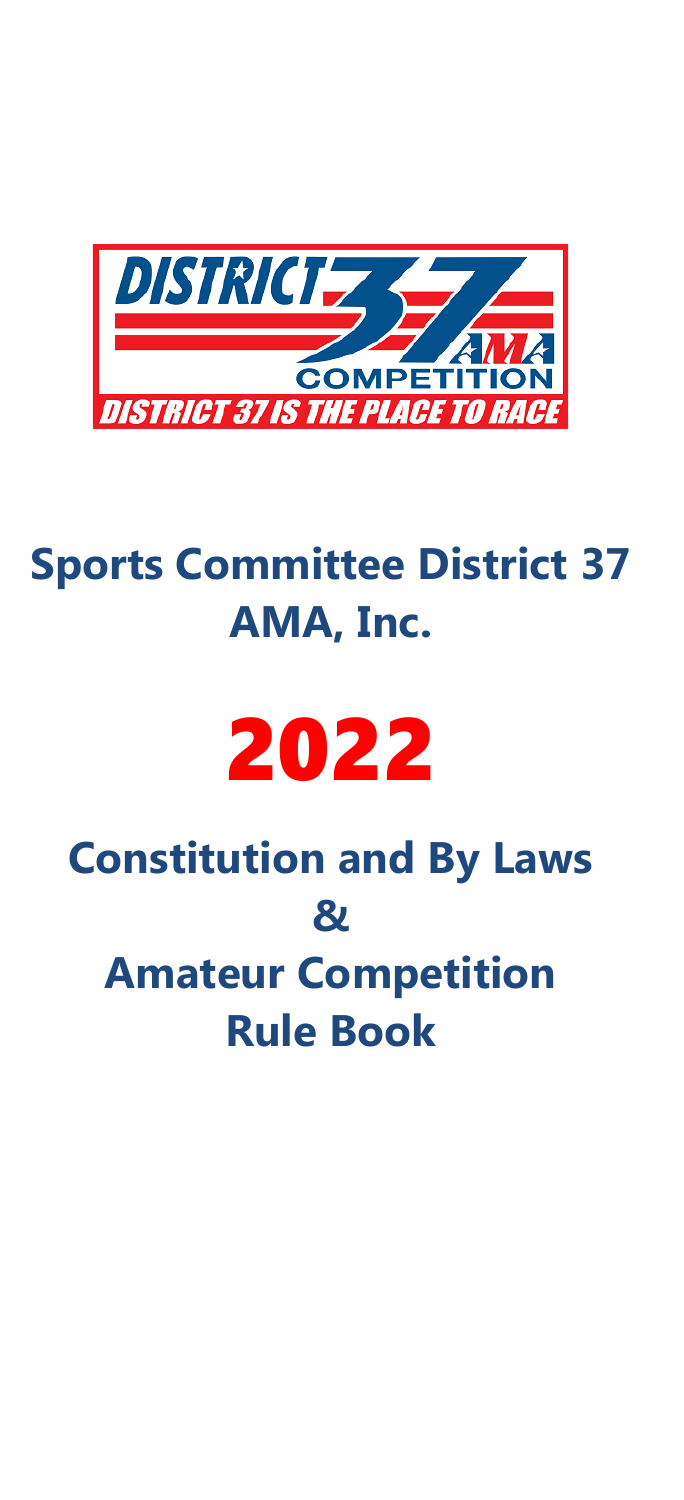

# **Sports Committee District 37 AMA, Inc.**

# 2022

# **Constitution and By Laws & Amateur Competition Rule Book**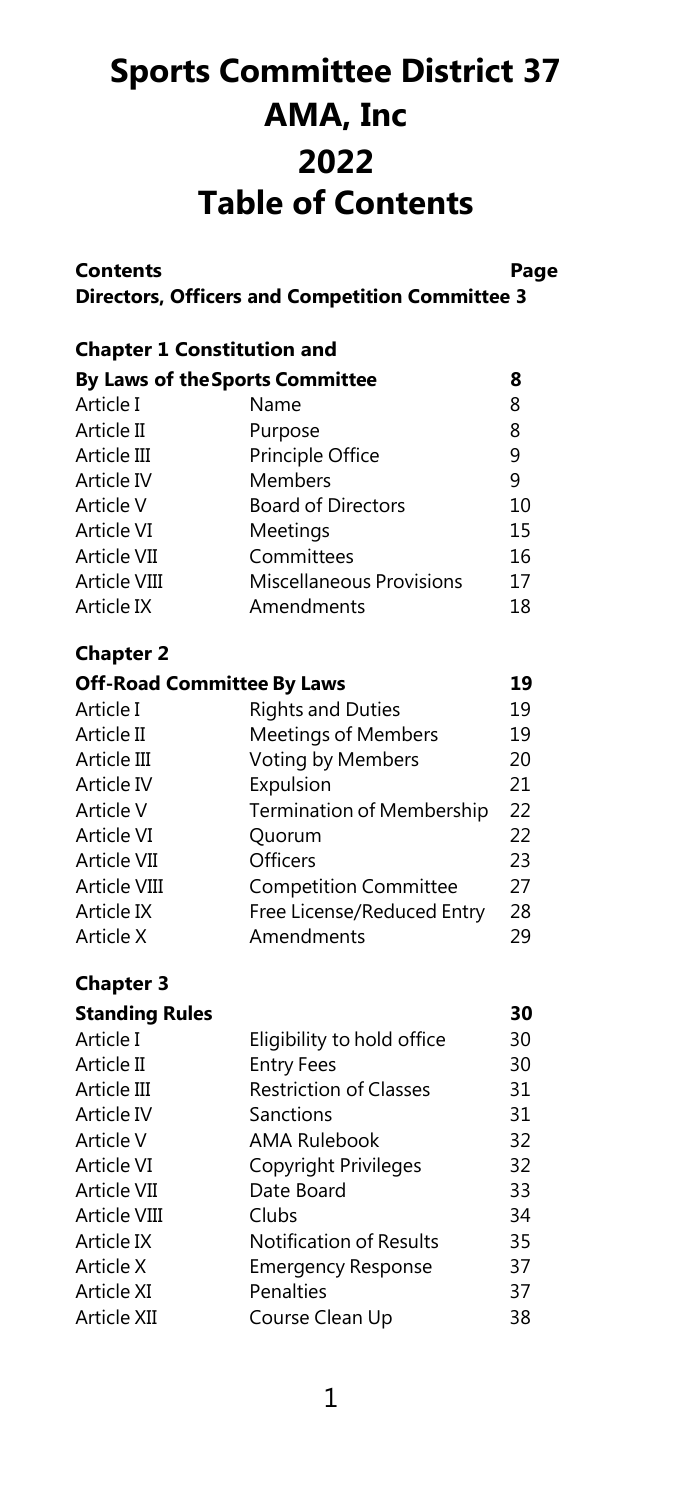# **Sports Committee District 37 AMA, Inc 2022 Table of Contents**

| <b>Contents</b>                   | <b>Directors, Officers and Competition Committee 3</b> | Page |  |  |
|-----------------------------------|--------------------------------------------------------|------|--|--|
| <b>Chapter 1 Constitution and</b> |                                                        |      |  |  |
| By Laws of the Sports Committee   |                                                        | 8    |  |  |
| Article I                         | Name                                                   | 8    |  |  |
| Article II                        | Purpose                                                | 8    |  |  |
| Article III                       | Principle Office                                       | 9    |  |  |
| Article IV                        | Members                                                | 9    |  |  |
| Article V                         | <b>Board of Directors</b>                              | 10   |  |  |
| Article VI                        | Meetings                                               | 15   |  |  |
| Article VII                       | Committees                                             | 16   |  |  |
| Article VIII                      | Miscellaneous Provisions                               | 17   |  |  |
| Article IX                        | Amendments                                             | 18   |  |  |
| <b>Chapter 2</b>                  |                                                        |      |  |  |
| <b>Off-Road Committee By Laws</b> |                                                        | 19   |  |  |
| Article I                         | <b>Rights and Duties</b>                               | 19   |  |  |
| Article II                        | Meetings of Members                                    | 19   |  |  |
| Article III                       | Voting by Members                                      | 20   |  |  |
| Article IV                        | Expulsion                                              | 21   |  |  |
| Article V                         | Termination of Membership                              | 22   |  |  |
| Article VI                        | Quorum                                                 | 22   |  |  |

Article VI Quorum 22 Article VII Officers 23 Article VIII [Competition](#page-27-0) Committee 27 Article IX Free License/Reduced Entry 28<br>Article X Amendments 29 Amendments 29

#### **Chapter 3**

| <b>Standing Rules</b> |                                | 30 |
|-----------------------|--------------------------------|----|
| Article I             | Eligibility to hold office     | 30 |
| Article II            | <b>Entry Fees</b>              | 30 |
| Article III           | <b>Restriction of Classes</b>  | 31 |
| Article IV            | Sanctions                      | 31 |
| Article V             | AMA Rulebook                   | 32 |
| Article VI            | Copyright Privileges           | 32 |
| Article VII           | Date Board                     | 33 |
| Article VIII          | Clubs                          | 34 |
| Article IX            | <b>Notification of Results</b> | 35 |
| Article X             | <b>Emergency Response</b>      | 37 |
| Article XI            | Penalties                      | 37 |
| Article XII           | Course Clean Up                | 38 |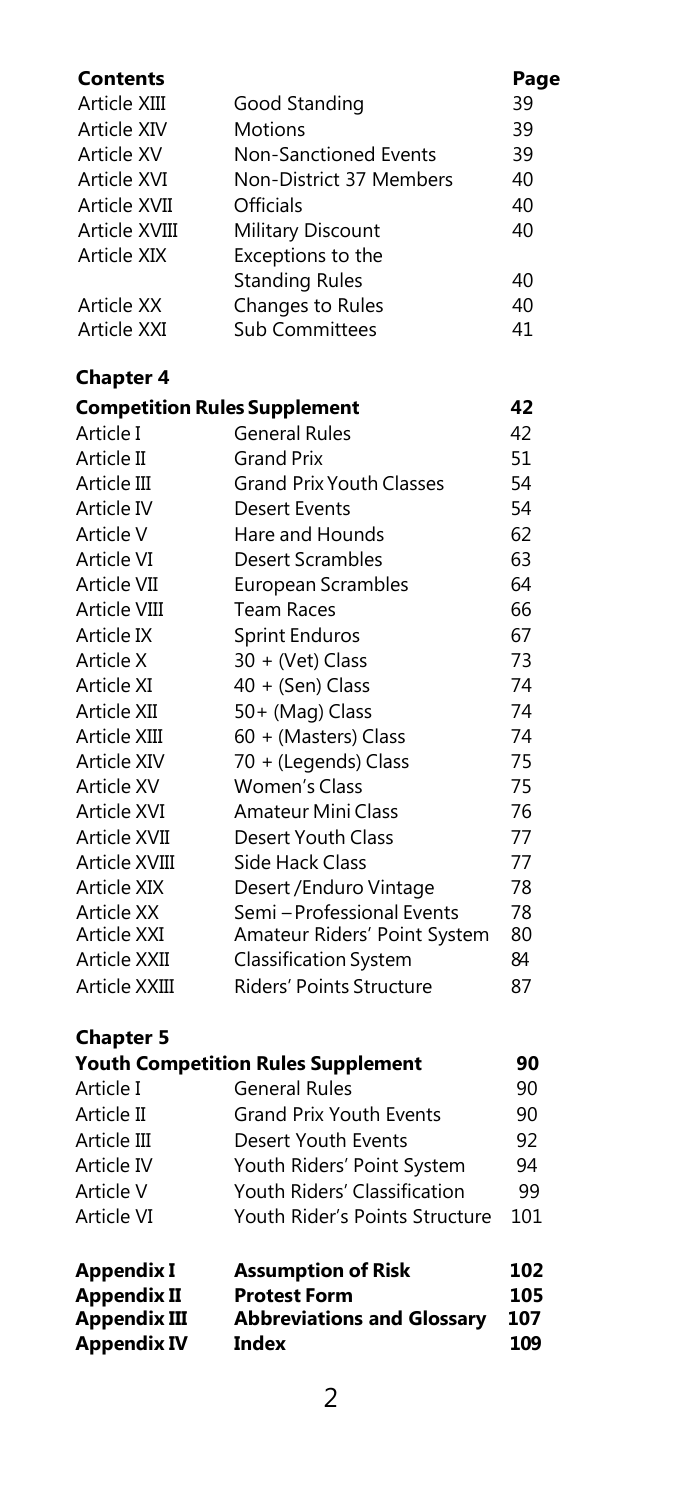| Contents                                |                                                            | Page       |
|-----------------------------------------|------------------------------------------------------------|------------|
| Article XIII                            | Good Standing                                              | 39         |
| Article XIV                             | <b>Motions</b>                                             | 39         |
| Article XV                              | <b>Non-Sanctioned Events</b>                               | 39         |
| Article XVI                             | Non-District 37 Members                                    | 40         |
| Article XVII                            | Officials                                                  | 40         |
| Article XVIII                           | Military Discount                                          | 40         |
| Article XIX                             | Exceptions to the                                          |            |
|                                         | <b>Standing Rules</b>                                      | 40         |
| <b>Article XX</b>                       | Changes to Rules                                           | 40         |
| Article XXI                             | <b>Sub Committees</b>                                      | 41         |
| <b>Chapter 4</b>                        |                                                            |            |
| <b>Competition Rules Supplement</b>     |                                                            | 42         |
| Article I                               | <b>General Rules</b>                                       | 42         |
| Article II                              | <b>Grand Prix</b>                                          | 51         |
| Article III                             | <b>Grand Prix Youth Classes</b>                            | 54         |
| Article IV                              | <b>Desert Events</b>                                       | 54         |
| Article V                               | Hare and Hounds                                            | 62         |
| Article VI                              | <b>Desert Scrambles</b>                                    | 63         |
| Article VII                             | <b>European Scrambles</b>                                  | 64         |
| Article VIII                            | <b>Team Races</b>                                          | 66         |
| Article IX                              | <b>Sprint Enduros</b>                                      | 67         |
| Article X                               | 30 + (Vet) Class                                           | 73         |
| Article XI                              | 40 + (Sen) Class                                           | 74         |
| Article XII                             | 50+ (Mag) Class                                            | 74         |
| Article XIII                            | 60 + (Masters) Class                                       | 74         |
| Article XIV                             | 70 + (Legends) Class                                       | 75         |
| Article XV                              | <b>Women's Class</b>                                       | 75         |
| Article XVI                             | Amateur Mini Class                                         | 76         |
| Article XVII                            | <b>Desert Youth Class</b>                                  | 77         |
| Article XVIII                           | Side Hack Class                                            | 77         |
| Article XIX                             | Desert / Enduro Vintage                                    | 78         |
| Article XX<br>Article XXI               | Semi – Professional Events<br>Amateur Riders' Point System | 78<br>80   |
| Article XXII                            | <b>Classification System</b>                               | 84         |
| Article XXIII                           | Riders' Points Structure                                   | 87         |
|                                         |                                                            |            |
| <b>Chapter 5</b>                        |                                                            |            |
|                                         | <b>Youth Competition Rules Supplement</b>                  | 90         |
| Article I                               | <b>General Rules</b>                                       | 90         |
| Article II                              | <b>Grand Prix Youth Events</b>                             | 90         |
| Article III                             | Desert Youth Events                                        | 92         |
| Article IV                              | Youth Riders' Point System                                 | 94         |
| Article V                               | Youth Riders' Classification                               | 99         |
| Article VI                              | Youth Rider's Points Structure                             | 101        |
| <b>Appendix I</b><br><b>Appendix II</b> | <b>Assumption of Risk</b><br><b>Protest Form</b>           | 102<br>105 |
| <b>Appendix III</b>                     | <b>Abbreviations and Glossary</b>                          | 107        |
| <b>Appendix IV</b>                      | Index                                                      | 109        |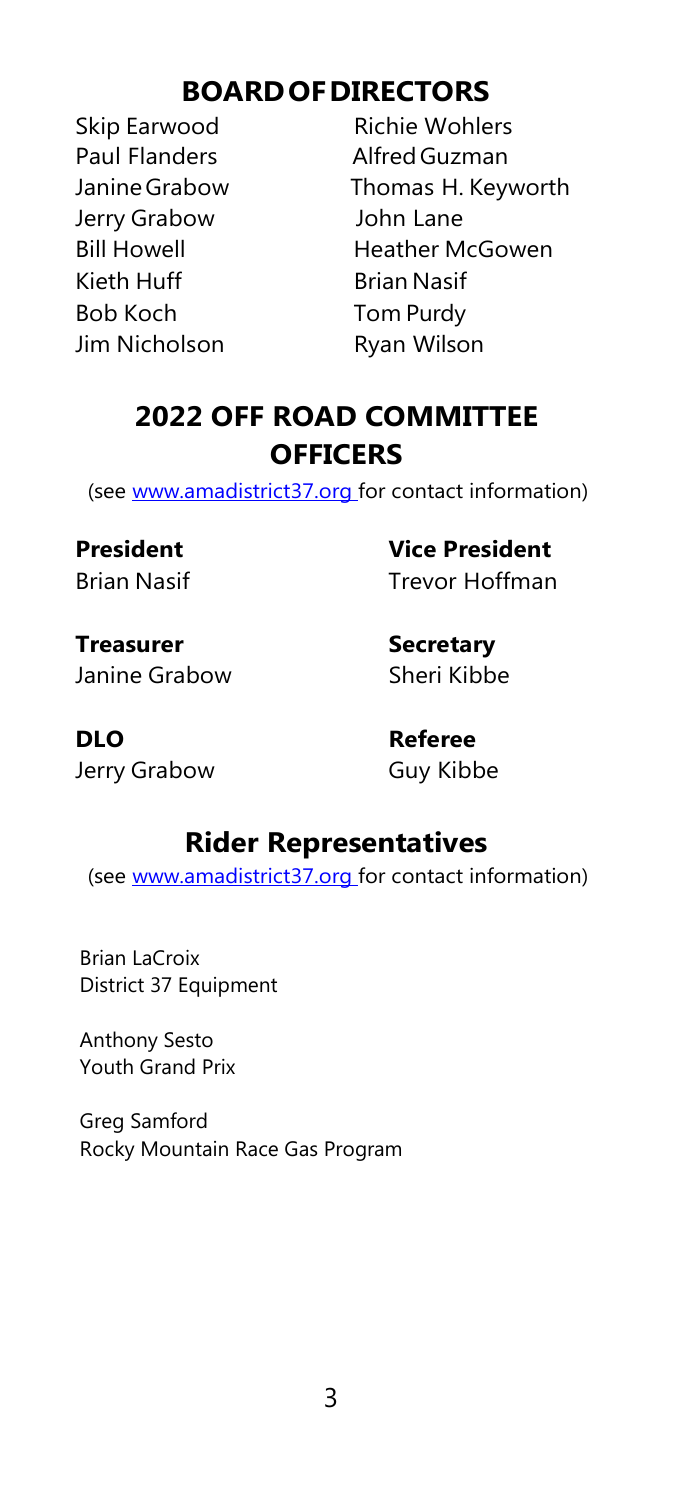# **BOARDOFDIRECTORS**

Skip Earwood Richie Wohlers Paul Flanders **Alfred Guzman** Jerry Grabow John Lane Kieth Huff Brian Nasif Bob Koch Tom Purdy Jim Nicholson Ryan Wilson

JanineGrabow Thomas H. Keyworth Bill Howell Heather McGowen

# **2022 OFF ROAD COMMITTEE OFFICERS**

(see [www.amadistrict37.org for c](http://www.amadistrict37.orgfor/)ontact information)

**President Vice President** Brian Nasif Trevor Hoffman

**Treasurer Secretary** Janine Grabow Sheri Kibbe

**DLO Referee** Jerry Grabow Guy Kibbe

# **Rider Representatives**

(see [www.amadistrict37.org for c](http://www.amadistrict37.orgfor/)ontact information)

Brian LaCroix District 37 Equipment

Anthony Sesto Youth Grand Prix

Greg Samford Rocky Mountain Race Gas Program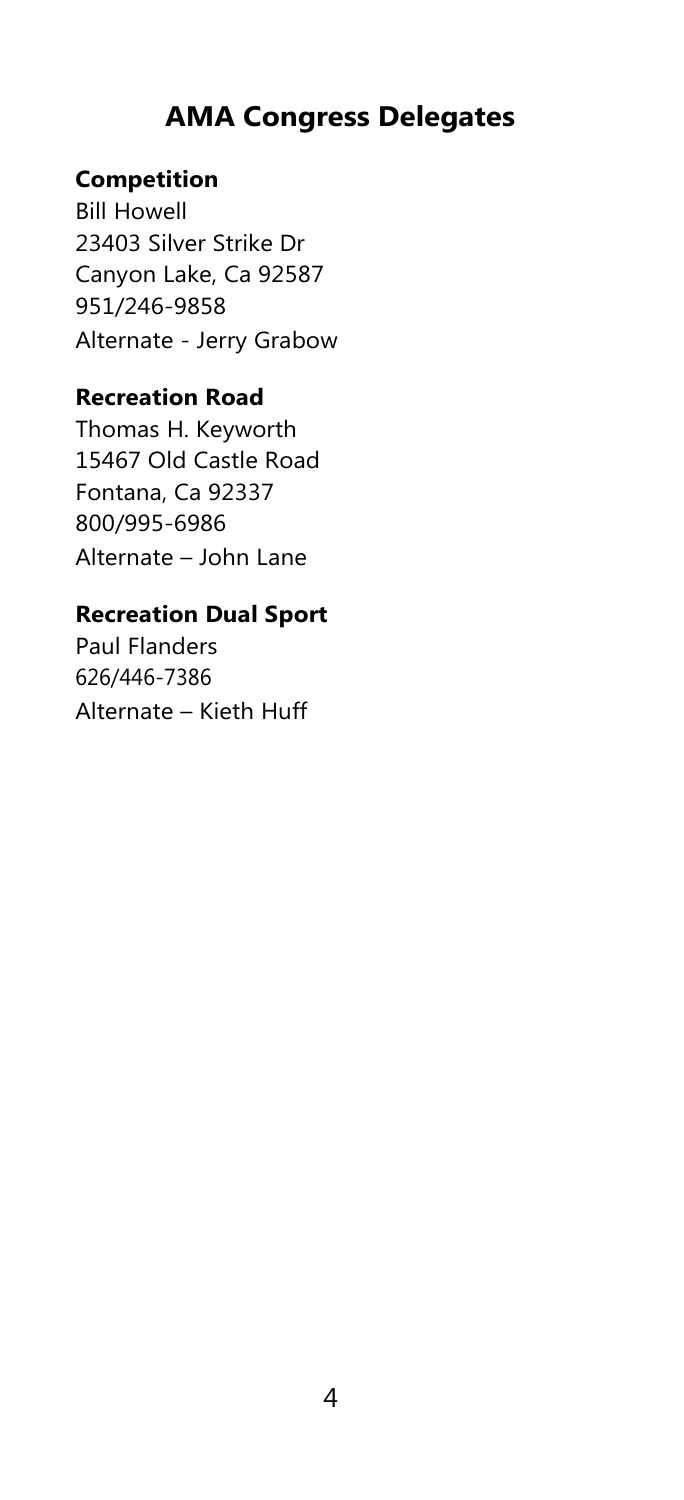# **AMA Congress Delegates**

#### **Competition**

Bill Howell 23403 Silver Strike Dr Canyon Lake, Ca 92587 951/246-9858 Alternate - Jerry Grabow

#### **Recreation Road**

Thomas H. Keyworth 15467 Old Castle Road Fontana, Ca 92337 800/995-6986 Alternate – John Lane

#### **Recreation Dual Sport**

Paul Flanders 626/446-7386 Alternate – Kieth Huff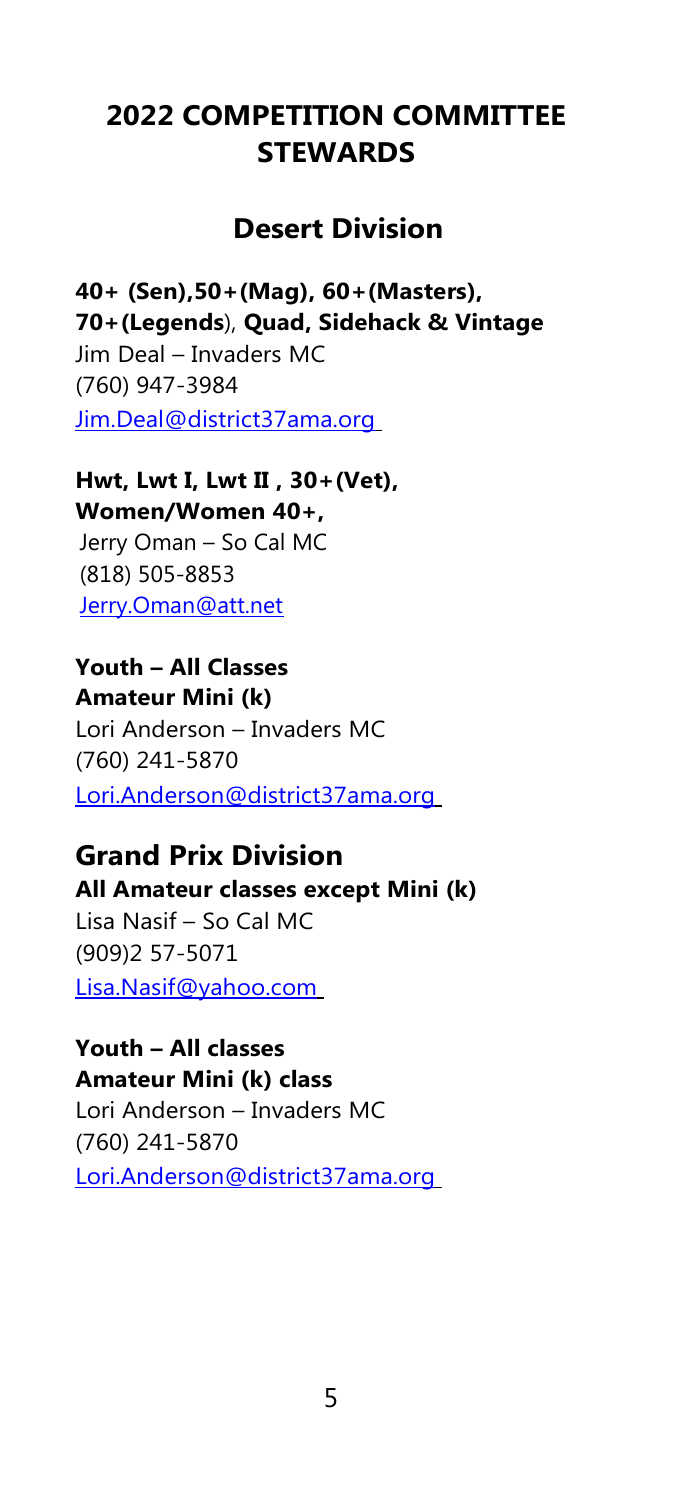# **2022 COMPETITION COMMITTEE STEWARDS**

# **Desert Division**

**40+ (Sen),50+(Mag), 60+(Masters), 70+(Legends**), **Quad, Sidehack & Vintage** Jim Deal – Invaders MC (760) 947-3984 [Jim.Deal@district37ama.org](mailto:Jim.Deal@district37ama.org)

#### **Hwt, Lwt I, Lwt II , 30+(Vet), Women/Women 40+,**

Jerry Oman – So Cal MC (818) 505-8853 [Jerry.Oman@att.net](mailto:Jerry.Oman@att.net)

# **Youth – All Classes**

**Amateur Mini (k)** Lori Anderson – Invaders MC (760) 241-5870 [Lori.Anderson@district37ama.org](mailto:Lori.Anderson@district37ama.org)

# **Grand Prix Division**

#### **All Amateur classes except Mini (k)**

Lisa Nasif – So Cal MC (909)2 57-5071 [Lisa.Nasif@yahoo.com](mailto:Lisa.Nasif@yahoo.com)

# **Youth – All classes**

**Amateur Mini (k) class**

Lori Anderson – Invaders MC (760) 241-5870 [Lori.Anderson@district37ama.org](mailto:Lori.Anderson@district37ama.org)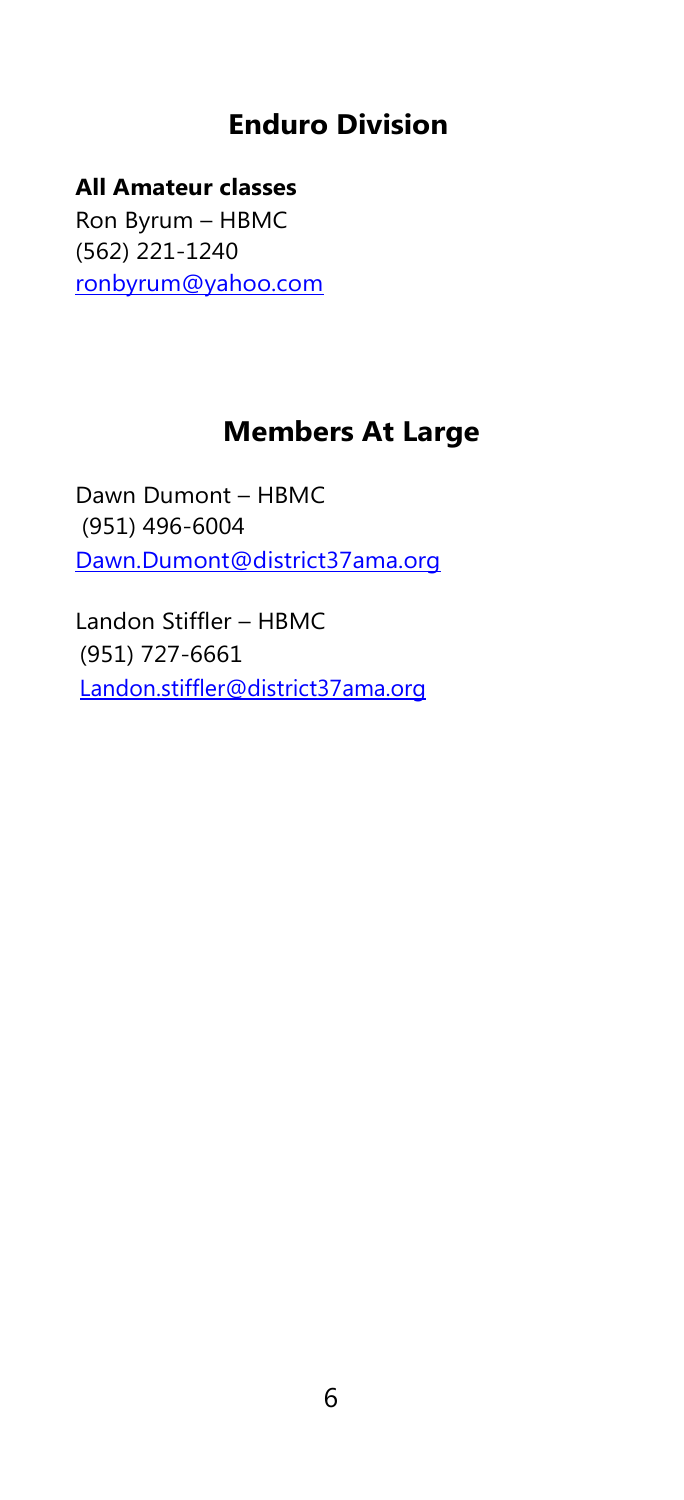# **Enduro Division**

**All Amateur classes**  Ron Byrum – HBMC (562) 221-1240 [ronbyrum@yahoo.com](mailto:ronbyrum@yahoo.com)

# **Members At Large**

Dawn Dumont – HBMC (951) 496-6004 [Dawn.Dumont@district37ama.org](mailto:Dawn.Dumont@district37ama.org)

Landon Stiffler – HBMC (951) 727-6661 [Landon.stiffler@district37ama.org](mailto:Landon.stiffler@district37ama.org)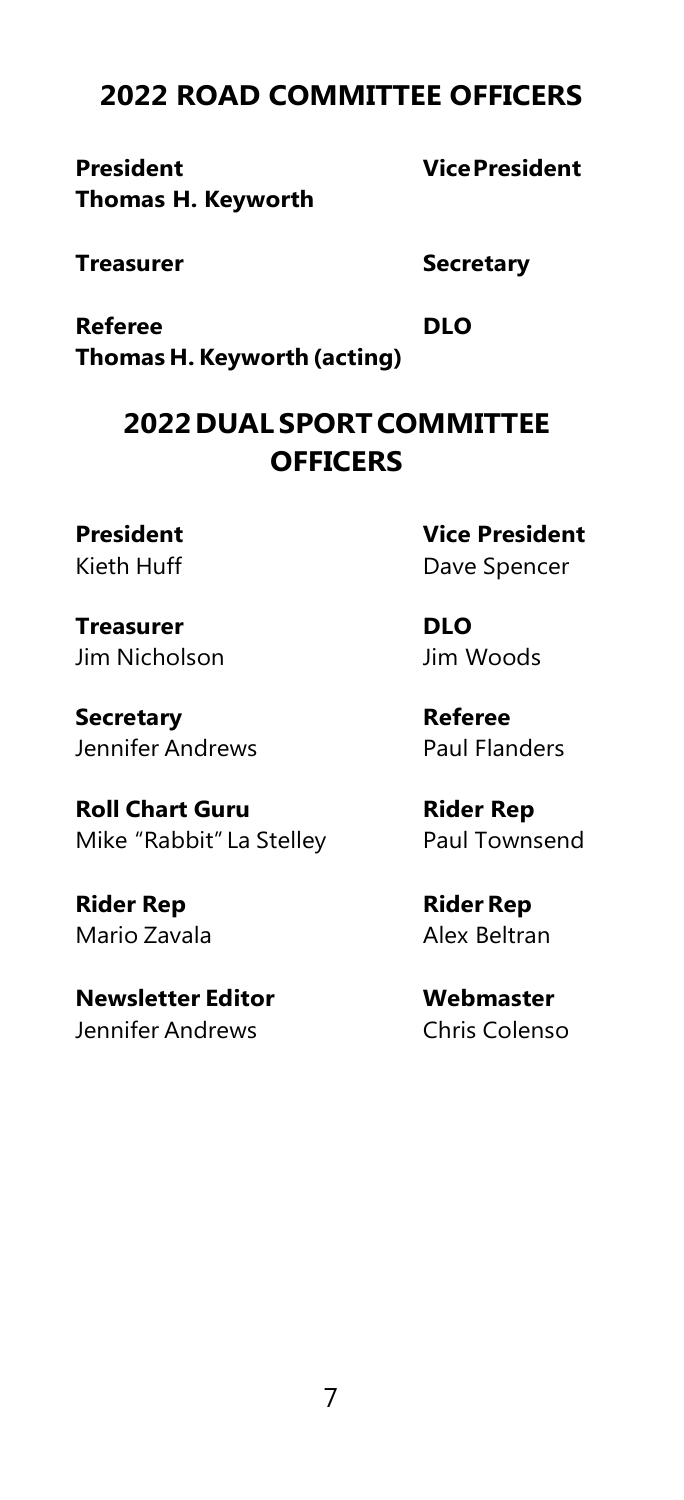# **2022 ROAD COMMITTEE OFFICERS**

**President VicePresident Thomas H. Keyworth**

**Treasurer Secretary**

**Referee DLO Thomas H. Keyworth (acting)**

# **2022DUAL SPORTCOMMITTEE OFFICERS**

**Treasurer DLO** Jim Nicholson Jim Woods

**Secretary Referee** Jennifer Andrews **Paul Flanders** 

**Roll Chart Guru Rider Rep** Mike "Rabbit" La Stelley Paul Townsend

**Rider Rep RiderRep** Mario Zavala **Alex Beltran** 

**Newsletter Editor Webmaster** Jennifer Andrews Chris Colenso

**President Vice President** Kieth Huff Dave Spencer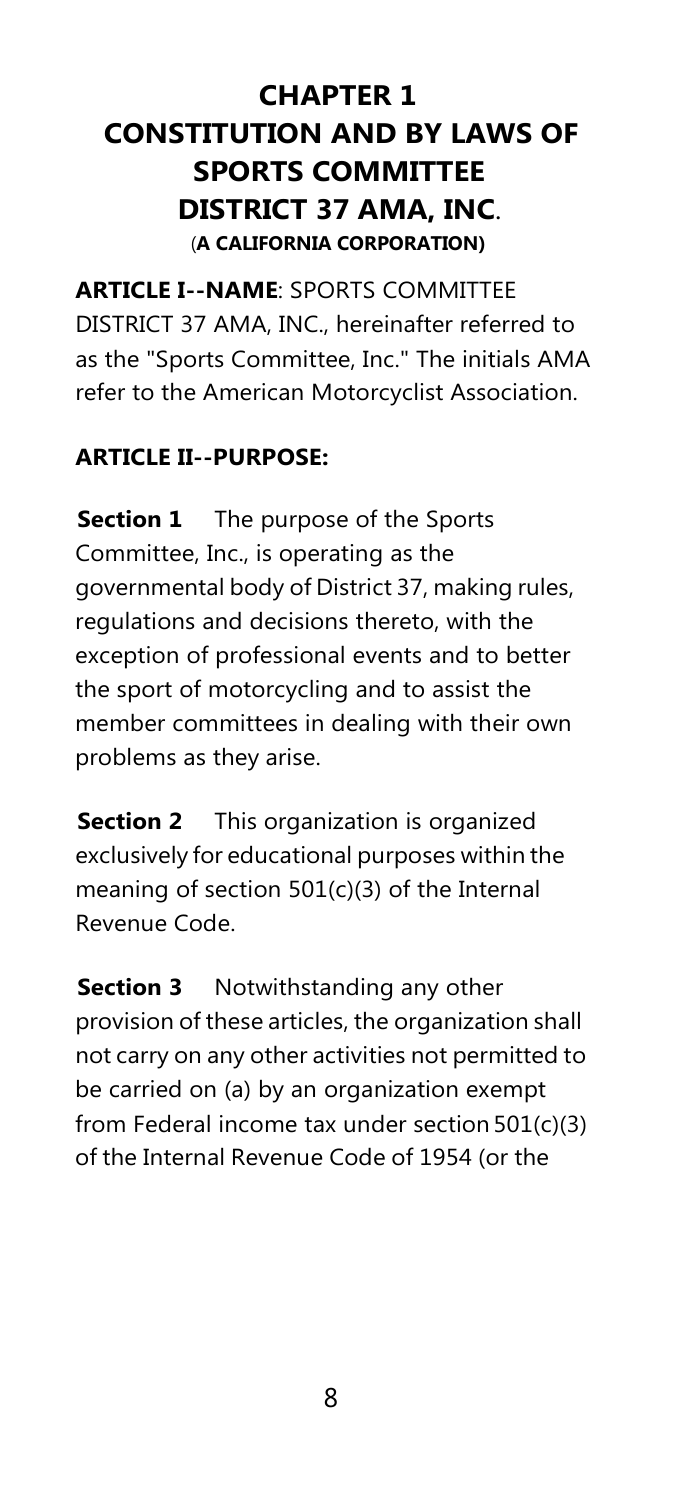# **CHAPTER 1 CONSTITUTION AND BY LAWS OF SPORTS COMMITTEE DISTRICT 37 AMA, INC**. (**A CALIFORNIA CORPORATION)**

**ARTICLE I--NAME**: SPORTS COMMITTEE DISTRICT 37 AMA, INC., hereinafter referred to as the "Sports Committee, Inc." The initials AMA refer to the American Motorcyclist Association.

# <span id="page-8-0"></span>**ARTICLE II--PURPOSE:**

**Section 1** The purpose of the Sports Committee, Inc., is operating as the governmental body of District 37, making rules, regulations and decisions thereto, with the exception of professional events and to better the sport of motorcycling and to assist the member committees in dealing with their own problems as they arise.

**Section 2** This organization is organized exclusively for educational purposes within the meaning of section 501(c)(3) of the Internal Revenue Code.

**Section 3** Notwithstanding any other provision of these articles, the organization shall not carry on any other activities not permitted to be carried on (a) by an organization exempt from Federal income tax under section 501(c)(3) of the Internal Revenue Code of 1954 (or the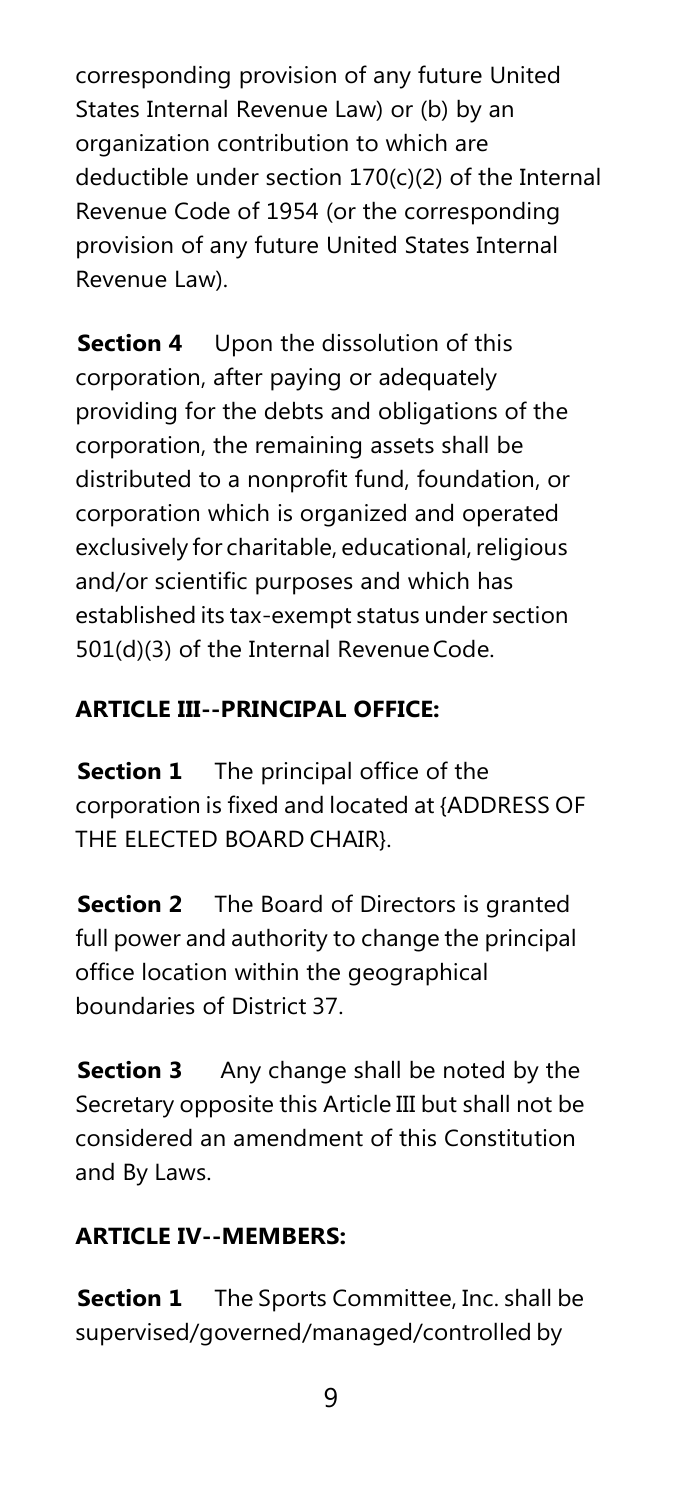corresponding provision of any future United States Internal Revenue Law) or (b) by an organization contribution to which are deductible under section 170(c)(2) of the Internal Revenue Code of 1954 (or the corresponding provision of any future United States Internal Revenue Law).

**Section 4** Upon the dissolution of this corporation, after paying or adequately providing for the debts and obligations of the corporation, the remaining assets shall be distributed to a nonprofit fund, foundation, or corporation which is organized and operated exclusively for charitable, educational, religious and/or scientific purposes and which has established its tax-exempt status under section 501(d)(3) of the Internal Revenue Code.

# **ARTICLE III--PRINCIPAL OFFICE:**

**Section 1** The principal office of the corporation is fixed and located at {ADDRESS OF THE ELECTED BOARD CHAIR}.

**Section 2** The Board of Directors is granted full power and authority to change the principal office location within the geographical boundaries of District 37.

**Section 3** Any change shall be noted by the Secretary opposite this Article III but shall not be considered an amendment of this Constitution and By Laws.

# <span id="page-9-0"></span>**ARTICLE IV--MEMBERS:**

**Section 1** The Sports Committee, Inc. shall be supervised/governed/managed/controlled by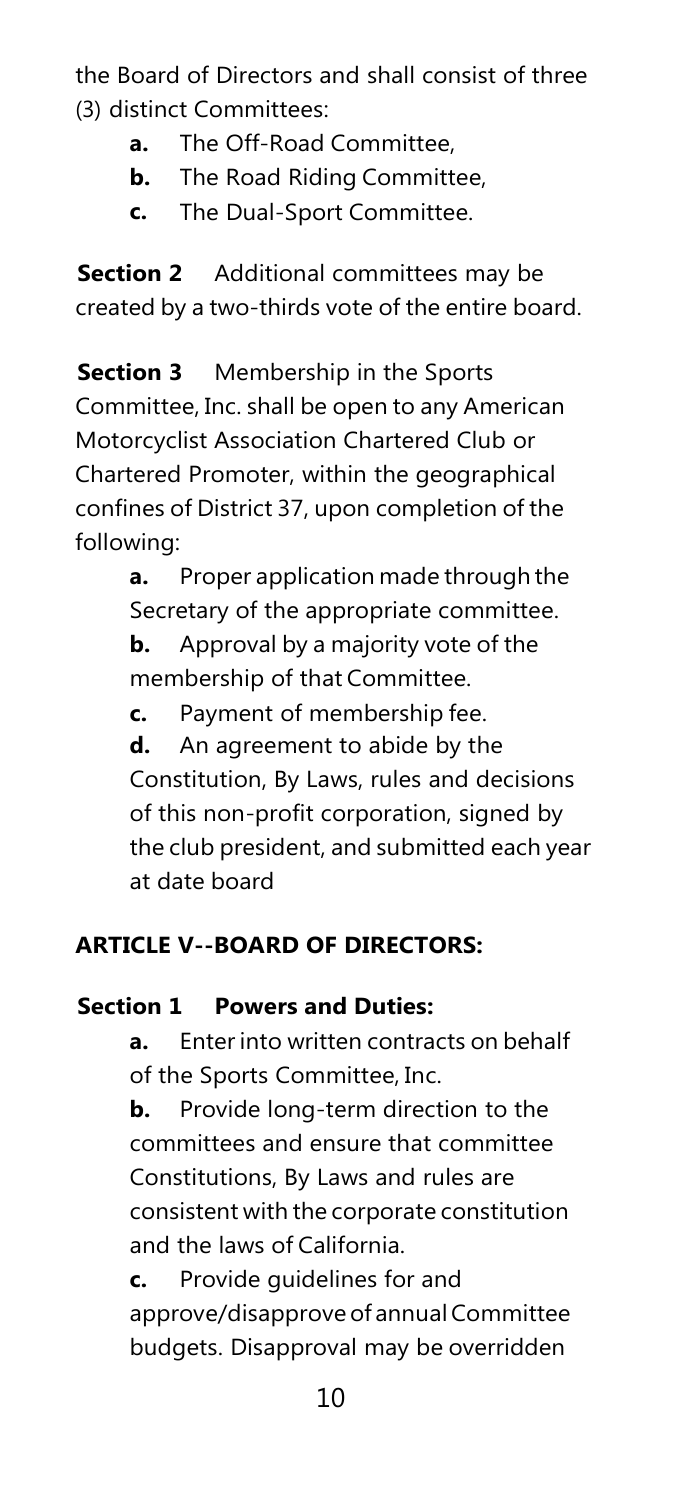the Board of Directors and shall consist of three (3) distinct Committees:

- **a.** The Off-Road Committee,
- **b.** The Road Riding Committee,
- **c.** The Dual-Sport Committee.

**Section 2** Additional committees may be created by a two-thirds vote of the entire board.

**Section 3** Membership in the Sports Committee, Inc. shall be open to any American Motorcyclist Association Chartered Club or Chartered Promoter, within the geographical confines of District 37, upon completion of the following:

**a.** Proper application made through the Secretary of the appropriate committee.

**b.** Approval by a majority vote of the membership of that Committee.

**c.** Payment of membership fee.

**d.** An agreement to abide by the Constitution, By Laws, rules and decisions of this non-profit corporation, signed by the club president, and submitted each year at date board

# <span id="page-10-0"></span>**ARTICLE V--BOARD OF DIRECTORS:**

# **Section 1 Powers and Duties:**

**a.** Enter into written contracts on behalf of the Sports Committee, Inc.

**b.** Provide long-term direction to the committees and ensure that committee Constitutions, By Laws and rules are consistent with the corporate constitution and the laws of California.

**c.** Provide guidelines for and approve/disapprove of annual Committee budgets. Disapproval may be overridden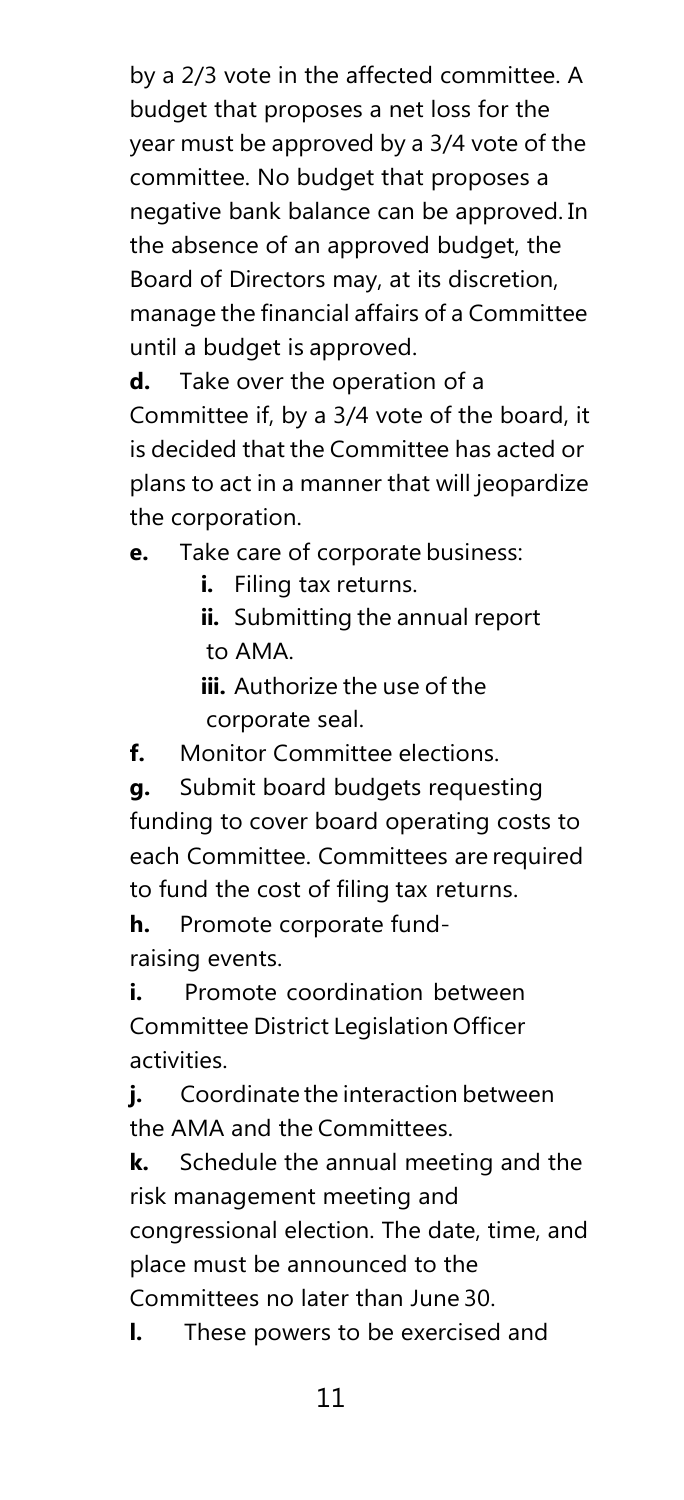by a 2/3 vote in the affected committee. A budget that proposes a net loss for the year must be approved by a 3/4 vote of the committee. No budget that proposes a negative bank balance can be approved. In the absence of an approved budget, the Board of Directors may, at its discretion, manage the financial affairs of a Committee until a budget is approved.

**d.** Take over the operation of a Committee if, by a 3/4 vote of the board, it is decided that the Committee has acted or plans to act in a manner that will jeopardize the corporation.

**e.** Take care of corporate business:

**i.** Filing tax returns.

**ii.** Submitting the annual report to AMA.

**iii.** Authorize the use of the corporate seal.

**f.** Monitor Committee elections.

**g.** Submit board budgets requesting funding to cover board operating costs to each Committee. Committees are required to fund the cost of filing tax returns.

**h.** Promote corporate fundraising events.

**i.** Promote coordination between Committee District Legislation Officer activities.

**j.** Coordinate the interaction between the AMA and the Committees.

**k.** Schedule the annual meeting and the risk management meeting and congressional election. The date, time, and place must be announced to the Committees no later than June 30.

**l.** These powers to be exercised and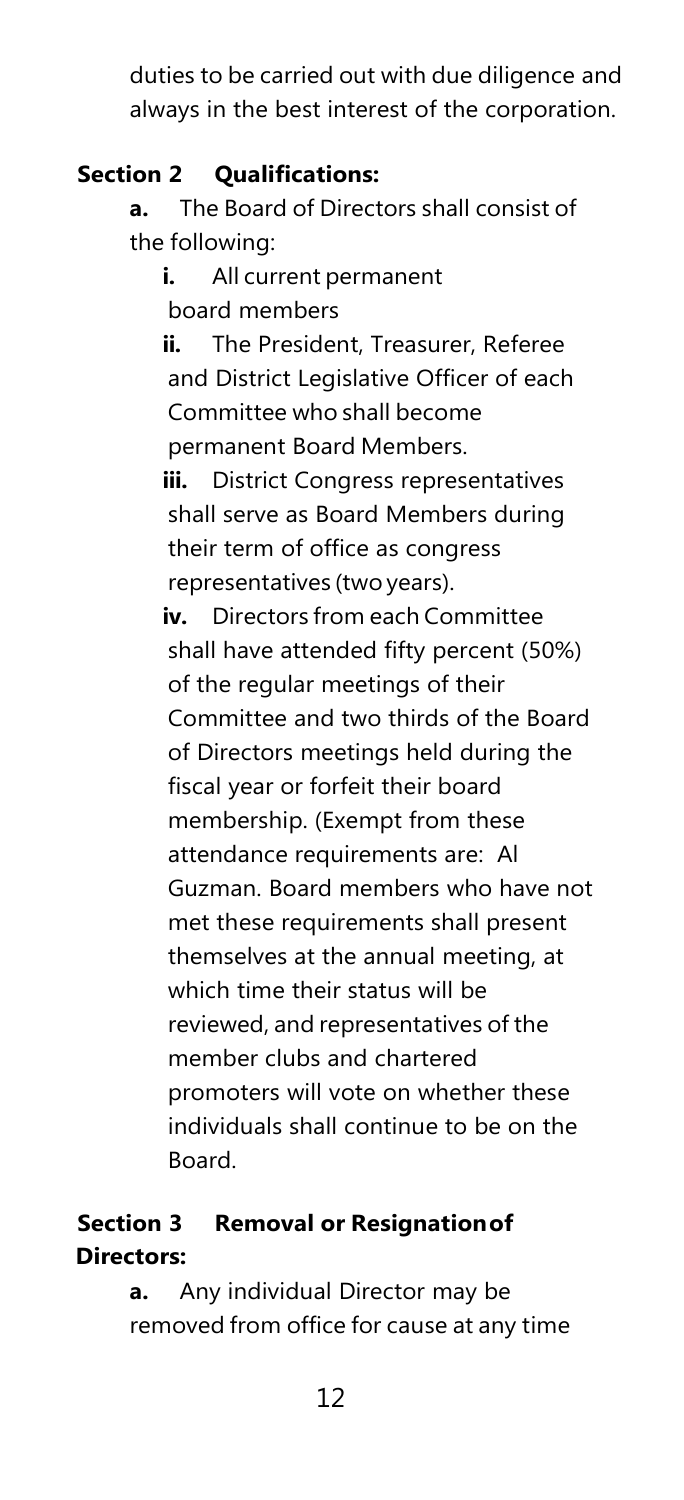duties to be carried out with due diligence and always in the best interest of the corporation.

# **Section 2 Qualifications:**

**a.** The Board of Directors shall consist of the following:

**i.** All current permanent board members

**ii.** The President, Treasurer, Referee and District Legislative Officer of each Committee who shall become permanent Board Members.

**iii.** District Congress representatives shall serve as Board Members during their term of office as congress representatives (two years).

**iv.** Directors from each Committee shall have attended fifty percent (50%) of the regular meetings of their Committee and two thirds of the Board of Directors meetings held during the fiscal year or forfeit their board membership. (Exempt from these attendance requirements are: Al Guzman. Board members who have not met these requirements shall present themselves at the annual meeting, at which time their status will be reviewed, and representatives of the member clubs and chartered promoters will vote on whether these individuals shall continue to be on the Board.

# **Section 3 Removal or Resignationof Directors:**

**a.** Any individual Director may be removed from office for cause at any time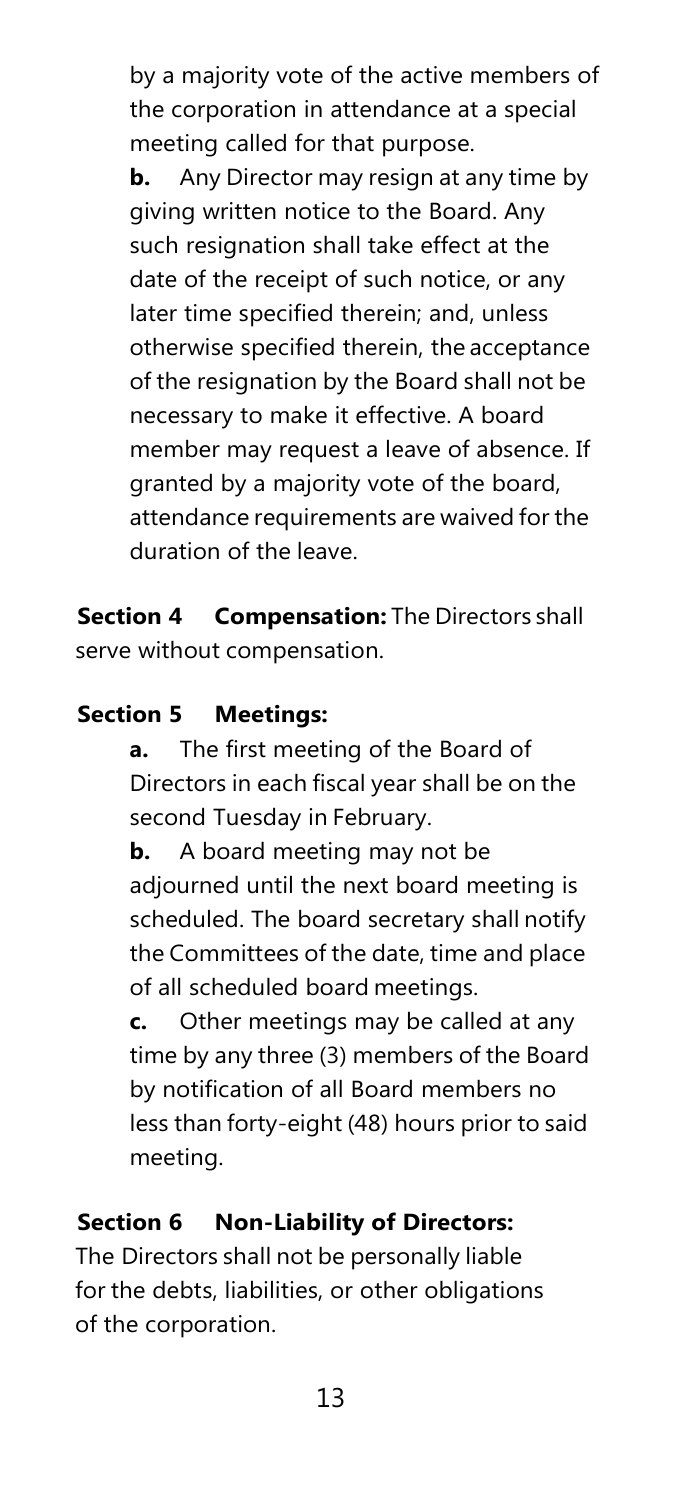by a majority vote of the active members of the corporation in attendance at a special meeting called for that purpose.

**b.** Any Director may resign at any time by giving written notice to the Board. Any such resignation shall take effect at the date of the receipt of such notice, or any later time specified therein; and, unless otherwise specified therein, the acceptance of the resignation by the Board shall not be necessary to make it effective. A board member may request a leave of absence. If granted by a majority vote of the board, attendance requirements are waived for the duration of the leave.

**Section 4 Compensation:** The Directors shall serve without compensation.

#### **Section 5 Meetings:**

**a.** The first meeting of the Board of Directors in each fiscal year shall be on the second Tuesday in February.

**b.** A board meeting may not be adjourned until the next board meeting is scheduled. The board secretary shall notify the Committees of the date, time and place of all scheduled board meetings.

**c.** Other meetings may be called at any time by any three (3) members of the Board by notification of all Board members no less than forty-eight (48) hours prior to said meeting.

# **Section 6 Non-Liability of Directors:**

The Directors shall not be personally liable for the debts, liabilities, or other obligations of the corporation.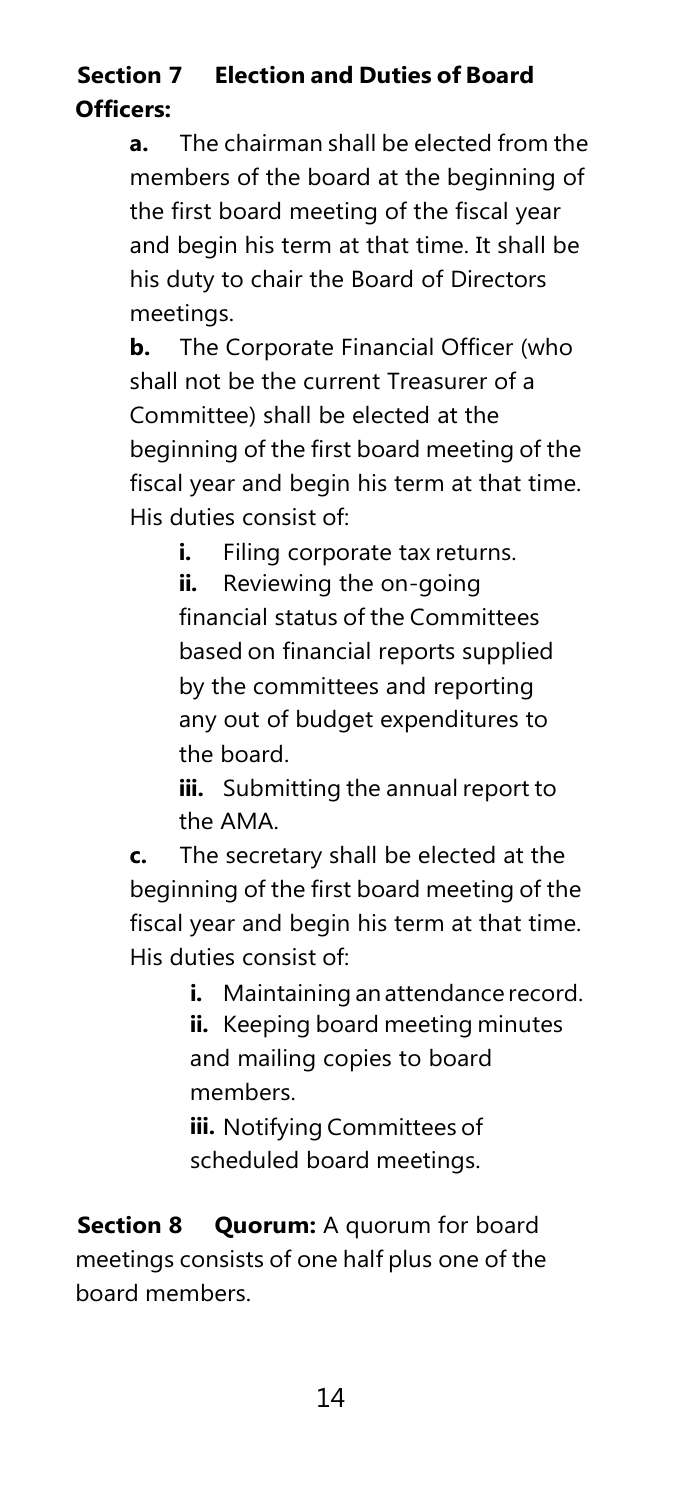# **Section 7 Election and Duties of Board Officers:**

**a.** The chairman shall be elected from the members of the board at the beginning of the first board meeting of the fiscal year and begin his term at that time. It shall be his duty to chair the Board of Directors meetings.

**b.** The Corporate Financial Officer (who shall not be the current Treasurer of a Committee) shall be elected at the beginning of the first board meeting of the fiscal year and begin his term at that time. His duties consist of:

**i.** Filing corporate tax returns.

**ii.** Reviewing the on-going financial status of the Committees based on financial reports supplied by the committees and reporting any out of budget expenditures to the board.

**iii.** Submitting the annual report to the AMA.

**c.** The secretary shall be elected at the beginning of the first board meeting of the fiscal year and begin his term at that time. His duties consist of:

**i.** Maintaining an attendance record.

**ii.** Keeping board meeting minutes and mailing copies to board members.

**iii.** Notifying Committees of scheduled board meetings.

**Section 8 Quorum:** A quorum for board meetings consists of one half plus one of the board members.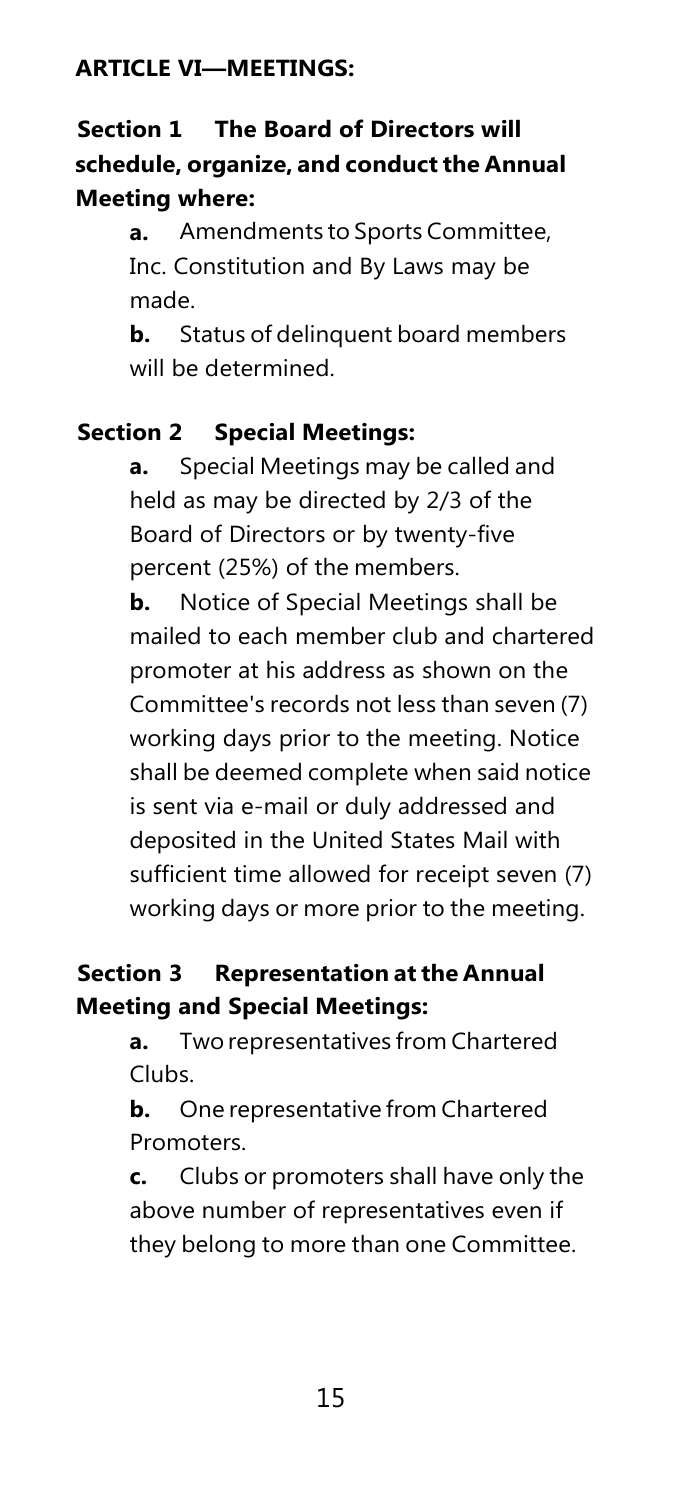#### <span id="page-15-0"></span>**ARTICLE VI—MEETINGS:**

# **Section 1 The Board of Directors will schedule, organize, and conduct the Annual Meeting where:**

**a.** Amendments to Sports Committee, Inc. Constitution and By Laws may be made.

**b.** Status of delinquent board members will be determined.

#### **Section 2 Special Meetings:**

**a.** Special Meetings may be called and held as may be directed by 2/3 of the Board of Directors or by twenty-five percent (25%) of the members.

**b.** Notice of Special Meetings shall be mailed to each member club and chartered promoter at his address as shown on the Committee's records not less than seven (7) working days prior to the meeting. Notice shall be deemed complete when said notice is sent via e-mail or duly addressed and deposited in the United States Mail with sufficient time allowed for receipt seven (7) working days or more prior to the meeting.

#### **Section 3 Representation at the Annual Meeting and Special Meetings:**

**a.** Two representatives from Chartered Clubs.

**b.** One representative from Chartered Promoters.

**c.** Clubs or promoters shall have only the above number of representatives even if they belong to more than one Committee.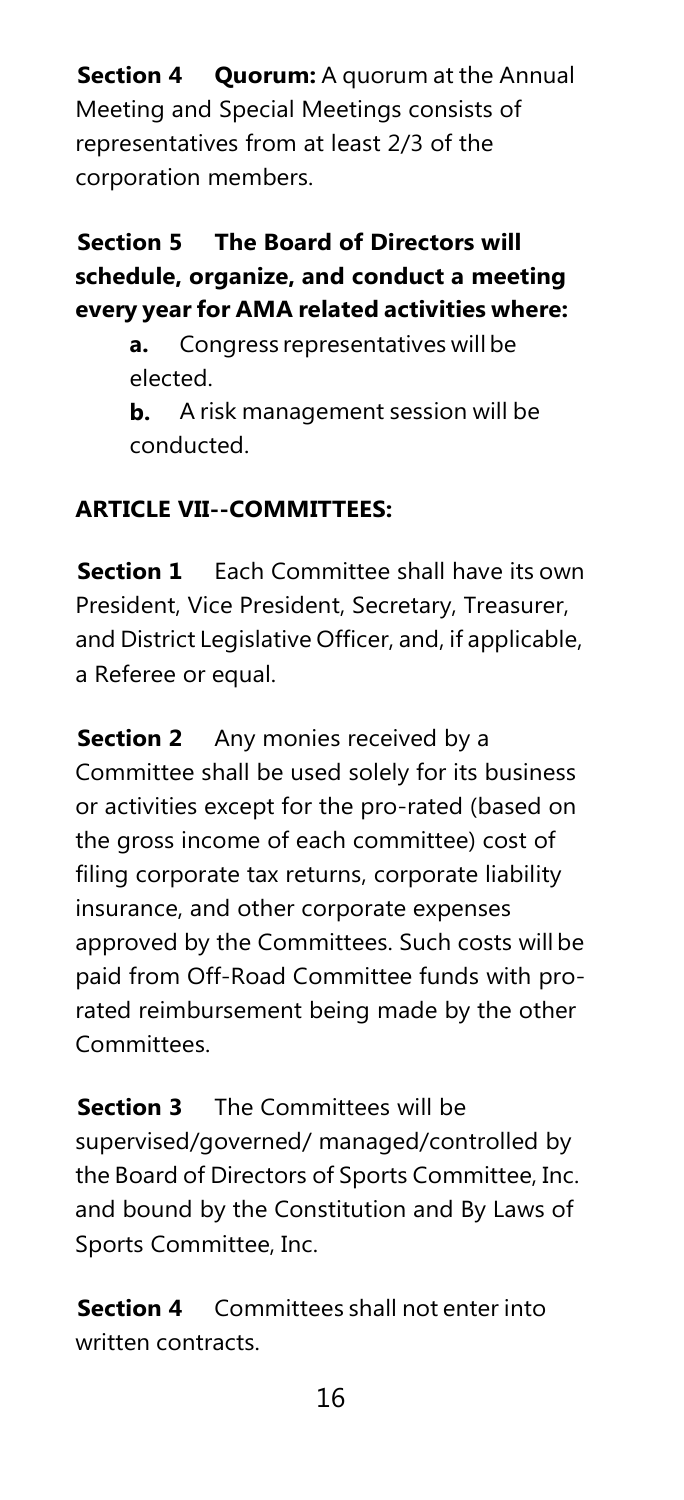**Section 4 Quorum:** A quorum at the Annual Meeting and Special Meetings consists of representatives from at least 2/3 of the corporation members.

# **Section 5 The Board of Directors will schedule, organize, and conduct a meeting every yearfor AMA related activities where:**

**a.** Congress representatives will be elected.

**b.** A risk management session will be conducted.

# <span id="page-16-0"></span>**ARTICLE VII--COMMITTEES:**

**Section 1** Each Committee shall have its own President, Vice President, Secretary, Treasurer, and District Legislative Officer, and, if applicable, a Referee or equal.

**Section 2** Any monies received by a Committee shall be used solely for its business or activities except for the pro-rated (based on the gross income of each committee) cost of filing corporate tax returns, corporate liability insurance, and other corporate expenses approved by the Committees. Such costs will be paid from Off-Road Committee funds with prorated reimbursement being made by the other **Committees** 

**Section 3** The Committees will be supervised/governed/ managed/controlled by the Board of Directors of Sports Committee, Inc. and bound by the Constitution and By Laws of Sports Committee, Inc.

**Section 4** Committees shall not enter into written contracts.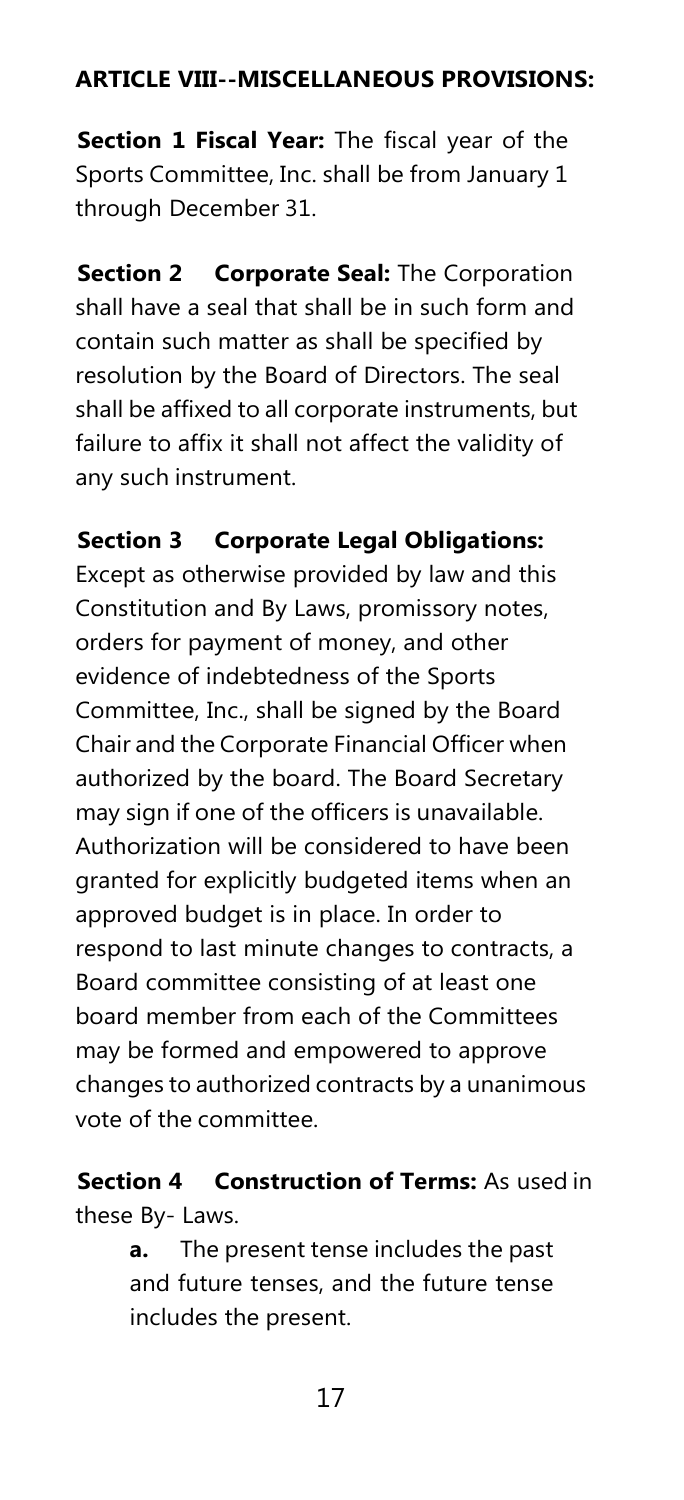# <span id="page-17-0"></span>**ARTICLE VIII--MISCELLANEOUS PROVISIONS:**

**Section 1 Fiscal Year:** The fiscal year of the Sports Committee, Inc. shall be from January 1 through December 31.

**Section 2 Corporate Seal:** The Corporation shall have a seal that shall be in such form and contain such matter as shall be specified by resolution by the Board of Directors. The seal shall be affixed to all corporate instruments, but failure to affix it shall not affect the validity of any such instrument.

# **Section 3 Corporate Legal Obligations:**

Except as otherwise provided by law and this Constitution and By Laws, promissory notes, orders for payment of money, and other evidence of indebtedness of the Sports Committee, Inc., shall be signed by the Board Chair and the Corporate Financial Officer when authorized by the board. The Board Secretary may sign if one of the officers is unavailable. Authorization will be considered to have been granted for explicitly budgeted items when an approved budget is in place. In order to respond to last minute changes to contracts, a Board committee consisting of at least one board member from each of the Committees may be formed and empowered to approve changes to authorized contracts by a unanimous vote of the committee.

**Section 4 Construction of Terms:** As used in these By- Laws.

> **a.** The present tense includes the past and future tenses, and the future tense includes the present.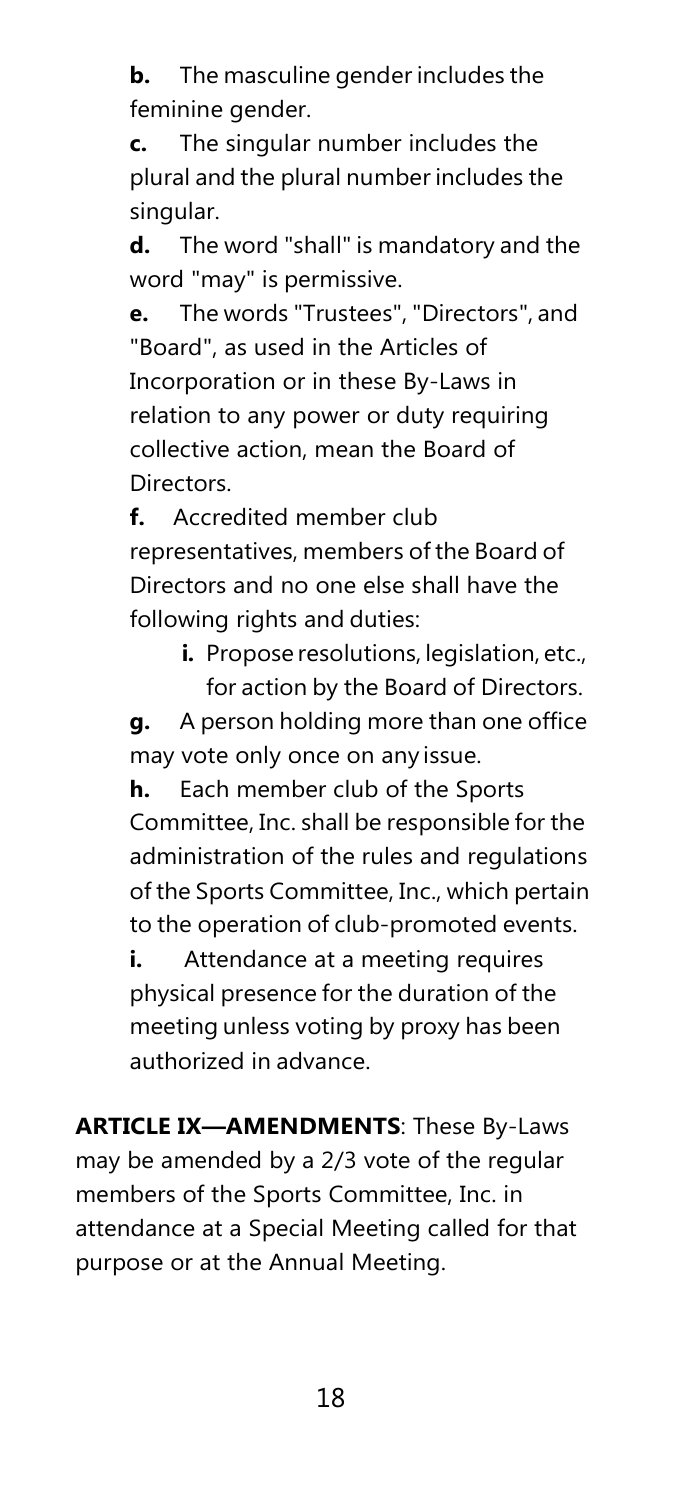**b.** The masculine gender includes the feminine gender.

**c.** The singular number includes the plural and the plural number includes the singular.

**d.** The word "shall" is mandatory and the word "may" is permissive.

**e.** The words "Trustees", "Directors", and "Board", as used in the Articles of Incorporation or in these By-Laws in relation to any power or duty requiring collective action, mean the Board of Directors.

**f.** Accredited member club representatives, members of the Board of Directors and no one else shall have the following rights and duties:

> **i.** Propose resolutions, legislation, etc., for action by the Board of Directors.

**g.** A person holding more than one office may vote only once on any issue.

**h.** Each member club of the Sports Committee, Inc. shall be responsible for the administration of the rules and regulations of the Sports Committee, Inc., which pertain to the operation of club-promoted events.

**i.** Attendance at a meeting requires physical presence for the duration of the meeting unless voting by proxy has been authorized in advance.

**ARTICLE IX—AMENDMENTS**: These By-Laws may be amended by a 2/3 vote of the regular members of the Sports Committee, Inc. in attendance at a Special Meeting called for that purpose or at the Annual Meeting.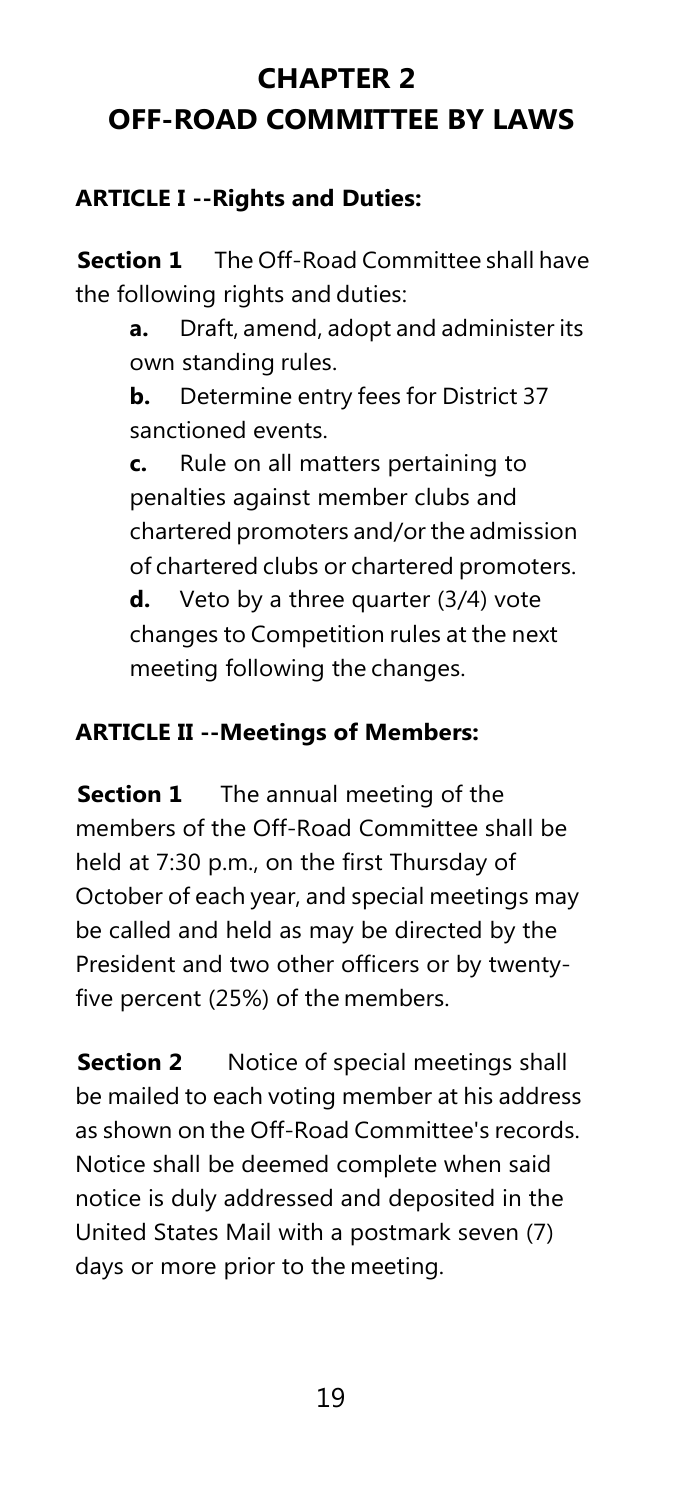# <span id="page-19-0"></span>**CHAPTER 2 OFF-ROAD COMMITTEE BY LAWS**

# <span id="page-19-1"></span>**ARTICLE I --Rights and Duties:**

**Section 1** The Off-Road Committee shall have the following rights and duties:

> **a.** Draft, amend, adopt and administer its own standing rules.

**b.** Determine entry fees for District 37 sanctioned events.

**c.** Rule on all matters pertaining to penalties against member clubs and chartered promoters and/or the admission of chartered clubs or chartered promoters.

**d.** Veto by a three quarter (3/4) vote changes to Competition rules at the next meeting following the changes.

# <span id="page-19-2"></span>**ARTICLE II --Meetings of Members:**

**Section 1** The annual meeting of the members of the Off-Road Committee shall be held at 7:30 p.m., on the first Thursday of October of each year, and special meetings may be called and held as may be directed by the President and two other officers or by twentyfive percent (25%) of the members.

**Section 2** Notice of special meetings shall be mailed to each voting member at his address as shown on the Off-Road Committee's records. Notice shall be deemed complete when said notice is duly addressed and deposited in the United States Mail with a postmark seven (7) days or more prior to the meeting.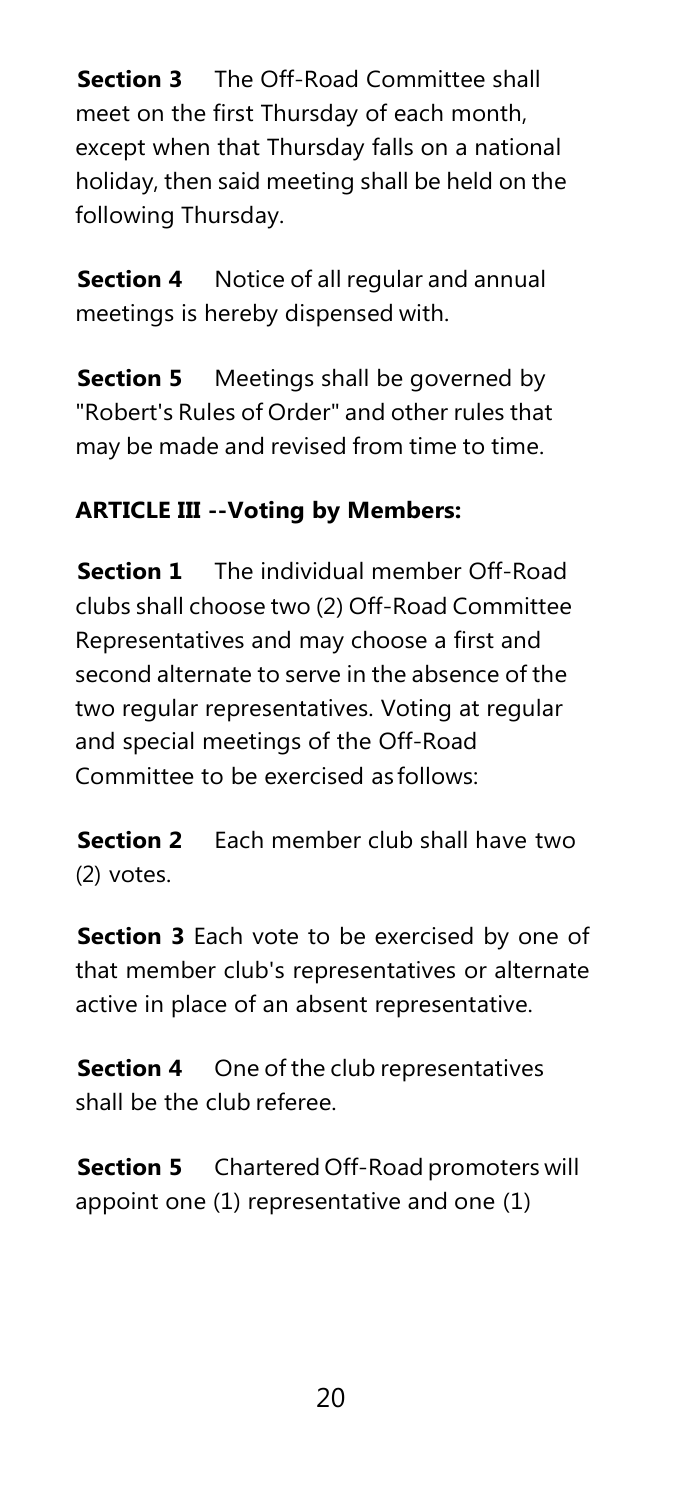**Section 3** The Off-Road Committee shall meet on the first Thursday of each month, except when that Thursday falls on a national holiday, then said meeting shall be held on the following Thursday.

**Section 4** Notice of all regular and annual meetings is hereby dispensed with.

**Section 5** Meetings shall be governed by "Robert's Rules of Order" and other rules that may be made and revised from time to time.

# <span id="page-20-0"></span>**ARTICLE III --Voting by Members:**

**Section 1** The individual member Off-Road clubs shall choose two (2) Off-Road Committee Representatives and may choose a first and second alternate to serve in the absence of the two regular representatives. Voting at regular and special meetings of the Off-Road Committee to be exercised as follows:

**Section 2** Each member club shall have two (2) votes.

**Section 3** Each vote to be exercised by one of that member club's representatives or alternate active in place of an absent representative.

**Section 4** One of the club representatives shall be the club referee.

**Section 5** Chartered Off-Road promoters will appoint one (1) representative and one (1)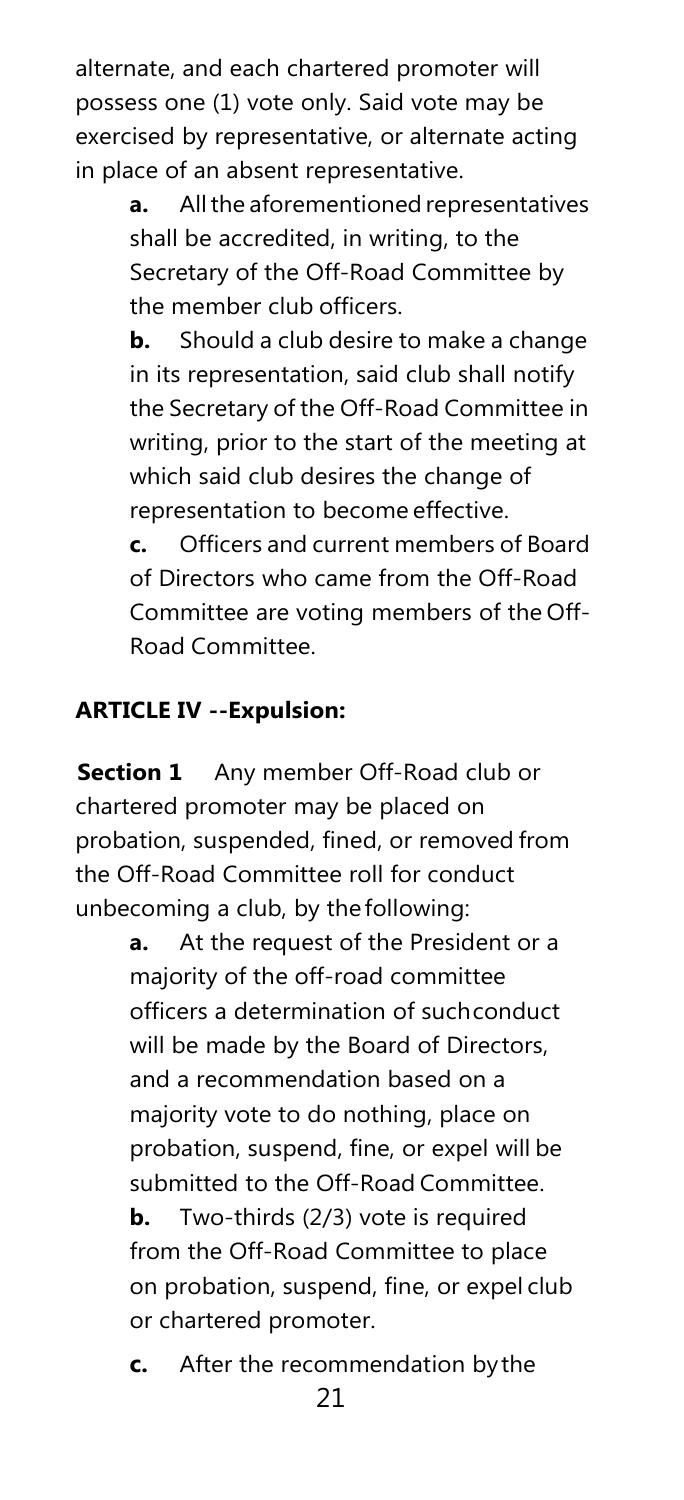alternate, and each chartered promoter will possess one (1) vote only. Said vote may be exercised by representative, or alternate acting in place of an absent representative.

> **a.** All the aforementioned representatives shall be accredited, in writing, to the Secretary of the Off-Road Committee by the member club officers.

> **b.** Should a club desire to make a change in its representation, said club shall notify the Secretary of the Off-Road Committee in writing, prior to the start of the meeting at which said club desires the change of representation to become effective.

> **c.** Officers and current members of Board of Directors who came from the Off-Road Committee are voting members of the Off-Road Committee.

# <span id="page-21-0"></span>**ARTICLE IV --Expulsion:**

**Section 1** Any member Off-Road club or chartered promoter may be placed on probation, suspended, fined, or removed from the Off-Road Committee roll for conduct unbecoming a club, by the following:

> **a.** At the request of the President or a majority of the off-road committee officers a determination of suchconduct will be made by the Board of Directors, and a recommendation based on a majority vote to do nothing, place on probation, suspend, fine, or expel will be submitted to the Off-Road Committee. **b.** Two-thirds (2/3) vote is required from the Off-Road Committee to place on probation, suspend, fine, or expel club or chartered promoter.

**c.** After the recommendation bythe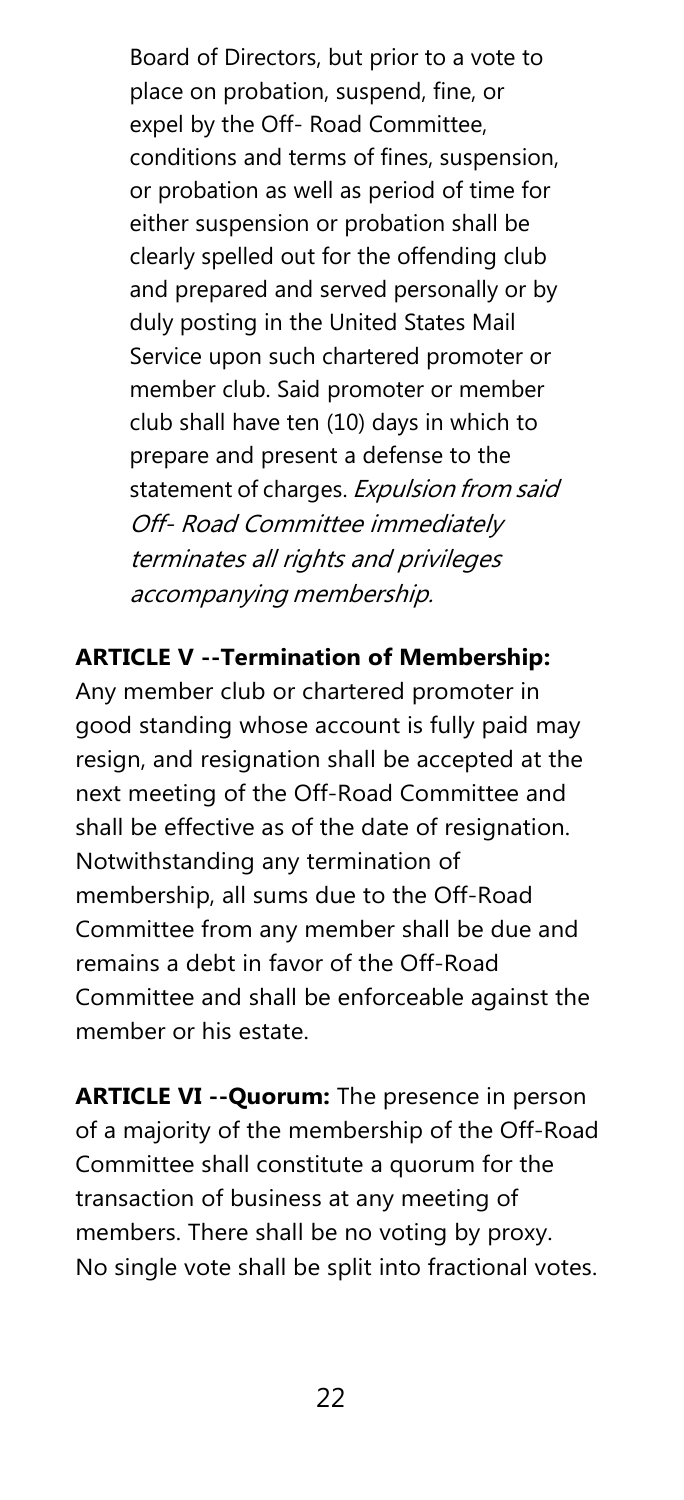Board of Directors, but prior to a vote to place on probation, suspend, fine, or expel by the Off- Road Committee, conditions and terms of fines, suspension, or probation as well as period of time for either suspension or probation shall be clearly spelled out for the offending club and prepared and served personally or by duly posting in the United States Mail Service upon such chartered promoter or member club. Said promoter or member club shall have ten (10) days in which to prepare and present a defense to the statement of charges. Expulsion from said Off- Road Committee immediately terminates all rights and privileges accompanying membership.

# **ARTICLE V --Termination of Membership:**

Any member club or chartered promoter in good standing whose account is fully paid may resign, and resignation shall be accepted at the next meeting of the Off-Road Committee and shall be effective as of the date of resignation. Notwithstanding any termination of membership, all sums due to the Off-Road Committee from any member shall be due and remains a debt in favor of the Off-Road Committee and shall be enforceable against the member or his estate.

**ARTICLE VI --Quorum:** The presence in person of a majority of the membership of the Off-Road Committee shall constitute a quorum for the transaction of business at any meeting of members. There shall be no voting by proxy. No single vote shall be split into fractional votes.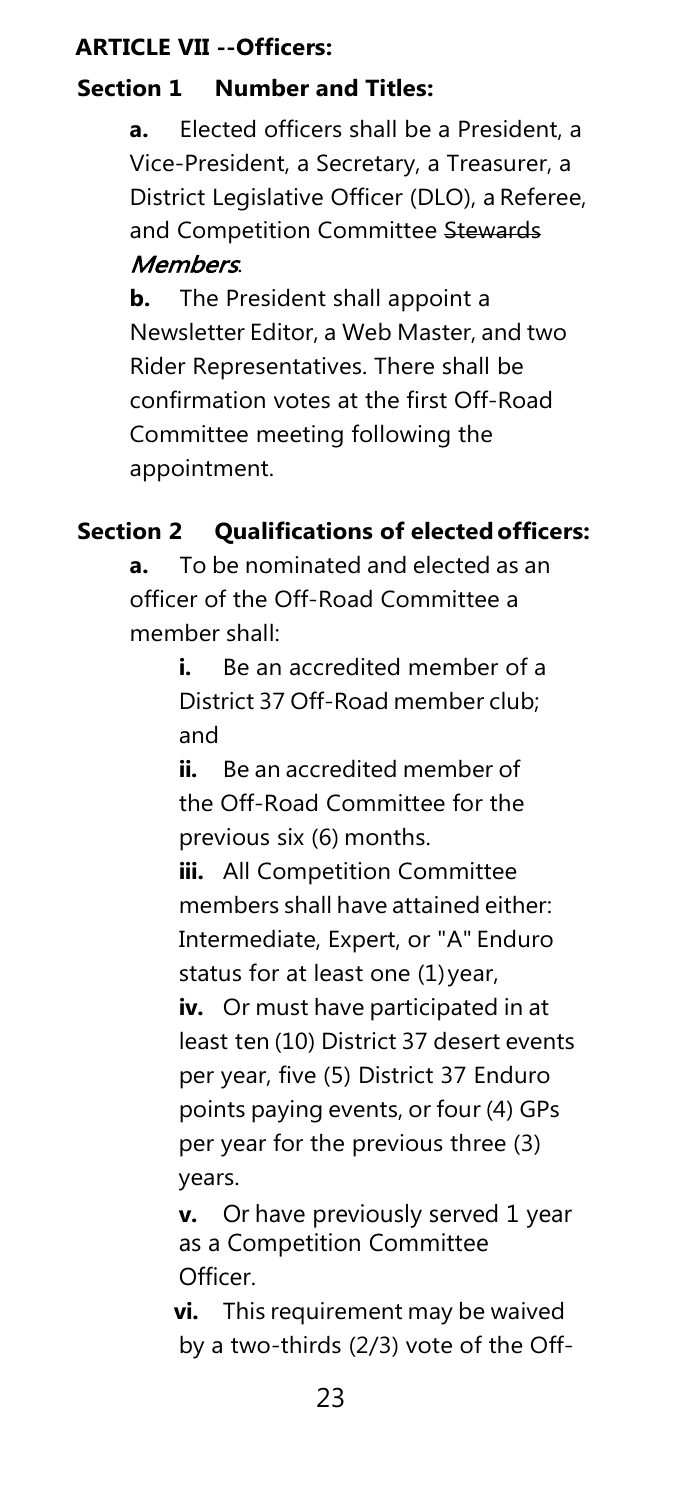# **ARTICLE VII --Officers:**

# **Section 1 Number and Titles:**

**a.** Elected officers shall be a President, a Vice-President, a Secretary, a Treasurer, a District Legislative Officer (DLO), a Referee, and Competition Committee Stewards Members.

**b.** The President shall appoint a Newsletter Editor, a Web Master, and two Rider Representatives. There shall be confirmation votes at the first Off-Road Committee meeting following the appointment.

# **Section 2 Qualifications of electedofficers:**

**a.** To be nominated and elected as an officer of the Off-Road Committee a member shall:

> **i.** Be an accredited member of a District 37 Off-Road member club; and

**ii.** Be an accredited member of the Off-Road Committee for the previous six (6) months.

**iii.** All Competition Committee members shall have attained either: Intermediate, Expert, or "A" Enduro status for at least one (1)year, **iv.** Or must have participated in at least ten (10) District 37 desert events per year, five (5) District 37 Enduro points paying events, or four (4) GPs per year for the previous three (3) years.

**v.** Or have previously served 1 year as a Competition Committee Officer.

**vi.** This requirement may be waived by a two-thirds (2/3) vote of the Off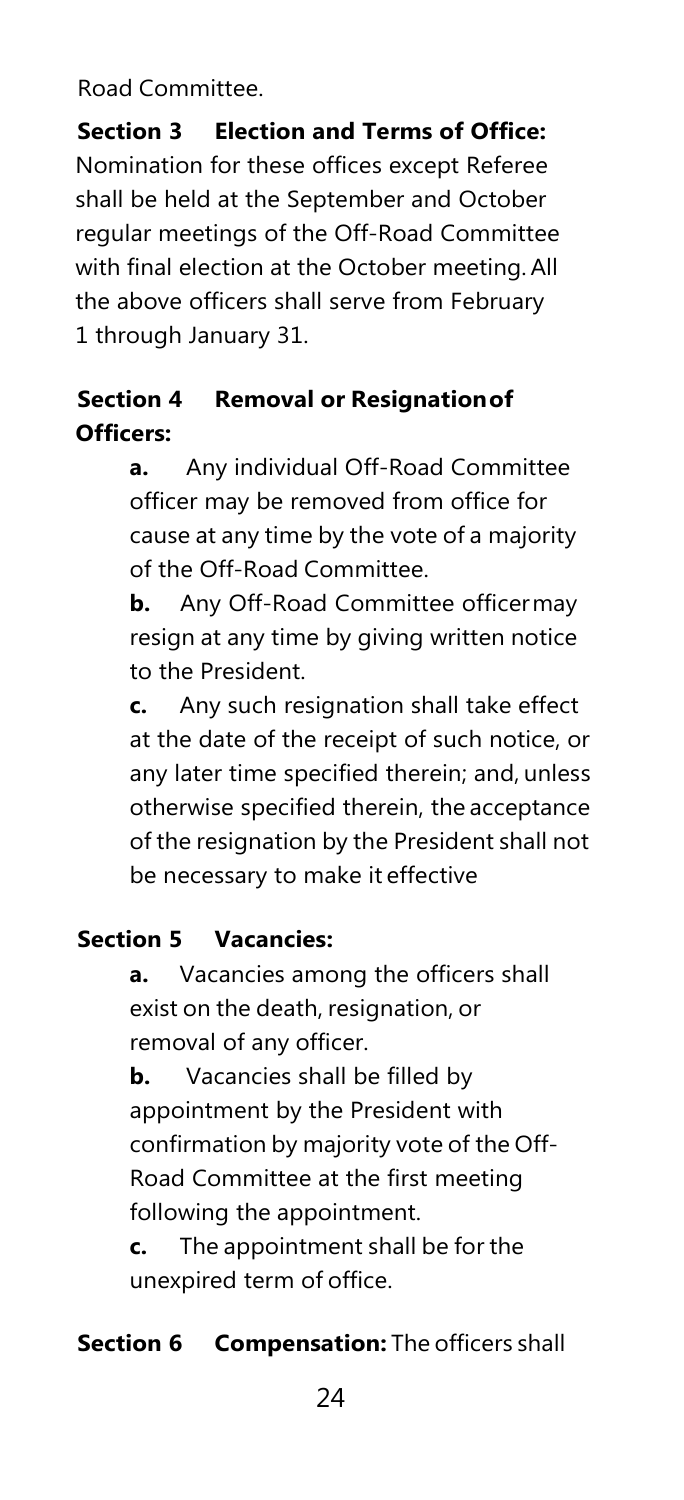Road Committee.

**Section 3 Election and Terms of Office:**  Nomination for these offices except Referee shall be held at the September and October regular meetings of the Off-Road Committee with final election at the October meeting.All the above officers shall serve from February 1 through January 31.

# **Section 4 Removal or Resignationof Officers:**

**a.** Any individual Off-Road Committee officer may be removed from office for cause at any time by the vote of a majority of the Off-Road Committee.

**b.** Any Off-Road Committee officermay resign at any time by giving written notice to the President.

**c.** Any such resignation shall take effect at the date of the receipt of such notice, or any later time specified therein; and, unless otherwise specified therein, the acceptance of the resignation by the President shall not be necessary to make it effective

# **Section 5 Vacancies:**

**a.** Vacancies among the officers shall exist on the death, resignation, or removal of any officer.

**b.** Vacancies shall be filled by appointment by the President with confirmation by majority vote of the Off-Road Committee at the first meeting following the appointment.

**c.** The appointment shall be for the unexpired term of office.

# **Section 6 Compensation:** The officers shall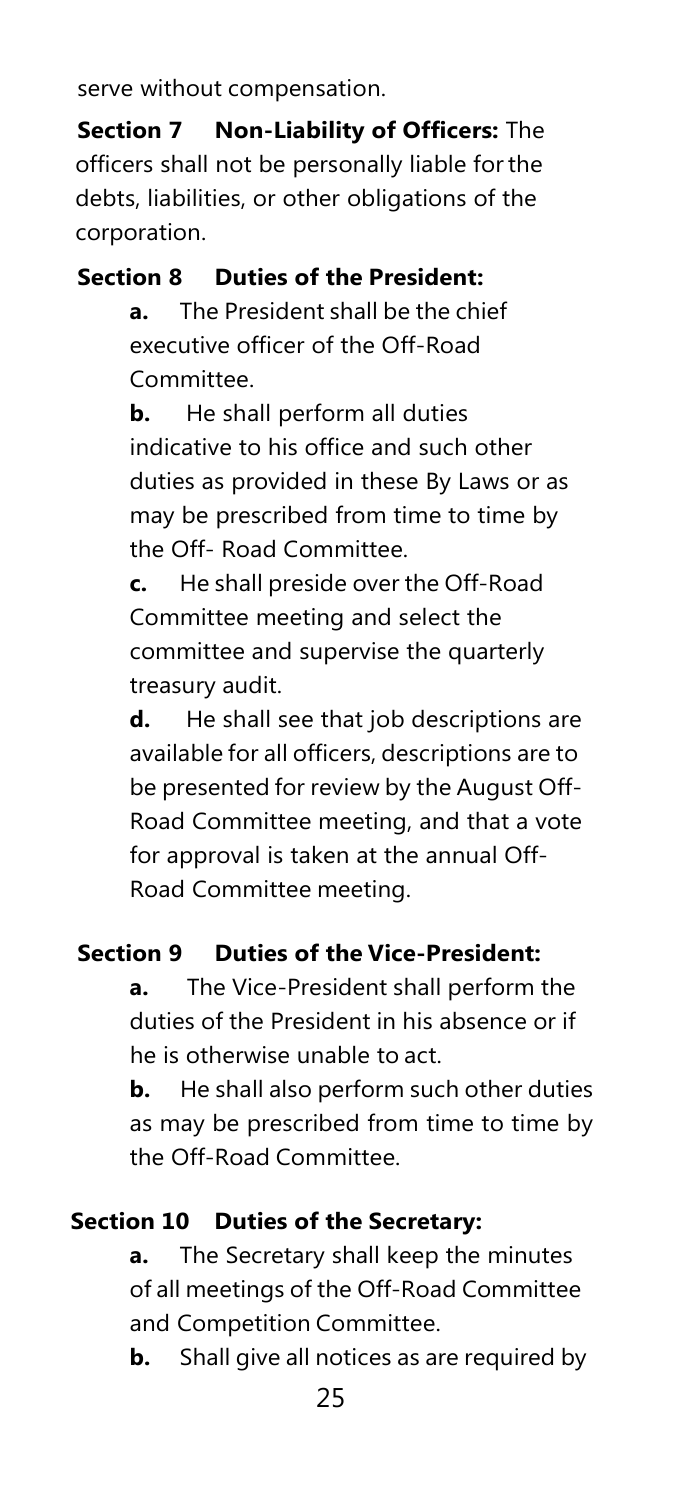serve without compensation.

**Section 7 Non-Liability of Officers:** The officers shall not be personally liable for the debts, liabilities, or other obligations of the corporation.

# **Section 8 Duties of the President:**

**a.** The President shall be the chief executive officer of the Off-Road Committee.

**b.** He shall perform all duties indicative to his office and such other duties as provided in these By Laws or as may be prescribed from time to time by the Off- Road Committee.

**c.** He shall preside over the Off-Road Committee meeting and select the committee and supervise the quarterly treasury audit.

**d.** He shall see that job descriptions are available for all officers, descriptions are to be presented for review by the August Off-Road Committee meeting, and that a vote for approval is taken at the annual Off-Road Committee meeting.

#### **Section 9 Duties of the Vice-President:**

**a.** The Vice-President shall perform the duties of the President in his absence or if he is otherwise unable to act.

**b.** He shall also perform such other duties as may be prescribed from time to time by the Off-Road Committee.

# **Section 10 Duties of the Secretary:**

**a.** The Secretary shall keep the minutes of all meetings of the Off-Road Committee and Competition Committee.

**b.** Shall give all notices as are required by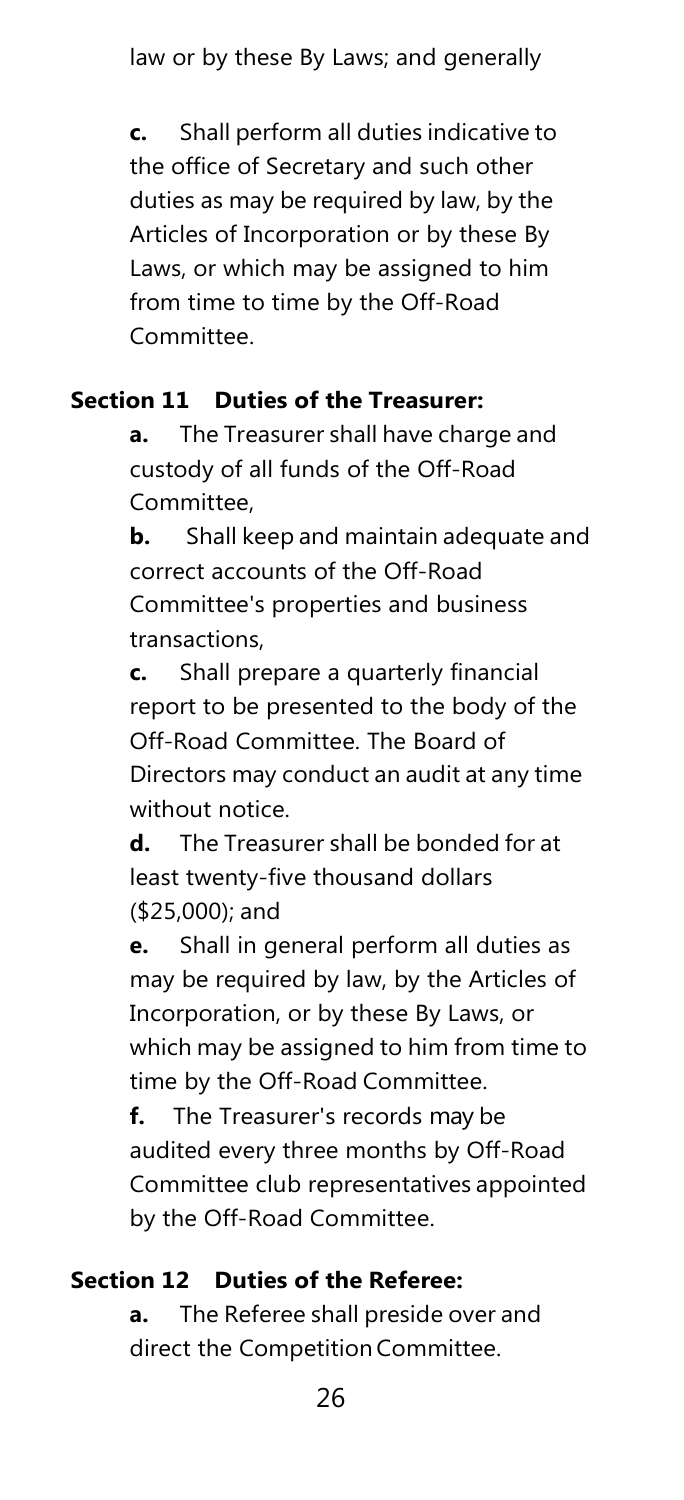**c.** Shall perform all duties indicative to the office of Secretary and such other duties as may be required by law, by the Articles of Incorporation or by these By Laws, or which may be assigned to him from time to time by the Off-Road Committee.

#### **Section 11 Duties of the Treasurer:**

**a.** The Treasurer shall have charge and custody of all funds of the Off-Road Committee,

**b.** Shall keep and maintain adequate and correct accounts of the Off-Road Committee's properties and business transactions,

**c.** Shall prepare a quarterly financial report to be presented to the body of the Off-Road Committee. The Board of Directors may conduct an audit at any time without notice.

**d.** The Treasurer shall be bonded for at least twenty-five thousand dollars (\$25,000); and

**e.** Shall in general perform all duties as may be required by law, by the Articles of Incorporation, or by these By Laws, or which may be assigned to him from time to time by the Off-Road Committee.

**f.** The Treasurer's records may be audited every three months by Off-Road Committee club representatives appointed by the Off-Road Committee.

# **Section 12 Duties of the Referee:**

**a.** The Referee shall preside over and direct the Competition Committee.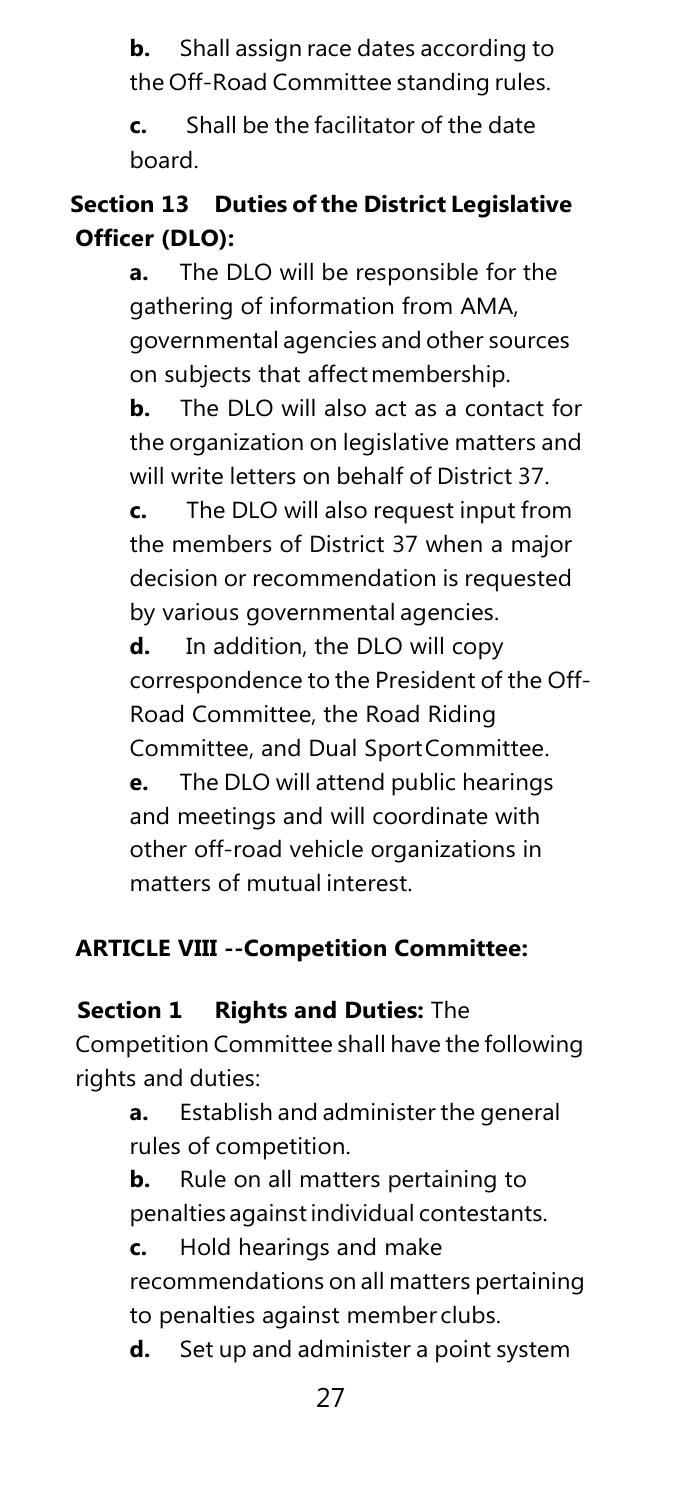**b.** Shall assign race dates according to the Off-Road Committee standing rules.

**c.** Shall be the facilitator of the date board.

# **Section 13 Duties ofthe District Legislative Officer (DLO):**

**a.** The DLO will be responsible for the gathering of information from AMA, governmental agencies and other sources on subjects that affectmembership.

**b.** The DLO will also act as a contact for the organization on legislative matters and will write letters on behalf of District 37.

**c.** The DLO will also request input from the members of District 37 when a major decision or recommendation is requested by various governmental agencies.

**d.** In addition, the DLO will copy correspondence to the President of the Off-Road Committee, the Road Riding Committee, and Dual SportCommittee. **e.** The DLO will attend public hearings and meetings and will coordinate with other off-road vehicle organizations in matters of mutual interest.

# <span id="page-27-0"></span>**ARTICLE VIII --Competition Committee:**

# **Section 1 Rights and Duties:** The

Competition Committee shall have the following rights and duties:

> **a.** Establish and administer the general rules of competition.

**b.** Rule on all matters pertaining to penalties againstindividual contestants.

**c.** Hold hearings and make

recommendations on all matters pertaining to penalties against member clubs.

**d.** Set up and administer a point system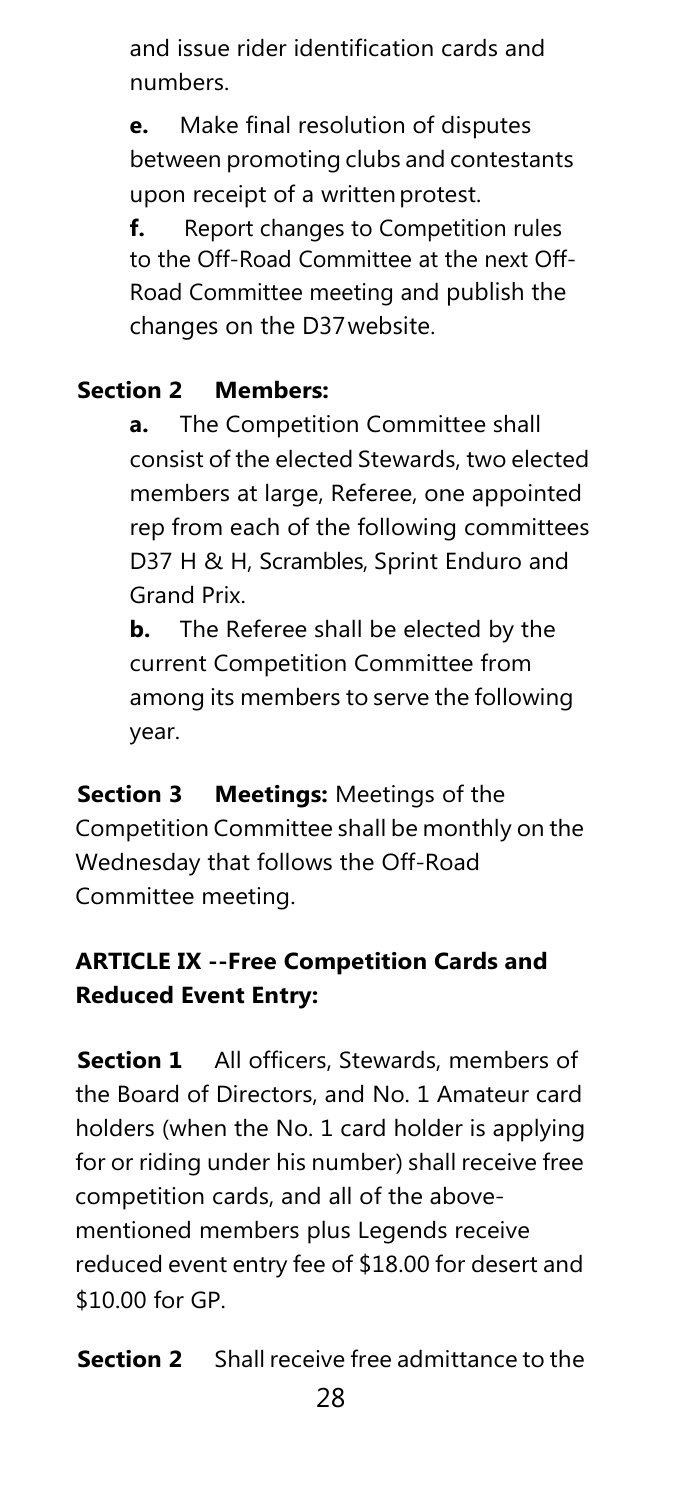and issue rider identification cards and numbers.

**e.** Make final resolution of disputes between promoting clubs and contestants upon receipt of a written protest.

**f.** Report changes to Competition rules to the Off-Road Committee at the next Off-Road Committee meeting and publish the changes on the D37website.

# **Section 2 Members:**

**a.** The Competition Committee shall consist of the elected Stewards, two elected members at large, Referee, one appointed rep from each of the following committees D37 H & H, Scrambles, Sprint Enduro and Grand Prix.

**b.** The Referee shall be elected by the current Competition Committee from among its members to serve the following year.

**Section 3 Meetings:** Meetings of the Competition Committee shall be monthly on the Wednesday that follows the Off-Road Committee meeting.

# **ARTICLE IX --Free Competition Cards and Reduced Event Entry:**

**Section 1** All officers, Stewards, members of the Board of Directors, and No. 1 Amateur card holders (when the No. 1 card holder is applying for or riding under his number) shall receive free competition cards, and all of the abovementioned members plus Legends receive reduced event entry fee of \$18.00 for desert and \$10.00 for GP.

**Section 2** Shall receive free admittance to the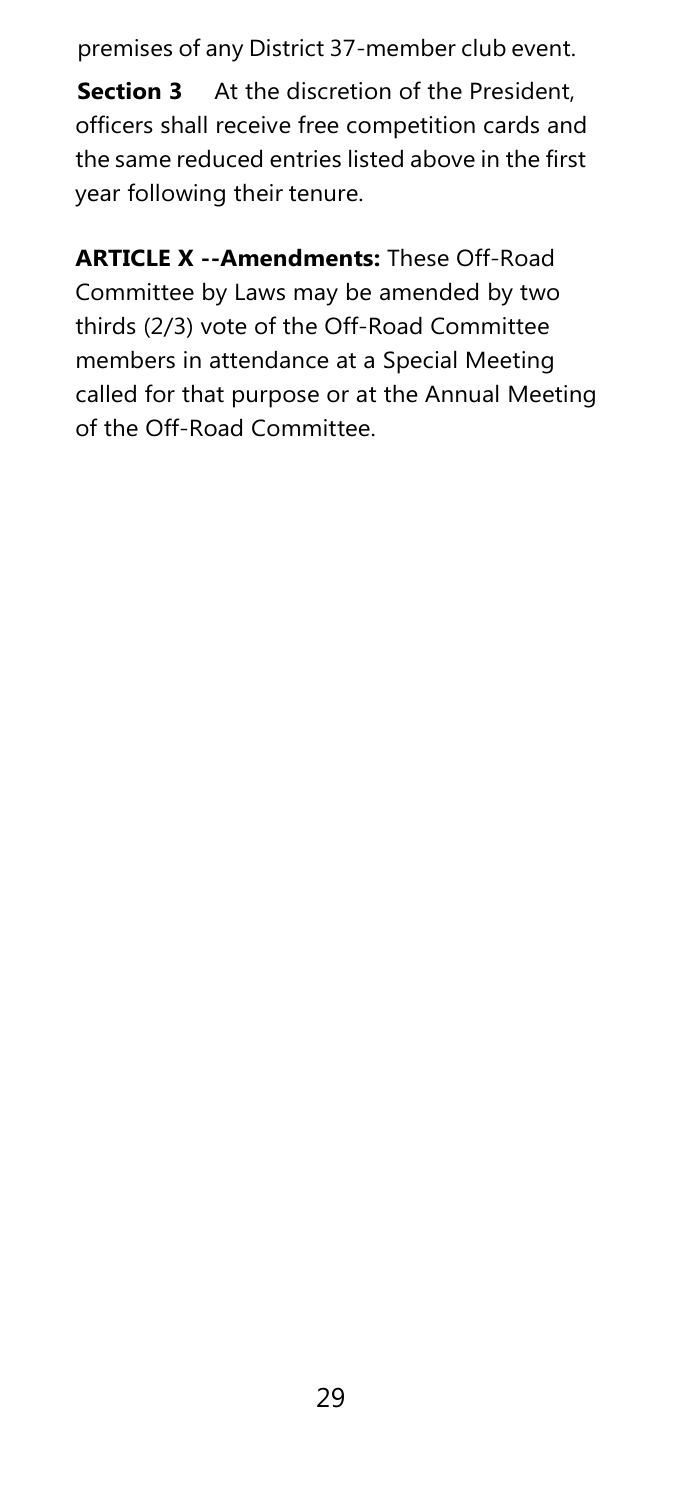premises of any District 37-member club event.

**Section 3** At the discretion of the President, officers shall receive free competition cards and the same reduced entries listed above in the first year following their tenure.

**ARTICLE X --Amendments:** These Off-Road Committee by Laws may be amended by two thirds (2/3) vote of the Off-Road Committee members in attendance at a Special Meeting called for that purpose or at the Annual Meeting of the Off-Road Committee.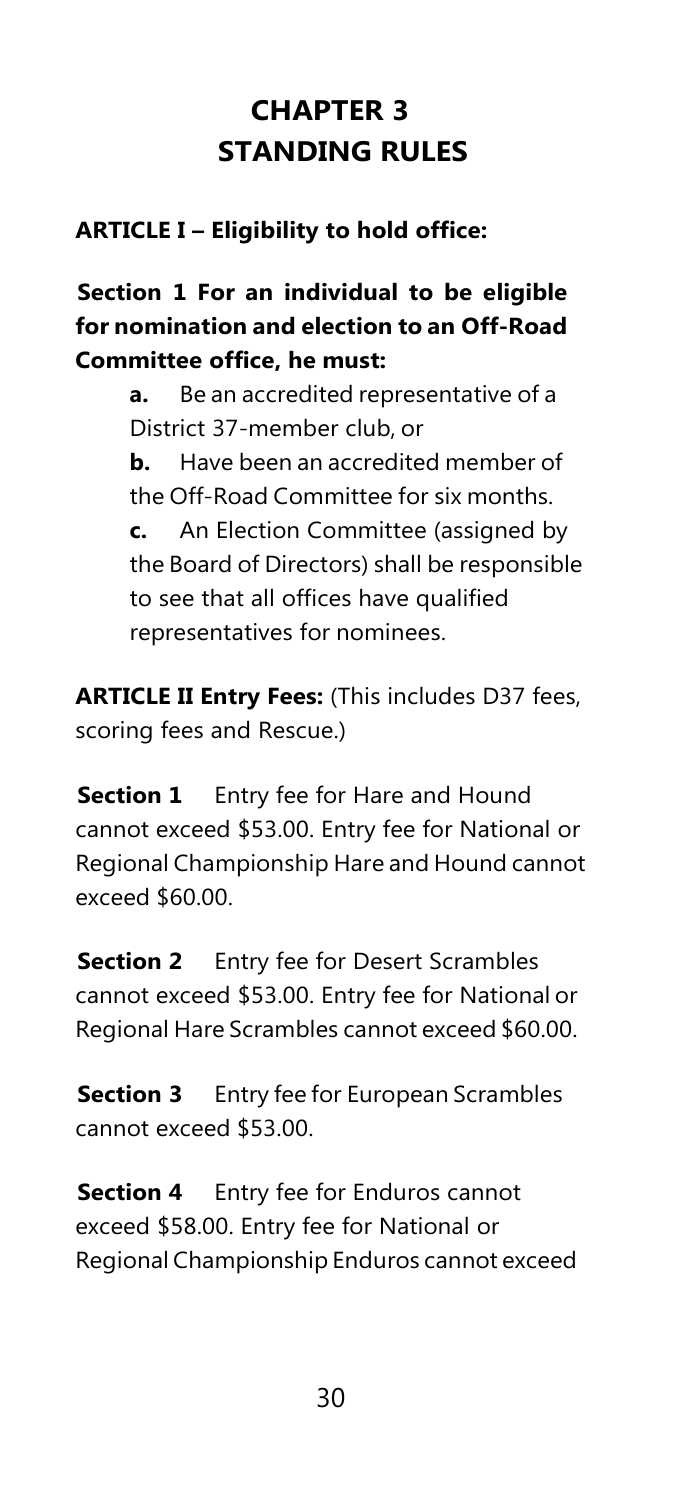# **CHAPTER 3 STANDING RULES**

# <span id="page-30-0"></span>**ARTICLE I – Eligibility to hold office:**

**Section 1 For an individual to be eligible for nomination and election to an Off-Road Committee office, he must:**

> **a.** Be an accredited representative of a District 37-member club, or **b.** Have been an accredited member of the Off-Road Committee for six months. **c.** An Election Committee (assigned by the Board of Directors) shall be responsible to see that all offices have qualified representatives for nominees.

**ARTICLE II Entry Fees:** (This includes D37 fees, scoring fees and Rescue.)

**Section 1** Entry fee for Hare and Hound cannot exceed \$53.00. Entry fee for National or Regional Championship Hare and Hound cannot exceed \$60.00.

**Section 2** Entry fee for Desert Scrambles cannot exceed \$53.00. Entry fee for National or Regional Hare Scrambles cannot exceed \$60.00.

**Section 3** Entry fee for European Scrambles cannot exceed \$53.00.

**Section 4** Entry fee for Enduros cannot exceed \$58.00. Entry fee for National or Regional Championship Enduros cannot exceed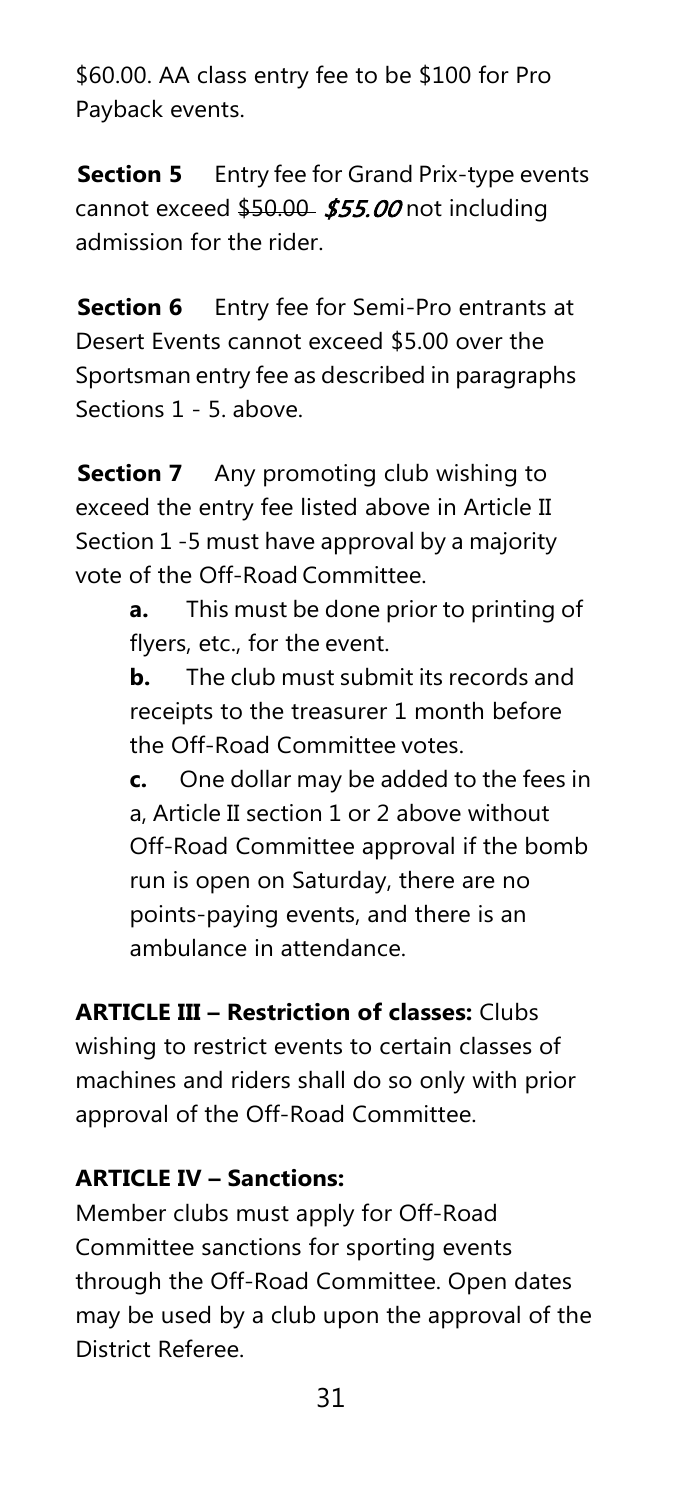\$60.00. AA class entry fee to be \$100 for Pro Payback events.

**Section 5** Entry fee for Grand Prix-type events cannot exceed  $$50.00$  \$55.00 not including admission for the rider.

**Section 6** Entry fee for Semi-Pro entrants at Desert Events cannot exceed \$5.00 over the Sportsman entry fee as described in paragraphs Sections 1 - 5. above.

**Section 7** Any promoting club wishing to exceed the entry fee listed above in Article II Section 1 -5 must have approval by a majority vote of the Off-Road Committee.

> **a.** This must be done prior to printing of flyers, etc., for the event.

**b.** The club must submit its records and receipts to the treasurer 1 month before the Off-Road Committee votes.

**c.** One dollar may be added to the fees in a, Article II section 1 or 2 above without Off-Road Committee approval if the bomb run is open on Saturday, there are no points-paying events, and there is an ambulance in attendance.

**ARTICLE III – Restriction of classes:** Clubs wishing to restrict events to certain classes of machines and riders shall do so only with prior approval of the Off-Road Committee.

# <span id="page-31-0"></span>**ARTICLE IV – Sanctions:**

Member clubs must apply for Off-Road Committee sanctions for sporting events through the Off-Road Committee. Open dates may be used by a club upon the approval of the District Referee.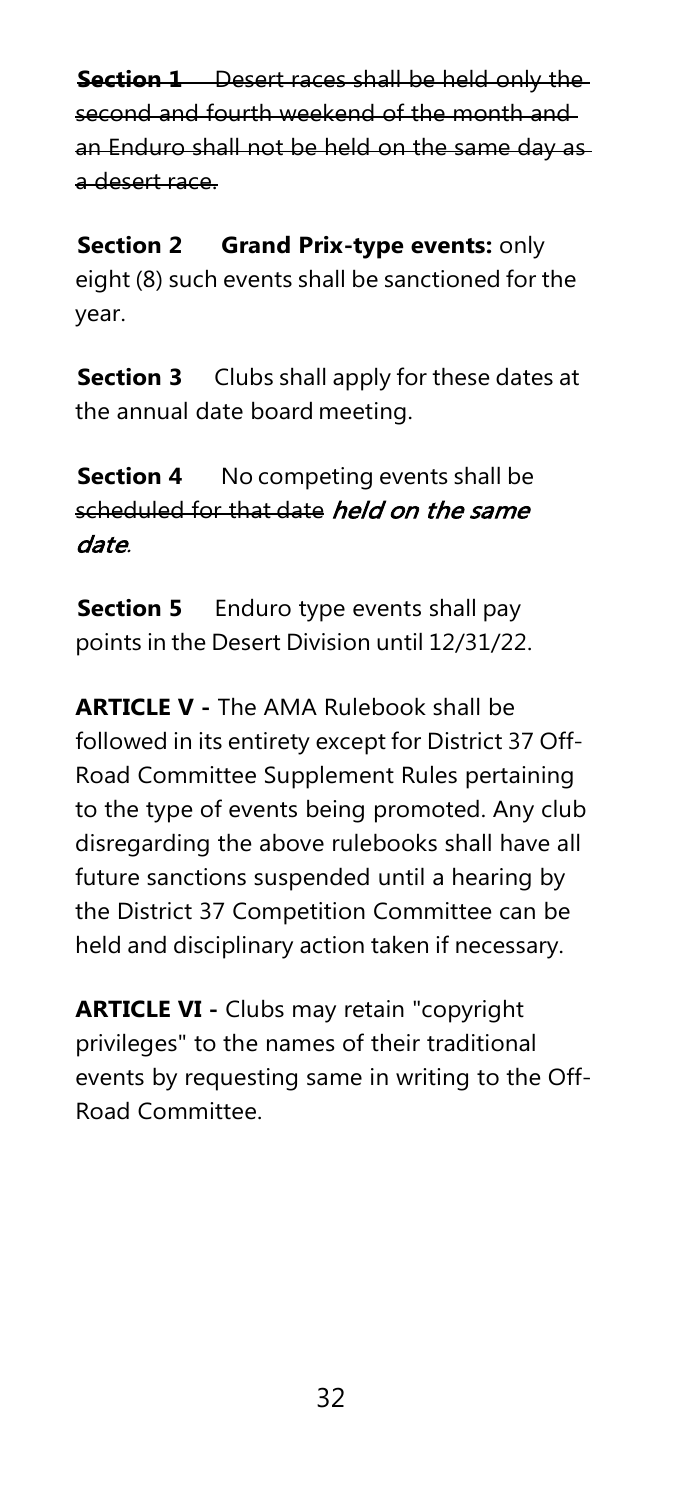**Section 1** Desert races shall be held only the second and fourth weekend of the month and an Enduro shall not be held on the same day as a desert race.

**Section 2 Grand Prix-type events:** only eight (8) such events shall be sanctioned for the year.

**Section 3** Clubs shall apply for these dates at the annual date board meeting.

**Section 4** No competing events shall be scheduled for that date *held on the same* date.

**Section 5** Enduro type events shall pay points in the Desert Division until 12/31/22.

**ARTICLE V -** The AMA Rulebook shall be followed in its entirety except for District 37 Off-Road Committee Supplement Rules pertaining to the type of events being promoted. Any club disregarding the above rulebooks shall have all future sanctions suspended until a hearing by the District 37 Competition Committee can be held and disciplinary action taken if necessary.

**ARTICLE VI -** Clubs may retain "copyright privileges" to the names of their traditional events by requesting same in writing to the Off-Road Committee.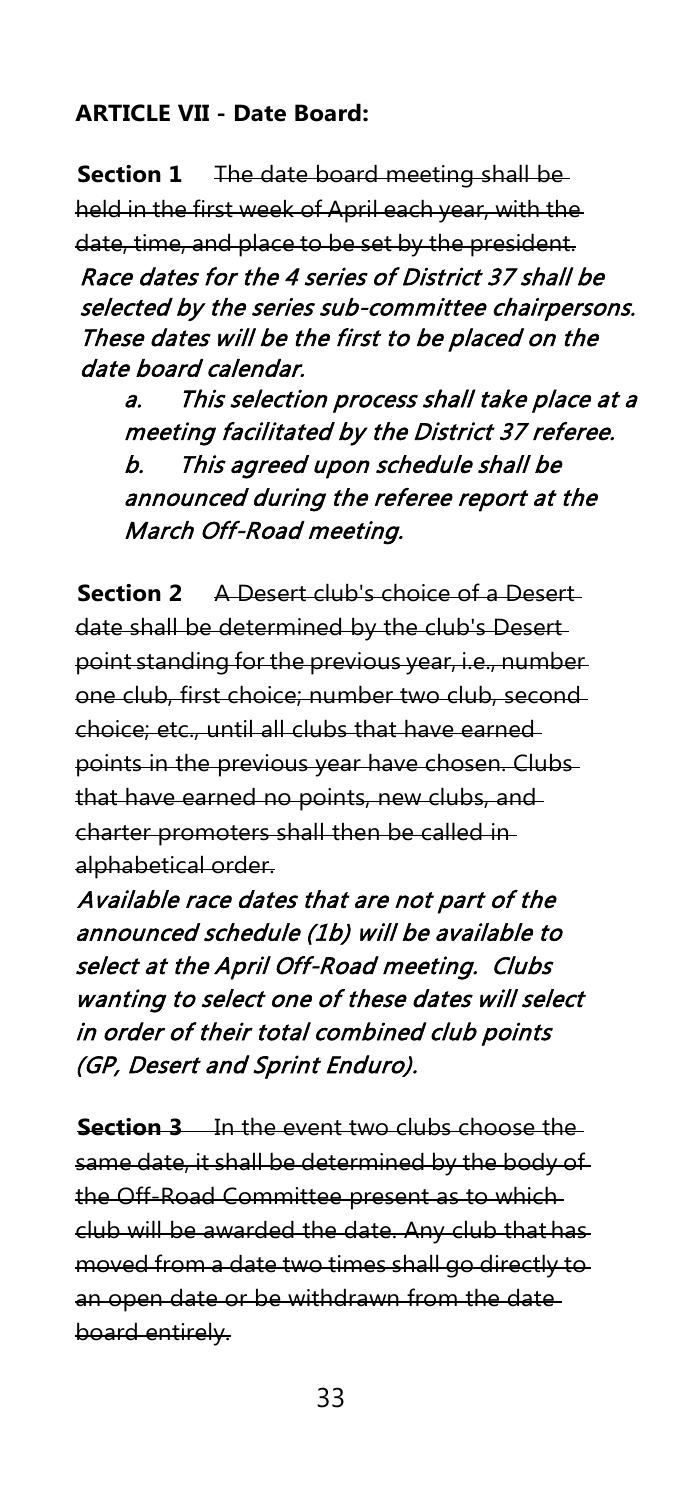# <span id="page-33-0"></span>**ARTICLE VII - Date Board:**

**Section 1** The date board meeting shall be held in the first week of April each year, with the date, time, and place to be set by the president. Race dates for the 4 series of District 37 shall be selected by the series sub-committee chairpersons. These dates will be the first to be placed on the date board calendar.

a. This selection process shall take place at a meeting facilitated by the District 37 referee. b. This agreed upon schedule shall be announced during the referee report at the March Off-Road meeting.

**Section 2** A Desert club's choice of a Desert date shall be determined by the club's Desert point standing for the previous year, i.e., number one club, first choice; number two club, second choice; etc., until all clubs that have earned points in the previous year have chosen. Clubs that have earned no points, new clubs, and charter promoters shall then be called in alphabetical order.

Available race dates that are not part of the announced schedule (1b) will be available to select at the April Off-Road meeting. Clubs wanting to select one of these dates will select in order of their total combined club points (GP, Desert and Sprint Enduro).

**Section 3** In the event two clubs choose the same date, it shall be determined by the body of the Off-Road Committee present as to which club will be awarded the date. Any club that has moved from a date two times shall go directly to an open date or be withdrawn from the date board entirely.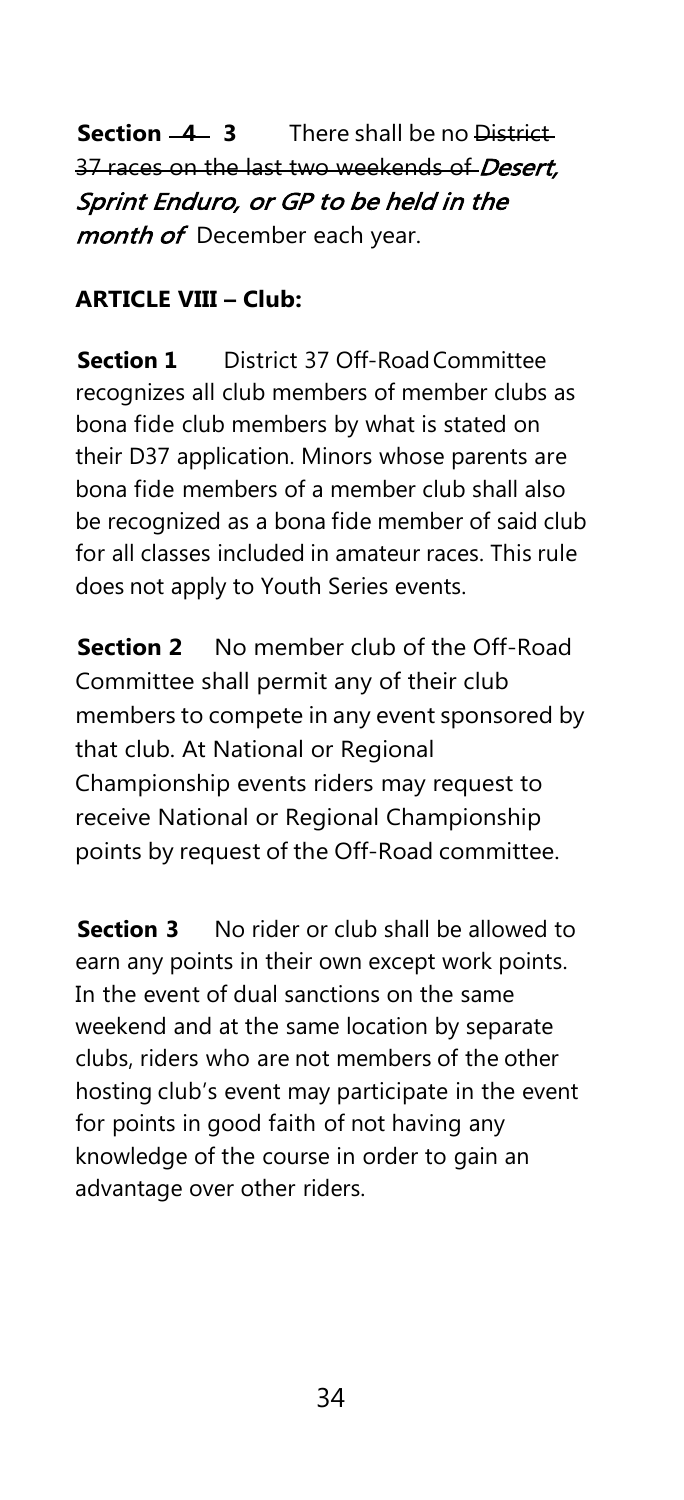**Section 4 3** There shall be no District 37 races on the last two weekends of Desert, Sprint Enduro, or GP to be held in the month of December each year.

#### **ARTICLE VIII – Club:**

**Section 1** District 37 Off-Road Committee recognizes all club members of member clubs as bona fide club members by what is stated on their D37 application. Minors whose parents are bona fide members of a member club shall also be recognized as a bona fide member of said club for all classes included in amateur races. This rule does not apply to Youth Series events.

**Section 2** No member club of the Off-Road Committee shall permit any of their club members to compete in any event sponsored by that club. At National or Regional Championship events riders may request to receive National or Regional Championship points by request of the Off-Road committee.

**Section 3** No rider or club shall be allowed to earn any points in their own except work points. In the event of dual sanctions on the same weekend and at the same location by separate clubs, riders who are not members of the other hosting club's event may participate in the event for points in good faith of not having any knowledge of the course in order to gain an advantage over other riders.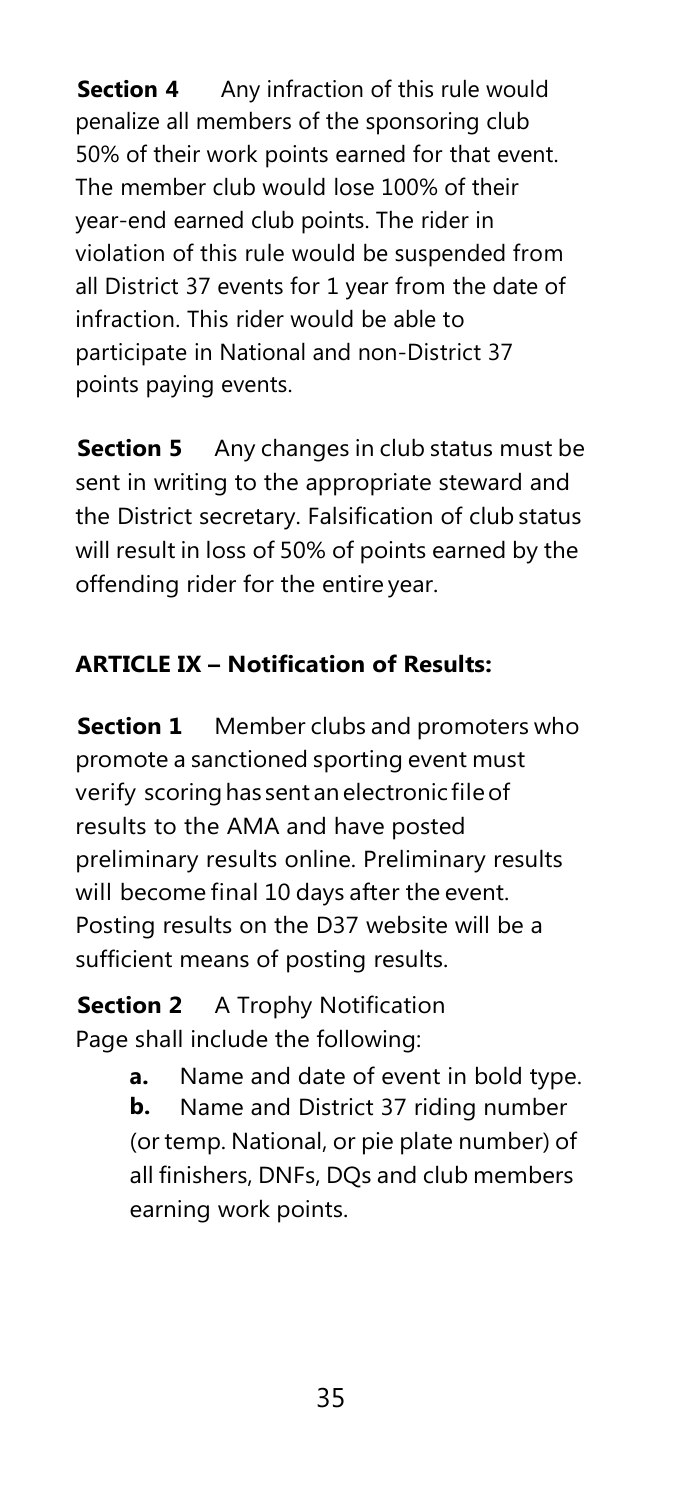**Section 4** Any infraction of this rule would penalize all members of the sponsoring club 50% of their work points earned for that event. The member club would lose 100% of their year-end earned club points. The rider in violation of this rule would be suspended from all District 37 events for 1 year from the date of infraction. This rider would be able to participate in National and non-District 37 points paying events.

**Section 5** Any changes in club status must be sent in writing to the appropriate steward and the District secretary. Falsification of club status will result in loss of 50% of points earned by the offending rider for the entire year.

# **ARTICLE IX – Notification of Results:**

**Section 1** Member clubs and promoters who promote a sanctioned sporting event must verify scoring has sent an electronic file of results to the AMA and have posted preliminary results online. Preliminary results will become final 10 days after the event. Posting results on the D37 website will be a sufficient means of posting results.

**Section 2** A Trophy Notification Page shall include the following:

> **a.** Name and date of event in bold type. **b.** Name and District 37 riding number (or temp. National, or pie plate number) of all finishers, DNFs, DQs and club members earning work points.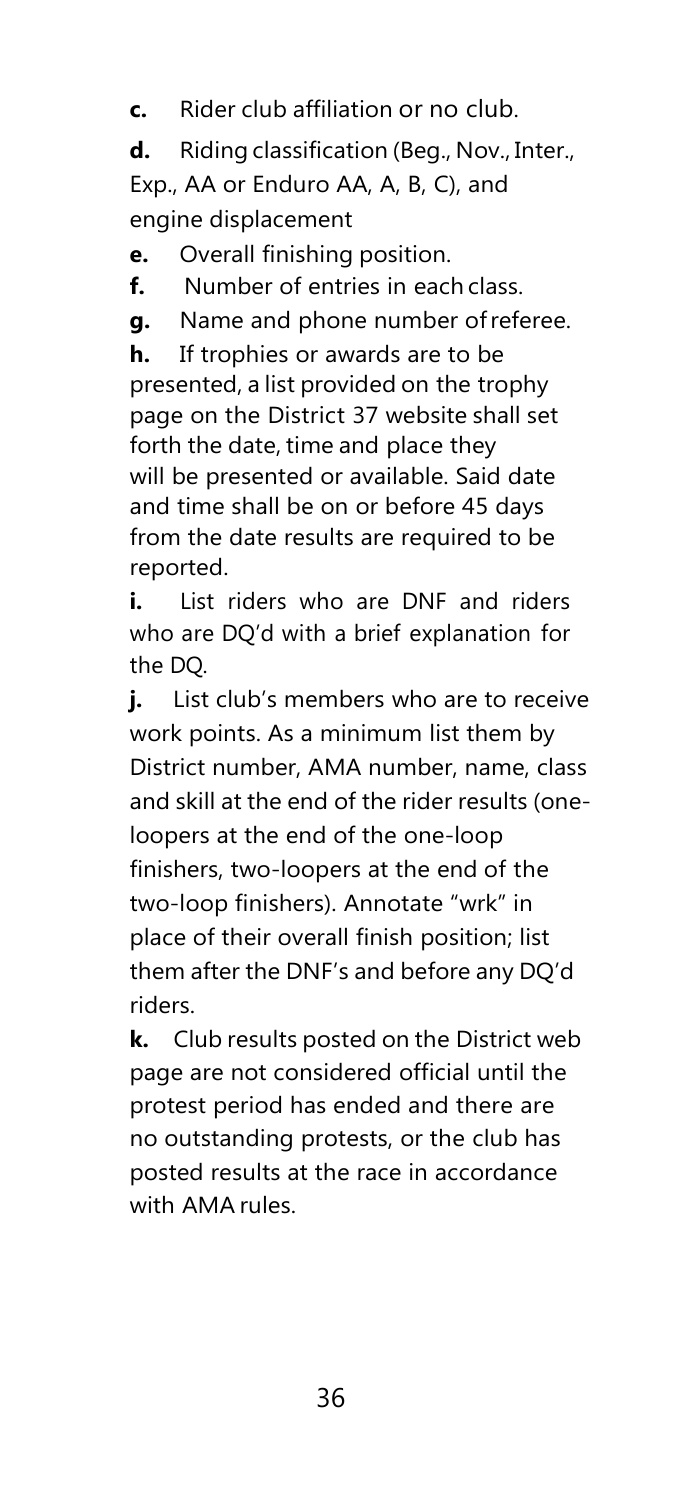**c.** Rider club affiliation or no club.

**d.** Riding classification (Beg., Nov., Inter., Exp., AA or Enduro AA, A, B, C), and engine displacement

**e.** Overall finishing position.

**f.** Number of entries in each class.

**g.** Name and phone number ofreferee.

**h.** If trophies or awards are to be presented, a list provided on the trophy page on the District 37 website shall set forth the date, time and place they will be presented or available. Said date and time shall be on or before 45 days from the date results are required to be reported.

**i.** List riders who are DNF and riders who are DQ'd with a brief explanation for the DQ.

**j.** List club's members who are to receive work points. As a minimum list them by District number, AMA number, name, class and skill at the end of the rider results (oneloopers at the end of the one-loop finishers, two-loopers at the end of the two-loop finishers). Annotate "wrk" in place of their overall finish position; list them after the DNF's and before any DQ'd riders.

**k.** Club results posted on the District web page are not considered official until the protest period has ended and there are no outstanding protests, or the club has posted results at the race in accordance with AMA rules.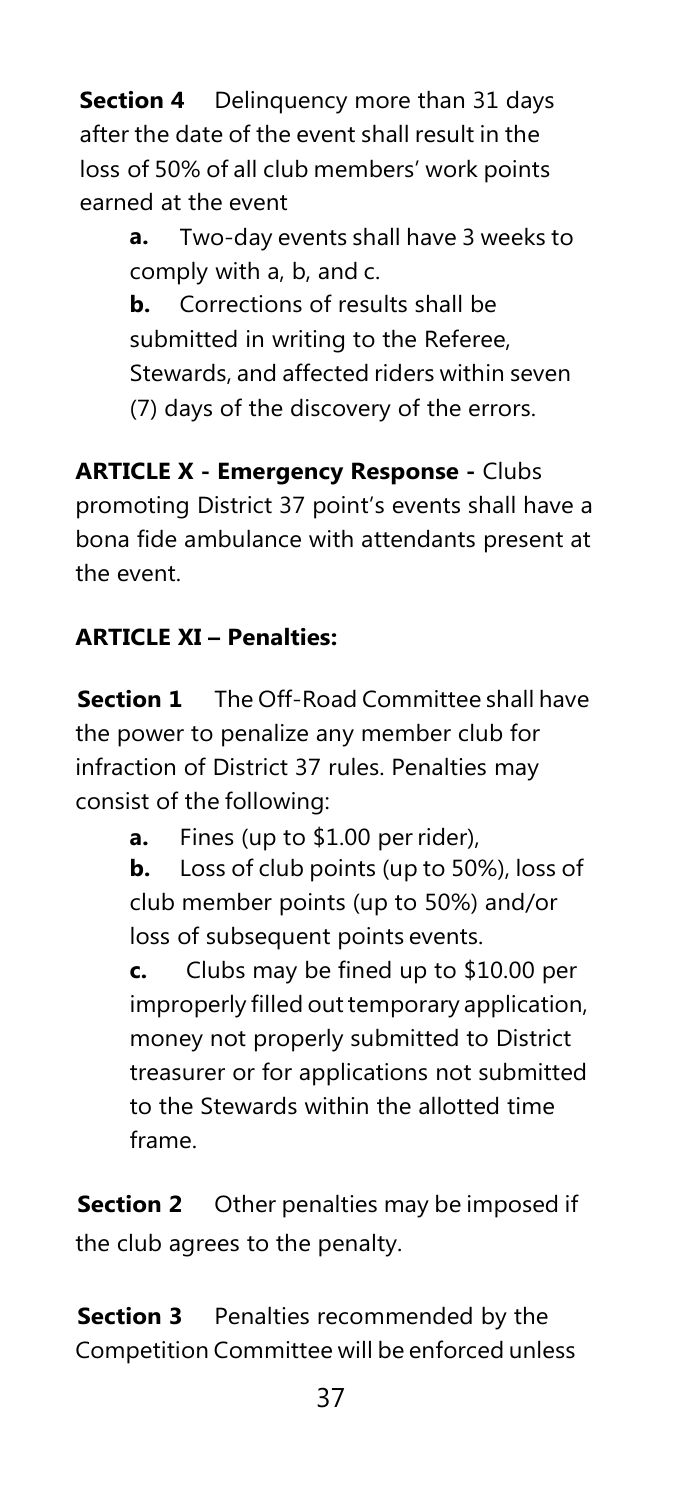**Section 4** Delinquency more than 31 days after the date of the event shall result in the loss of 50% of all club members' work points earned at the event

> **a.** Two-day events shall have 3 weeks to comply with a, b, and c.

> **b.** Corrections of results shall be submitted in writing to the Referee, Stewards, and affected riders within seven (7) days of the discovery of the errors.

**ARTICLE X - Emergency Response -** Clubs promoting District 37 point's events shall have a bona fide ambulance with attendants present at the event.

## **ARTICLE XI – Penalties:**

**Section 1** The Off-Road Committee shall have the power to penalize any member club for infraction of District 37 rules. Penalties may consist of the following:

**a.** Fines (up to \$1.00 per rider),

**b.** Loss of club points (up to 50%), loss of club member points (up to 50%) and/or loss of subsequent points events.

**c.** Clubs may be fined up to \$10.00 per improperly filled out temporary application, money not properly submitted to District treasurer or for applications not submitted to the Stewards within the allotted time frame.

**Section 2** Other penalties may be imposed if the club agrees to the penalty.

**Section 3** Penalties recommended by the Competition Committee will be enforced unless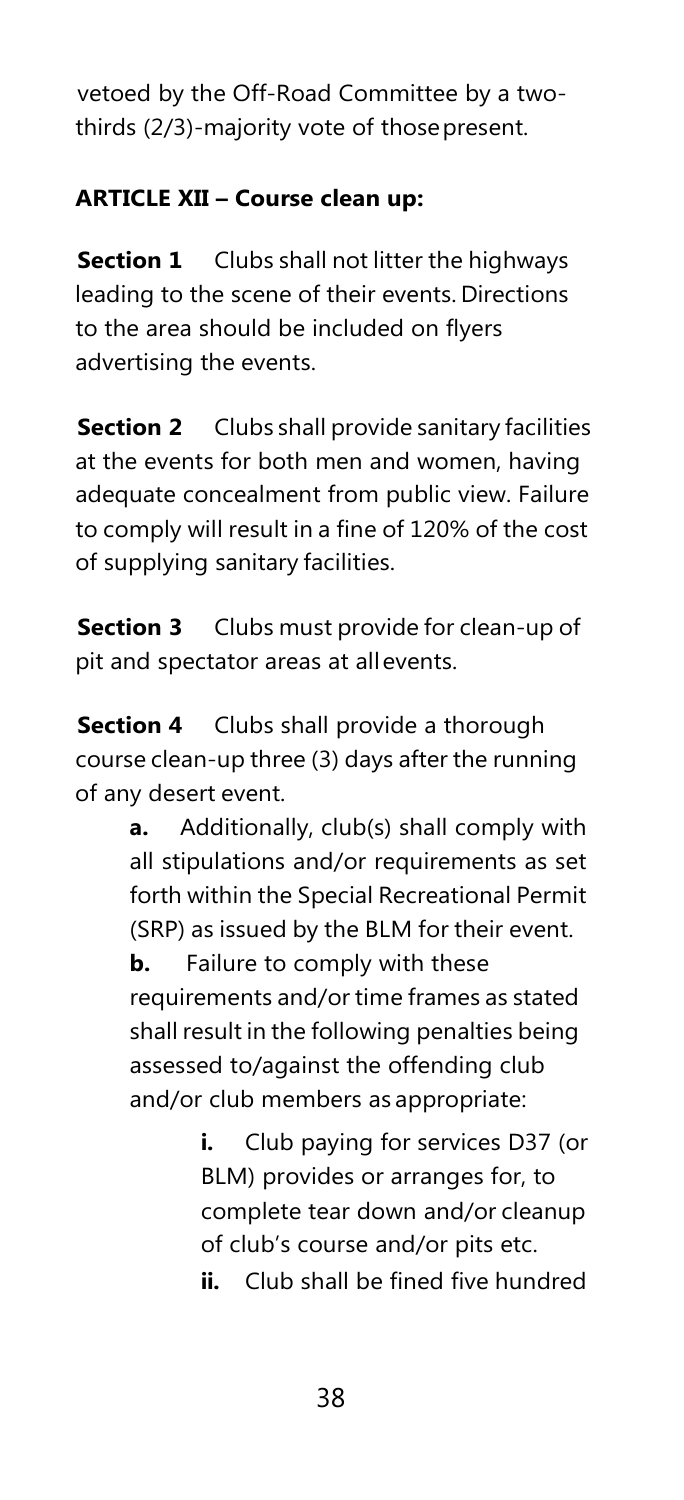vetoed by the Off-Road Committee by a twothirds (2/3)-majority vote of thosepresent.

## **ARTICLE XII – Course clean up:**

**Section 1** Clubs shall not litter the highways leading to the scene of their events. Directions to the area should be included on flyers advertising the events.

**Section 2** Clubs shall provide sanitary facilities at the events for both men and women, having adequate concealment from public view. Failure to comply will result in a fine of 120% of the cost of supplying sanitary facilities.

**Section 3** Clubs must provide for clean-up of pit and spectator areas at allevents.

**Section 4** Clubs shall provide a thorough course clean-up three (3) days after the running of any desert event.

> **a.** Additionally, club(s) shall comply with all stipulations and/or requirements as set forth within the Special Recreational Permit (SRP) as issued by the BLM for their event.

**b.** Failure to comply with these requirements and/or time frames as stated shall result in the following penalties being assessed to/against the offending club and/or club members as appropriate:

> **i.** Club paying for services D37 (or BLM) provides or arranges for, to complete tear down and/or cleanup of club's course and/or pits etc. **ii.** Club shall be fined five hundred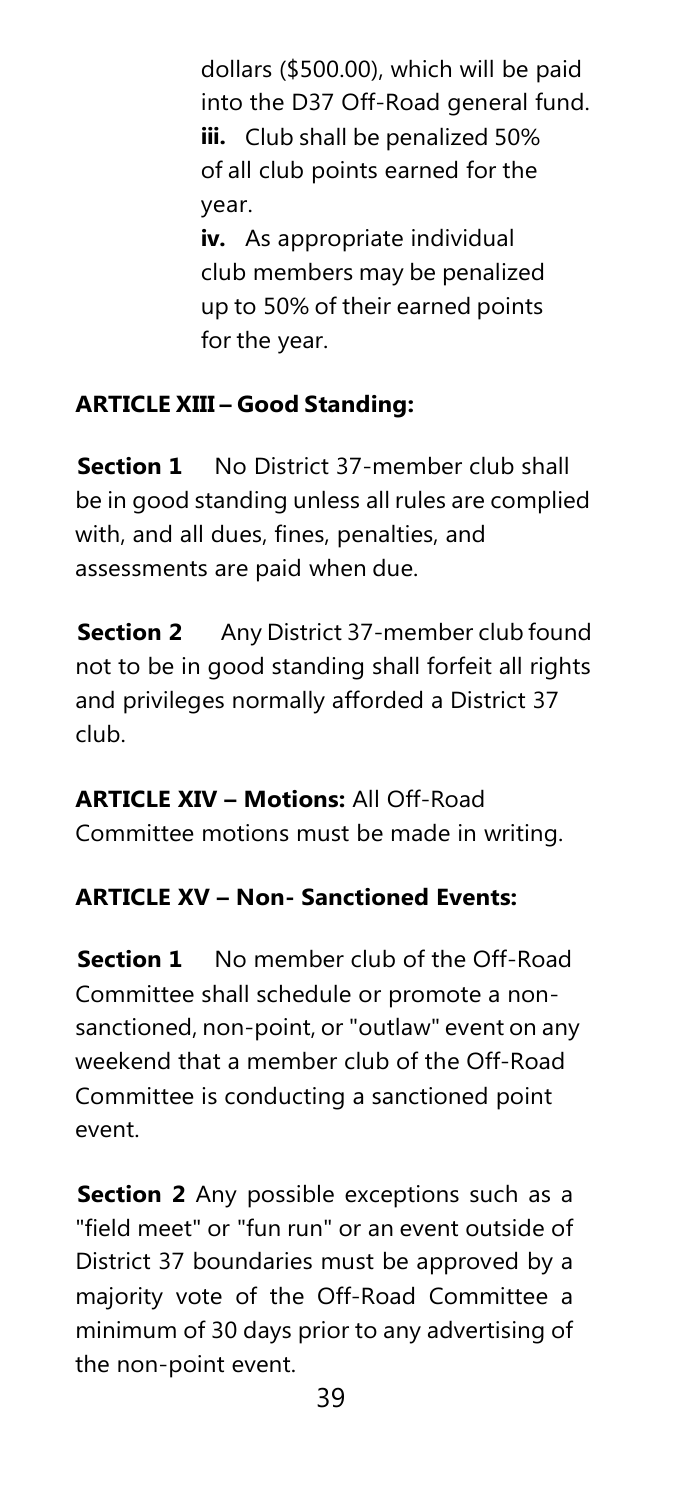dollars (\$500.00), which will be paid into the D37 Off-Road general fund. **iii.** Club shall be penalized 50% of all club points earned for the year. **iv.** As appropriate individual club members may be penalized

up to 50% of their earned points for the year.

### **ARTICLE XIII – Good Standing:**

**Section 1** No District 37-member club shall be in good standing unless all rules are complied with, and all dues, fines, penalties, and assessments are paid when due.

**Section 2** Any District 37-member club found not to be in good standing shall forfeit all rights and privileges normally afforded a District 37 club.

### **ARTICLE XIV – Motions:** All Off-Road

Committee motions must be made in writing.

### **ARTICLE XV – Non- Sanctioned Events:**

**Section 1** No member club of the Off-Road Committee shall schedule or promote a nonsanctioned, non-point, or "outlaw" event on any weekend that a member club of the Off-Road Committee is conducting a sanctioned point event.

**Section 2** Any possible exceptions such as a "field meet" or "fun run" or an event outside of District 37 boundaries must be approved by a majority vote of the Off-Road Committee a minimum of 30 days prior to any advertising of the non-point event.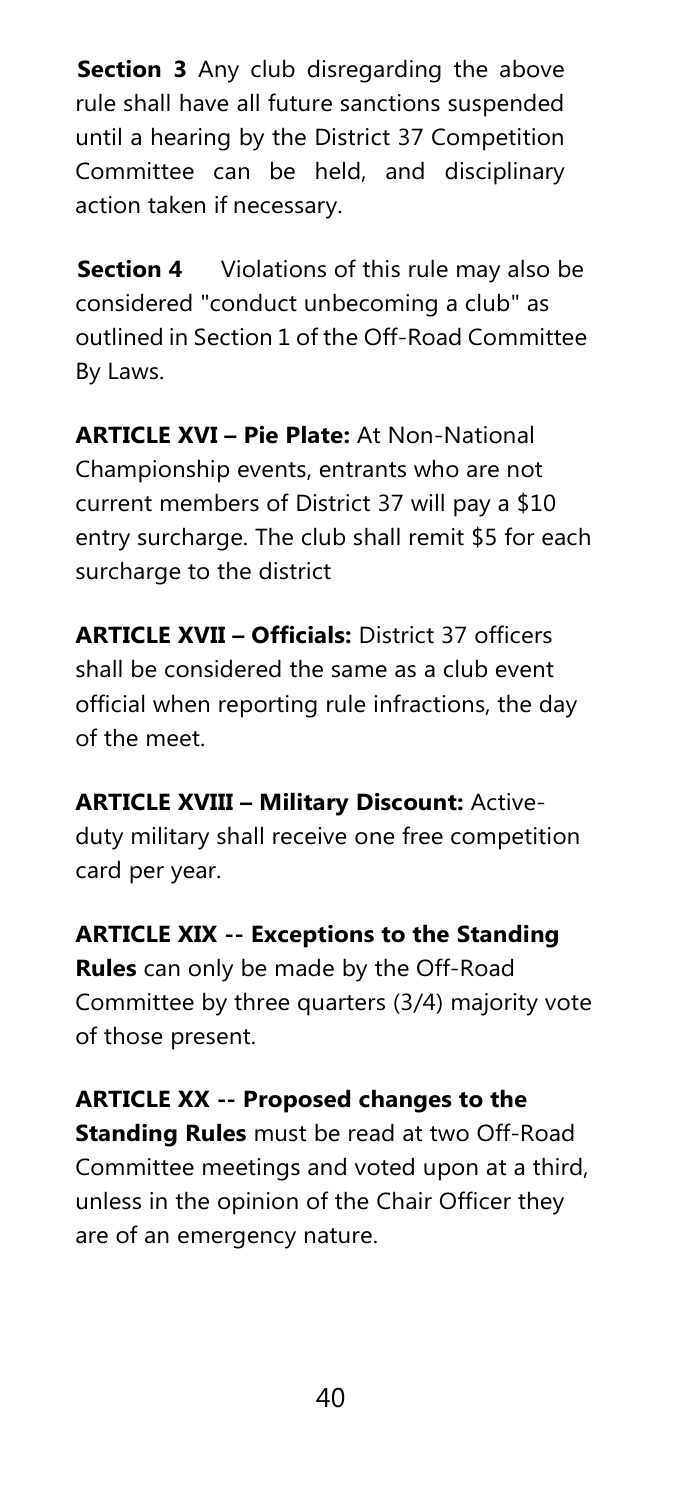**Section 3** Any club disregarding the above rule shall have all future sanctions suspended until a hearing by the District 37 Competition Committee can be held, and disciplinary action taken if necessary.

**Section 4** Violations of this rule may also be considered "conduct unbecoming a club" as outlined in Section 1 of the Off-Road Committee By Laws.

**ARTICLE XVI – Pie Plate:** At Non-National Championship events, entrants who are not current members of District 37 will pay a \$10 entry surcharge. The club shall remit \$5 for each surcharge to the district

**ARTICLE XVII – Officials:** District 37 officers shall be considered the same as a club event official when reporting rule infractions, the day of the meet.

**ARTICLE XVIII – Military Discount:** Activeduty military shall receive one free competition card per year.

**ARTICLE XIX -- Exceptions to the Standing Rules** can only be made by the Off-Road Committee by three quarters (3/4) majority vote of those present.

**ARTICLE XX -- Proposed changes to the Standing Rules** must be read at two Off-Road Committee meetings and voted upon at a third, unless in the opinion of the Chair Officer they are of an emergency nature.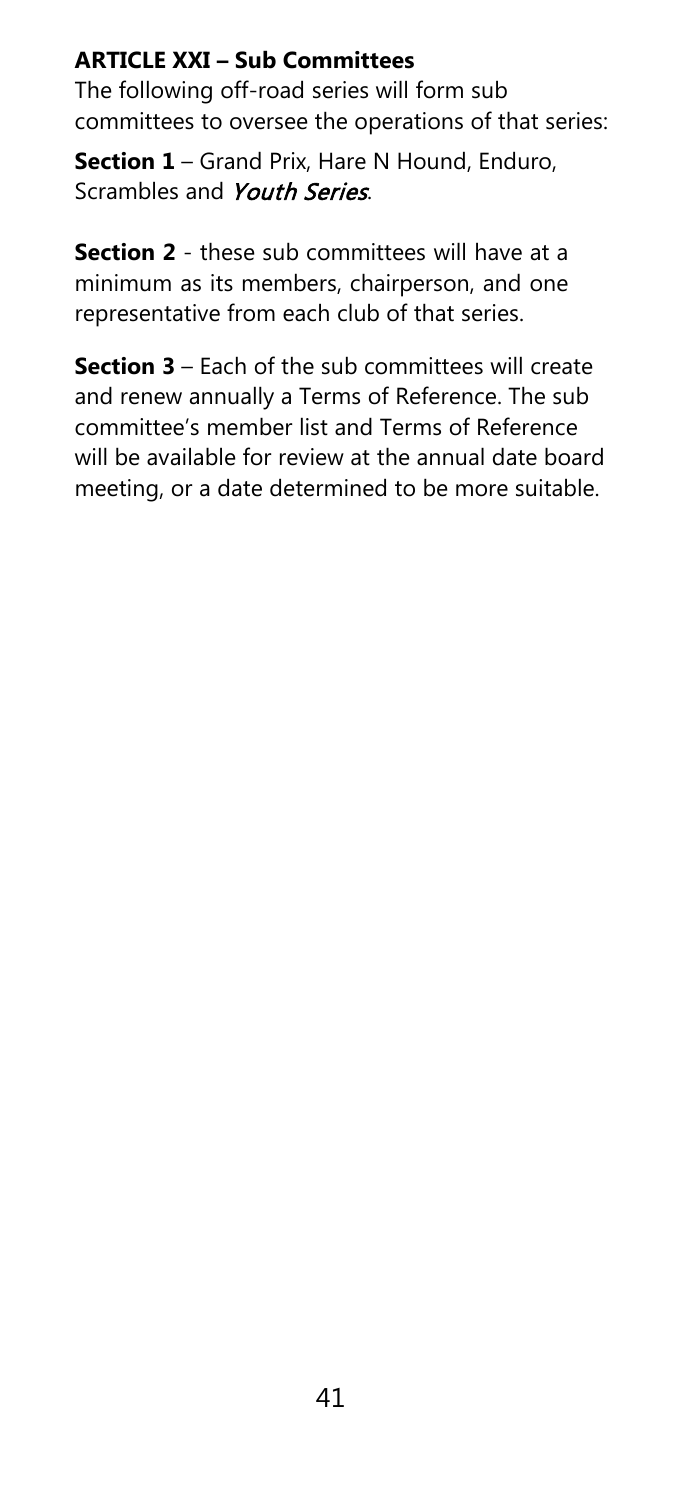## **ARTICLE XXI – Sub Committees**

The following off-road series will form sub committees to oversee the operations of that series:

**Section 1** – Grand Prix, Hare N Hound, Enduro, Scrambles and Youth Series.

**Section 2** - these sub committees will have at a minimum as its members, chairperson, and one representative from each club of that series.

**Section 3** – Each of the sub committees will create and renew annually a Terms of Reference. The sub committee's member list and Terms of Reference will be available for review at the annual date board meeting, or a date determined to be more suitable.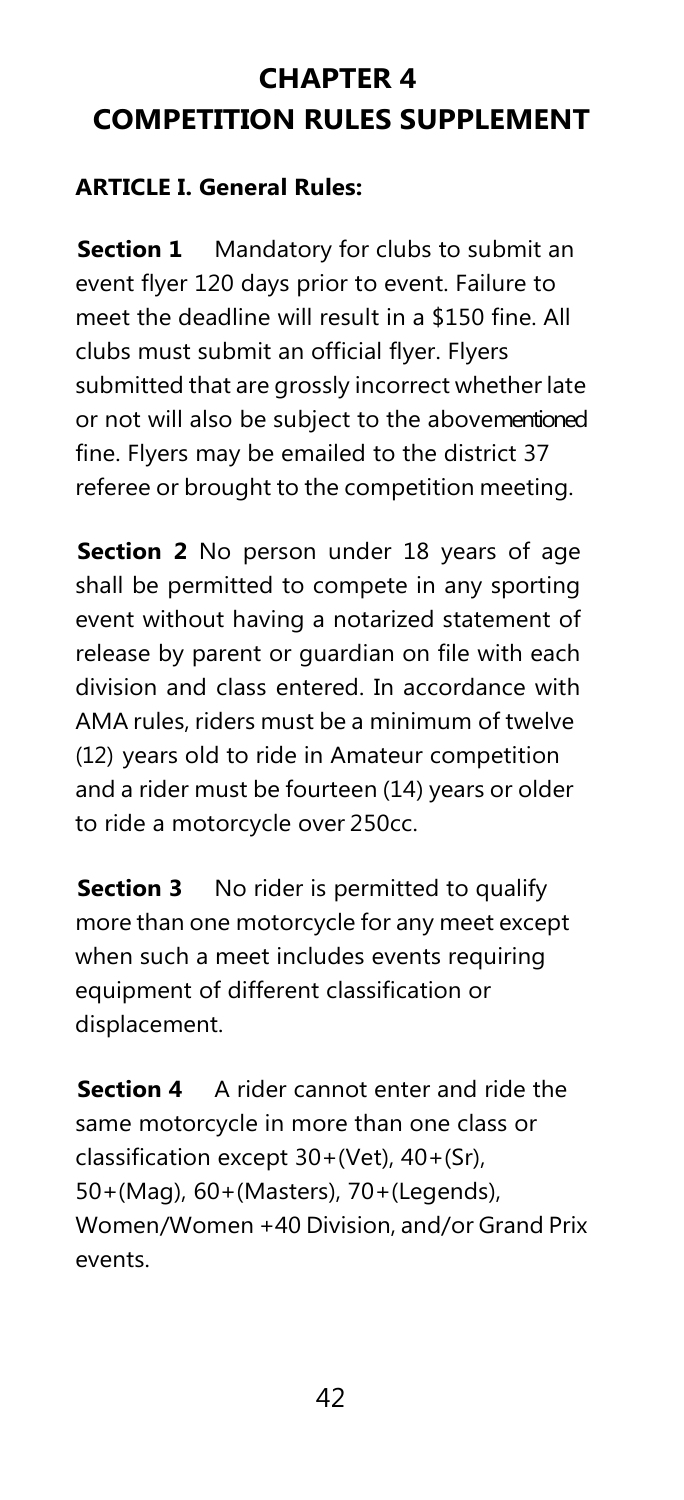# **CHAPTER 4 COMPETITION RULES SUPPLEMENT**

### **ARTICLE I. General Rules:**

**Section 1** Mandatory for clubs to submit an event flyer 120 days prior to event. Failure to meet the deadline will result in a \$150 fine. All clubs must submit an official flyer. Flyers submitted that are grossly incorrect whether late or not will also be subject to the abovementioned fine. Flyers may be emailed to the district 37 referee or brought to the competition meeting.

**Section 2** No person under 18 years of age shall be permitted to compete in any sporting event without having a notarized statement of release by parent or guardian on file with each division and class entered. In accordance with AMA rules, riders must be a minimum of twelve (12) years old to ride in Amateur competition and a rider must be fourteen (14) years or older to ride a motorcycle over 250cc.

**Section 3** No rider is permitted to qualify more than one motorcycle for any meet except when such a meet includes events requiring equipment of different classification or displacement.

**Section 4** A rider cannot enter and ride the same motorcycle in more than one class or classification except 30+(Vet), 40+(Sr), 50+(Mag), 60+(Masters), 70+(Legends), Women/Women +40 Division, and/or Grand Prix events.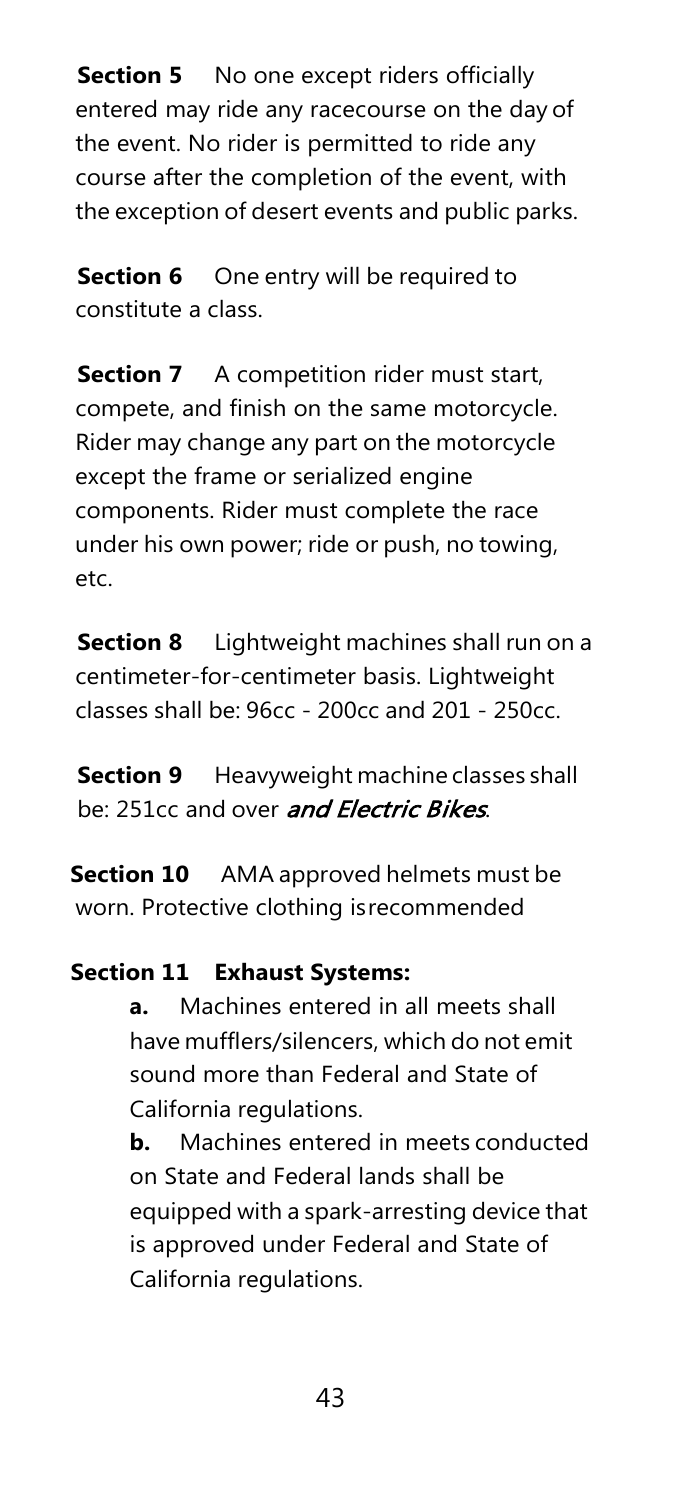**Section 5** No one except riders officially entered may ride any racecourse on the day of the event. No rider is permitted to ride any course after the completion of the event, with the exception of desert events and public parks.

**Section 6** One entry will be required to constitute a class.

**Section 7** A competition rider must start, compete, and finish on the same motorcycle. Rider may change any part on the motorcycle except the frame or serialized engine components. Rider must complete the race under his own power; ride or push, no towing, etc.

**Section 8** Lightweight machines shall run on a centimeter-for-centimeter basis. Lightweight classes shall be: 96cc - 200cc and 201 - 250cc.

**Section 9** Heavyweight machine classes shall be: 251cc and over *and Electric Bikes*.

**Section 10** AMA approved helmets must be worn. Protective clothing isrecommended

### **Section 11 Exhaust Systems:**

**a.** Machines entered in all meets shall have mufflers/silencers, which do not emit sound more than Federal and State of California regulations.

**b.** Machines entered in meets conducted on State and Federal lands shall be equipped with a spark-arresting device that is approved under Federal and State of California regulations.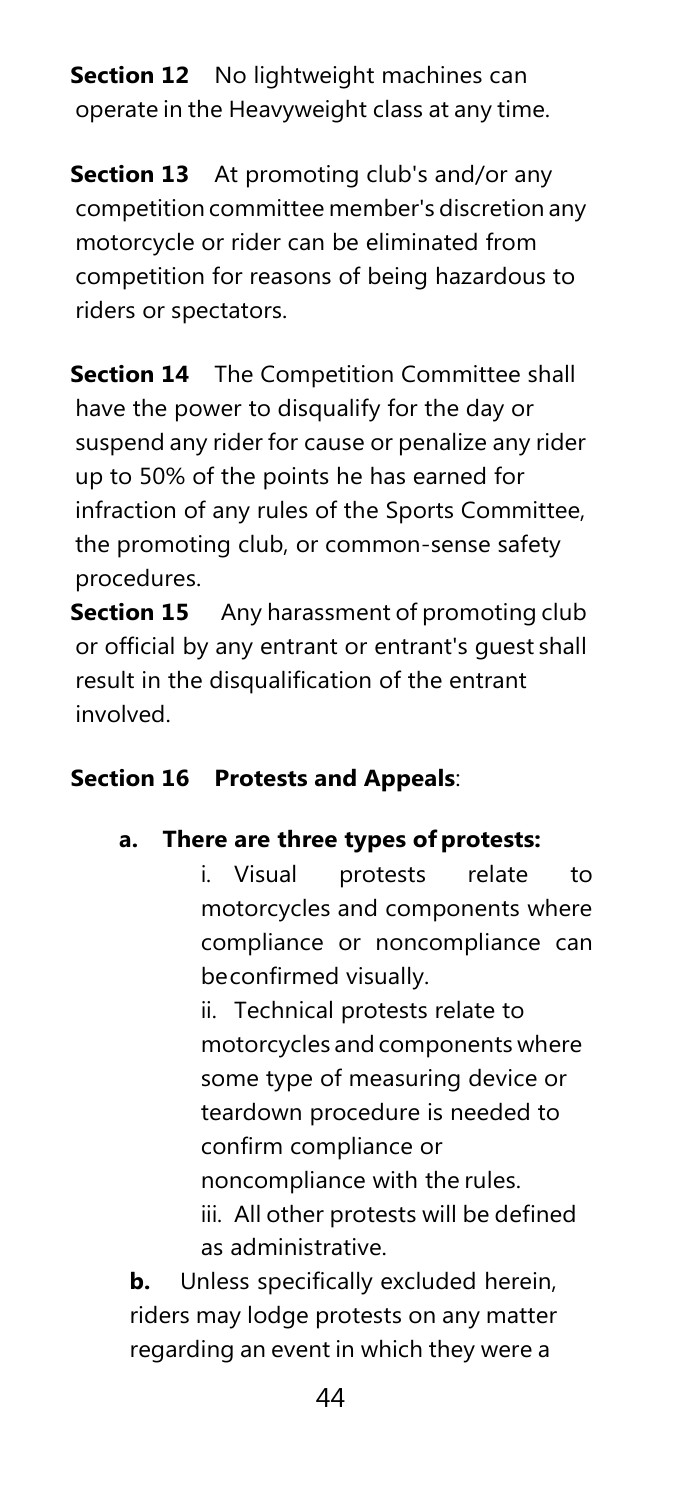**Section 12** No lightweight machines can operate in the Heavyweight class at any time.

**Section 13** At promoting club's and/or any competition committee member's discretion any motorcycle or rider can be eliminated from competition for reasons of being hazardous to riders or spectators.

**Section 14** The Competition Committee shall have the power to disqualify for the day or suspend any rider for cause or penalize any rider up to 50% of the points he has earned for infraction of any rules of the Sports Committee, the promoting club, or common-sense safety procedures.

**Section 15** Any harassment of promoting club or official by any entrant or entrant's guest shall result in the disqualification of the entrant involved.

## **Section 16 Protests and Appeals**:

### **a. There are three types ofprotests:**

i. Visual protests relate to motorcycles and components where compliance or noncompliance can beconfirmed visually.

ii. Technical protests relate to motorcycles and components where some type of measuring device or teardown procedure is needed to confirm compliance or noncompliance with the rules. iii. All other protests will be defined as administrative.

**b.** Unless specifically excluded herein, riders may lodge protests on any matter regarding an event in which they were a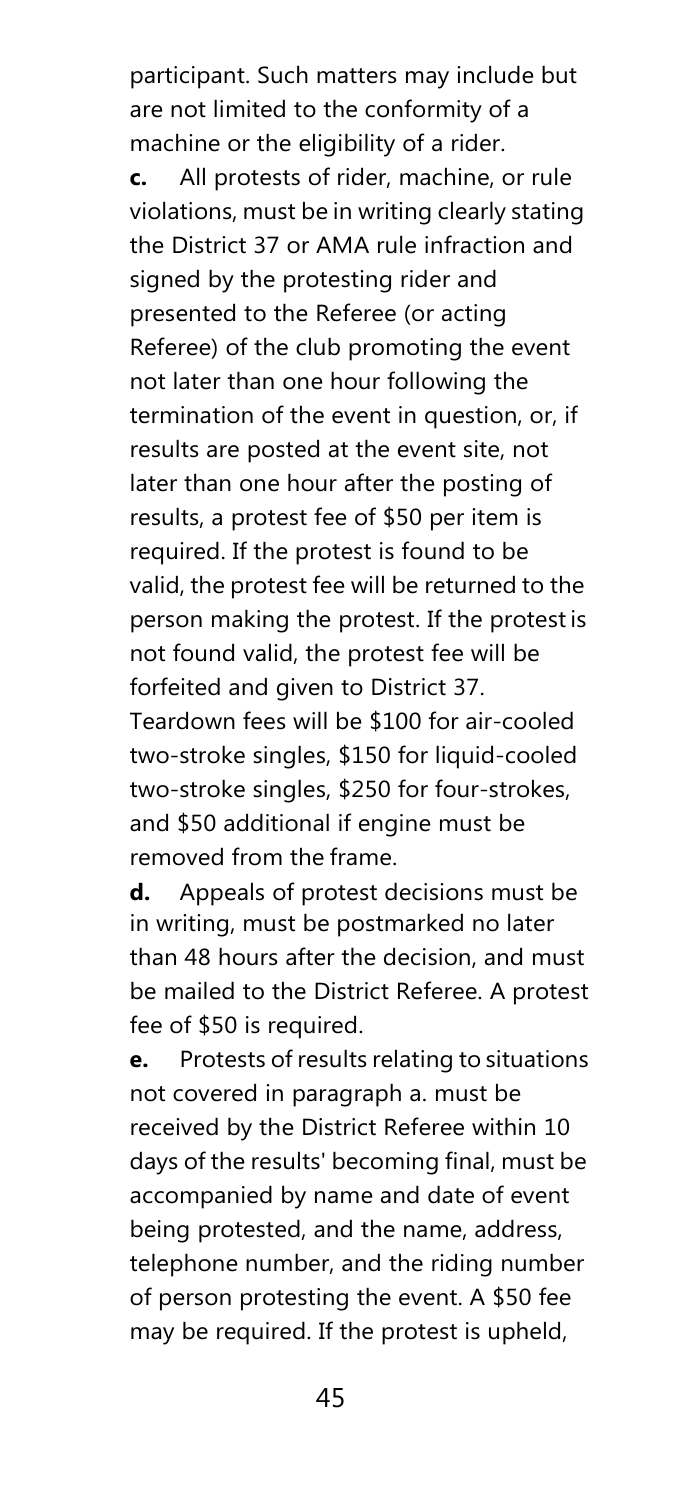participant. Such matters may include but are not limited to the conformity of a machine or the eligibility of a rider. **c.** All protests of rider, machine, or rule violations, must be in writing clearly stating the District 37 or AMA rule infraction and signed by the protesting rider and presented to the Referee (or acting Referee) of the club promoting the event not later than one hour following the termination of the event in question, or, if results are posted at the event site, not later than one hour after the posting of results, a protest fee of \$50 per item is required. If the protest is found to be valid, the protest fee will be returned to the person making the protest. If the protest is not found valid, the protest fee will be forfeited and given to District 37. Teardown fees will be \$100 for air-cooled two-stroke singles, \$150 for liquid-cooled two-stroke singles, \$250 for four-strokes, and \$50 additional if engine must be removed from the frame.

**d.** Appeals of protest decisions must be in writing, must be postmarked no later than 48 hours after the decision, and must be mailed to the District Referee. A protest fee of \$50 is required.

**e.** Protests of results relating to situations not covered in paragraph a. must be received by the District Referee within 10 days of the results' becoming final, must be accompanied by name and date of event being protested, and the name, address, telephone number, and the riding number of person protesting the event. A \$50 fee may be required. If the protest is upheld,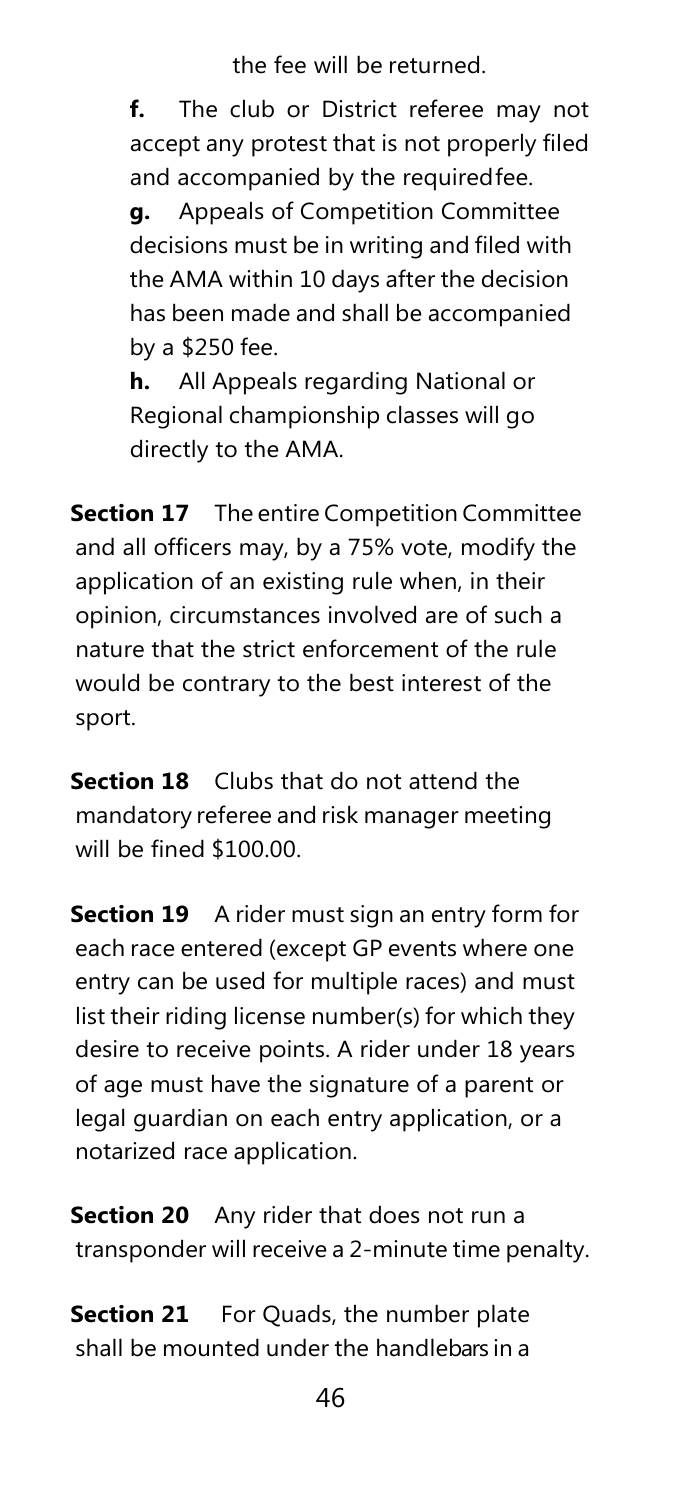the fee will be returned.

**f.** The club or District referee may not accept any protest that is not properly filed and accompanied by the requiredfee.

**g.** Appeals of Competition Committee decisions must be in writing and filed with the AMA within 10 days after the decision has been made and shall be accompanied by a \$250 fee.

**h.** All Appeals regarding National or Regional championship classes will go directly to the AMA.

**Section 17** The entire Competition Committee and all officers may, by a 75% vote, modify the application of an existing rule when, in their opinion, circumstances involved are of such a nature that the strict enforcement of the rule would be contrary to the best interest of the sport.

**Section 18** Clubs that do not attend the mandatory referee and risk manager meeting will be fined \$100.00.

**Section 19** A rider must sign an entry form for each race entered (except GP events where one entry can be used for multiple races) and must list their riding license number(s) for which they desire to receive points. A rider under 18 years of age must have the signature of a parent or legal guardian on each entry application, or a notarized race application.

**Section 20** Any rider that does not run a transponder will receive a 2-minute time penalty.

**Section 21** For Quads, the number plate shall be mounted under the handlebars in a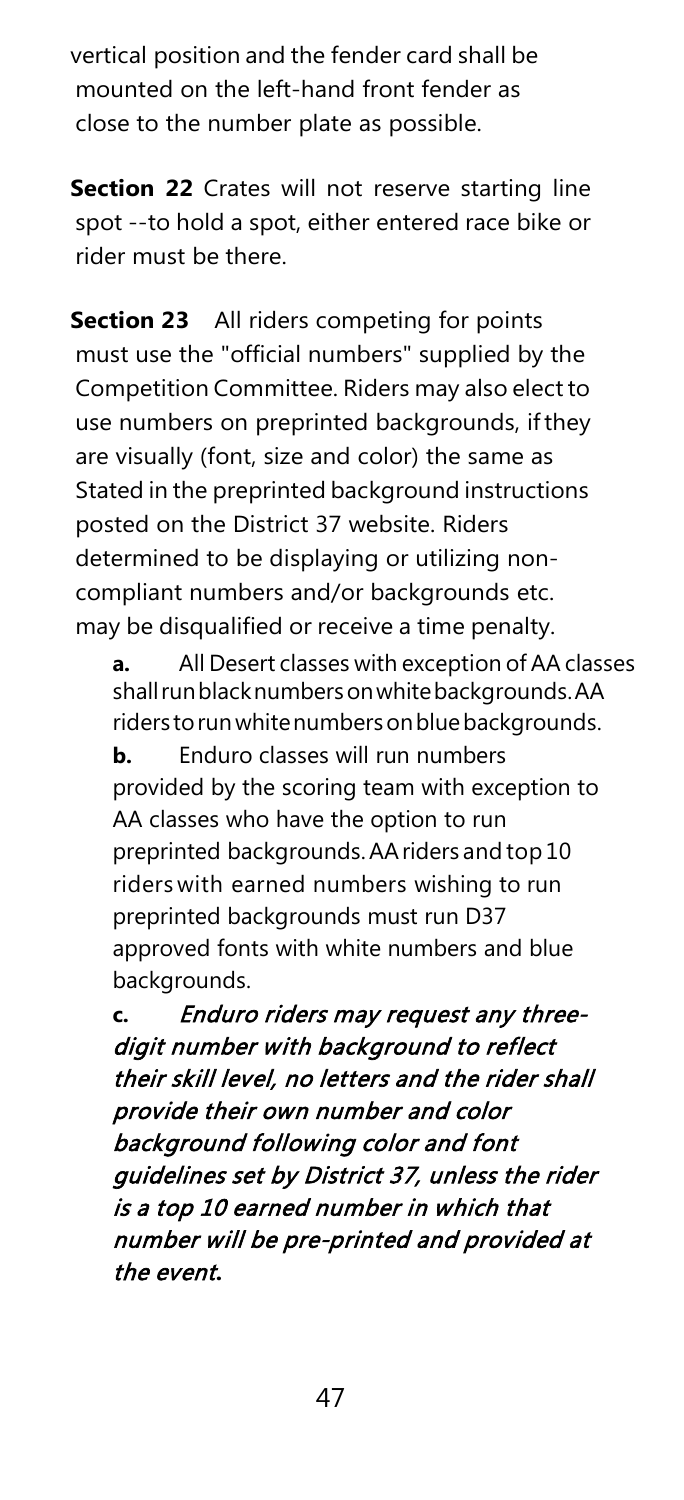vertical position and the fender card shall be mounted on the left-hand front fender as close to the number plate as possible.

**Section 22** Crates will not reserve starting line spot --to hold a spot, either entered race bike or rider must be there.

**Section 23** All riders competing for points must use the "official numbers" supplied by the Competition Committee. Riders may also elect to use numbers on preprinted backgrounds, ifthey are visually (font, size and color) the same as Stated in the preprinted background instructions posted on the District 37 website. Riders determined to be displaying or utilizing noncompliant numbers and/or backgrounds etc. may be disqualified or receive a time penalty.

**a.** All Desert classes with exception of AA classes shallrunblacknumbersonwhitebackgrounds.AA riders to run white numbers on blue backgrounds. **b.** Enduro classes will run numbers provided by the scoring team with exception to AA classes who have the option to run preprinted backgrounds.AAriders and top10 riders with earned numbers wishing to run preprinted backgrounds must run D37 approved fonts with white numbers and blue backgrounds.

**c.** Enduro riders may request any threedigit number with background to reflect their skill level, no letters and the rider shall provide their own number and color background following color and font guidelines set by District 37, unless the rider is a top 10 earned number in which that number will be pre-printed and provided at the event**.**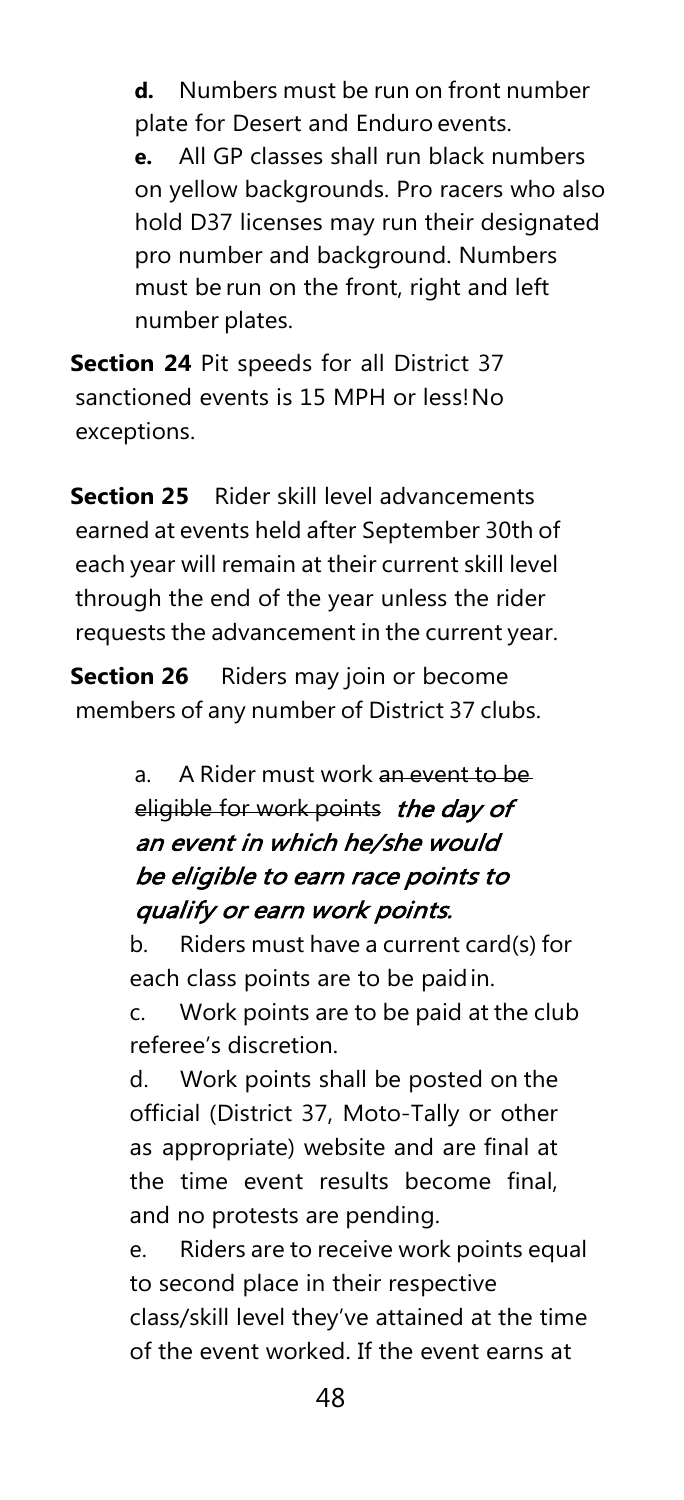**d.** Numbers must be run on front number plate for Desert and Enduro events. **e.** All GP classes shall run black numbers on yellow backgrounds. Pro racers who also hold D37 licenses may run their designated pro number and background. Numbers must be run on the front, right and left number plates.

**Section 24** Pit speeds for all District 37 sanctioned events is 15 MPH or less!No exceptions.

**Section 25** Rider skill level advancements earned at events held after September 30th of each year will remain at their current skill level through the end of the year unless the rider requests the advancement in the current year.

**Section 26** Riders may join or become members of any number of District 37 clubs.

> a. A Rider must work an event to be eligible for work points the day of an event in which he/she would be eligible to earn race points to qualify or earn work points.

b. Riders must have a current card(s) for each class points are to be paidin.

c. Work points are to be paid at the club referee's discretion.

d. Work points shall be posted on the official (District 37, Moto-Tally or other as appropriate) website and are final at the time event results become final, and no protests are pending.

e. Riders are to receive work points equal to second place in their respective class/skill level they've attained at the time of the event worked. If the event earns at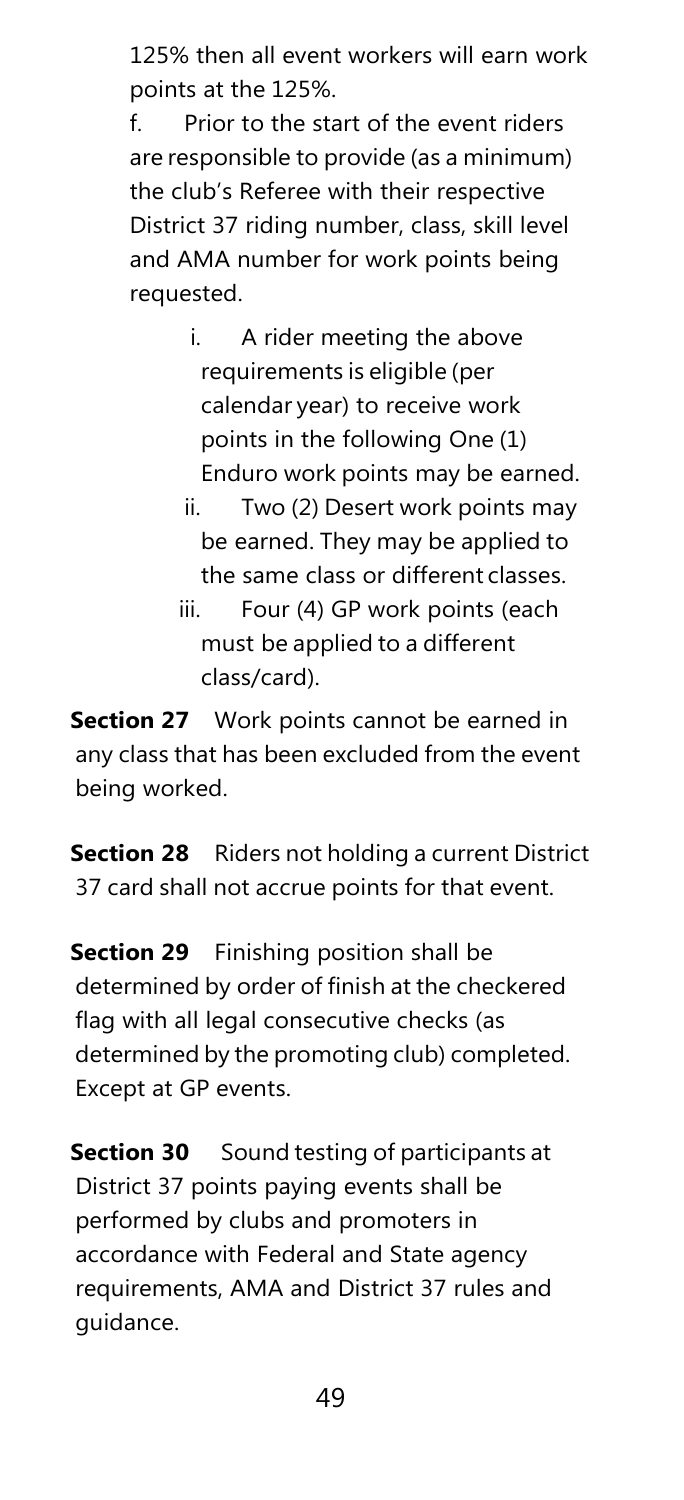125% then all event workers will earn work points at the 125%.

f. Prior to the start of the event riders are responsible to provide (as a minimum) the club's Referee with their respective District 37 riding number, class, skill level and AMA number for work points being requested.

- i. A rider meeting the above requirements is eligible (per calendar year) to receive work points in the following One (1) Enduro work points may be earned.
- ii. Two (2) Desert work points may be earned. They may be applied to the same class or different classes.
- iii. Four (4) GP work points (each must be applied to a different class/card).

**Section 27** Work points cannot be earned in any class that has been excluded from the event being worked.

**Section 28** Riders not holding a current District 37 card shall not accrue points for that event.

**Section 29** Finishing position shall be determined by order of finish at the checkered flag with all legal consecutive checks (as determined by the promoting club) completed. Except at GP events.

**Section 30** Sound testing of participants at District 37 points paying events shall be performed by clubs and promoters in accordance with Federal and State agency requirements, AMA and District 37 rules and guidance.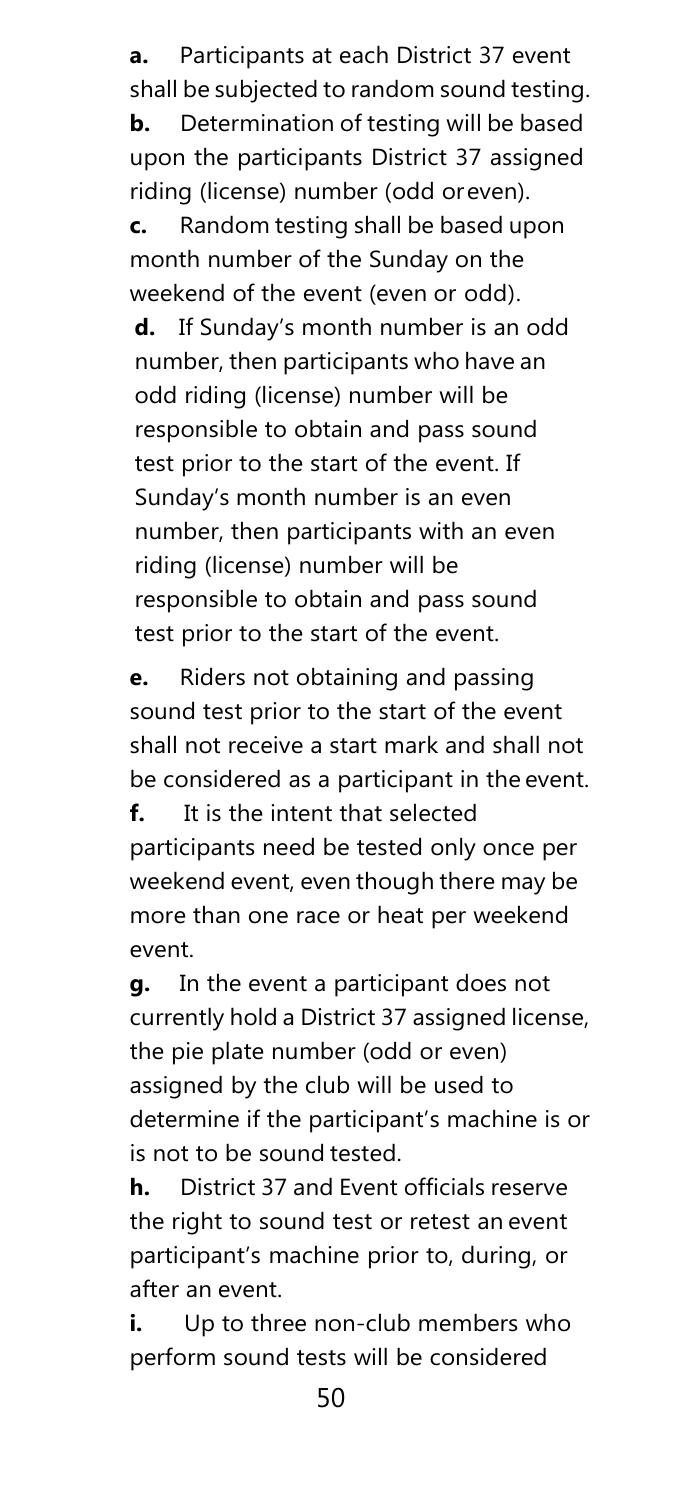**a.** Participants at each District 37 event shall be subjected to random sound testing. **b.** Determination of testing will be based upon the participants District 37 assigned riding (license) number (odd oreven).

**c.** Random testing shall be based upon month number of the Sunday on the weekend of the event (even or odd).

**d.** If Sunday's month number is an odd number, then participants who have an odd riding (license) number will be responsible to obtain and pass sound test prior to the start of the event. If Sunday's month number is an even number, then participants with an even riding (license) number will be responsible to obtain and pass sound test prior to the start of the event.

**e.** Riders not obtaining and passing sound test prior to the start of the event shall not receive a start mark and shall not be considered as a participant in the event.

**f.** It is the intent that selected participants need be tested only once per weekend event, even though there may be more than one race or heat per weekend event.

**g.** In the event a participant does not currently hold a District 37 assigned license, the pie plate number (odd or even) assigned by the club will be used to determine if the participant's machine is or is not to be sound tested.

**h.** District 37 and Event officials reserve the right to sound test or retest an event participant's machine prior to, during, or after an event.

**i.** Up to three non-club members who perform sound tests will be considered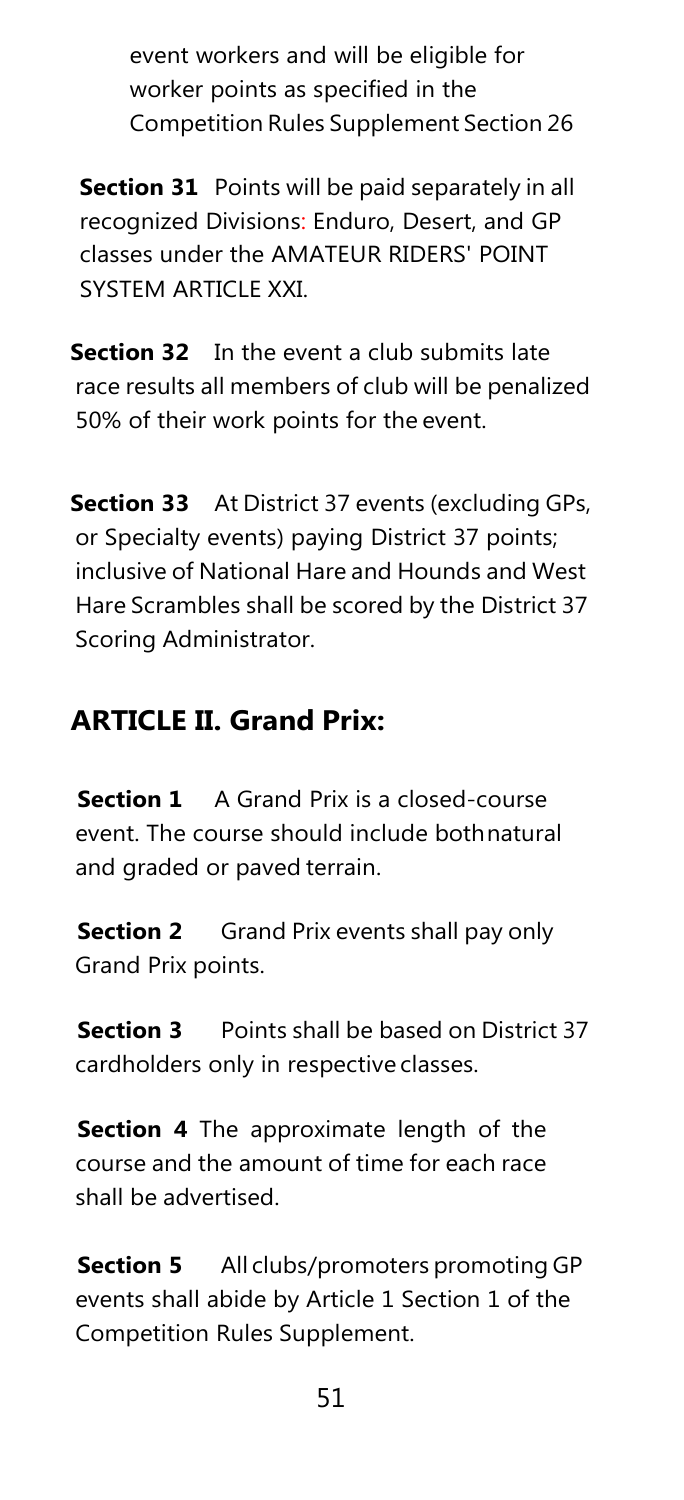event workers and will be eligible for worker points as specified in the Competition Rules Supplement Section 26

**Section 31** Points will be paid separately in all recognized Divisions: Enduro, Desert, and GP classes under the AMATEUR RIDERS' POINT SYSTEM ARTICLE XXI.

**Section 32** In the event a club submits late race results all members of club will be penalized 50% of their work points for the event.

**Section 33** At District 37 events (excluding GPs, or Specialty events) paying District 37 points; inclusive of National Hare and Hounds and West Hare Scrambles shall be scored by the District 37 Scoring Administrator.

# **ARTICLE II. Grand Prix:**

**Section 1** A Grand Prix is a closed-course event. The course should include bothnatural and graded or paved terrain.

**Section 2** Grand Prix events shall pay only Grand Prix points.

**Section 3** Points shall be based on District 37 cardholders only in respective classes.

**Section 4** The approximate length of the course and the amount of time for each race shall be advertised.

**Section 5** All clubs/promoters promoting GP events shall abide by Article 1 Section 1 of the Competition Rules Supplement.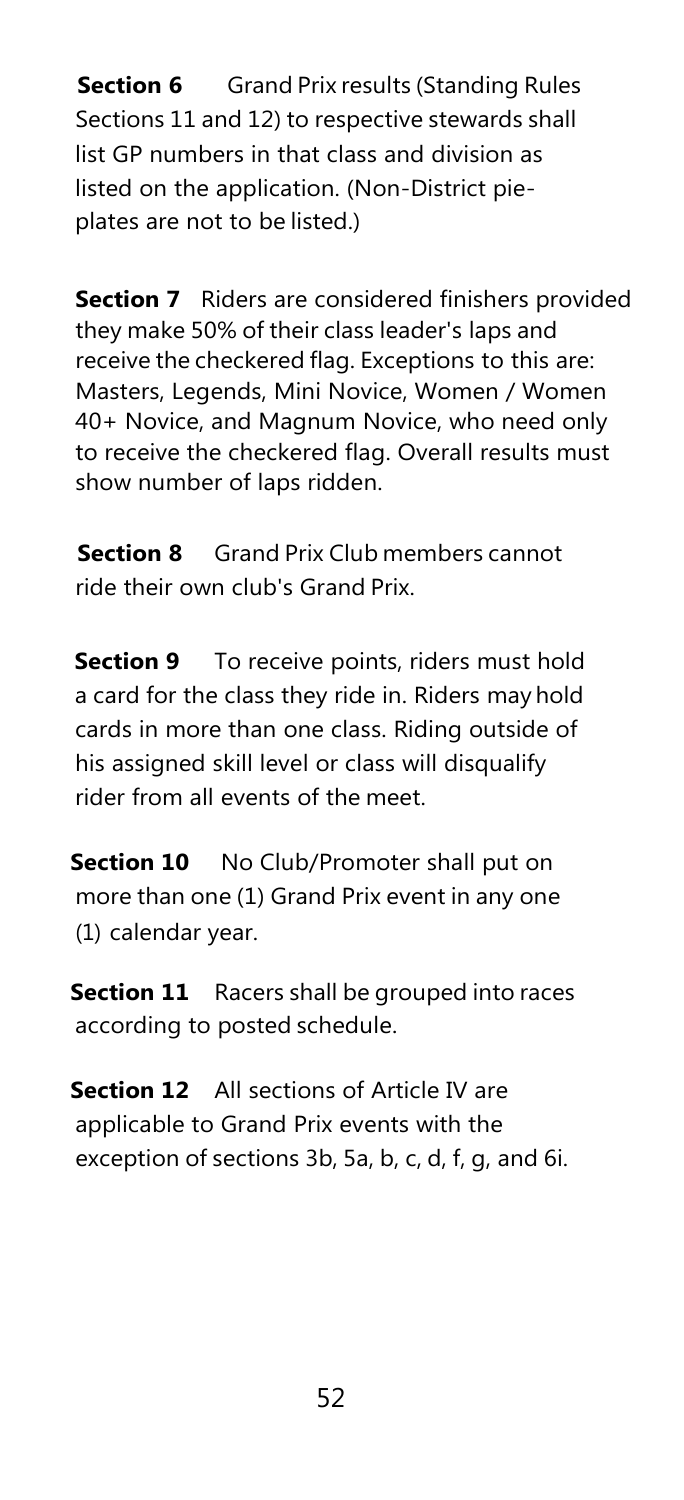**Section 6** Grand Prix results (Standing Rules Sections 11 and 12) to respective stewards shall list GP numbers in that class and division as listed on the application. (Non-District pieplates are not to be listed.)

**Section 7** Riders are considered finishers provided they make 50% of their class leader's laps and receive the checkered flag. Exceptions to this are: Masters, Legends, Mini Novice, Women / Women 40+ Novice, and Magnum Novice, who need only to receive the checkered flag. Overall results must show number of laps ridden.

**Section 8** Grand Prix Club members cannot ride their own club's Grand Prix.

**Section 9** To receive points, riders must hold a card for the class they ride in. Riders may hold cards in more than one class. Riding outside of his assigned skill level or class will disqualify rider from all events of the meet.

**Section 10** No Club/Promoter shall put on more than one (1) Grand Prix event in any one (1) calendar year.

**Section 11** Racers shall be grouped into races according to posted schedule.

**Section 12** All sections of Article IV are applicable to Grand Prix events with the exception of sections 3b, 5a, b, c, d, f, g, and 6i.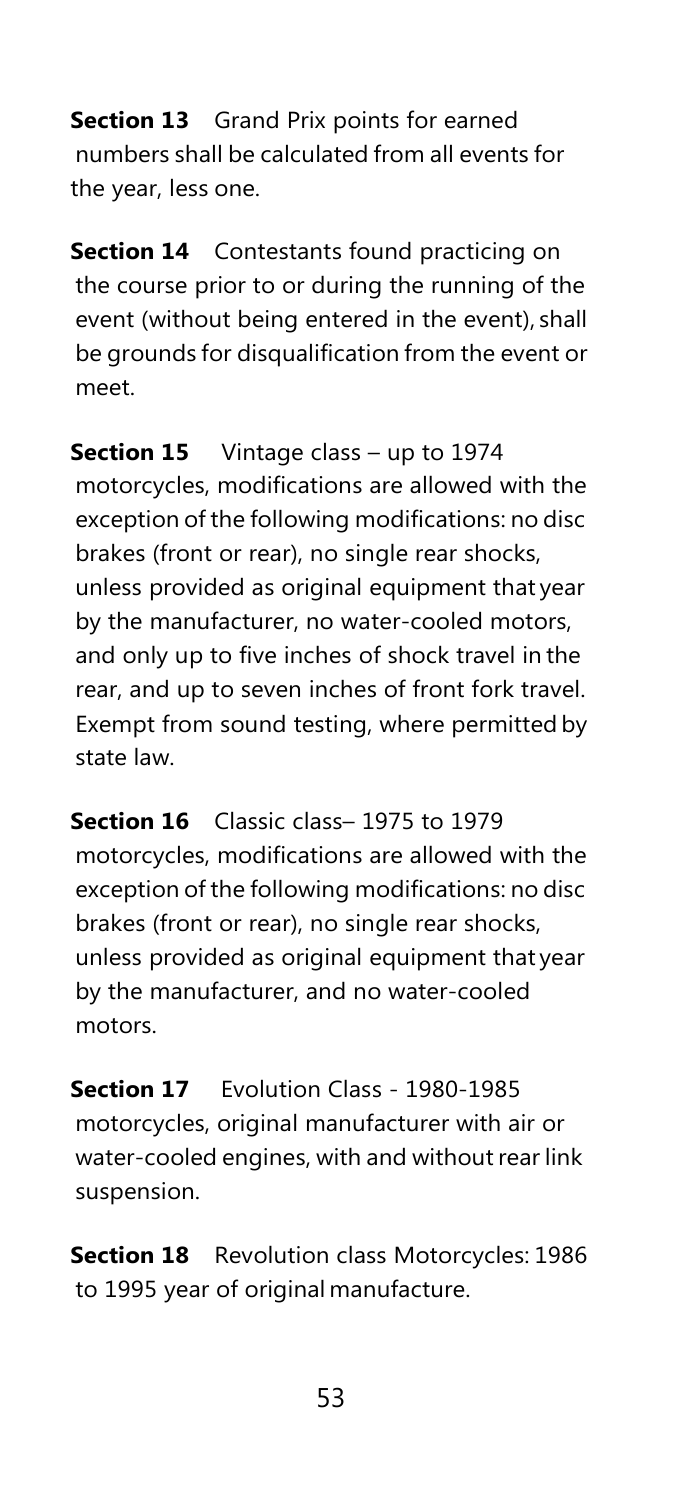**Section 13** Grand Prix points for earned numbers shall be calculated from all events for the year, less one.

**Section 14** Contestants found practicing on the course prior to or during the running of the event (without being entered in the event), shall be grounds for disqualification from the event or meet.

**Section 15** Vintage class – up to 1974 motorcycles, modifications are allowed with the exception of the following modifications: no disc brakes (front or rear), no single rear shocks, unless provided as original equipment that year by the manufacturer, no water-cooled motors, and only up to five inches of shock travel in the rear, and up to seven inches of front fork travel. Exempt from sound testing, where permitted by state law.

**Section 16** Classic class– 1975 to 1979 motorcycles, modifications are allowed with the exception of the following modifications: no disc brakes (front or rear), no single rear shocks, unless provided as original equipment that year by the manufacturer, and no water-cooled motors.

**Section 17** Evolution Class - 1980-1985 motorcycles, original manufacturer with air or water-cooled engines, with and without rear link suspension.

**Section 18** Revolution class Motorcycles: 1986 to 1995 year of original manufacture.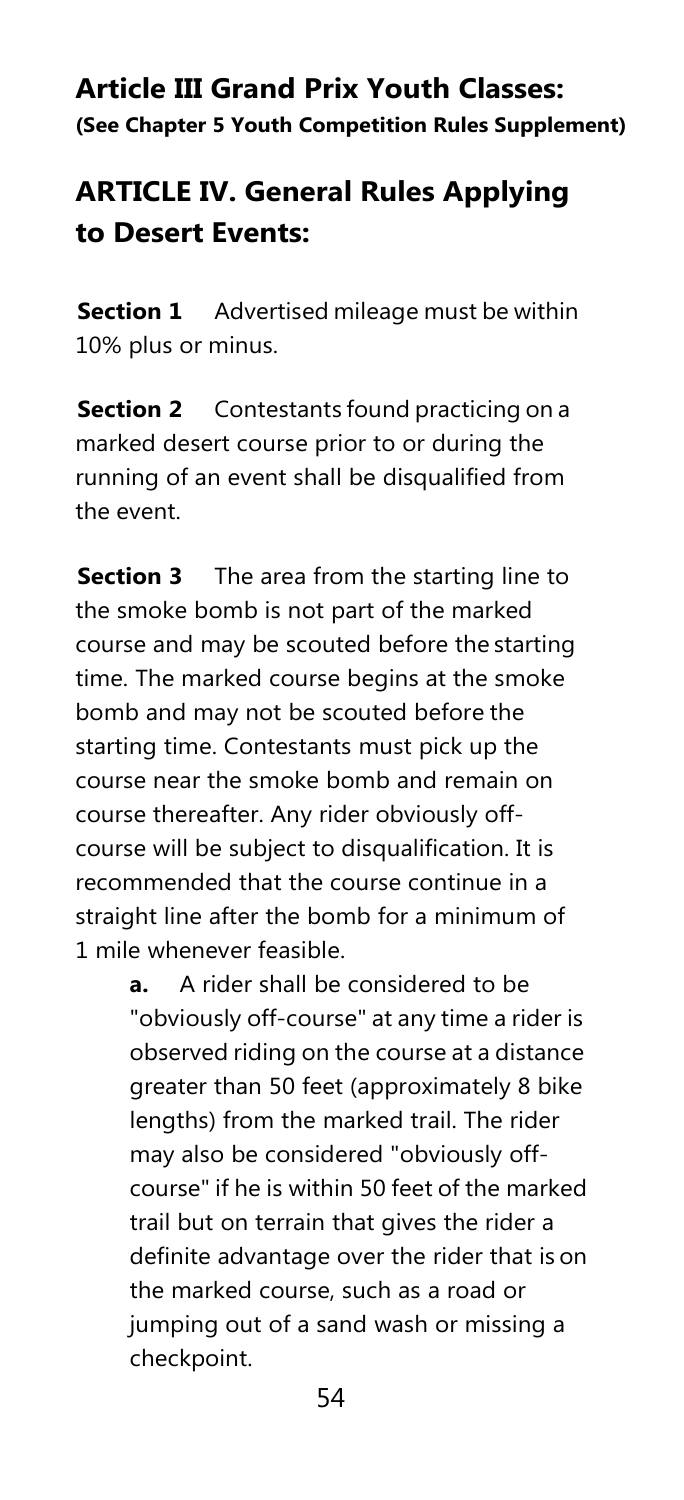## **Article III Grand Prix Youth Classes: (See Chapter 5 Youth Competition Rules Supplement)**

# **ARTICLE IV. General Rules Applying to Desert Events:**

**Section 1** Advertised mileage must be within 10% plus or minus.

**Section 2** Contestants found practicing on a marked desert course prior to or during the running of an event shall be disqualified from the event.

**Section 3** The area from the starting line to the smoke bomb is not part of the marked course and may be scouted before the starting time. The marked course begins at the smoke bomb and may not be scouted before the starting time. Contestants must pick up the course near the smoke bomb and remain on course thereafter. Any rider obviously offcourse will be subject to disqualification. It is recommended that the course continue in a straight line after the bomb for a minimum of 1 mile whenever feasible.

> **a.** A rider shall be considered to be "obviously off-course" at any time a rider is observed riding on the course at a distance greater than 50 feet (approximately 8 bike lengths) from the marked trail. The rider may also be considered "obviously offcourse" if he is within 50 feet of the marked trail but on terrain that gives the rider a definite advantage over the rider that is on the marked course, such as a road or jumping out of a sand wash or missing a checkpoint.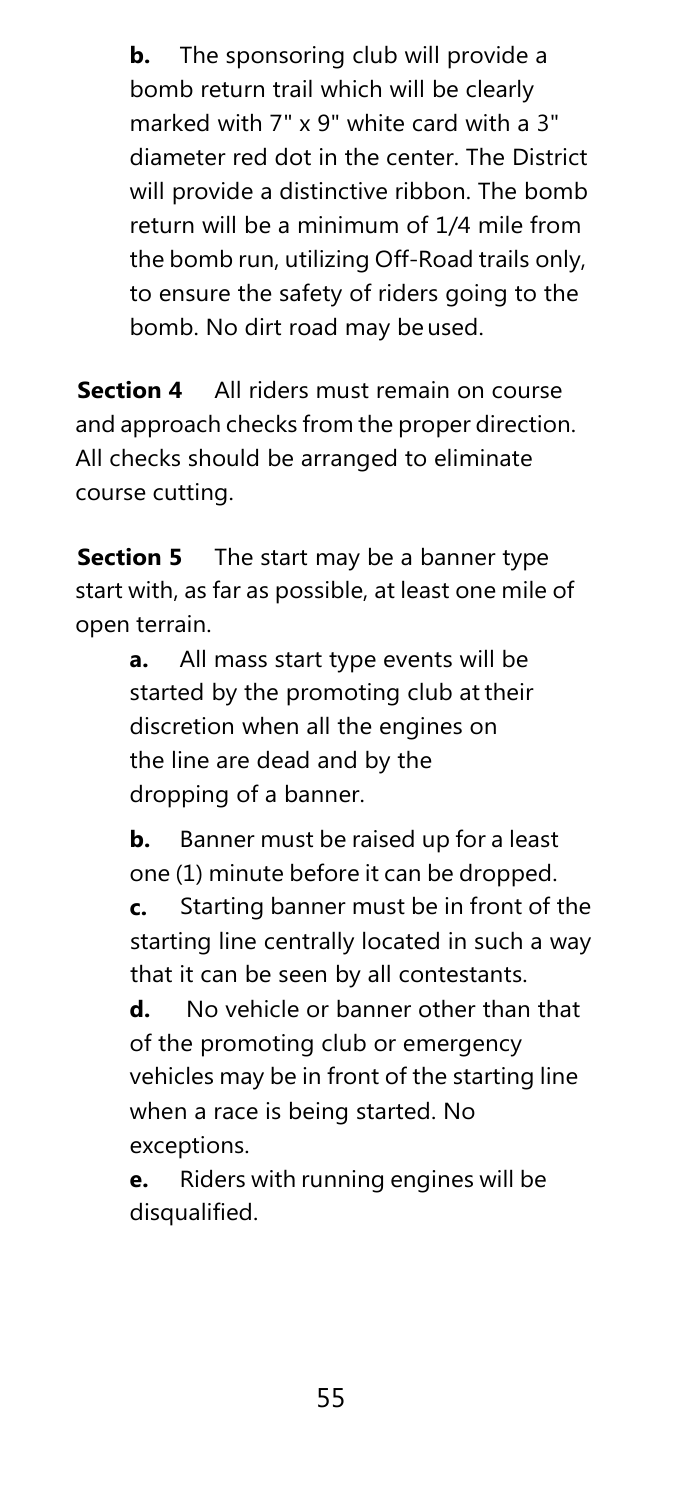**b.** The sponsoring club will provide a bomb return trail which will be clearly marked with 7" x 9" white card with a 3" diameter red dot in the center. The District will provide a distinctive ribbon. The bomb return will be a minimum of 1/4 mile from the bomb run, utilizing Off-Road trails only, to ensure the safety of riders going to the bomb. No dirt road may beused.

**Section 4** All riders must remain on course and approach checks from the proper direction. All checks should be arranged to eliminate course cutting.

**Section 5** The start may be a banner type start with, as far as possible, at least one mile of open terrain.

> **a.** All mass start type events will be started by the promoting club at their discretion when all the engines on the line are dead and by the dropping of a banner.

**b.** Banner must be raised up for a least one (1) minute before it can be dropped.

**c.** Starting banner must be in front of the starting line centrally located in such a way that it can be seen by all contestants.

**d.** No vehicle or banner other than that of the promoting club or emergency vehicles may be in front of the starting line when a race is being started. No exceptions.

**e.** Riders with running engines will be disqualified.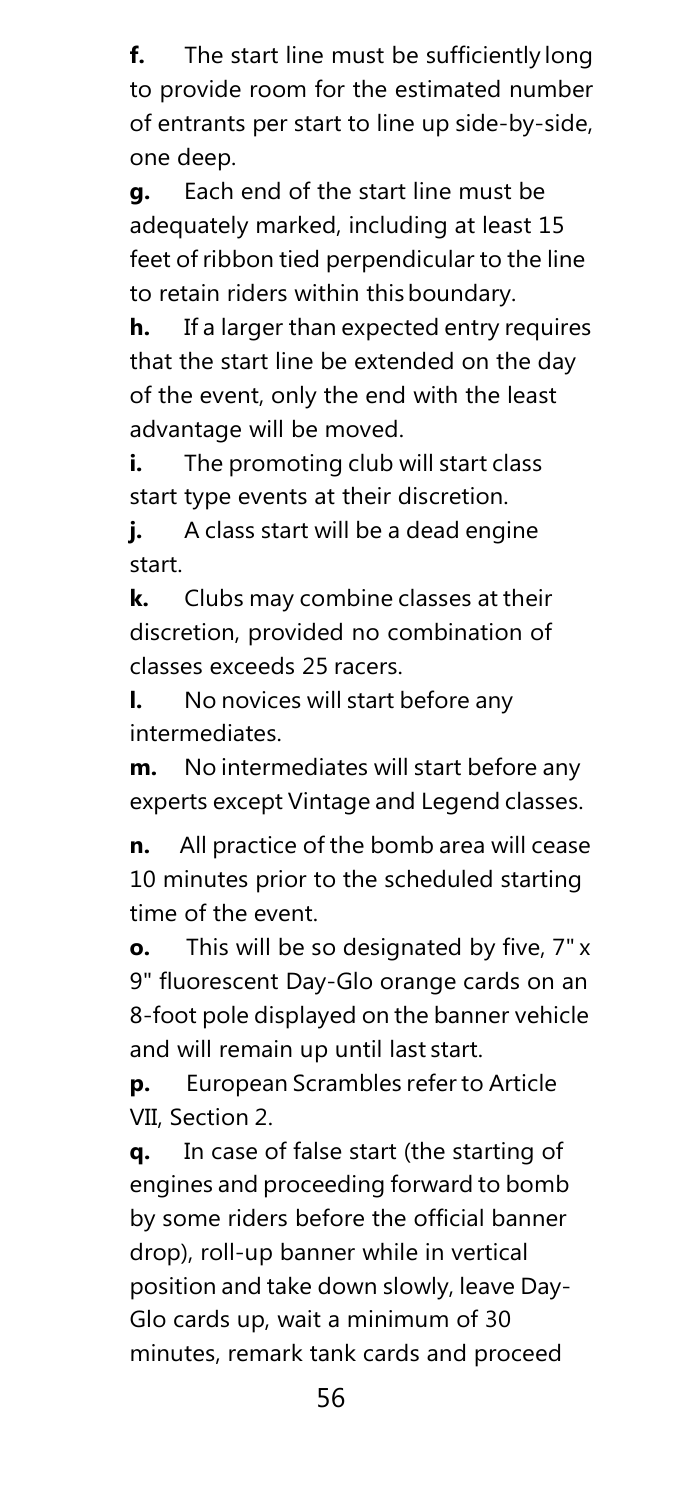**f.** The start line must be sufficiently long to provide room for the estimated number of entrants per start to line up side-by-side, one deep.

**g.** Each end of the start line must be adequately marked, including at least 15 feet of ribbon tied perpendicular to the line to retain riders within thisboundary.

**h.** If a larger than expected entry requires that the start line be extended on the day of the event, only the end with the least advantage will be moved.

**i.** The promoting club will start class start type events at their discretion.

**j.** A class start will be a dead engine start.

**k.** Clubs may combine classes at their discretion, provided no combination of classes exceeds 25 racers.

**l.** No novices will start before any intermediates.

**m.** No intermediates will start before any experts except Vintage and Legend classes.

**n.** All practice of the bomb area will cease 10 minutes prior to the scheduled starting time of the event.

**o.** This will be so designated by five, 7" x 9" fluorescent Day-Glo orange cards on an 8-foot pole displayed on the banner vehicle and will remain up until last start.

**p.** European Scrambles refer to Article VII, Section 2.

**q.** In case of false start (the starting of engines and proceeding forward to bomb by some riders before the official banner drop), roll-up banner while in vertical position and take down slowly, leave Day-Glo cards up, wait a minimum of 30 minutes, remark tank cards and proceed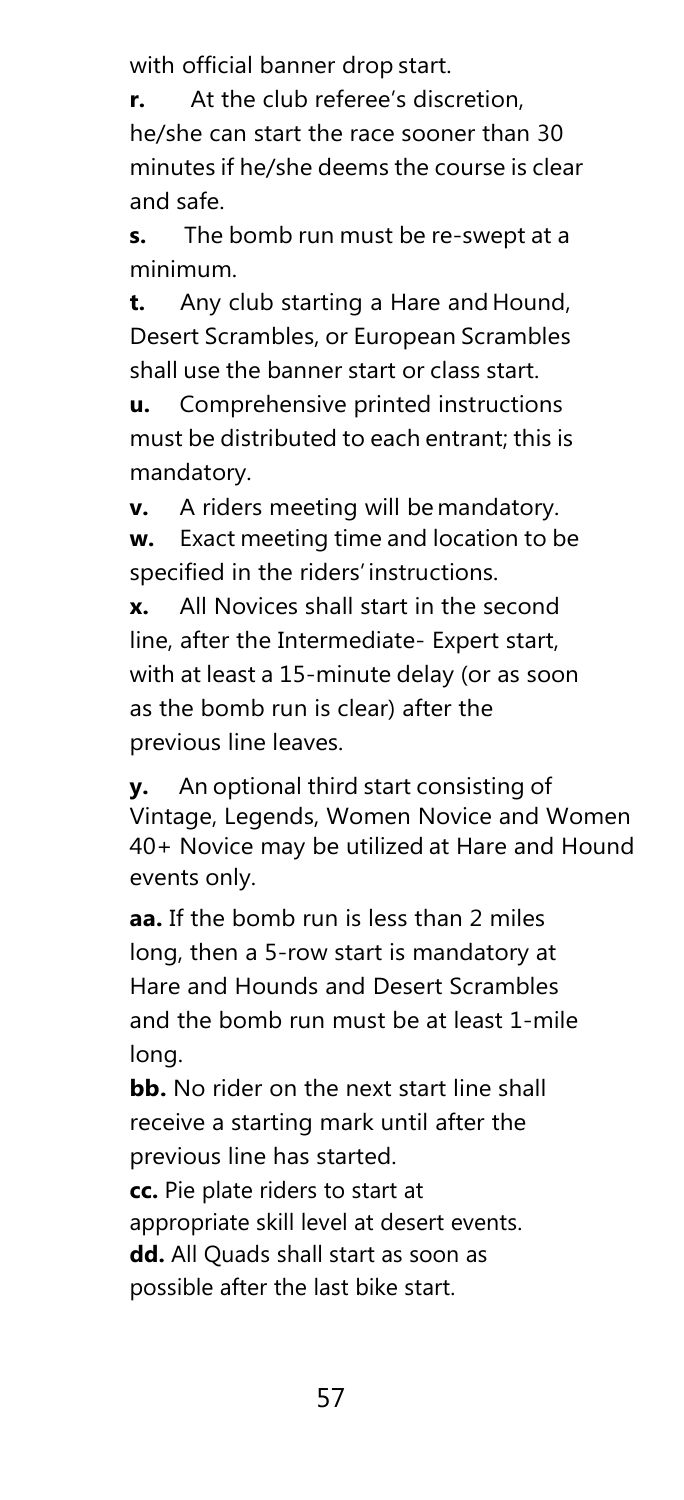with official banner drop start.

**r.** At the club referee's discretion, he/she can start the race sooner than 30 minutes if he/she deems the course is clear and safe.

**s.** The bomb run must be re-swept at a minimum.

**t.** Any club starting a Hare and Hound, Desert Scrambles, or European Scrambles shall use the banner start or class start.

**u.** Comprehensive printed instructions must be distributed to each entrant; this is mandatory.

**v.** A riders meeting will be mandatory. **w.** Exact meeting time and location to be specified in the riders' instructions.

**x.** All Novices shall start in the second line, after the Intermediate- Expert start, with at least a 15-minute delay (or as soon as the bomb run is clear) after the previous line leaves.

**y.** An optional third start consisting of Vintage, Legends, Women Novice and Women 40+ Novice may be utilized at Hare and Hound events only.

**aa.** If the bomb run is less than 2 miles long, then a 5-row start is mandatory at Hare and Hounds and Desert Scrambles and the bomb run must be at least 1-mile long.

**bb.** No rider on the next start line shall receive a starting mark until after the previous line has started.

**cc.** Pie plate riders to start at appropriate skill level at desert events. **dd.** All Quads shall start as soon as possible after the last bike start.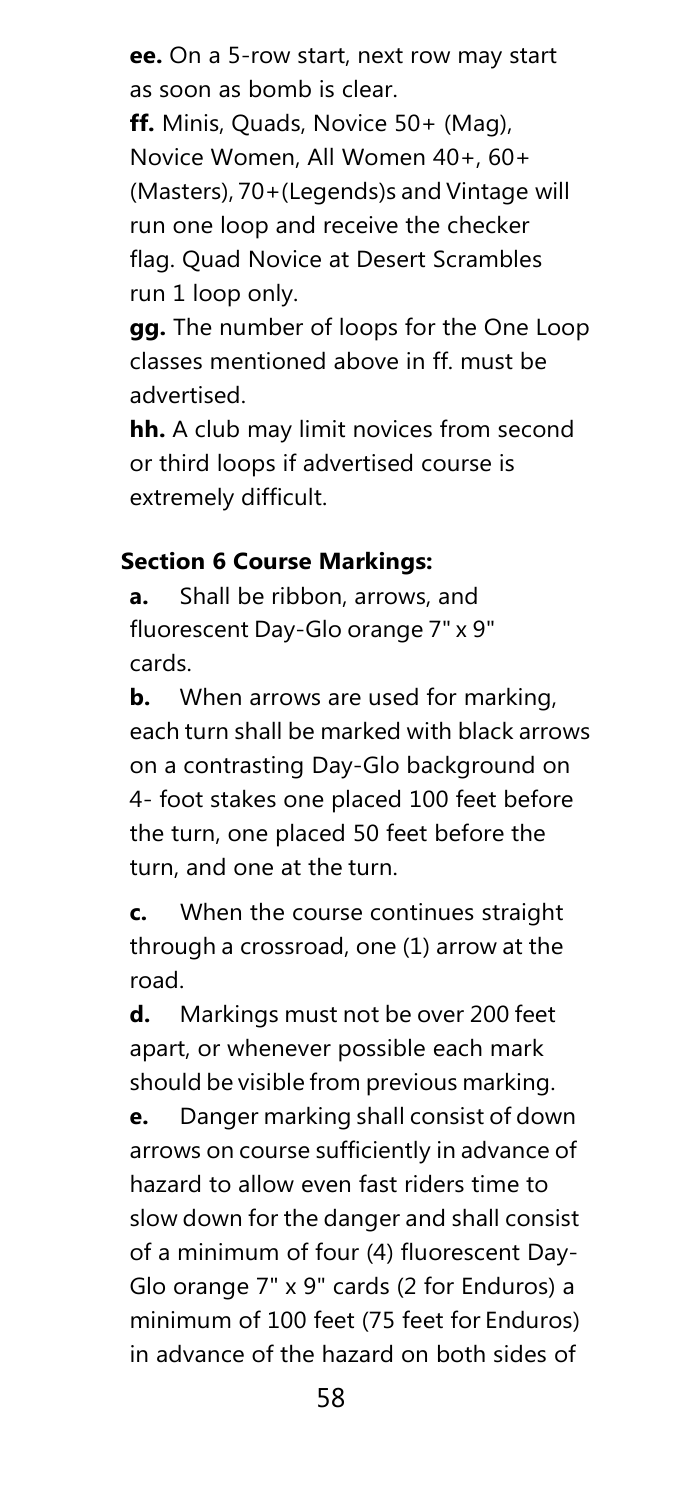**ee.** On a 5-row start, next row may start as soon as bomb is clear. **ff.** Minis, Quads, Novice 50+ (Mag), Novice Women, All Women 40+, 60+ (Masters), 70+(Legends)s and Vintage will run one loop and receive the checker

flag. Quad Novice at Desert Scrambles run 1 loop only.

**gg.** The number of loops for the One Loop classes mentioned above in ff. must be advertised.

**hh.** A club may limit novices from second or third loops if advertised course is extremely difficult.

#### **Section 6 Course Markings:**

**a.** Shall be ribbon, arrows, and fluorescent Day-Glo orange 7" x 9" cards.

**b.** When arrows are used for marking. each turn shall be marked with black arrows on a contrasting Day-Glo background on 4- foot stakes one placed 100 feet before the turn, one placed 50 feet before the turn, and one at the turn.

**c.** When the course continues straight through a crossroad, one (1) arrow at the road.

**d.** Markings must not be over 200 feet apart, or whenever possible each mark should be visible from previous marking.

**e.** Danger marking shall consist of down arrows on course sufficiently in advance of hazard to allow even fast riders time to slow down for the danger and shall consist of a minimum of four (4) fluorescent Day-Glo orange 7" x 9" cards (2 for Enduros) a minimum of 100 feet (75 feet for Enduros) in advance of the hazard on both sides of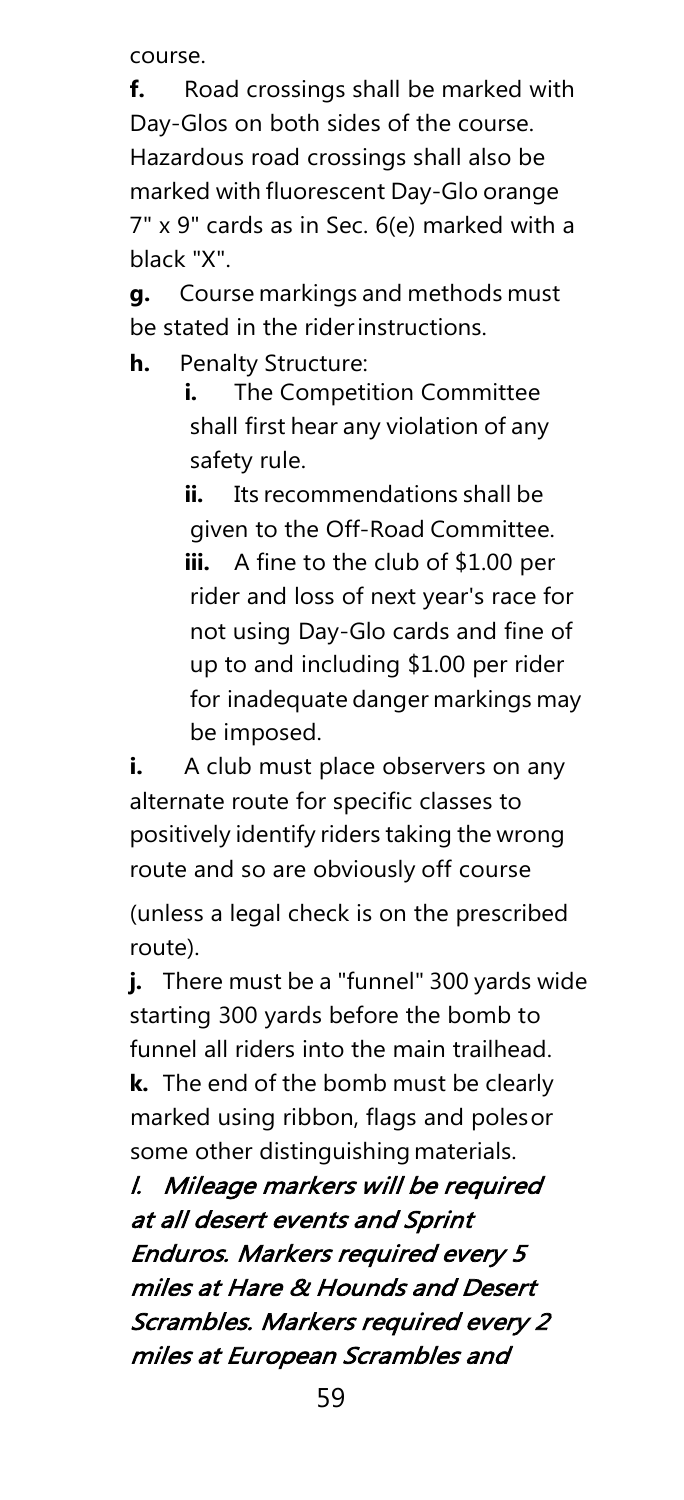course.

**f.** Road crossings shall be marked with Day-Glos on both sides of the course. Hazardous road crossings shall also be marked with fluorescent Day-Glo orange 7" x 9" cards as in Sec. 6(e) marked with a black "X".

**g.** Course markings and methods must be stated in the riderinstructions.

**h.** Penalty Structure:

**i.** The Competition Committee shall first hear any violation of any safety rule.

**ii.** Its recommendations shall be given to the Off-Road Committee. **iii.** A fine to the club of \$1.00 per rider and loss of next year's race for not using Day-Glo cards and fine of up to and including \$1.00 per rider for inadequate danger markings may be imposed.

**i.** A club must place observers on any alternate route for specific classes to positively identify riders taking the wrong route and so are obviously off course

(unless a legal check is on the prescribed route).

**j.** There must be a "funnel" 300 yards wide starting 300 yards before the bomb to funnel all riders into the main trailhead. **k.** The end of the bomb must be clearly marked using ribbon, flags and polesor

some other distinguishing materials.

l. Mileage markers will be required at all desert events and Sprint Enduros. Markers required every 5 miles at Hare & Hounds and Desert Scrambles. Markers required every 2 miles at European Scrambles and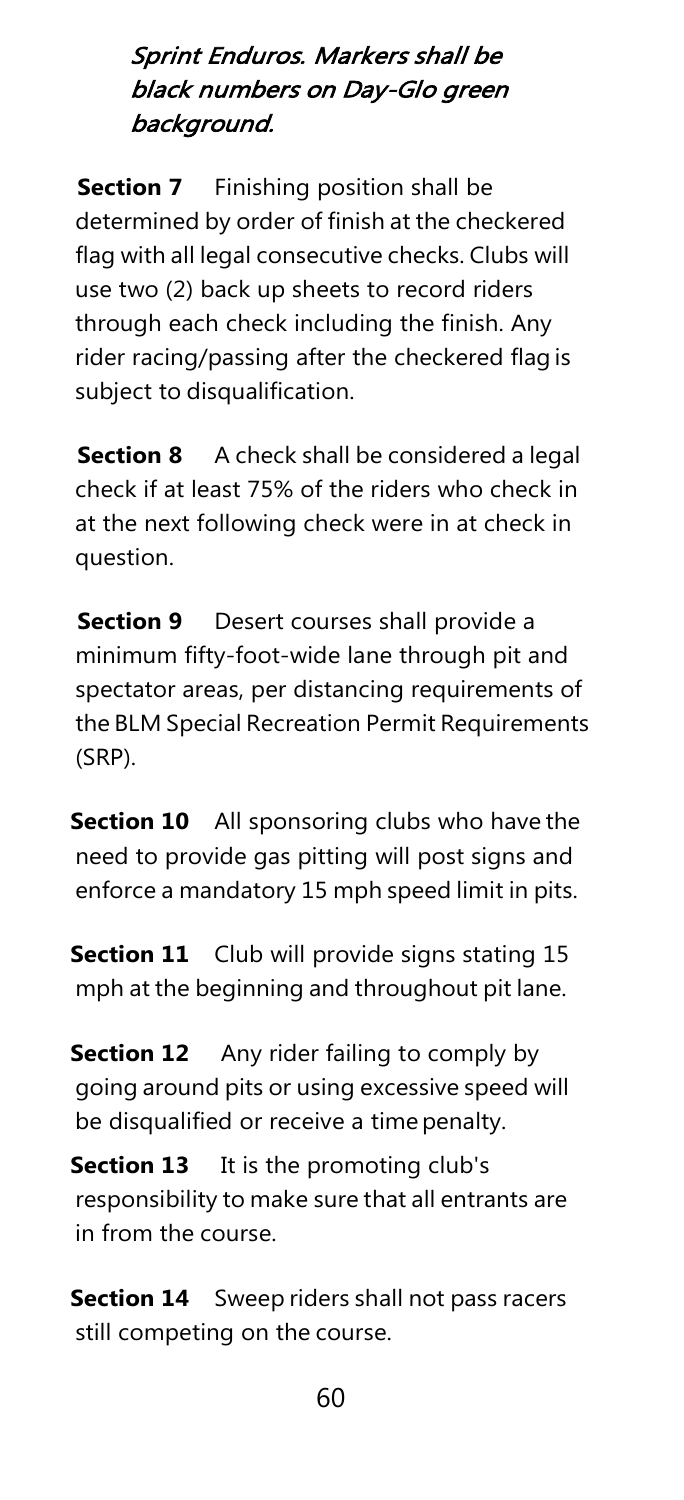## Sprint Enduros. Markers shall be black numbers on Day-Glo green background.

**Section 7** Finishing position shall be determined by order of finish at the checkered flag with all legal consecutive checks. Clubs will use two (2) back up sheets to record riders through each check including the finish. Any rider racing/passing after the checkered flag is subject to disqualification.

**Section 8** A check shall be considered a legal check if at least 75% of the riders who check in at the next following check were in at check in question.

**Section 9** Desert courses shall provide a minimum fifty-foot-wide lane through pit and spectator areas, per distancing requirements of the BLM Special Recreation Permit Requirements (SRP).

**Section 10** All sponsoring clubs who have the need to provide gas pitting will post signs and enforce a mandatory 15 mph speed limit in pits.

**Section 11** Club will provide signs stating 15 mph at the beginning and throughout pit lane.

**Section 12** Any rider failing to comply by going around pits or using excessive speed will be disqualified or receive a time penalty.

**Section 13** It is the promoting club's responsibility to make sure that all entrants are in from the course.

**Section 14** Sweep riders shall not pass racers still competing on the course.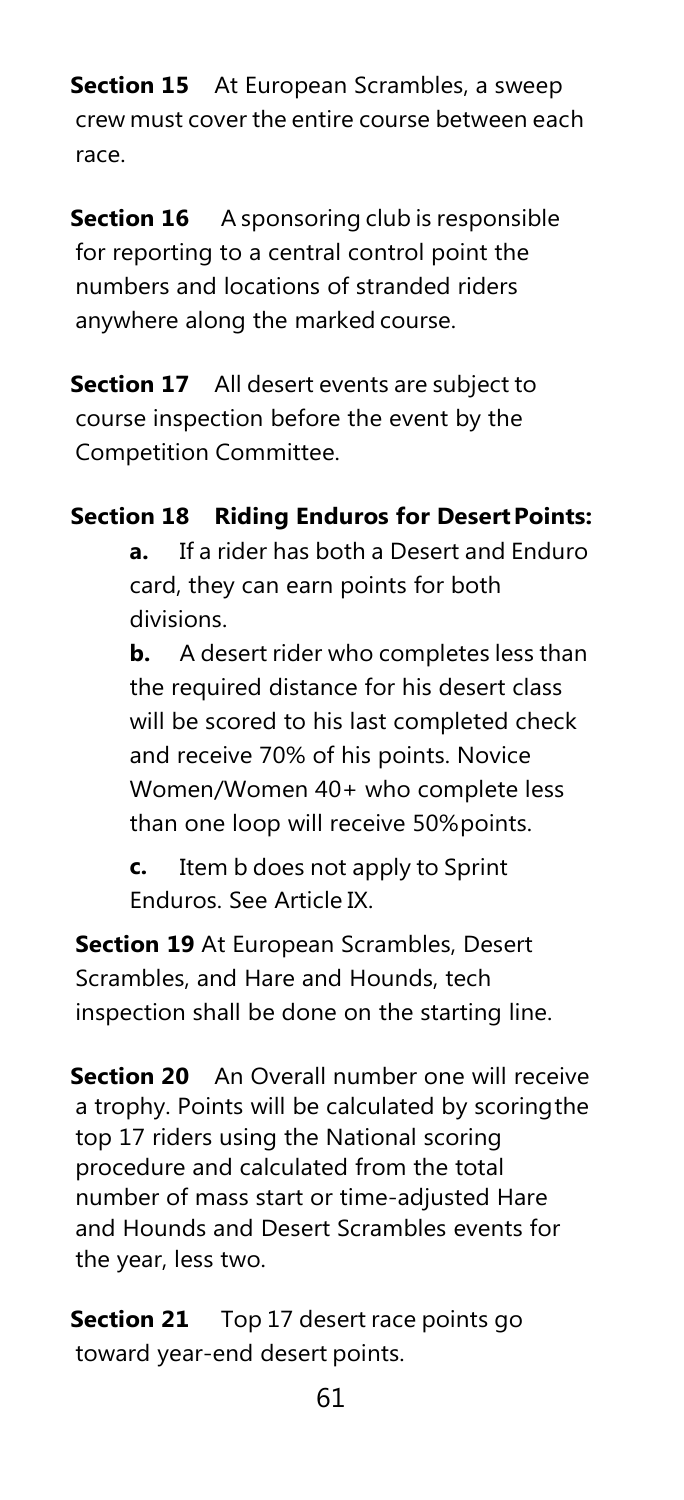**Section 15** At European Scrambles, a sweep crew must cover the entire course between each race.

**Section 16** A sponsoring club is responsible for reporting to a central control point the numbers and locations of stranded riders anywhere along the marked course.

**Section 17** All desert events are subject to course inspection before the event by the Competition Committee.

## **Section 18 Riding Enduros for Desert Points:**

**a.** If a rider has both a Desert and Enduro card, they can earn points for both divisions.

**b.** A desert rider who completes less than the required distance for his desert class will be scored to his last completed check and receive 70% of his points. Novice Women/Women 40+ who complete less than one loop will receive 50%points.

**c.** Item b does not apply to Sprint Enduros. See Article IX.

**Section 19** At European Scrambles, Desert Scrambles, and Hare and Hounds, tech inspection shall be done on the starting line.

**Section 20** An Overall number one will receive a trophy. Points will be calculated by scoringthe top 17 riders using the National scoring procedure and calculated from the total number of mass start or time-adjusted Hare and Hounds and Desert Scrambles events for the year, less two.

**Section 21** Top 17 desert race points go toward year-end desert points.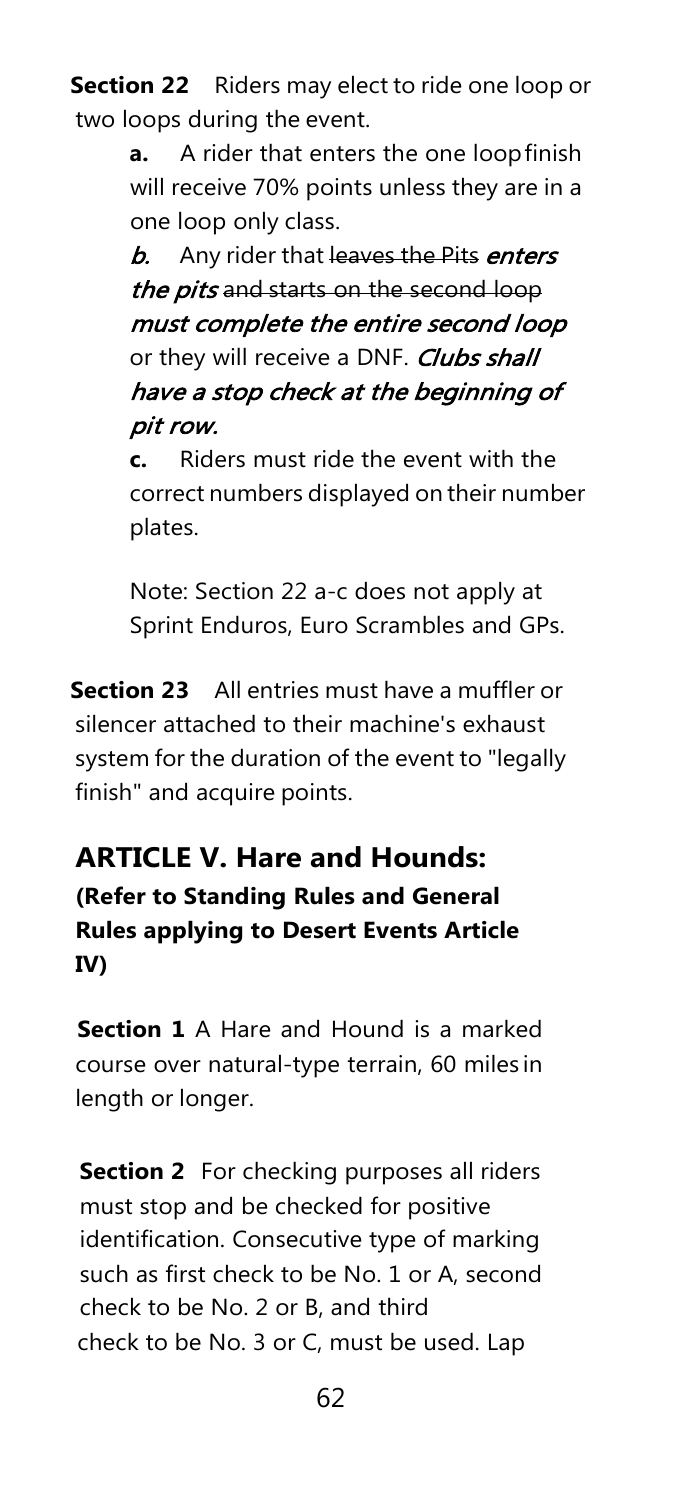**Section 22** Riders may elect to ride one loop or two loops during the event.

> **a.** A rider that enters the one loopfinish will receive 70% points unless they are in a one loop only class.

**b.** Any rider that leaves the Pits enters the pits and starts on the second loop must complete the entire second loop or they will receive a DNF. Clubs shall have a stop check at the beginning of pit row.

**c.** Riders must ride the event with the correct numbers displayed on their number plates.

Note: Section 22 a-c does not apply at Sprint Enduros, Euro Scrambles and GPs.

**Section 23** All entries must have a muffler or silencer attached to their machine's exhaust system for the duration of the event to "legally finish" and acquire points.

## **ARTICLE V. Hare and Hounds:**

**(Refer to Standing Rules and General Rules applying to Desert Events Article IV)**

**Section 1** A Hare and Hound is a marked course over natural-type terrain, 60 miles in length or longer.

**Section 2** For checking purposes all riders must stop and be checked for positive identification. Consecutive type of marking such as first check to be No. 1 or A, second check to be No. 2 or B, and third check to be No. 3 or C, must be used. Lap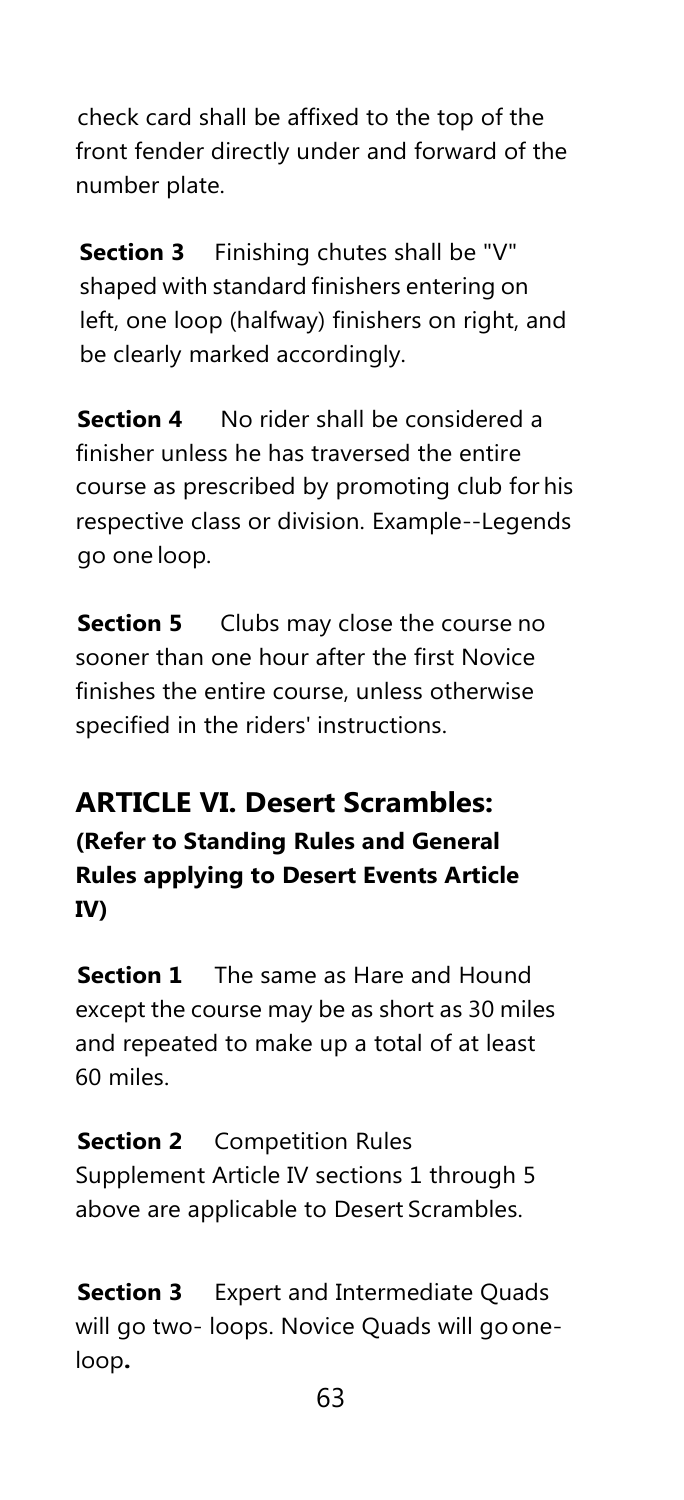check card shall be affixed to the top of the front fender directly under and forward of the number plate.

**Section 3** Finishing chutes shall be "V" shaped with standard finishers entering on left, one loop (halfway) finishers on right, and be clearly marked accordingly.

**Section 4** No rider shall be considered a finisher unless he has traversed the entire course as prescribed by promoting club for his respective class or division. Example--Legends go one loop.

**Section 5** Clubs may close the course no sooner than one hour after the first Novice finishes the entire course, unless otherwise specified in the riders' instructions.

## **ARTICLE VI. Desert Scrambles: (Refer to Standing Rules and General**

**Rules applying to Desert Events Article IV)**

**Section 1** The same as Hare and Hound except the course may be as short as 30 miles and repeated to make up a total of at least 60 miles.

**Section 2** Competition Rules Supplement Article IV sections 1 through 5 above are applicable to Desert Scrambles.

**Section 3** Expert and Intermediate Quads will go two- loops. Novice Quads will gooneloop**.**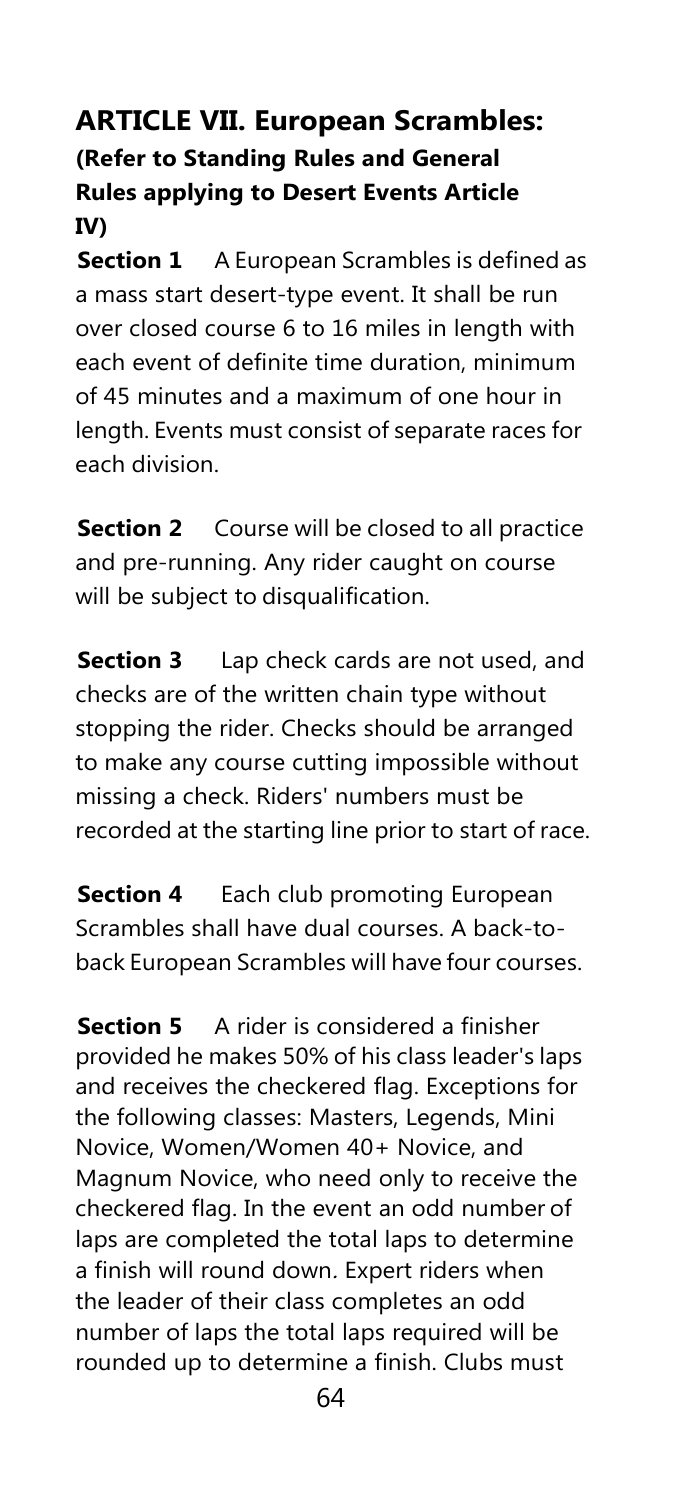## **ARTICLE VII. European Scrambles: (Refer to Standing Rules and General Rules applying to Desert Events Article IV)**

**Section 1** A European Scrambles is defined as a mass start desert-type event. It shall be run over closed course 6 to 16 miles in length with each event of definite time duration, minimum of 45 minutes and a maximum of one hour in length. Events must consist of separate races for each division.

**Section 2** Course will be closed to all practice and pre-running. Any rider caught on course will be subject to disqualification.

**Section 3** Lap check cards are not used, and checks are of the written chain type without stopping the rider. Checks should be arranged to make any course cutting impossible without missing a check. Riders' numbers must be recorded at the starting line prior to start of race.

**Section 4** Each club promoting European Scrambles shall have dual courses. A back-toback European Scrambles will have four courses.

**Section 5** A rider is considered a finisher provided he makes 50% of his class leader's laps and receives the checkered flag. Exceptions for the following classes: Masters, Legends, Mini Novice, Women/Women 40+ Novice, and Magnum Novice, who need only to receive the checkered flag. In the event an odd number of laps are completed the total laps to determine a finish will round down. Expert riders when the leader of their class completes an odd number of laps the total laps required will be rounded up to determine a finish. Clubs must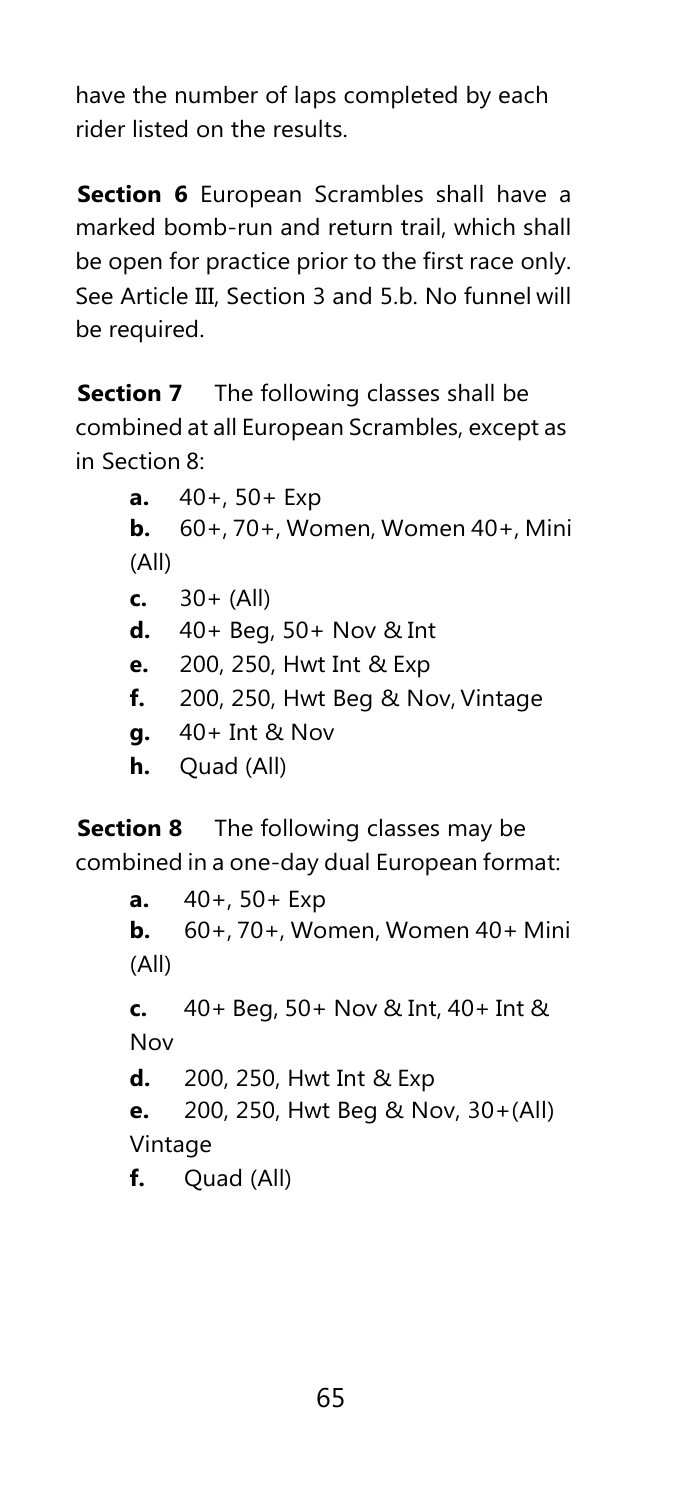have the number of laps completed by each rider listed on the results.

**Section 6** European Scrambles shall have a marked bomb-run and return trail, which shall be open for practice prior to the first race only. See Article III, Section 3 and 5.b. No funnel will be required.

**Section 7** The following classes shall be combined at all European Scrambles, except as in Section 8:

> **a.** 40+, 50+ Exp **b.** 60+, 70+, Women, Women 40+, Mini (All) **c.** 30+ (All) **d.** 40+ Beg, 50+ Nov & Int **e.** 200, 250, Hwt Int & Exp **f.** 200, 250, Hwt Beg & Nov, Vintage **g.** 40+ Int & Nov **h.** Quad (All)

**Section 8** The following classes may be combined in a one-day dual European format:

> **a.** 40+, 50+ Exp **b.** 60+, 70+, Women, Women 40+ Mini (All) **c.** 40+ Beg, 50+ Nov & Int, 40+ Int & Nov **d.** 200, 250, Hwt Int & Exp **e.** 200, 250, Hwt Beg & Nov, 30+(All) Vintage **f.** Quad (All)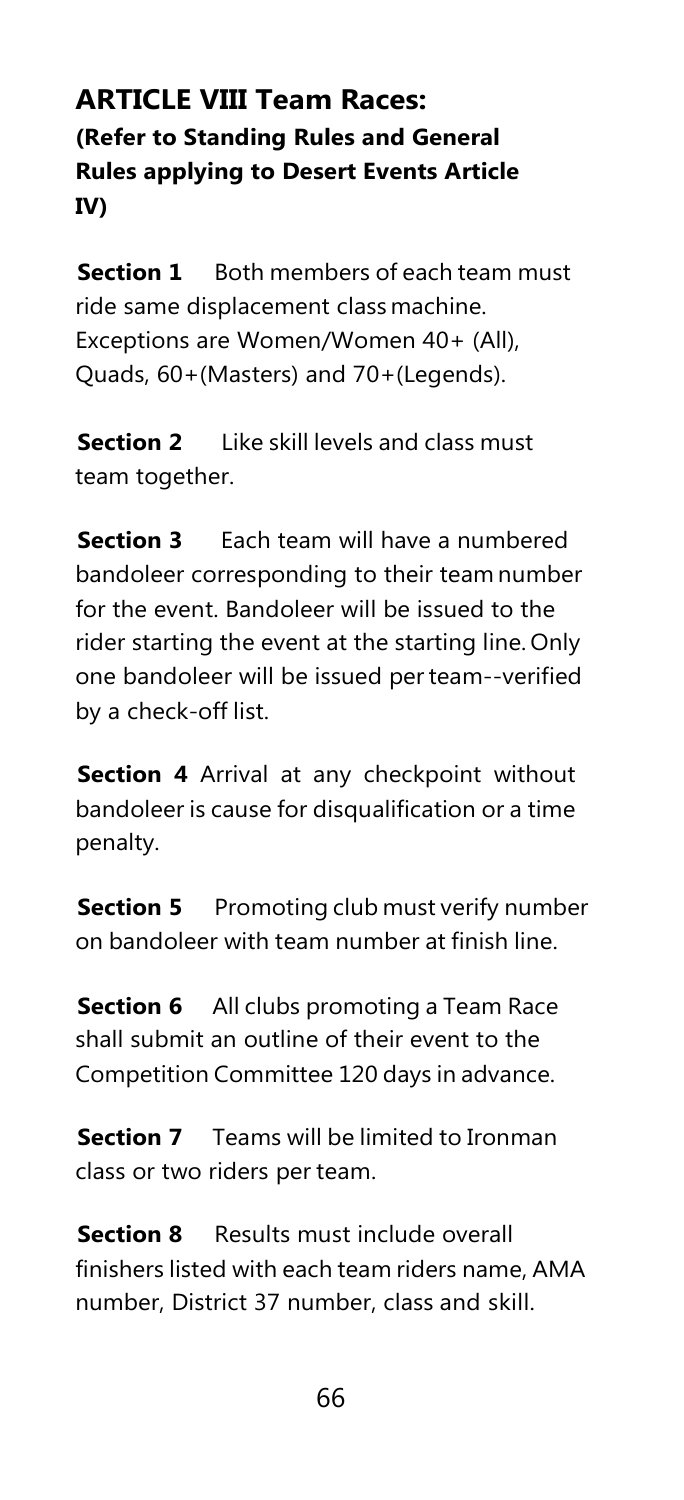## **ARTICLE VIII Team Races: (Refer to Standing Rules and General Rules applying to Desert Events Article IV)**

**Section 1** Both members of each team must ride same displacement class machine. Exceptions are Women/Women 40+ (All), Quads, 60+(Masters) and 70+(Legends).

**Section 2** Like skill levels and class must team together.

**Section 3** Each team will have a numbered bandoleer corresponding to their team number for the event. Bandoleer will be issued to the rider starting the event at the starting line. Only one bandoleer will be issued per team--verified by a check-off list.

**Section 4** Arrival at any checkpoint without bandoleer is cause for disqualification or a time penalty.

**Section 5** Promoting club must verify number on bandoleer with team number at finish line.

**Section 6** All clubs promoting a Team Race shall submit an outline of their event to the Competition Committee 120 days in advance.

**Section 7** Teams will be limited to Ironman class or two riders per team.

**Section 8** Results must include overall finishers listed with each team riders name, AMA number, District 37 number, class and skill.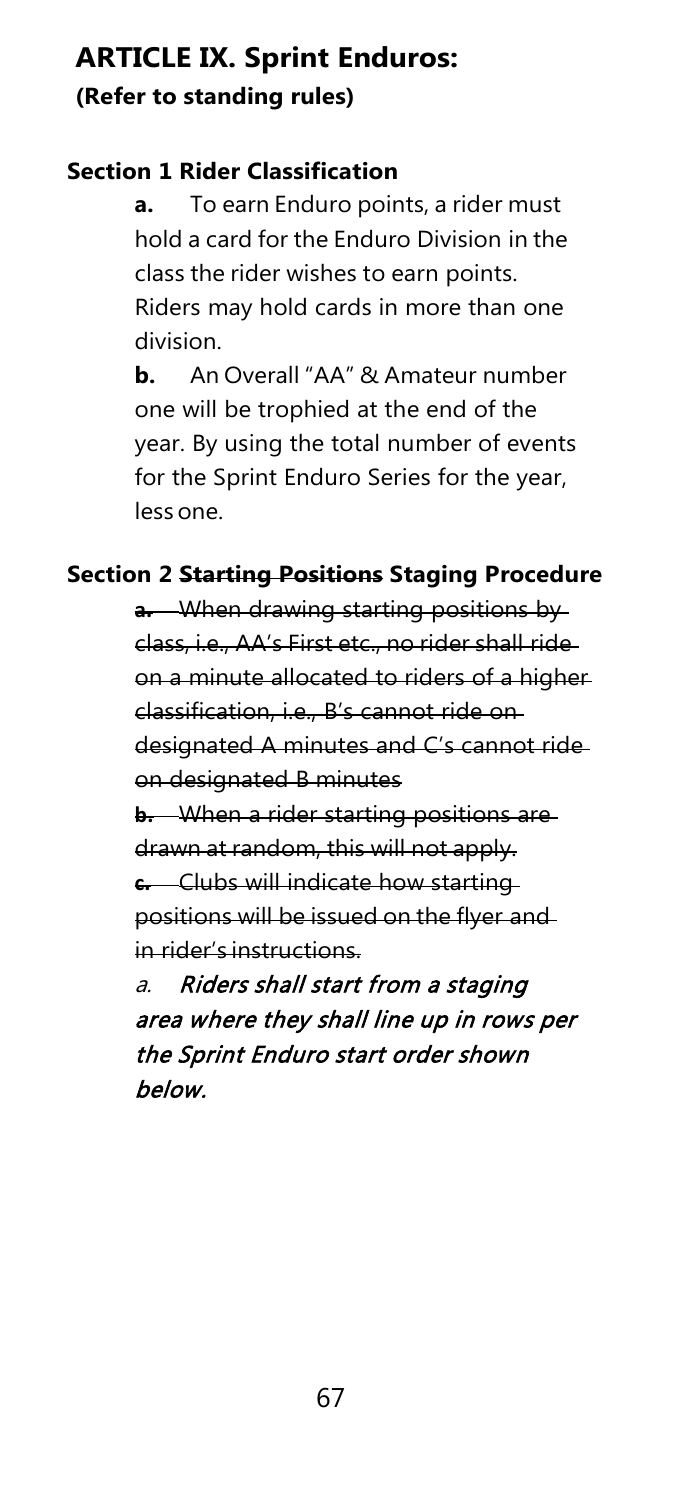## **ARTICLE IX. Sprint Enduros: (Refer to standing rules)**

#### **Section 1 Rider Classification**

**a.** To earn Enduro points, a rider must hold a card for the Enduro Division in the class the rider wishes to earn points. Riders may hold cards in more than one division.

**b.** An Overall "AA" & Amateur number one will be trophied at the end of the year. By using the total number of events for the Sprint Enduro Series for the year, less one.

## **Section 2 Starting Positions Staging Procedure**

**a.** When drawing starting positions by class, i.e., AA's First etc., no rider shall ride on a minute allocated to riders of a higher classification, i.e., B's cannot ride on designated A minutes and C's cannot ride on designated B minutes **b.** When a rider starting positions are

drawn at random, this will not apply. **c.** Clubs will indicate how starting positions will be issued on the flyer and in rider's instructions.

a. Riders shall start from a staging area where they shall line up in rows per the Sprint Enduro start order shown below.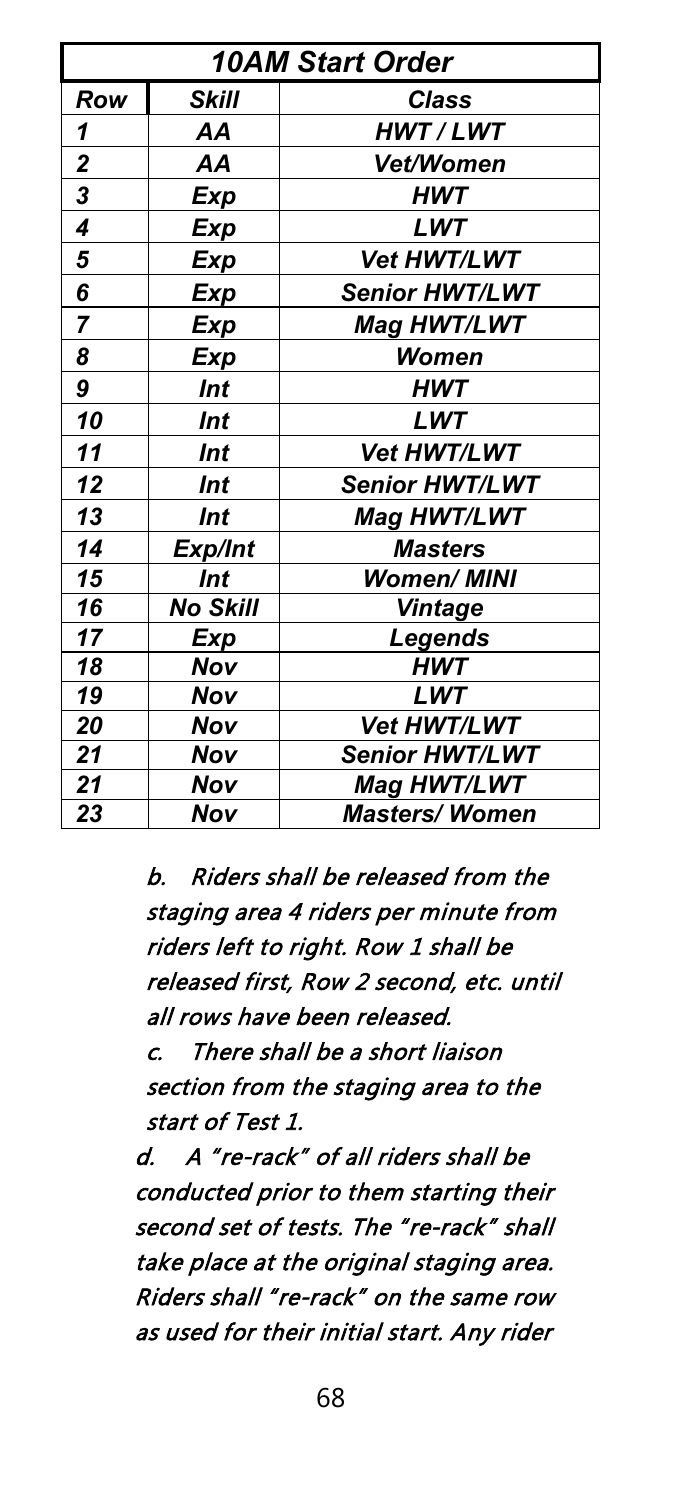| <b>10AM Start Order</b> |                 |                       |  |  |  |  |  |  |  |
|-------------------------|-----------------|-----------------------|--|--|--|--|--|--|--|
| Row                     | Skill           | <b>Class</b>          |  |  |  |  |  |  |  |
| 1                       | AA              | <b>HWT/LWT</b>        |  |  |  |  |  |  |  |
| 2                       | AA              | Vet/Women             |  |  |  |  |  |  |  |
| 3                       | Exp             | HWT                   |  |  |  |  |  |  |  |
| 4                       | <b>Exp</b>      | LWT                   |  |  |  |  |  |  |  |
| 5                       | Exp             | Vet HWT/LWT           |  |  |  |  |  |  |  |
| 6                       | Exp             | Senior HWT/LWT        |  |  |  |  |  |  |  |
| 7                       | <b>Exp</b>      | Mag HWT/LWT           |  |  |  |  |  |  |  |
| 8                       | <b>Exp</b>      | Women                 |  |  |  |  |  |  |  |
| 9                       | <b>Int</b>      | HWT                   |  |  |  |  |  |  |  |
| 10                      | <b>Int</b>      | LWT                   |  |  |  |  |  |  |  |
| 11                      | Int             | Vet HWT/LWT           |  |  |  |  |  |  |  |
| 12                      | Int             | <b>Senior HWT/LWT</b> |  |  |  |  |  |  |  |
| 13                      | Int             | Mag HWT/LWT           |  |  |  |  |  |  |  |
| 14                      | Exp/Int         | <b>Masters</b>        |  |  |  |  |  |  |  |
| 15                      | Int             | <b>Women/ MINI</b>    |  |  |  |  |  |  |  |
| 16                      | <b>No Skill</b> | <b>Vintage</b>        |  |  |  |  |  |  |  |
| 17                      | Exp             | Legends               |  |  |  |  |  |  |  |
| 18                      | Nov             | <b>HWT</b>            |  |  |  |  |  |  |  |
| 19                      | Nov             | LWT                   |  |  |  |  |  |  |  |
| 20                      | Nov             | Vet HWT/LWT           |  |  |  |  |  |  |  |
| 21                      | Nov             | Senior HWT/LWT        |  |  |  |  |  |  |  |
| 21                      | Nov             | Mag HWT/LWT           |  |  |  |  |  |  |  |
| 23                      | Nov             | <b>Masters/Women</b>  |  |  |  |  |  |  |  |

b. Riders shall be released from the staging area 4 riders per minute from riders left to right. Row 1 shall be released first, Row 2 second, etc. until all rows have been released.

c. There shall be a short liaison section from the staging area to the start of Test 1.

d. A "re-rack" of all riders shall be conducted prior to them starting their second set of tests. The "re-rack" shall take place at the original staging area. Riders shall "re-rack" on the same row as used for their initial start. Any rider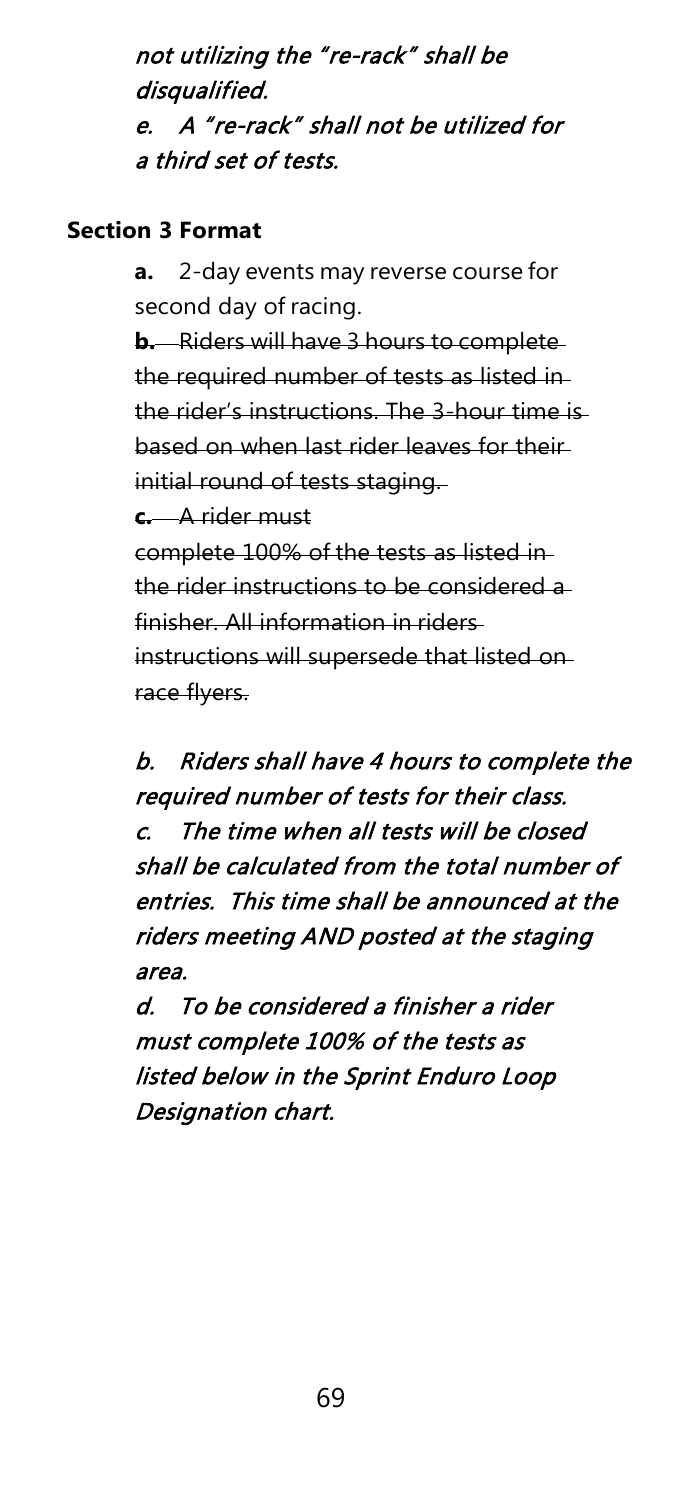not utilizing the "re-rack" shall be disqualified. e. A "re-rack" shall not be utilized for a third set of tests.

#### **Section 3 Format**

**a.** 2-day events may reverse course for second day of racing.

**b.** Riders will have 3 hours to complete the required number of tests as listed in the rider's instructions. The 3-hour time is based on when last rider leaves for their initial round of tests staging. **c.** A rider must complete 100% of the tests as listed in the rider instructions to be considered a finisher. All information in riders instructions will supersede that listed on race flyers.

b. Riders shall have 4 hours to complete the required number of tests for their class. c. The time when all tests will be closed shall be calculated from the total number of entries. This time shall be announced at the riders meeting AND posted at the staging area.

d. To be considered a finisher a rider must complete 100% of the tests as listed below in the Sprint Enduro Loop Designation chart.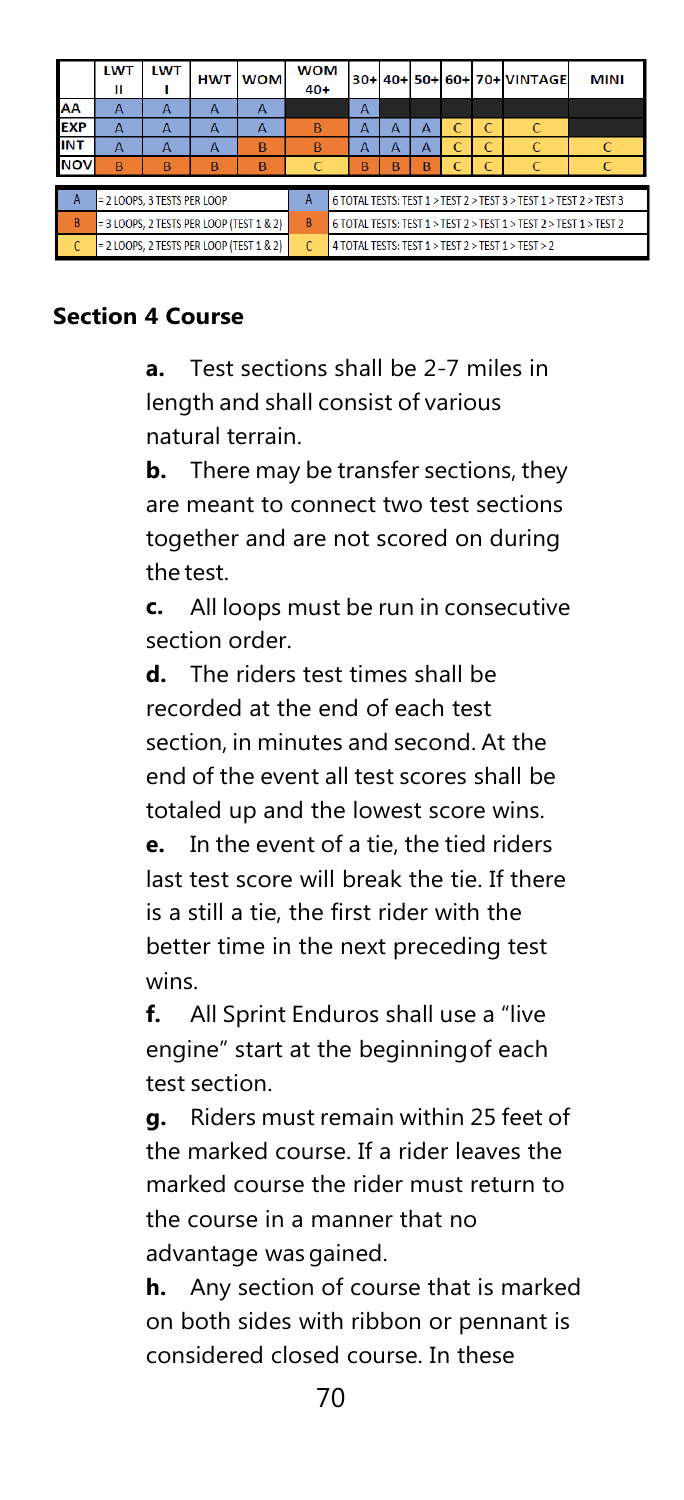|                | <b>LWT</b><br>Ш                          | <b>LWT</b> | <b>HWT</b> | <b>WOM</b>   | <b>WOM</b><br>$40+$ |                                                                                |                |   |   |   |              | 30+ 40+ 50+ 60+ 70+ VINTAGE | <b>MINI</b> |
|----------------|------------------------------------------|------------|------------|--------------|---------------------|--------------------------------------------------------------------------------|----------------|---|---|---|--------------|-----------------------------|-------------|
| AA             | А                                        | A          | A          | $\mathbf{A}$ |                     |                                                                                | $\overline{A}$ |   |   |   |              |                             |             |
| <b>EXP</b>     | А                                        |            | А          | А            | $\overline{B}$      |                                                                                | A              | A | A | C | C            | $\epsilon$                  |             |
| <b>INT</b>     | A                                        | А          | А          | B            | $\mathsf{B}$        |                                                                                | А              | A | A |   | C            |                             |             |
| <b>NOV</b>     | B                                        | B          | B          | B            | C                   |                                                                                | B              | B | B |   | $\mathsf{C}$ |                             |             |
|                |                                          |            |            |              |                     |                                                                                |                |   |   |   |              |                             |             |
| A              | = 2 LOOPS. 3 TESTS PER LOOP              |            |            |              |                     | 6 TOTAL TESTS: TEST 1 > TEST 2 > TEST 3 > TEST 1 > TEST 2 > TEST 3             |                |   |   |   |              |                             |             |
| $\overline{B}$ | = 3 LOOPS, 2 TESTS PER LOOP (TEST 1 & 2) |            |            |              | R.                  | 6 TOTAL TESTS: TEST $1 >$ TEST $2 >$ TEST $1 >$ TEST $2 >$ TEST $1 >$ TEST $2$ |                |   |   |   |              |                             |             |
|                | = 2 LOOPS, 2 TESTS PER LOOP (TEST 1 & 2) |            |            |              | C.                  | 4 TOTAL TESTS: TEST 1 > TEST 2 > TEST 1 > TEST > 2                             |                |   |   |   |              |                             |             |

#### **Section 4 Course**

**a.** Test sections shall be 2-7 miles in length and shall consist of various natural terrain.

**b.** There may be transfer sections, they are meant to connect two test sections together and are not scored on during the test.

**c.** All loops must be run in consecutive section order.

**d.** The riders test times shall be recorded at the end of each test section, in minutes and second. At the end of the event all test scores shall be totaled up and the lowest score wins. **e.** In the event of a tie, the tied riders last test score will break the tie. If there

is a still a tie, the first rider with the better time in the next preceding test wins.

**f.** All Sprint Enduros shall use a "live engine" start at the beginningof each test section.

**g.** Riders must remain within 25 feet of the marked course. If a rider leaves the marked course the rider must return to the course in a manner that no advantage wasgained.

**h.** Any section of course that is marked on both sides with ribbon or pennant is considered closed course. In these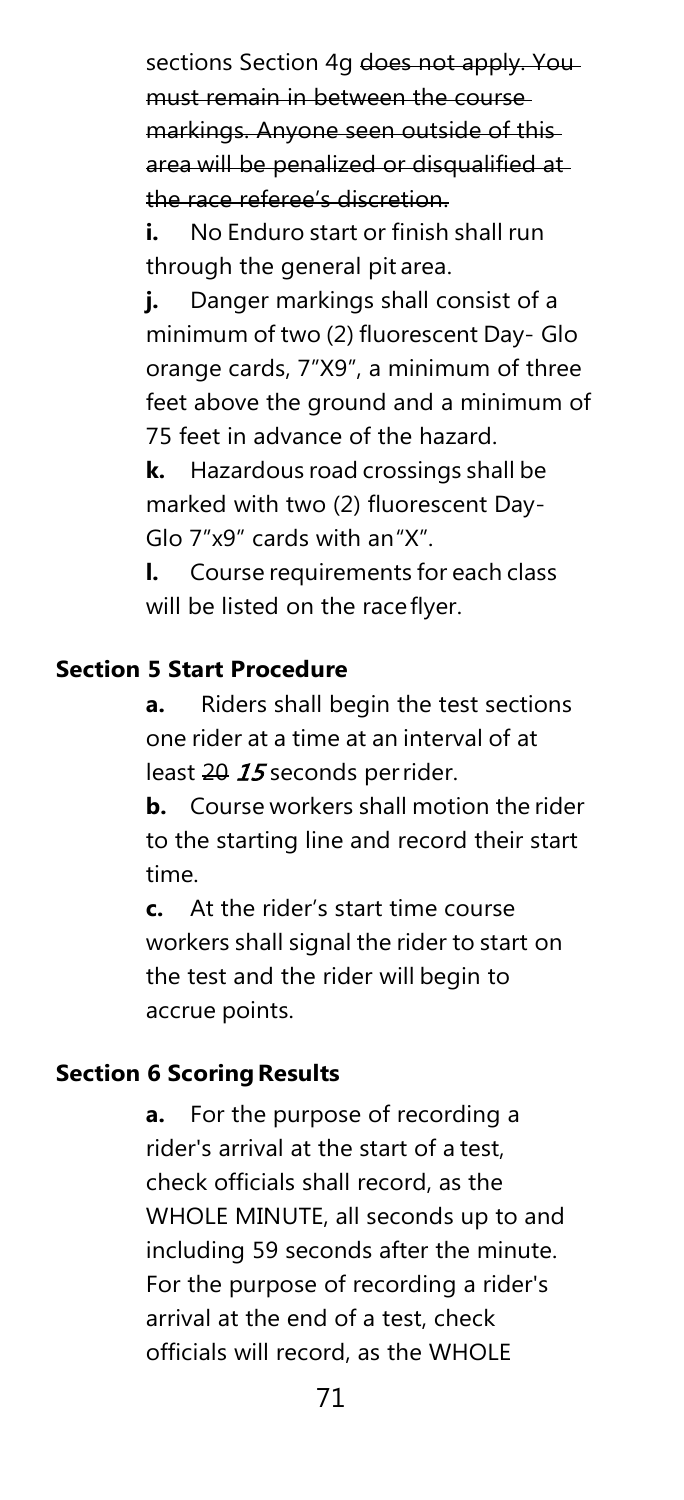sections Section 4g does not apply. You must remain in between the course markings. Anyone seen outside of this area will be penalized or disqualified at the race referee's discretion.

**i.** No Enduro start or finish shall run through the general pit area.

**j.** Danger markings shall consist of a minimum of two (2) fluorescent Day- Glo orange cards, 7"X9", a minimum of three feet above the ground and a minimum of 75 feet in advance of the hazard.

**k.** Hazardous road crossings shall be marked with two (2) fluorescent Day-Glo 7"x9" cards with an"X".

**l.** Course requirements for each class will be listed on the raceflyer.

#### **Section 5 Start Procedure**

**a.** Riders shall begin the test sections one rider at a time at an interval of at least 20 15 seconds perrider.

**b.** Course workers shall motion the rider to the starting line and record their start time.

**c.** At the rider's start time course workers shall signal the rider to start on the test and the rider will begin to accrue points.

#### **Section 6 Scoring Results**

**a.** For the purpose of recording a rider's arrival at the start of a test, check officials shall record, as the WHOLE MINUTE, all seconds up to and including 59 seconds after the minute. For the purpose of recording a rider's arrival at the end of a test, check officials will record, as the WHOLE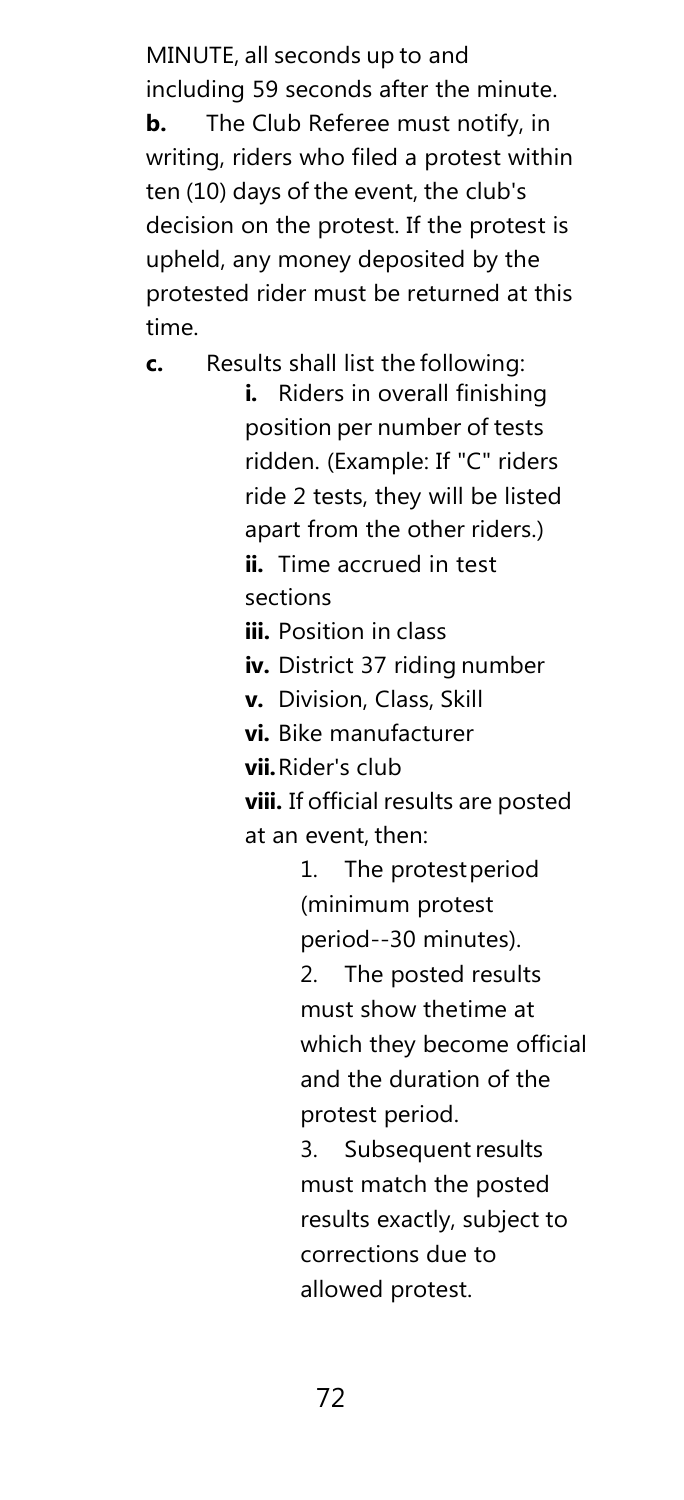MINUTE, all seconds up to and including 59 seconds after the minute. **b.** The Club Referee must notify, in writing, riders who filed a protest within ten (10) days of the event, the club's decision on the protest. If the protest is upheld, any money deposited by the protested rider must be returned at this time.

**c.** Results shall list the following:

**i.** Riders in overall finishing position per number of tests ridden. (Example: If "C" riders ride 2 tests, they will be listed apart from the other riders.) **ii.** Time accrued in test sections

**iii.** Position in class

**iv.** District 37 riding number

**v.** Division, Class, Skill

**vi.** Bike manufacturer

**vii.**Rider's club

**viii.** If official results are posted at an event, then:

> 1. The protestperiod (minimum protest period--30 minutes).

2. The posted results must show thetime at which they become official and the duration of the protest period.

3. Subsequent results must match the posted results exactly, subject to corrections due to allowed protest.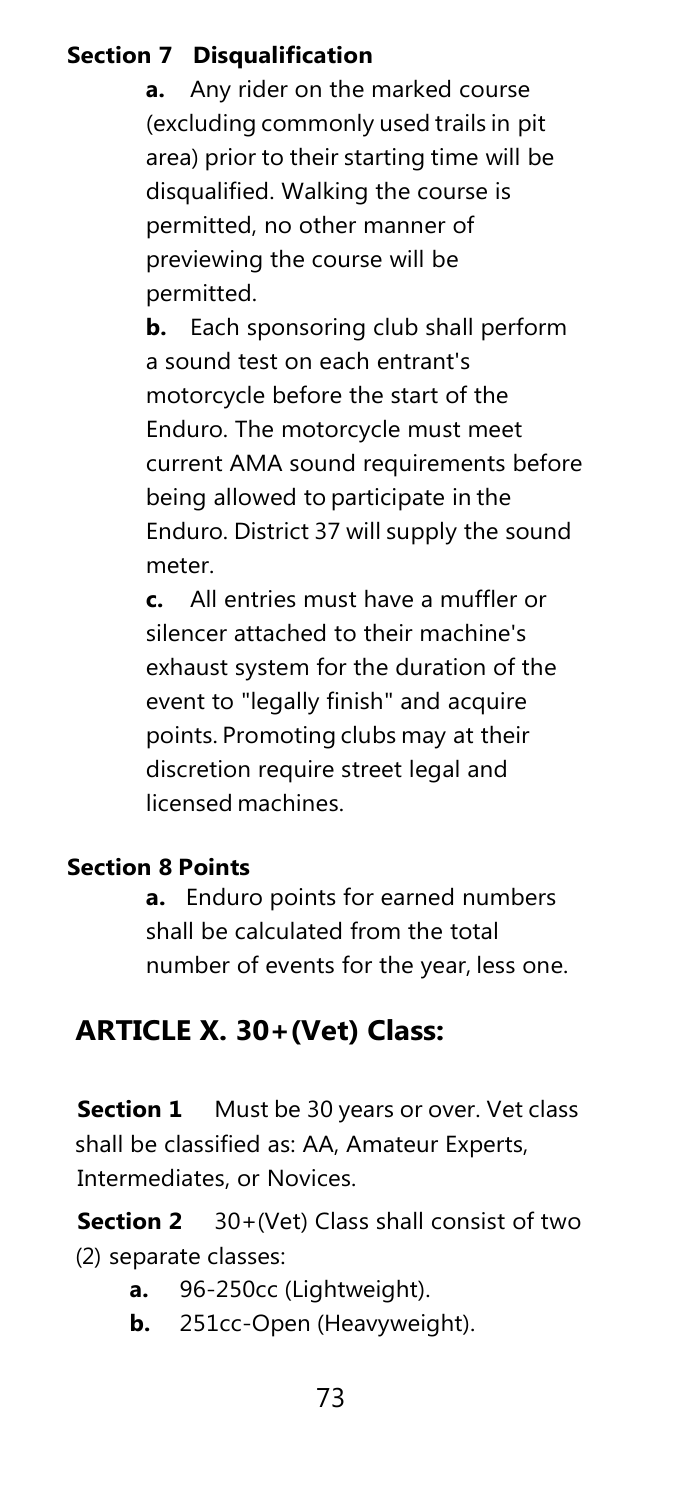### **Section 7 Disqualification**

**a.** Any rider on the marked course (excluding commonly used trails in pit area) prior to their starting time will be disqualified. Walking the course is permitted, no other manner of previewing the course will be permitted.

**b.** Each sponsoring club shall perform a sound test on each entrant's motorcycle before the start of the Enduro. The motorcycle must meet current AMA sound requirements before being allowed to participate in the Enduro. District 37 will supply the sound meter.

**c.** All entries must have a muffler or silencer attached to their machine's exhaust system for the duration of the event to "legally finish" and acquire points. Promoting clubs may at their discretion require street legal and licensed machines.

#### **Section 8 Points**

**a.** Enduro points for earned numbers shall be calculated from the total number of events for the year, less one.

### **ARTICLE X. 30+(Vet) Class:**

**Section 1** Must be 30 years or over. Vet class shall be classified as: AA, Amateur Experts, Intermediates, or Novices.

**Section 2** 30+(Vet) Class shall consist of two (2) separate classes:

- **a.** 96-250cc (Lightweight).
- **b.** 251cc-Open (Heavyweight).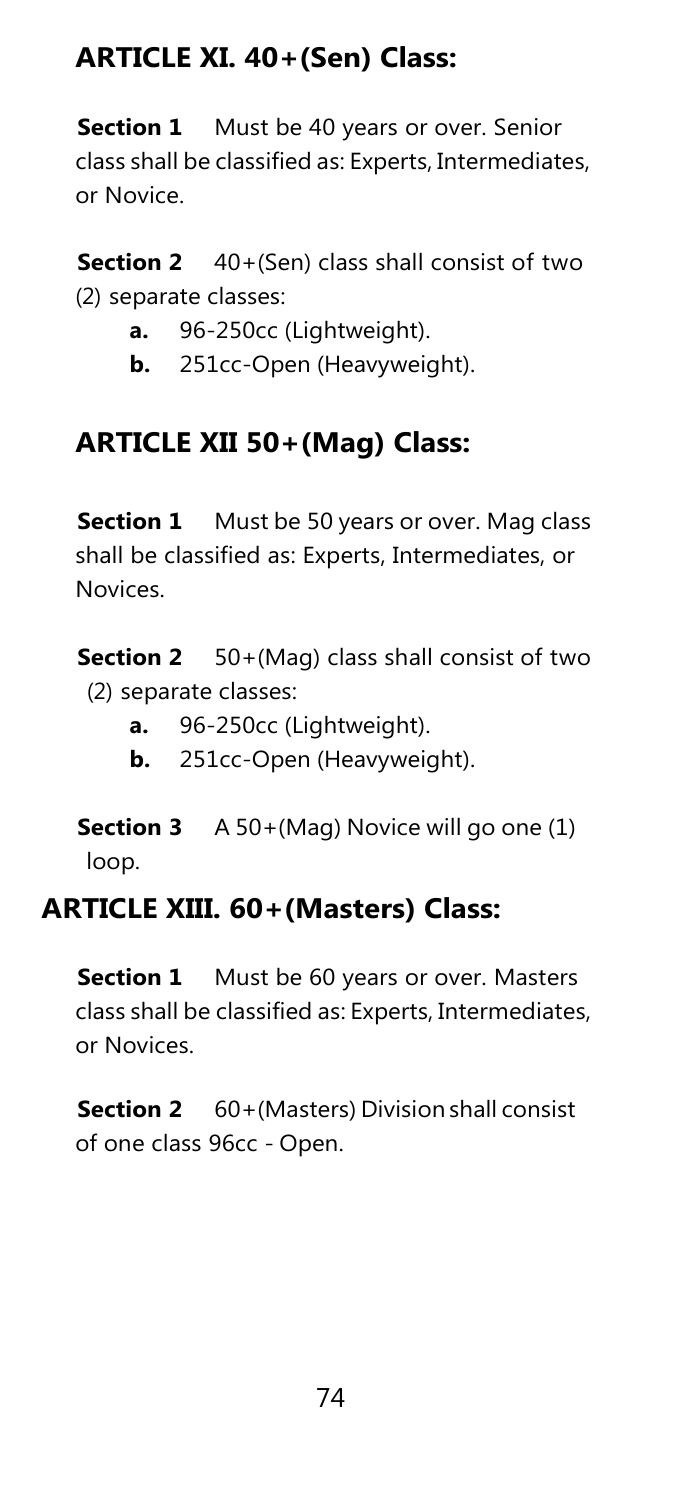### **ARTICLE XI. 40+(Sen) Class:**

**Section 1** Must be 40 years or over. Senior class shall be classified as: Experts, Intermediates, or Novice.

**Section 2** 40+(Sen) class shall consist of two (2) separate classes:

- **a.** 96-250cc (Lightweight).
- **b.** 251cc-Open (Heavyweight).

### **ARTICLE XII 50+(Mag) Class:**

**Section 1** Must be 50 years or over. Mag class shall be classified as: Experts, Intermediates, or Novices.

**Section 2** 50+(Mag) class shall consist of two (2) separate classes:

- **a.** 96-250cc (Lightweight).
- **b.** 251cc-Open (Heavyweight).

**Section 3** A 50+(Mag) Novice will go one (1) loop.

### **ARTICLE XIII. 60+(Masters) Class:**

**Section 1** Must be 60 years or over. Masters class shall be classified as: Experts, Intermediates, or Novices.

**Section 2** 60+(Masters) Division shall consist of one class 96cc - Open.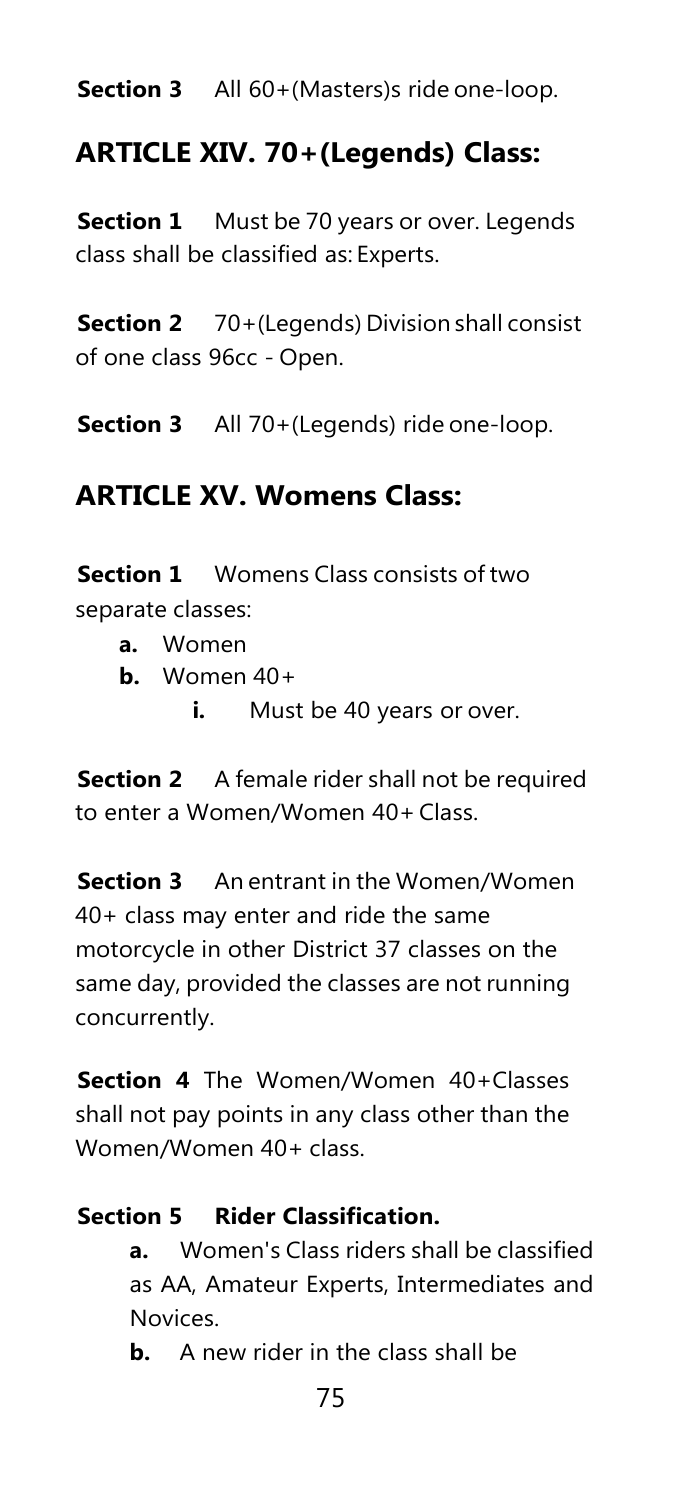**Section 3** All 60+(Masters)s ride one-loop.

### **ARTICLE XIV. 70+(Legends) Class:**

**Section 1** Must be 70 years or over. Legends class shall be classified as: Experts.

**Section 2** 70+(Legends) Division shall consist of one class 96cc - Open.

**Section 3** All 70+(Legends) ride one-loop.

### **ARTICLE XV. Womens Class:**

**Section 1** Womens Class consists of two separate classes:

- **a.** Women
- **b.** Women 40+
	- **i.** Must be 40 years or over.

**Section 2** A female rider shall not be required to enter a Women/Women 40+Class.

**Section 3** An entrant in the Women/Women 40+ class may enter and ride the same motorcycle in other District 37 classes on the same day, provided the classes are not running concurrently.

**Section 4** The Women/Women 40+Classes shall not pay points in any class other than the Women/Women 40+ class.

#### **Section 5 Rider Classification.**

**a.** Women's Class riders shall be classified as AA, Amateur Experts, Intermediates and Novices.

**b.** A new rider in the class shall be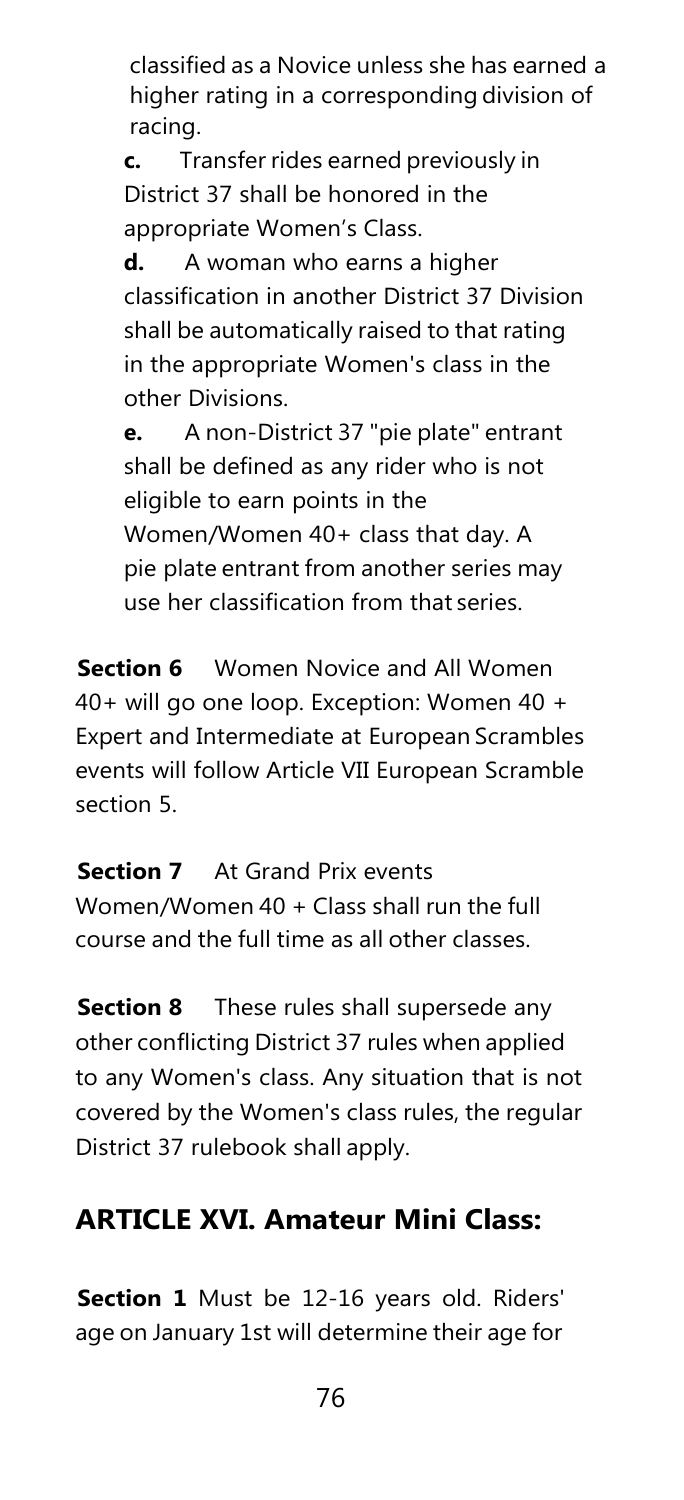classified as a Novice unless she has earned a higher rating in a corresponding division of racing.

**c.** Transfer rides earned previously in District 37 shall be honored in the appropriate Women's Class.

**d.** A woman who earns a higher classification in another District 37 Division shall be automatically raised to that rating in the appropriate Women's class in the other Divisions.

**e.** A non-District 37 "pie plate" entrant shall be defined as any rider who is not eligible to earn points in the Women/Women 40+ class that day. A pie plate entrant from another series may use her classification from that series.

**Section 6** Women Novice and All Women 40+ will go one loop. Exception: Women 40 + Expert and Intermediate at European Scrambles events will follow Article VII European Scramble section 5.

**Section 7** At Grand Prix events Women/Women 40 + Class shall run the full course and the full time as all other classes.

**Section 8** These rules shall supersede any other conflicting District 37 rules when applied to any Women's class. Any situation that is not covered by the Women's class rules, the regular District 37 rulebook shall apply.

### **ARTICLE XVI. Amateur Mini Class:**

**Section 1** Must be 12-16 years old. Riders' age on January 1st will determine their age for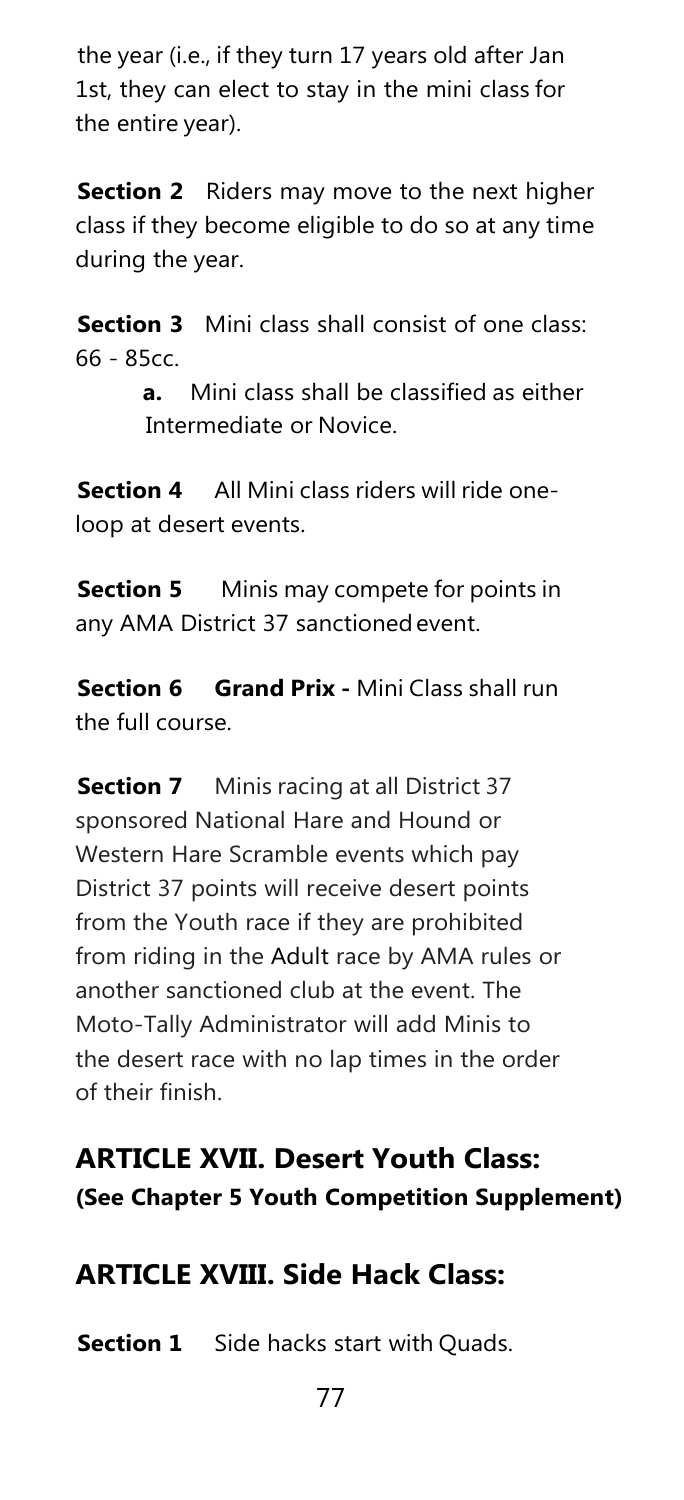the year (i.e., if they turn 17 years old after Jan 1st, they can elect to stay in the mini class for the entire year).

**Section 2** Riders may move to the next higher class if they become eligible to do so at any time during the year.

**Section 3** Mini class shall consist of one class: 66 - 85cc.

> **a.** Mini class shall be classified as either Intermediate or Novice.

**Section 4** All Mini class riders will ride oneloop at desert events.

**Section 5** Minis may compete for points in any AMA District 37 sanctioned event.

**Section 6 Grand Prix -** Mini Class shall run the full course.

**Section 7** Minis racing at all District 37 sponsored National Hare and Hound or Western Hare Scramble events which pay District 37 points will receive desert points from the Youth race if they are prohibited from riding in the Adult race by AMA rules or another sanctioned club at the event. The Moto-Tally Administrator will add Minis to the desert race with no lap times in the order of their finish.

### **ARTICLE XVII. Desert Youth Class: (See Chapter 5 Youth Competition Supplement)**

### **ARTICLE XVIII. Side Hack Class:**

**Section 1** Side hacks start with Quads.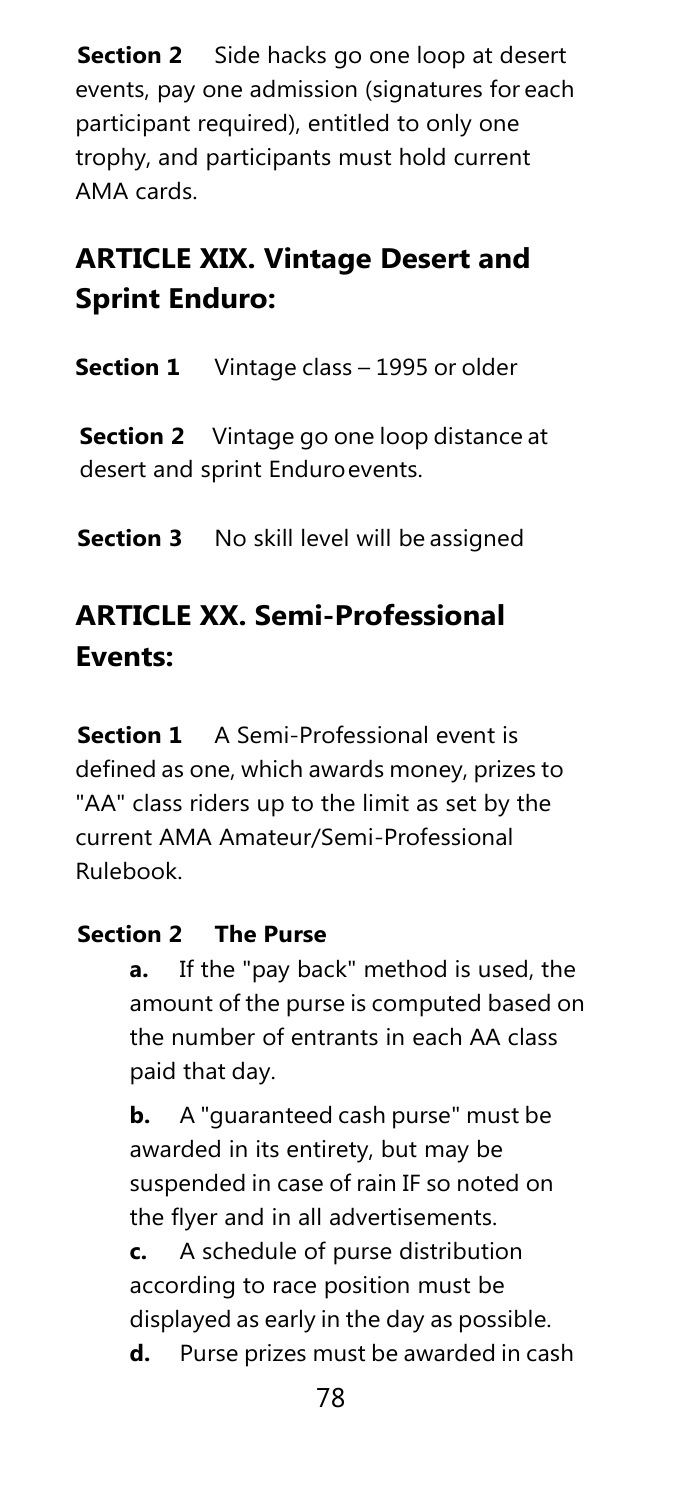**Section 2** Side hacks go one loop at desert events, pay one admission (signatures for each participant required), entitled to only one trophy, and participants must hold current AMA cards.

### **ARTICLE XIX. Vintage Desert and Sprint Enduro:**

**Section 1** Vintage class – 1995 or older

**Section 2** Vintage go one loop distance at desert and sprint Enduroevents.

**Section 3** No skill level will be assigned

### **ARTICLE XX. Semi-Professional Events:**

**Section 1** A Semi-Professional event is defined as one, which awards money, prizes to "AA" class riders up to the limit as set by the current AMA Amateur/Semi-Professional Rulebook.

#### **Section 2 The Purse**

**a.** If the "pay back" method is used, the amount of the purse is computed based on the number of entrants in each AA class paid that day.

**b.** A "guaranteed cash purse" must be awarded in its entirety, but may be suspended in case of rain IF so noted on the flyer and in all advertisements.

**c.** A schedule of purse distribution according to race position must be displayed as early in the day as possible.

**d.** Purse prizes must be awarded in cash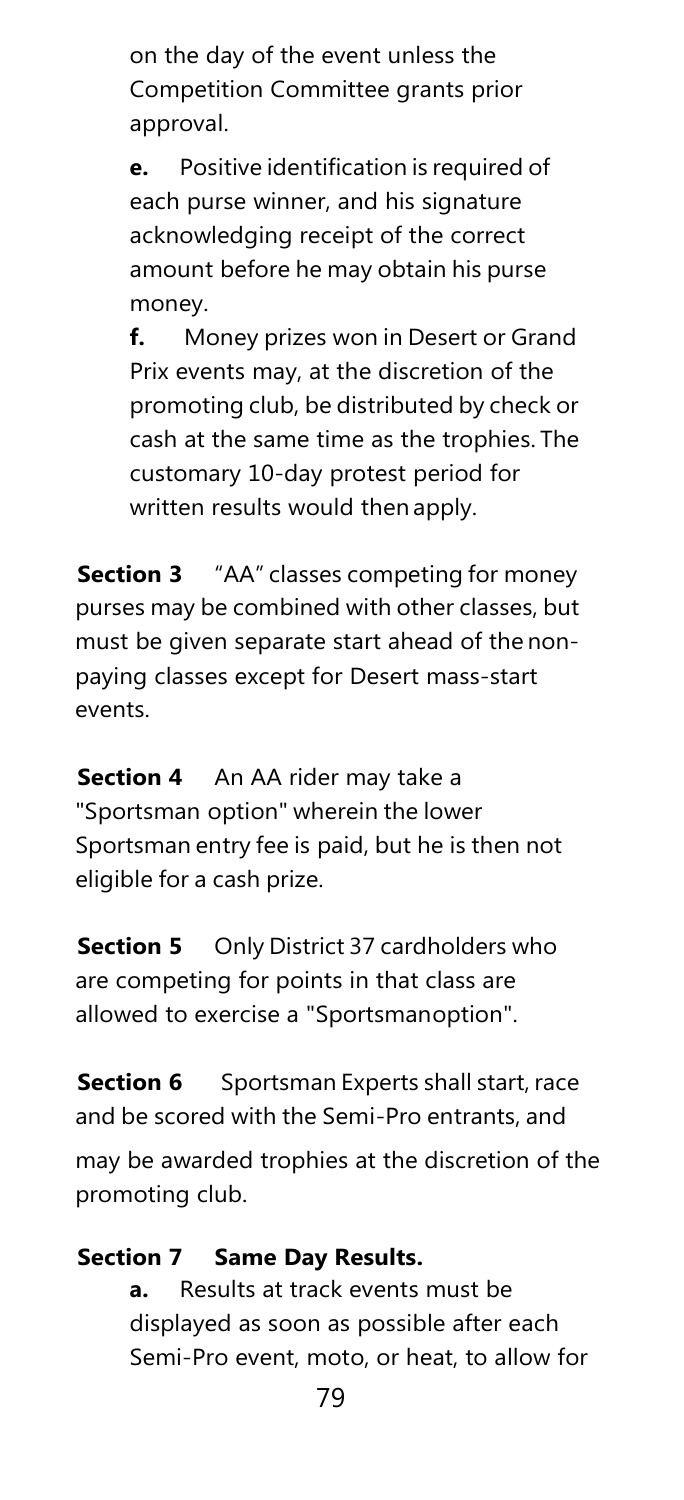on the day of the event unless the Competition Committee grants prior approval.

**e.** Positive identification is required of each purse winner, and his signature acknowledging receipt of the correct amount before he may obtain his purse money.

**f.** Money prizes won in Desert or Grand Prix events may, at the discretion of the promoting club, be distributed by check or cash at the same time as the trophies. The customary 10-day protest period for written results would then apply.

**Section 3** "AA" classes competing for money purses may be combined with other classes, but must be given separate start ahead of the nonpaying classes except for Desert mass-start events.

**Section 4** An AA rider may take a "Sportsman option" wherein the lower Sportsman entry fee is paid, but he is then not eligible for a cash prize.

**Section 5** Only District 37 cardholders who are competing for points in that class are allowed to exercise a "Sportsmanoption".

**Section 6** Sportsman Experts shall start, race and be scored with the Semi-Pro entrants, and

may be awarded trophies at the discretion of the promoting club.

#### **Section 7 Same Day Results.**

**a.** Results at track events must be displayed as soon as possible after each Semi-Pro event, moto, or heat, to allow for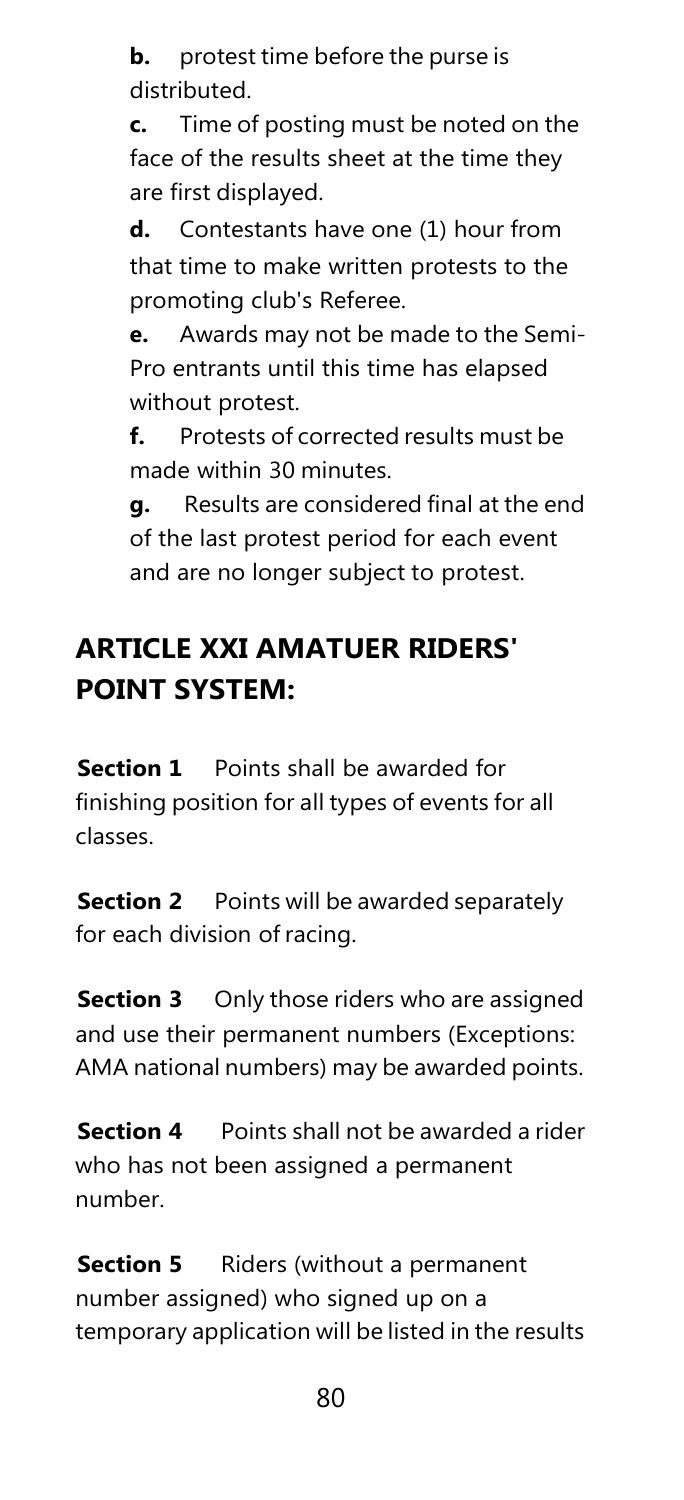**b.** protest time before the purse is distributed.

**c.** Time of posting must be noted on the face of the results sheet at the time they are first displayed.

**d.** Contestants have one (1) hour from that time to make written protests to the promoting club's Referee.

**e.** Awards may not be made to the Semi-Pro entrants until this time has elapsed without protest.

**f.** Protests of corrected results must be made within 30 minutes.

**g.** Results are considered final at the end of the last protest period for each event and are no longer subject to protest.

### **ARTICLE XXI AMATUER RIDERS' POINT SYSTEM:**

**Section 1** Points shall be awarded for finishing position for all types of events for all classes.

**Section 2** Points will be awarded separately for each division of racing.

**Section 3** Only those riders who are assigned and use their permanent numbers (Exceptions: AMA national numbers) may be awarded points.

**Section 4** Points shall not be awarded a rider who has not been assigned a permanent number.

**Section 5** Riders (without a permanent number assigned) who signed up on a temporary application will be listed in the results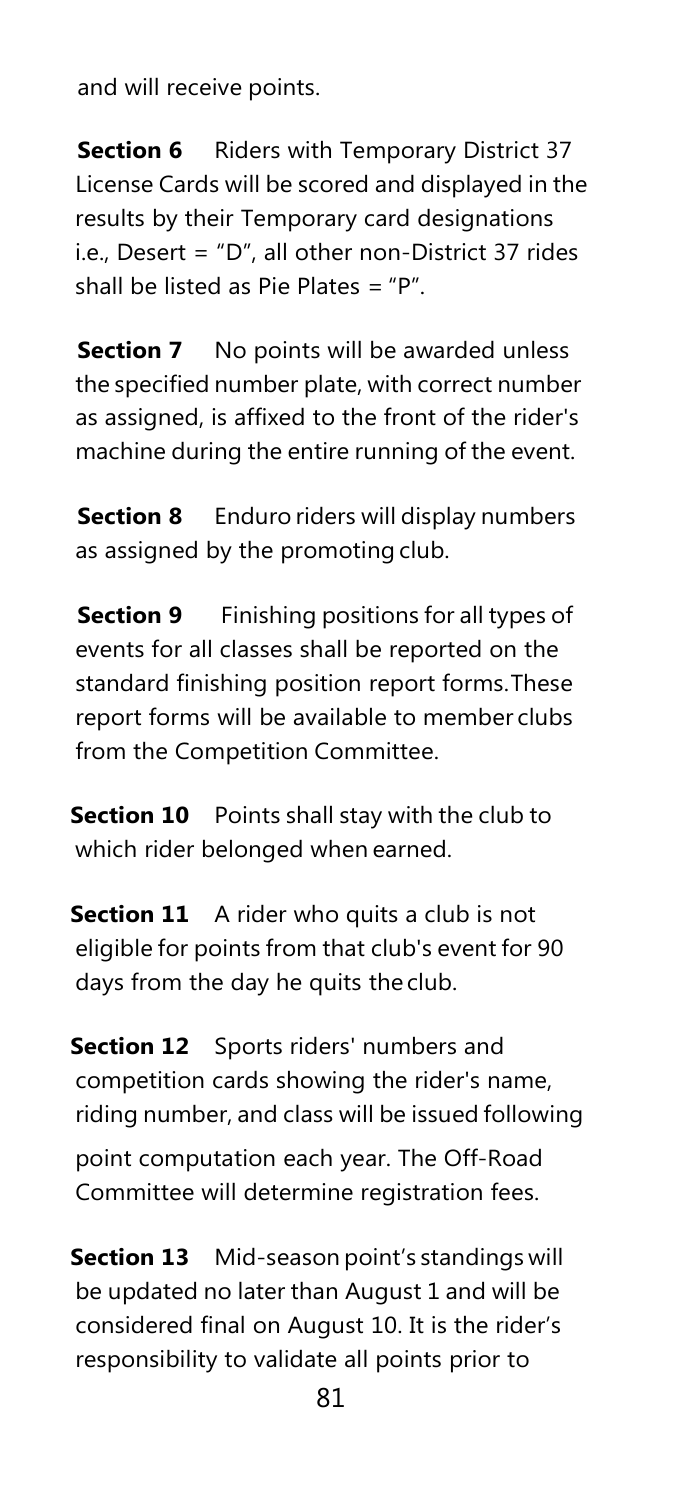and will receive points.

**Section 6** Riders with Temporary District 37 License Cards will be scored and displayed in the results by their Temporary card designations i.e., Desert = "D", all other non-District 37 rides shall be listed as Pie Plates  $=$  "P".

**Section 7** No points will be awarded unless the specified number plate, with correct number as assigned, is affixed to the front of the rider's machine during the entire running of the event.

**Section 8** Enduro riders will display numbers as assigned by the promoting club.

**Section 9** Finishing positions for all types of events for all classes shall be reported on the standard finishing position report forms.These report forms will be available to member clubs from the Competition Committee.

**Section 10** Points shall stay with the club to which rider belonged when earned.

**Section 11** A rider who quits a club is not eligible for points from that club's event for 90 days from the day he quits the club.

**Section 12** Sports riders' numbers and competition cards showing the rider's name, riding number, and class will be issued following

point computation each year. The Off-Road Committee will determine registration fees.

**Section 13** Mid-season point's standings will be updated no later than August 1 and will be considered final on August 10. It is the rider's responsibility to validate all points prior to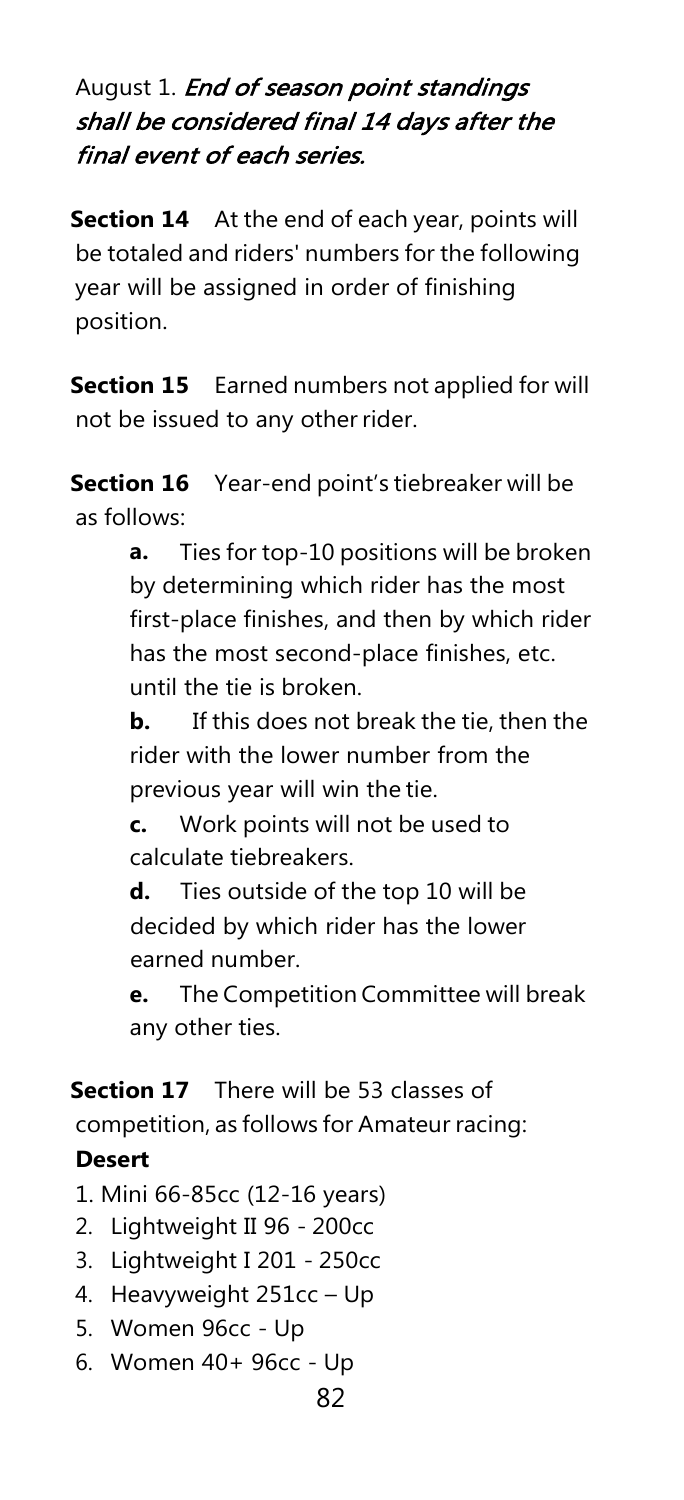#### August 1. End of season point standings shall be considered final 14 days after the final event of each series.

**Section 14** At the end of each year, points will be totaled and riders' numbers for the following year will be assigned in order of finishing position.

**Section 15** Earned numbers not applied for will not be issued to any other rider.

**Section 16** Year-end point's tiebreaker will be as follows:

> **a.** Ties for top-10 positions will be broken by determining which rider has the most first-place finishes, and then by which rider has the most second-place finishes, etc. until the tie is broken.

> **b.** If this does not break the tie, then the rider with the lower number from the previous year will win the tie.

**c.** Work points will not be used to calculate tiebreakers.

**d.** Ties outside of the top 10 will be decided by which rider has the lower earned number.

**e.** The Competition Committee will break any other ties.

**Section 17** There will be 53 classes of

competition, as follows for Amateur racing:

#### **Desert**

- 1. Mini 66-85cc (12-16 years)
- 2. Lightweight II 96 200cc
- 3. Lightweight I 201 250cc
- 4. Heavyweight 251cc Up
- 5. Women 96cc Up
- 6. Women 40+ 96cc Up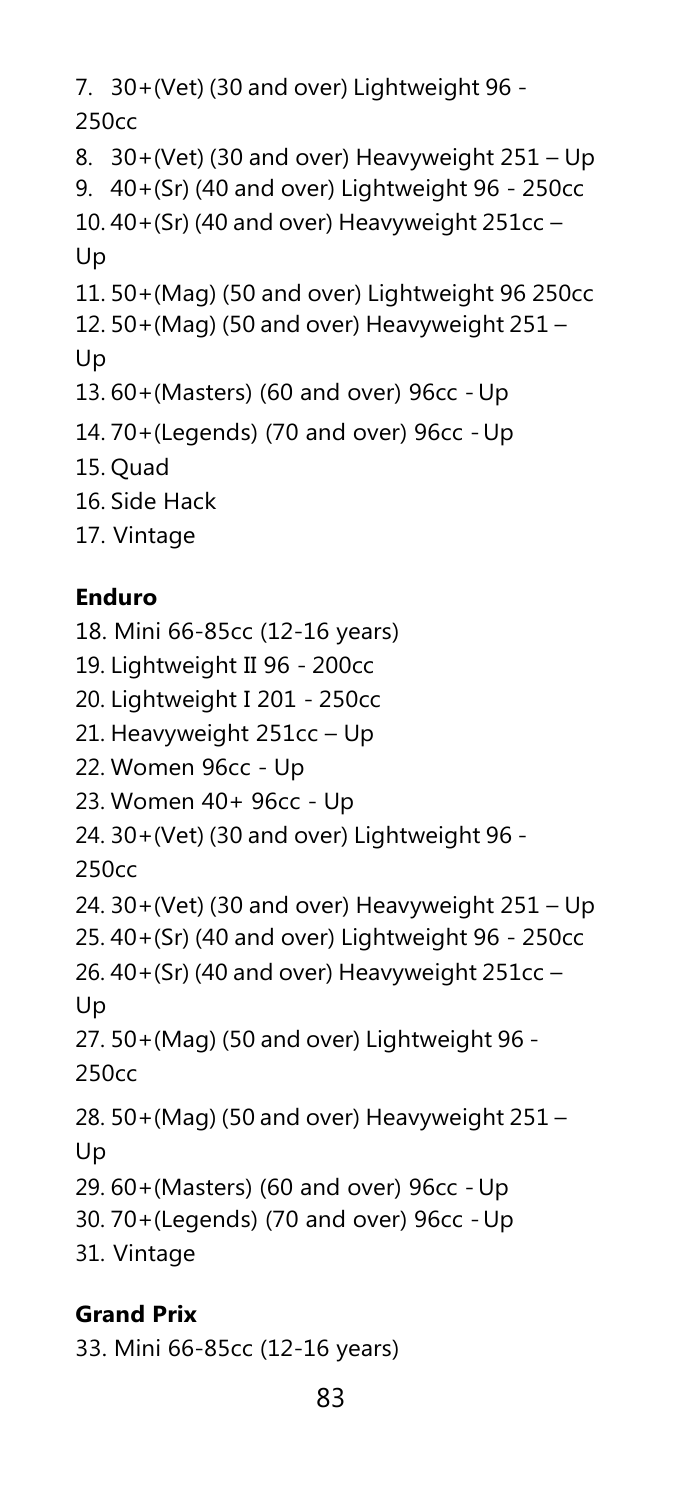```
7. 30+(Vet) (30 and over) Lightweight 96 -
250cc
8. 30+(Vet) (30 and over) Heavyweight 251 – Up
9. 40+(Sr) (40 and over) Lightweight 96 - 250cc
10. 40+(Sr) (40 and over) Heavyweight 251cc –
Up
11. 50+(Mag) (50 and over) Lightweight 96 250cc
12. 50+(Mag) (50 and over) Heavyweight 251 –
Up
13. 60+(Masters) (60 and over) 96cc -Up
14. 70+(Legends) (70 and over) 96cc -Up
15. Quad
16. Side Hack
17. Vintage
```
#### **Enduro**

18. Mini 66-85cc (12-16 years) 19. Lightweight II 96 - 200cc 20. Lightweight I 201 - 250cc 21. Heavyweight 251cc – Up 22. Women 96cc - Up 23. Women 40+ 96cc - Up 24. 30+(Vet) (30 and over) Lightweight 96 - 250cc 24. 30+(Vet) (30 and over) Heavyweight 251 – Up 25. 40+(Sr) (40 and over) Lightweight 96 - 250cc 26. 40+(Sr) (40 and over) Heavyweight 251cc – Up 27. 50+(Mag) (50 and over) Lightweight 96 - 250cc 28. 50+(Mag) (50 and over) Heavyweight 251 – Up 29. 60+(Masters) (60 and over) 96cc -Up 30. 70+(Legends) (70 and over) 96cc -Up 31. Vintage

#### **Grand Prix**

33. Mini 66-85cc (12-16 years)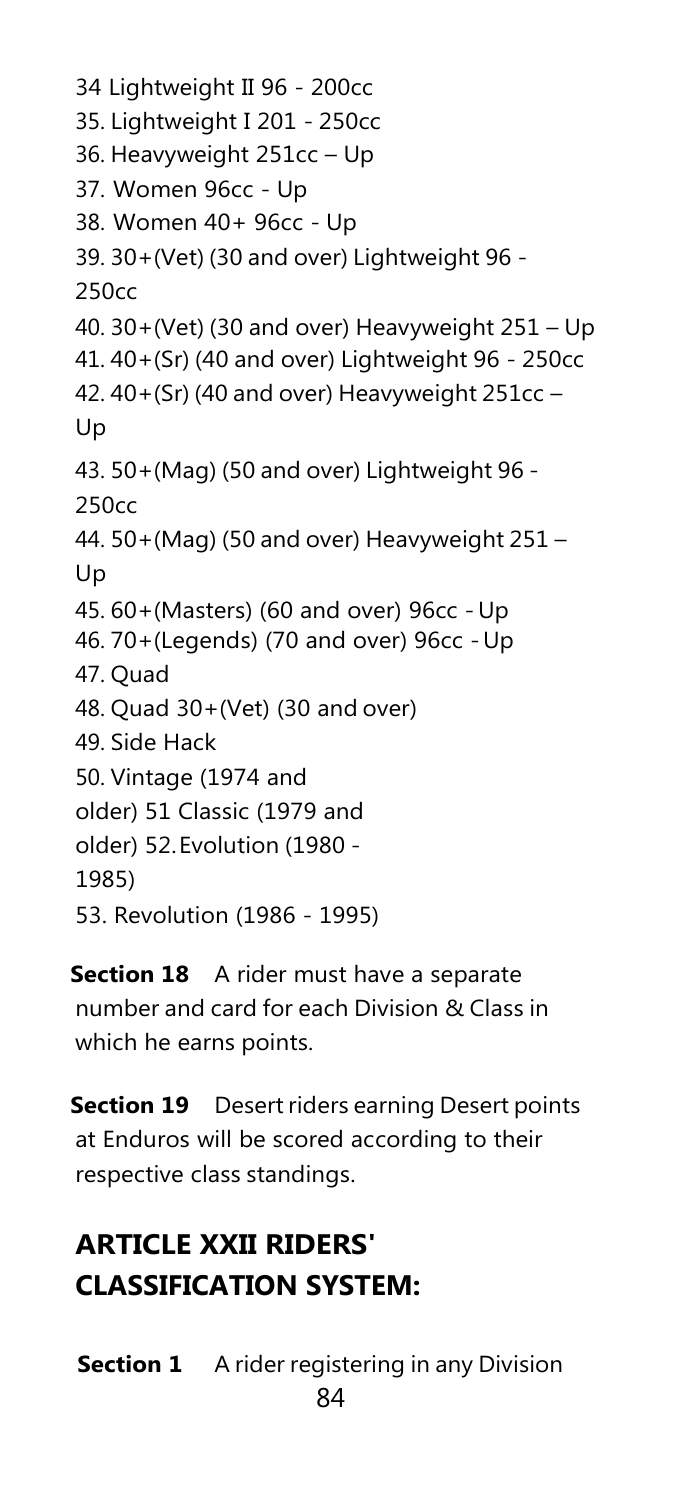```
34 Lightweight II 96 - 200cc
35. Lightweight I 201 - 250cc
36. Heavyweight 251cc – Up
37. Women 96cc - Up
38. Women 40+ 96cc - Up
39. 30+(Vet) (30 and over) Lightweight 96 -
250cc
40. 30+(Vet) (30 and over) Heavyweight 251 – Up
41. 40+(Sr) (40 and over) Lightweight 96 - 250cc
42. 40+(Sr) (40 and over) Heavyweight 251cc –
Up
43. 50+(Mag) (50 and over) Lightweight 96 -
250cc
44. 50+(Mag) (50 and over) Heavyweight 251 –
Up
45. 60+(Masters) (60 and over) 96cc -Up
46. 70+(Legends) (70 and over) 96cc -Up
47. Quad
48. Quad 30+(Vet) (30 and over)
49. Side Hack
50. Vintage (1974 and 
older) 51 Classic (1979 and 
older) 52.Evolution (1980 -
1985)
53. Revolution (1986 - 1995)
```
**Section 18** A rider must have a separate number and card for each Division & Class in which he earns points.

**Section 19** Desert riders earning Desert points at Enduros will be scored according to their respective class standings.

### **ARTICLE XXII RIDERS' CLASSIFICATION SYSTEM:**

84 **Section 1** A rider registering in any Division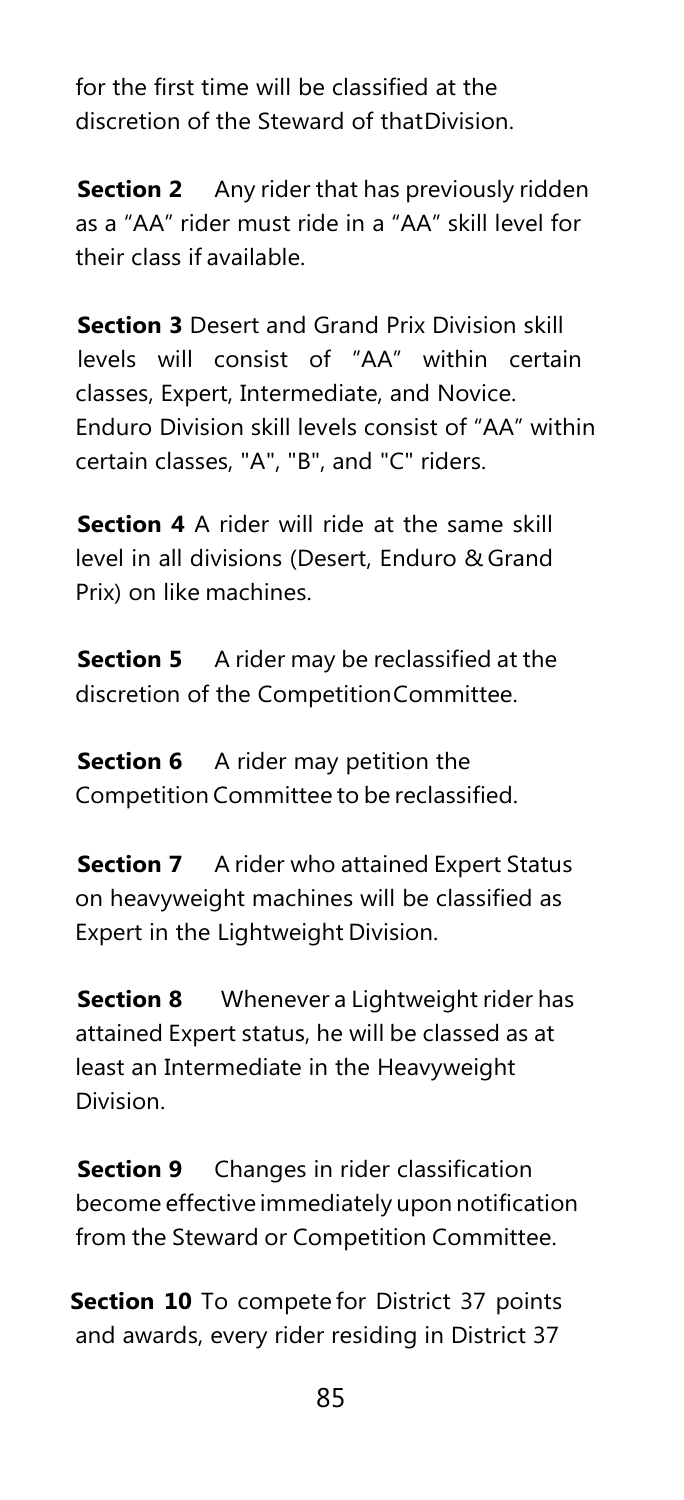for the first time will be classified at the discretion of the Steward of thatDivision.

**Section 2** Any rider that has previously ridden as a "AA" rider must ride in a "AA" skill level for their class if available.

**Section 3** Desert and Grand Prix Division skill levels will consist of "AA" within certain classes, Expert, Intermediate, and Novice. Enduro Division skill levels consist of "AA" within certain classes, "A", "B", and "C" riders.

**Section 4** A rider will ride at the same skill level in all divisions (Desert, Enduro & Grand Prix) on like machines.

**Section 5** A rider may be reclassified at the discretion of the CompetitionCommittee.

**Section 6** A rider may petition the Competition Committee to be reclassified.

**Section 7** A rider who attained Expert Status on heavyweight machines will be classified as Expert in the Lightweight Division.

**Section 8** Whenever a Lightweight rider has attained Expert status, he will be classed as at least an Intermediate in the Heavyweight Division.

**Section 9** Changes in rider classification become effective immediately upon notification from the Steward or Competition Committee.

**Section 10** To compete for District 37 points and awards, every rider residing in District 37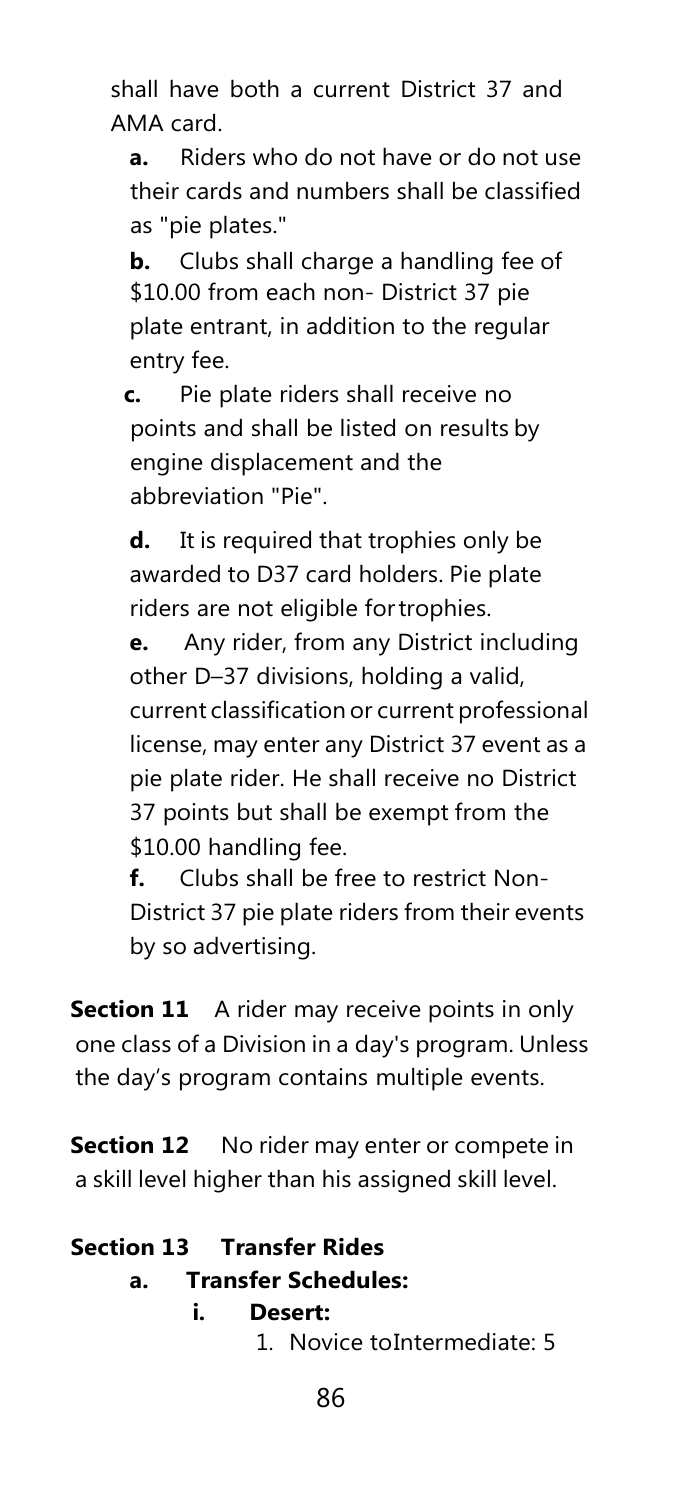shall have both a current District 37 and AMA card.

**a.** Riders who do not have or do not use their cards and numbers shall be classified as "pie plates."

**b.** Clubs shall charge a handling fee of \$10.00 from each non- District 37 pie plate entrant, in addition to the regular entry fee.

**c.** Pie plate riders shall receive no points and shall be listed on results by engine displacement and the abbreviation "Pie".

**d.** It is required that trophies only be awarded to D37 card holders. Pie plate riders are not eligible fortrophies.

**e.** Any rider, from any District including other D–37 divisions, holding a valid, current classification or current professional license, may enter any District 37 event as a pie plate rider. He shall receive no District 37 points but shall be exempt from the \$10.00 handling fee.

**f.** Clubs shall be free to restrict Non-District 37 pie plate riders from their events by so advertising.

**Section 11** A rider may receive points in only one class of a Division in a day's program. Unless the day's program contains multiple events.

**Section 12** No rider may enter or compete in a skill level higher than his assigned skill level.

#### **Section 13 Transfer Rides**

#### **a. Transfer Schedules:**

#### **i. Desert:**

1. Novice toIntermediate: 5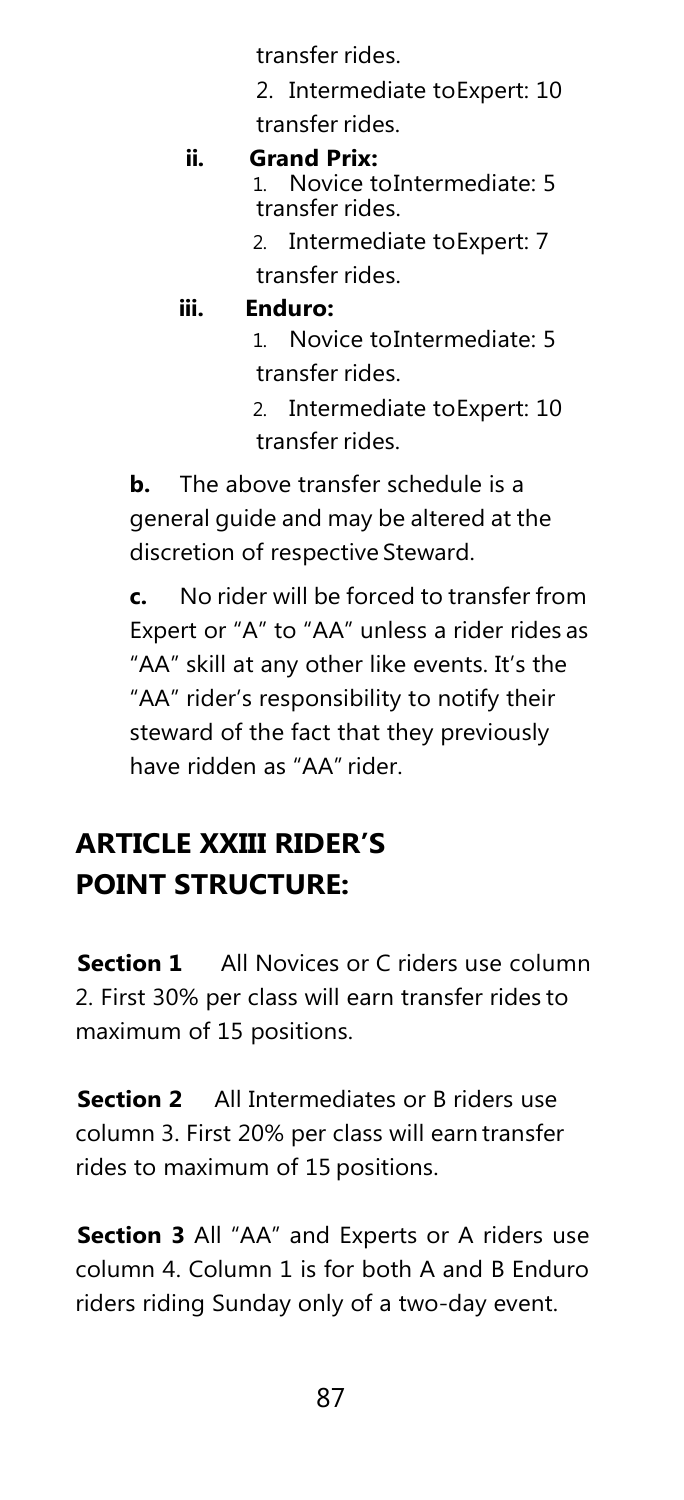transfer rides.

2. Intermediate toExpert: 10 transfer rides.

# **ii. Grand Prix:**

Novice toIntermediate: 5 transfer rides.

2. Intermediate toExpert: 7 transfer rides.

#### **iii. Enduro:**

1. Novice toIntermediate: 5 transfer rides.

2. Intermediate toExpert: 10 transfer rides.

**b.** The above transfer schedule is a general guide and may be altered at the discretion of respective Steward.

**c.** No rider will be forced to transfer from Expert or "A" to "AA" unless a rider rides as "AA" skill at any other like events. It's the "AA" rider's responsibility to notify their steward of the fact that they previously have ridden as "AA" rider.

### **ARTICLE XXIII RIDER'S POINT STRUCTURE:**

**Section 1** All Novices or C riders use column 2. First 30% per class will earn transfer rides to maximum of 15 positions.

**Section 2** All Intermediates or B riders use column 3. First 20% per class will earn transfer rides to maximum of 15 positions.

**Section 3** All "AA" and Experts or A riders use column 4. Column 1 is for both A and B Enduro riders riding Sunday only of a two-day event.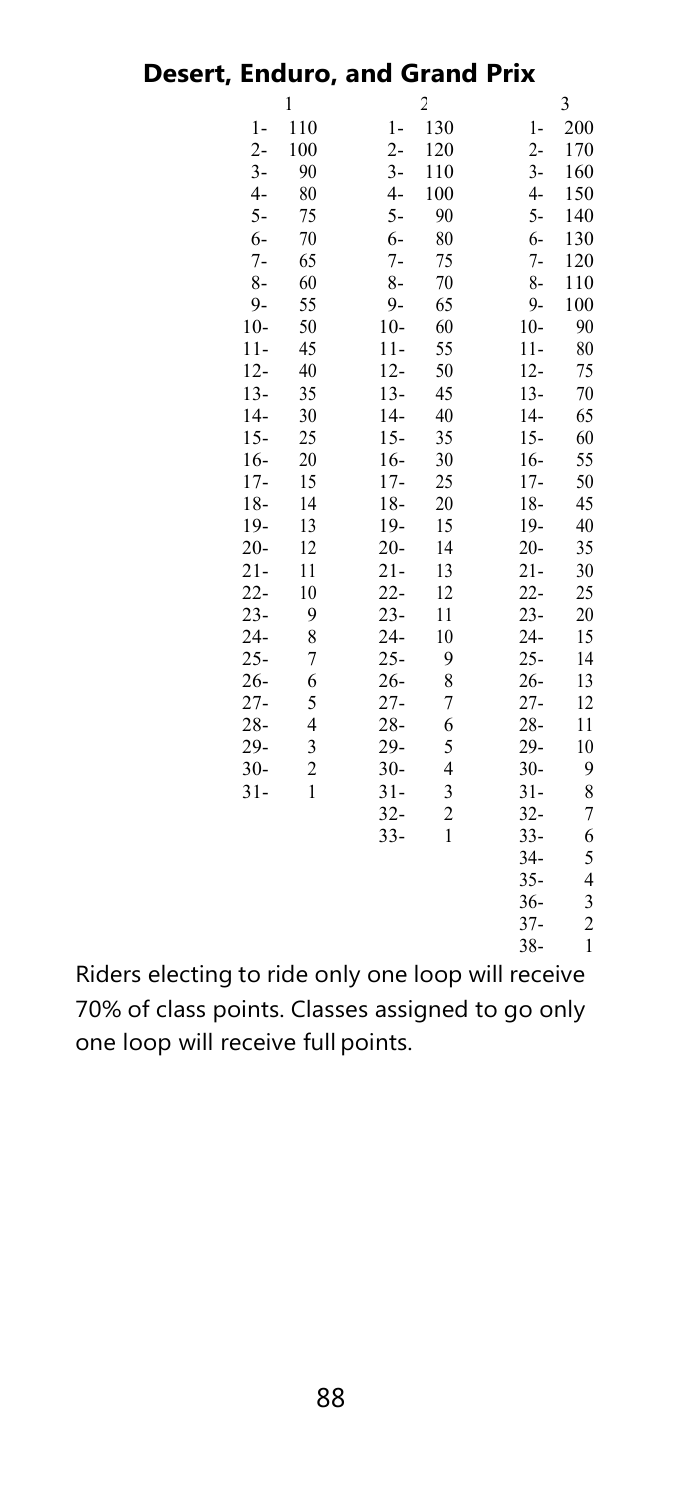# **Desert, Enduro, and Grand Prix**

|                | 1              |        | 2                       |              | 3                       |
|----------------|----------------|--------|-------------------------|--------------|-------------------------|
| $\mathbf{1}$   | 110            | $1-$   | 130                     | $\mathbf{1}$ | 200                     |
| $2 -$          | 100            | $2 -$  | 120                     | $2 -$        | 170                     |
| $3-$           | 90             | $3-$   | 110                     | $3-$         | 160                     |
| $\overline{4}$ | 80             | $4-$   | 100                     | $4-$         | 150                     |
| $5-$           | 75             | $5-$   | 90                      | $5-$         | 140                     |
| $6-$           | 70             | $6-$   | 80                      | $6-$         | 130                     |
| $7-$           | 65             | $7-$   | 75                      | $7-$         | 120                     |
| $8-$           | 60             | $8-$   | 70                      | $8-$         | 110                     |
| $9 -$          | 55             | $9-$   | 65                      | 9-           | 100                     |
| $10-$          | 50             | $10-$  | 60                      | $10-$        | 90                      |
| $11-$          | 45             | $11-$  | 55                      | $11-$        | 80                      |
| $12 -$         | 40             | $12 -$ | 50                      | $12 -$       | 75                      |
| $13 -$         | 35             | $13-$  | 45                      | $13 -$       | 70                      |
| $14-$          | 30             | $14-$  | 40                      | $14-$        | 65                      |
| $15 -$         | 25             | $15-$  | 35                      | $15 -$       | 60                      |
| $16-$          | 20             | $16-$  | 30                      | $16-$        | 55                      |
| $17-$          | 15             | $17-$  | 25                      | $17-$        | 50                      |
| $18 -$         | 14             | $18-$  | 20                      | $18-$        | 45                      |
| $19-$          | 13             | 19-    | 15                      | 19-          | 40                      |
| $20 -$         | 12             | $20 -$ | 14                      | $20 -$       | 35                      |
| $21 -$         | 11             | $21 -$ | 13                      | $21 -$       | 30                      |
| $22 -$         | 10             | $22 -$ | 12                      | $22-$        | 25                      |
| $23 -$         | 9              | $23 -$ | 11                      | $23 -$       | 20                      |
| $24 -$         | 8              | $24-$  | 10                      | $24 -$       | 15                      |
| $25 -$         | $\overline{7}$ | $25 -$ | 9                       | $25 -$       | 14                      |
| $26 -$         | 6              | $26 -$ | 8                       | $26 -$       | 13                      |
| $27 -$         | 5              | $27 -$ | 7                       | $27 -$       | 12                      |
| $28 -$         | 4              | $28 -$ | 6                       | $28 -$       | 11                      |
| $29 -$         | 3              | $29 -$ | 5                       | $29 -$       | 10                      |
| $30 -$         | $\overline{2}$ | $30 -$ | 4                       | $30-$        | 9                       |
| $31 -$         | 1              | $31 -$ | 3                       | $31 -$       | 8                       |
|                |                | $32 -$ | $\overline{\mathbf{c}}$ | $32 -$       | 7                       |
|                |                | $33 -$ | 1                       | $33-$        | 6                       |
|                |                |        |                         | $34-$        | 5                       |
|                |                |        |                         | $35 -$       | 4                       |
|                |                |        |                         | $36 -$       | 3                       |
|                |                |        |                         | $37 -$       | $\overline{\mathbf{c}}$ |
|                |                |        |                         | $38 -$       | 1                       |
|                | ، اہ           | ь.     | ۱.                      | ш            |                         |

Riders electing to ride only one loop will receive 70% of class points. Classes assigned to go only one loop will receive full points.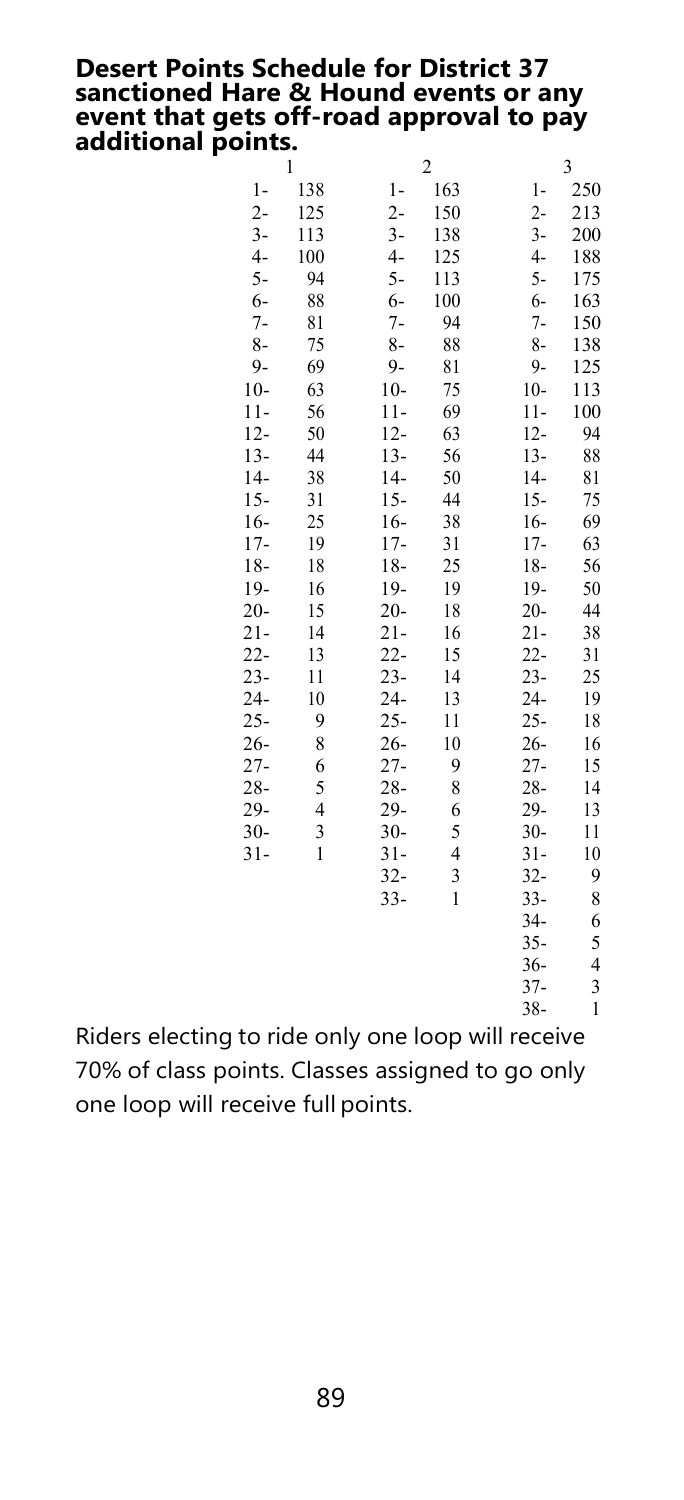### **Desert Points Schedule for District 37 sanctioned Hare & Hound events or any event that gets off-road approval to pay additional points.**

|                                          | 1   |        | $\overline{c}$ |        | 3            |
|------------------------------------------|-----|--------|----------------|--------|--------------|
| 1-                                       | 138 | $1-$   | 163            | $1-$   | 250          |
| $2 -$                                    | 125 | $2 -$  | 150            | $2 -$  | 213          |
| $3-$                                     | 113 | $3-$   | 138            | $3-$   | 200          |
| $4-$                                     | 100 | $4-$   | 125            | $4-$   | 188          |
| $5-$                                     | 94  | $5-$   | 113            | $5-$   | 175          |
| $6-$                                     | 88  | $6-$   | 100            | 6-     | 163          |
| $7-$                                     | 81  | $7-$   | 94             | $7 -$  | 150          |
| $8-$                                     | 75  | $8-$   | 88             | $8-$   | 138          |
| $9-$                                     | 69  | $9-$   | 81             | 9-     | 125          |
| $10-$                                    | 63  | $10-$  | 75             | $10-$  | 113          |
| $11-$                                    | 56  | $11-$  | 69             | $11-$  | 100          |
| $12 -$                                   | 50  | $12 -$ | 63             | $12 -$ | 94           |
| $13-$                                    | 44  | $13 -$ | 56             | $13-$  | 88           |
| $14-$                                    | 38  | $14-$  | 50             | $14-$  | 81           |
| $15-$                                    | 31  | $15 -$ | 44             | $15 -$ | 75           |
| $16 -$                                   | 25  | $16 -$ | 38             | $16-$  | 69           |
| $17-$                                    | 19  | $17-$  | 31             | $17 -$ | 63           |
| $18-$                                    | 18  | $18-$  | 25             | $18 -$ | 56           |
| 19-                                      | 16  | 19-    | 19             | 19-    | 50           |
| $20-$                                    | 15  | $20 -$ | 18             | $20 -$ | 44           |
| $21-$                                    | 14  | $21 -$ | 16             | $21 -$ | 38           |
| $22-$                                    | 13  | $22 -$ | 15             | $22 -$ | 31           |
| $23-$                                    | 11  | $23 -$ | 14             | $23 -$ | 25           |
| $24-$                                    | 10  | $24 -$ | 13             | $24 -$ | 19           |
| 25-                                      | 9   | $25 -$ | 11             | $25 -$ | 18           |
| $26 -$                                   | 8   | $26 -$ | 10             | $26 -$ | 16           |
| 27-                                      | 6   | $27 -$ | 9              | $27 -$ | 15           |
| $28 -$                                   | 5   | $28 -$ | 8              | $28 -$ | 14           |
| 29-                                      | 4   | $29-$  | 6              | 29-    | 13           |
| $30-$                                    | 3   | $30 -$ | 5              | $30 -$ | 11           |
| $31-$                                    | 1   | $31 -$ | $\overline{4}$ | $31 -$ | 10           |
|                                          |     | $32 -$ | 3              | $32 -$ | 9            |
|                                          |     | $33-$  | 1              | $33-$  | 8            |
|                                          |     |        |                | $34-$  | 6            |
|                                          |     |        |                | $35 -$ | 5            |
|                                          |     |        |                | $36 -$ | 4            |
|                                          |     |        |                | $37 -$ | 3            |
|                                          |     |        |                | $38 -$ | $\mathbf{1}$ |
| ride only one loon<br>will receive<br>'n |     |        |                |        |              |

Riders electing to ride only one loop will receive 70% of class points. Classes assigned to go only one loop will receive full points.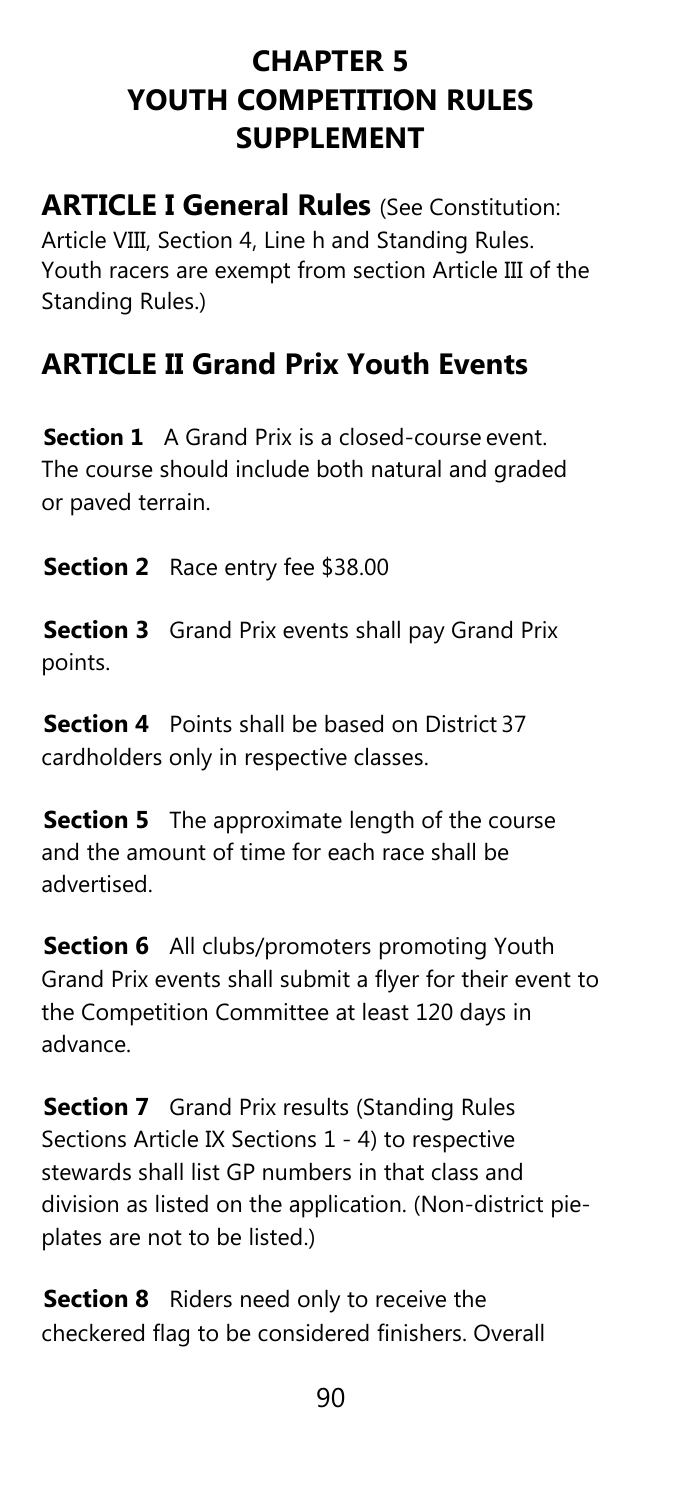### **CHAPTER 5 YOUTH COMPETITION RULES SUPPLEMENT**

**ARTICLE I General Rules** (See Constitution: Article VIII, Section 4, Line h and Standing Rules. Youth racers are exempt from section Article III of the Standing Rules.)

### **ARTICLE II Grand Prix Youth Events**

**Section 1** A Grand Prix is a closed-course event. The course should include both natural and graded or paved terrain.

**Section 2** Race entry fee \$38.00

**Section 3** Grand Prix events shall pay Grand Prix points.

**Section 4** Points shall be based on District 37 cardholders only in respective classes.

**Section 5** The approximate length of the course and the amount of time for each race shall be advertised.

**Section 6** All clubs/promoters promoting Youth Grand Prix events shall submit a flyer for their event to the Competition Committee at least 120 days in advance.

**Section 7** Grand Prix results (Standing Rules Sections Article IX Sections 1 - 4) to respective stewards shall list GP numbers in that class and division as listed on the application. (Non-district pieplates are not to be listed.)

**Section 8** Riders need only to receive the checkered flag to be considered finishers. Overall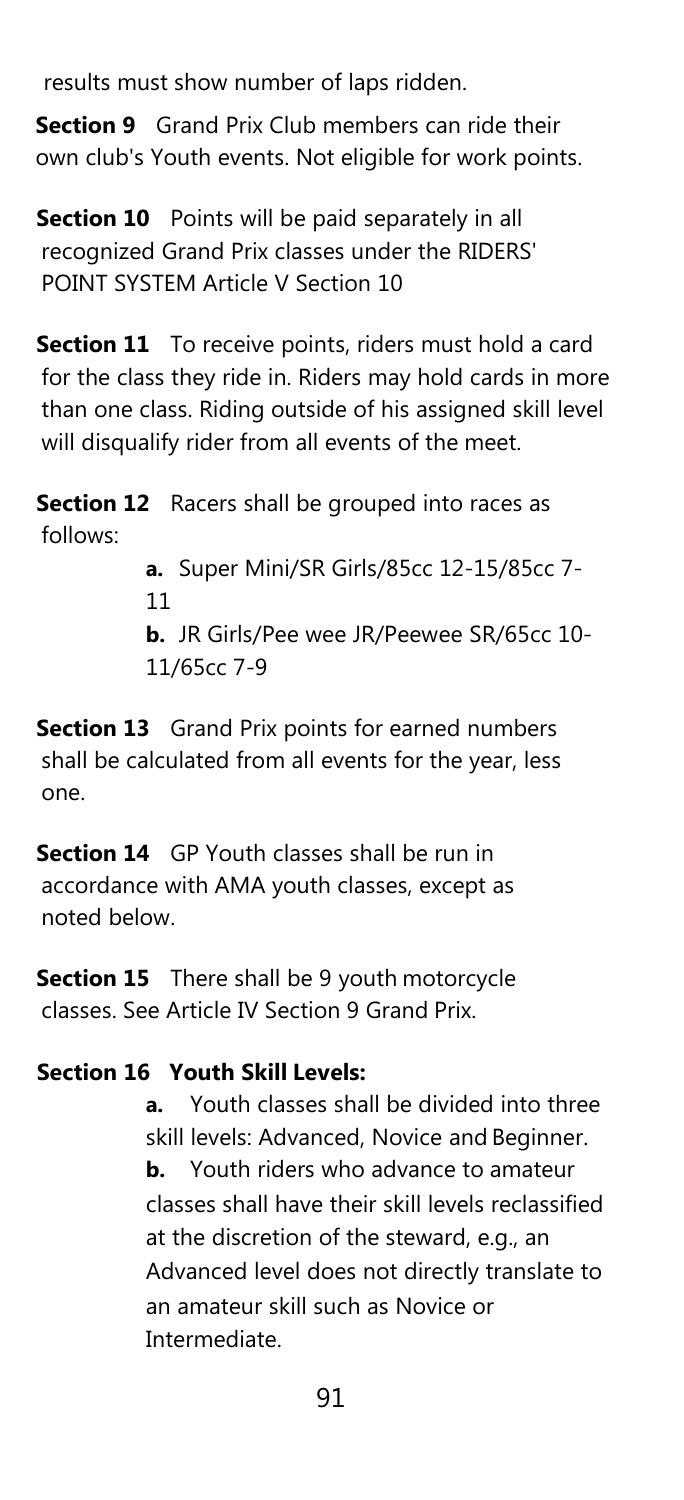results must show number of laps ridden.

**Section 9** Grand Prix Club members can ride their own club's Youth events. Not eligible for work points.

**Section 10** Points will be paid separately in all recognized Grand Prix classes under the RIDERS' POINT SYSTEM Article V Section 10

**Section 11** To receive points, riders must hold a card for the class they ride in. Riders may hold cards in more than one class. Riding outside of his assigned skill level will disqualify rider from all events of the meet.

**Section 12** Racers shall be grouped into races as follows:

> **a.** Super Mini/SR Girls/85cc 12-15/85cc 7- 11 **b.** JR Girls/Pee wee JR/Peewee SR/65cc 10- 11/65cc 7-9

**Section 13** Grand Prix points for earned numbers shall be calculated from all events for the year, less one.

**Section 14** GP Youth classes shall be run in accordance with AMA youth classes, except as noted below.

**Section 15** There shall be 9 youth motorcycle classes. See Article IV Section 9 Grand Prix.

#### **Section 16 Youth Skill Levels:**

**a.** Youth classes shall be divided into three skill levels: Advanced, Novice and Beginner. **b.** Youth riders who advance to amateur classes shall have their skill levels reclassified at the discretion of the steward, e.g., an Advanced level does not directly translate to an amateur skill such as Novice or Intermediate.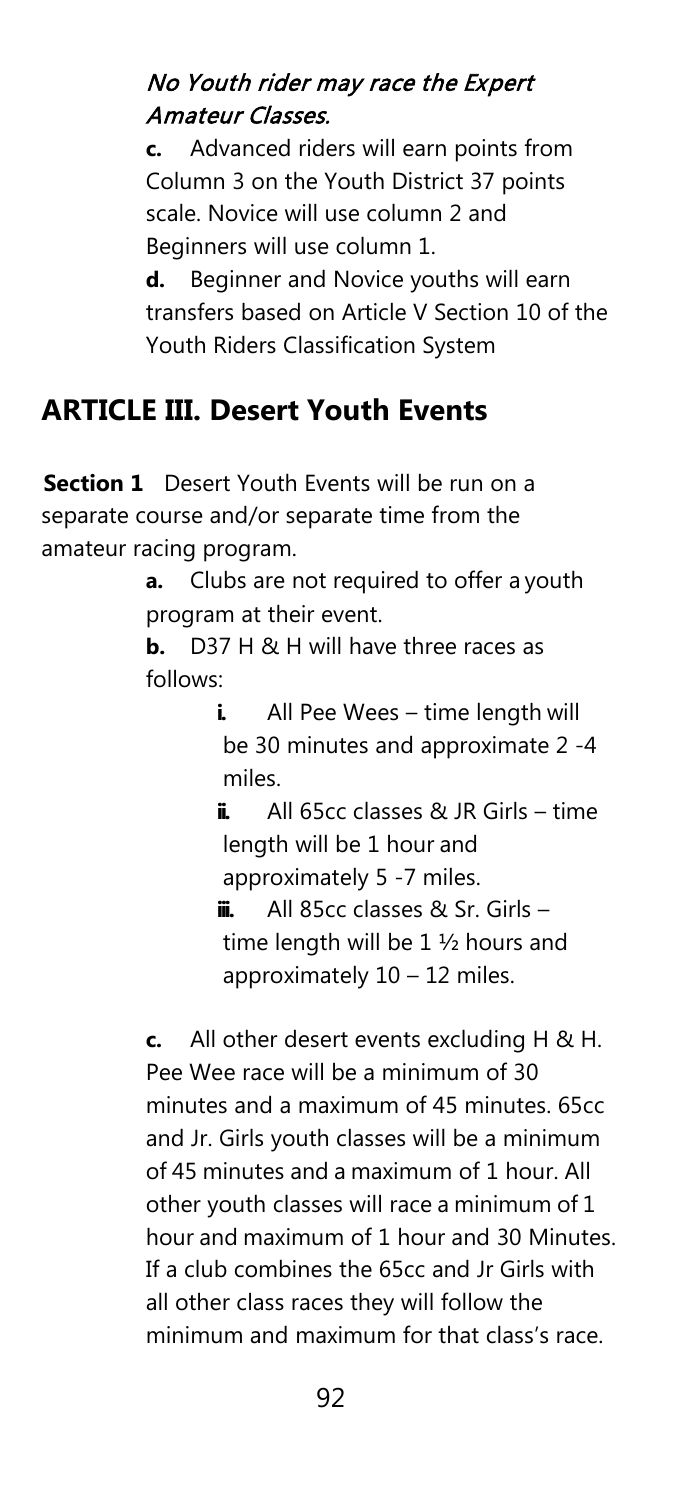#### No Youth rider may race the Expert Amateur Classes.

**c.** Advanced riders will earn points from Column 3 on the Youth District 37 points scale. Novice will use column 2 and Beginners will use column 1.

**d.** Beginner and Novice youths will earn transfers based on Article V Section 10 of the Youth Riders Classification System

### **ARTICLE III. Desert Youth Events**

**Section 1** Desert Youth Events will be run on a separate course and/or separate time from the amateur racing program.

> **a.** Clubs are not required to offer a youth program at their event.

**b.** D37 H & H will have three races as follows:

> **i.** All Pee Wees – time length will be 30 minutes and approximate 2 -4 miles.

> **ii.** All 65cc classes & JR Girls – time length will be 1 hour and approximately 5 -7 miles.

**iii.** All 85cc classes & Sr. Girls – time length will be 1 ½ hours and approximately 10 – 12 miles.

**c.** All other desert events excluding H & H. Pee Wee race will be a minimum of 30 minutes and a maximum of 45 minutes. 65cc and Jr. Girls youth classes will be a minimum of 45 minutes and a maximum of 1 hour. All other youth classes will race a minimum of 1 hour and maximum of 1 hour and 30 Minutes. If a club combines the 65cc and Jr Girls with all other class races they will follow the minimum and maximum for that class's race.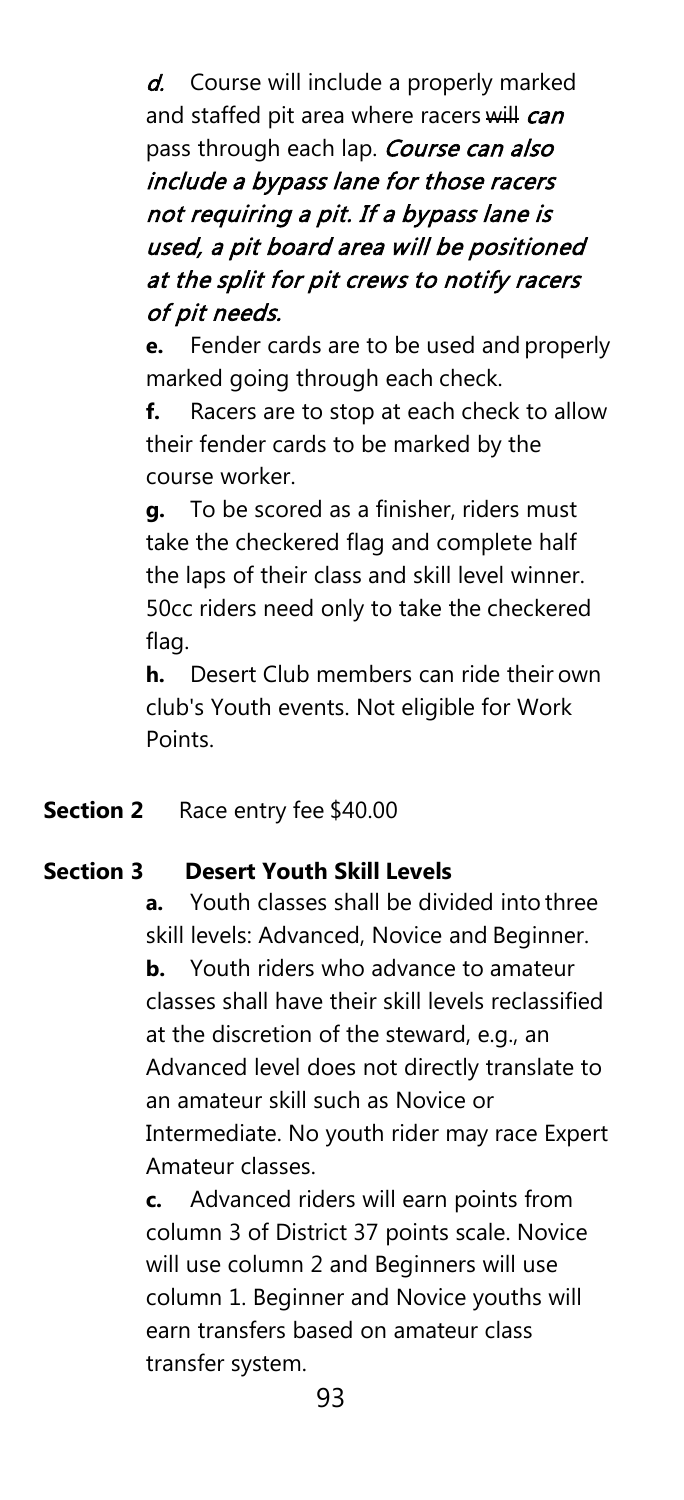d. Course will include a properly marked and staffed pit area where racers will can pass through each lap. Course can also include a bypass lane for those racers not requiring a pit. If a bypass lane is used, a pit board area will be positioned at the split for pit crews to notify racers of pit needs.

**e.** Fender cards are to be used and properly marked going through each check.

**f.** Racers are to stop at each check to allow their fender cards to be marked by the course worker.

**g.** To be scored as a finisher, riders must take the checkered flag and complete half the laps of their class and skill level winner. 50cc riders need only to take the checkered flag.

**h.** Desert Club members can ride their own club's Youth events. Not eligible for Work Points.

#### **Section 2** Race entry fee \$40.00

#### **Section 3 Desert Youth Skill Levels**

**a.** Youth classes shall be divided into three skill levels: Advanced, Novice and Beginner.

**b.** Youth riders who advance to amateur classes shall have their skill levels reclassified at the discretion of the steward, e.g., an Advanced level does not directly translate to an amateur skill such as Novice or Intermediate. No youth rider may race Expert Amateur classes.

**c.** Advanced riders will earn points from column 3 of District 37 points scale. Novice will use column 2 and Beginners will use column 1. Beginner and Novice youths will earn transfers based on amateur class transfer system.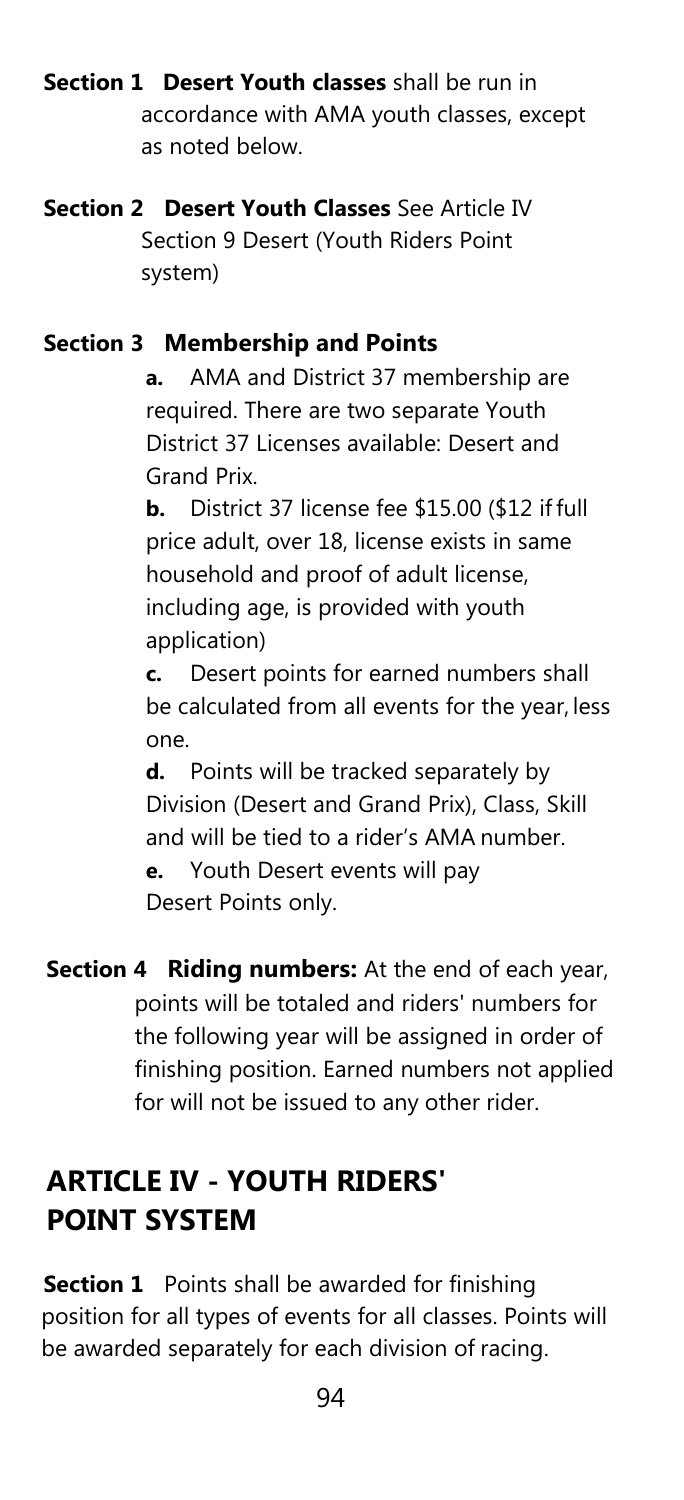**Section 1 Desert Youth classes** shall be run in accordance with AMA youth classes, except as noted below.

**Section 2 Desert Youth Classes** See Article IV Section 9 Desert (Youth Riders Point system)

#### **Section 3 Membership and Points**

**a.** AMA and District 37 membership are required. There are two separate Youth District 37 Licenses available: Desert and Grand Prix.

**b.** District 37 license fee \$15.00 (\$12 if full price adult, over 18, license exists in same household and proof of adult license, including age, is provided with youth application)

**c.** Desert points for earned numbers shall be calculated from all events for the year, less one.

**d.** Points will be tracked separately by Division (Desert and Grand Prix), Class, Skill and will be tied to a rider's AMA number. **e.** Youth Desert events will pay Desert Points only.

**Section 4 Riding numbers:** At the end of each year, points will be totaled and riders' numbers for the following year will be assigned in order of finishing position. Earned numbers not applied for will not be issued to any other rider.

### **ARTICLE IV - YOUTH RIDERS' POINT SYSTEM**

**Section 1** Points shall be awarded for finishing position for all types of events for all classes. Points will be awarded separately for each division of racing.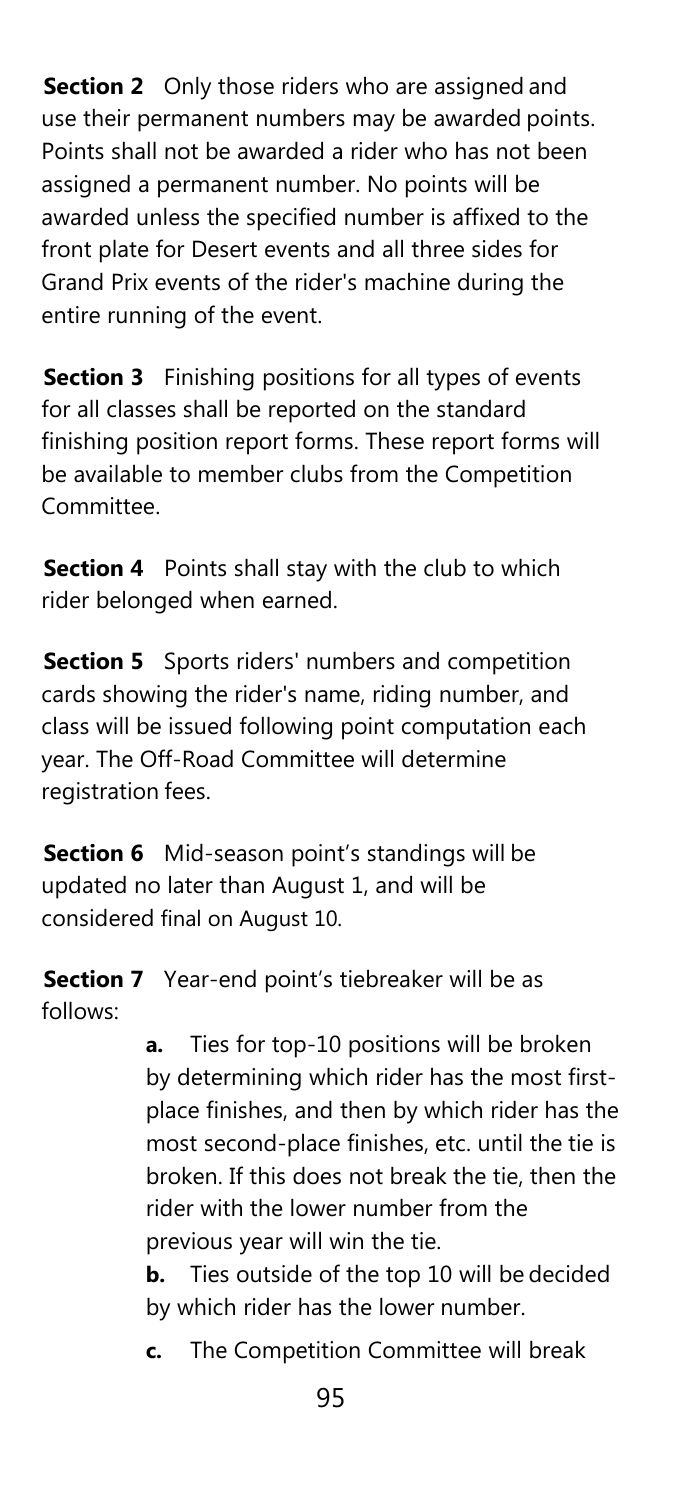**Section 2** Only those riders who are assigned and use their permanent numbers may be awarded points. Points shall not be awarded a rider who has not been assigned a permanent number. No points will be awarded unless the specified number is affixed to the front plate for Desert events and all three sides for Grand Prix events of the rider's machine during the entire running of the event.

**Section 3** Finishing positions for all types of events for all classes shall be reported on the standard finishing position report forms. These report forms will be available to member clubs from the Competition Committee.

**Section 4** Points shall stay with the club to which rider belonged when earned.

**Section 5** Sports riders' numbers and competition cards showing the rider's name, riding number, and class will be issued following point computation each year. The Off-Road Committee will determine registration fees.

**Section 6** Mid-season point's standings will be updated no later than August 1, and will be considered final on August 10.

**Section 7** Year-end point's tiebreaker will be as follows:

> **a.** Ties for top-10 positions will be broken by determining which rider has the most firstplace finishes, and then by which rider has the most second-place finishes, etc. until the tie is broken. If this does not break the tie, then the rider with the lower number from the previous year will win the tie.

**b.** Ties outside of the top 10 will be decided by which rider has the lower number.

**c.** The Competition Committee will break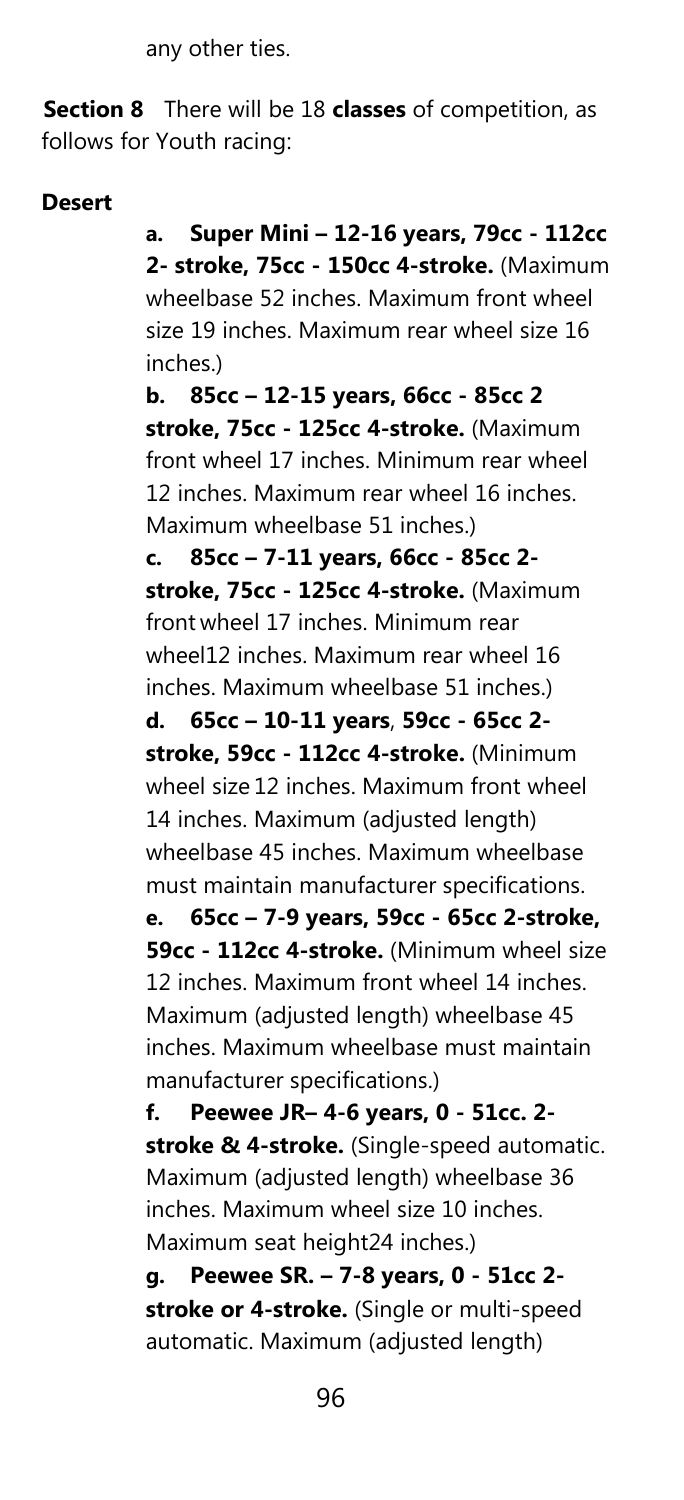any other ties.

**Section 8** There will be 18 **classes** of competition, as follows for Youth racing:

#### **Desert**

**a. Super Mini – 12-16 years, 79cc - 112cc 2- stroke, 75cc - 150cc 4-stroke.** (Maximum wheelbase 52 inches. Maximum front wheel size 19 inches. Maximum rear wheel size 16 inches.)

**b. 85cc – 12-15 years, 66cc - 85cc 2 stroke, 75cc - 125cc 4-stroke.** (Maximum front wheel 17 inches. Minimum rear wheel 12 inches. Maximum rear wheel 16 inches. Maximum wheelbase 51 inches.)

**c. 85cc – 7-11 years, 66cc - 85cc 2 stroke, 75cc - 125cc 4-stroke.** (Maximum front wheel 17 inches. Minimum rear wheel12 inches. Maximum rear wheel 16 inches. Maximum wheelbase 51 inches.)

**d. 65cc – 10-11 years**, **59cc - 65cc 2 stroke, 59cc - 112cc 4-stroke.** (Minimum wheel size 12 inches. Maximum front wheel 14 inches. Maximum (adjusted length) wheelbase 45 inches. Maximum wheelbase must maintain manufacturer specifications.

**e. 65cc – 7-9 years, 59cc - 65cc 2-stroke, 59cc - 112cc 4-stroke.** (Minimum wheel size 12 inches. Maximum front wheel 14 inches. Maximum (adjusted length) wheelbase 45 inches. Maximum wheelbase must maintain manufacturer specifications.)

**f. Peewee JR– 4-6 years, 0 - 51cc. 2 stroke & 4-stroke.** (Single-speed automatic. Maximum (adjusted length) wheelbase 36 inches. Maximum wheel size 10 inches. Maximum seat height24 inches.)

**g. Peewee SR. – 7-8 years, 0 - 51cc 2 stroke or 4-stroke.** (Single or multi-speed automatic. Maximum (adjusted length)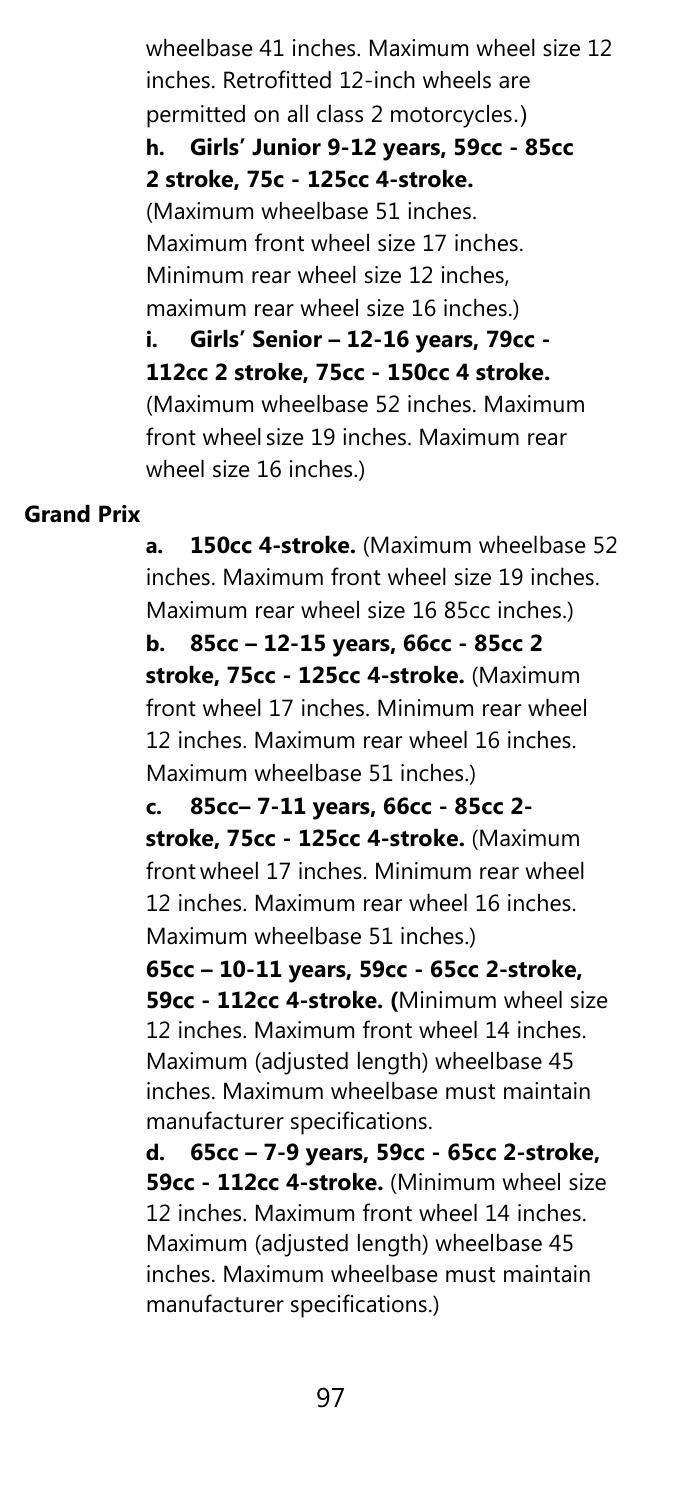wheelbase 41 inches. Maximum wheel size 12 inches. Retrofitted 12-inch wheels are permitted on all class 2 motorcycles.) **h. Girls' Junior 9-12 years, 59cc - 85cc 2 stroke, 75c - 125cc 4-stroke.** (Maximum wheelbase 51 inches. Maximum front wheel size 17 inches. Minimum rear wheel size 12 inches, maximum rear wheel size 16 inches.) **i. Girls' Senior – 12-16 years, 79cc - 112cc 2 stroke, 75cc - 150cc 4 stroke.**  (Maximum wheelbase 52 inches. Maximum front wheel size 19 inches. Maximum rear wheel size 16 inches.)

#### **Grand Prix**

**a. 150cc 4-stroke.** (Maximum wheelbase 52 inches. Maximum front wheel size 19 inches. Maximum rear wheel size 16 85cc inches.)

**b. 85cc – 12-15 years, 66cc - 85cc 2 stroke, 75cc - 125cc 4-stroke.** (Maximum front wheel 17 inches. Minimum rear wheel 12 inches. Maximum rear wheel 16 inches. Maximum wheelbase 51 inches.)

**c. 85cc– 7-11 years, 66cc - 85cc 2 stroke, 75cc - 125cc 4-stroke.** (Maximum front wheel 17 inches. Minimum rear wheel 12 inches. Maximum rear wheel 16 inches. Maximum wheelbase 51 inches.)

**65cc – 10-11 years, 59cc - 65cc 2-stroke, 59cc - 112cc 4-stroke. (**Minimum wheel size 12 inches. Maximum front wheel 14 inches. Maximum (adjusted length) wheelbase 45 inches. Maximum wheelbase must maintain manufacturer specifications.

**d. 65cc – 7-9 years, 59cc - 65cc 2-stroke, 59cc - 112cc 4-stroke.** (Minimum wheel size 12 inches. Maximum front wheel 14 inches. Maximum (adjusted length) wheelbase 45 inches. Maximum wheelbase must maintain manufacturer specifications.)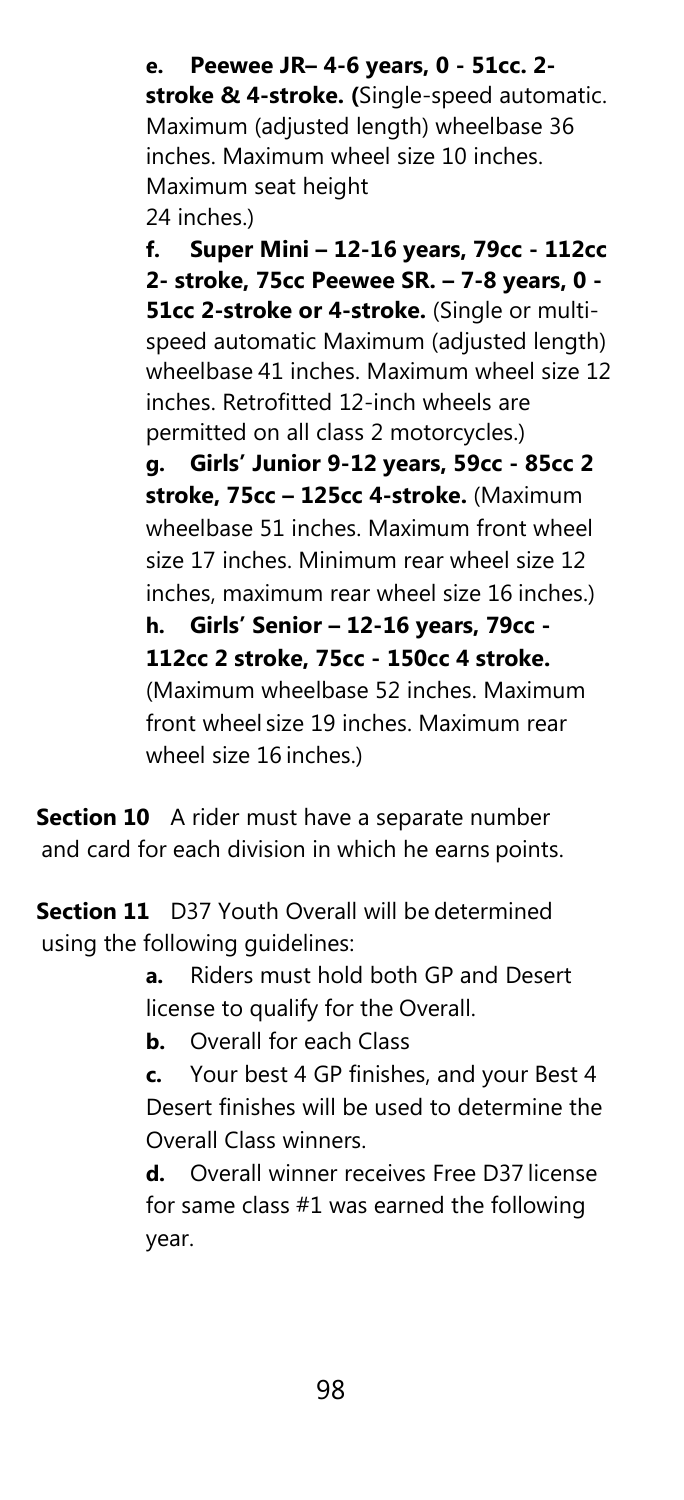**e. Peewee JR– 4-6 years, 0 - 51cc. 2 stroke & 4-stroke. (**Single-speed automatic. Maximum (adjusted length) wheelbase 36 inches. Maximum wheel size 10 inches. Maximum seat height 24 inches.)

**f. Super Mini – 12-16 years, 79cc - 112cc 2- stroke, 75cc Peewee SR. – 7-8 years, 0 - 51cc 2-stroke or 4-stroke.** (Single or multispeed automatic Maximum (adjusted length) wheelbase 41 inches. Maximum wheel size 12 inches. Retrofitted 12-inch wheels are permitted on all class 2 motorcycles.) **g. Girls' Junior 9-12 years, 59cc - 85cc 2 stroke, 75cc – 125cc 4-stroke.** (Maximum wheelbase 51 inches. Maximum front wheel size 17 inches. Minimum rear wheel size 12 inches, maximum rear wheel size 16 inches.) **h. Girls' Senior – 12-16 years, 79cc - 112cc 2 stroke, 75cc - 150cc 4 stroke.** 

(Maximum wheelbase 52 inches. Maximum front wheel size 19 inches. Maximum rear wheel size 16 inches.)

**Section 10** A rider must have a separate number and card for each division in which he earns points.

**Section 11** D37 Youth Overall will be determined using the following guidelines:

> **a.** Riders must hold both GP and Desert license to qualify for the Overall.

**b.** Overall for each Class

**c.** Your best 4 GP finishes, and your Best 4 Desert finishes will be used to determine the Overall Class winners.

**d.** Overall winner receives Free D37 license for same class #1 was earned the following year.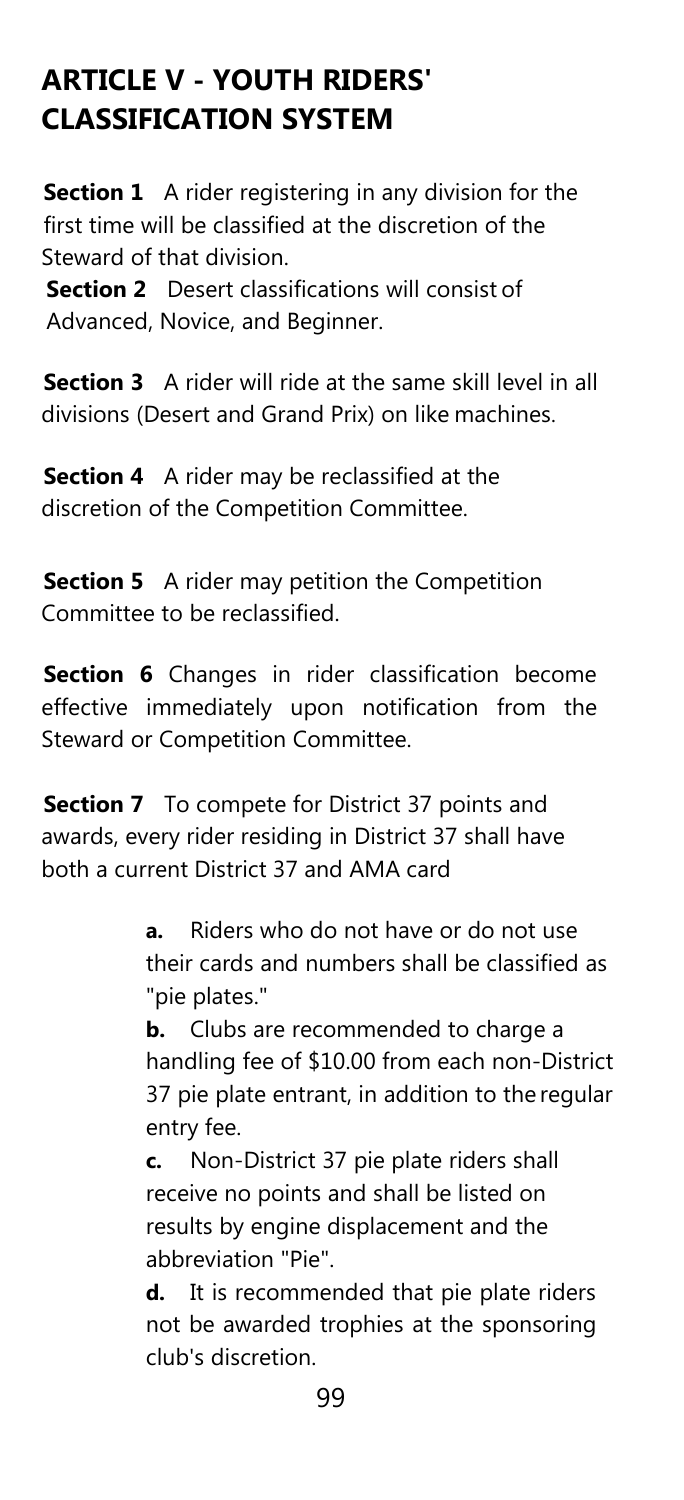### **ARTICLE V - YOUTH RIDERS' CLASSIFICATION SYSTEM**

**Section 1** A rider registering in any division for the first time will be classified at the discretion of the Steward of that division.

**Section 2** Desert classifications will consist of Advanced, Novice, and Beginner.

**Section 3** A rider will ride at the same skill level in all divisions (Desert and Grand Prix) on like machines.

**Section 4** A rider may be reclassified at the discretion of the Competition Committee.

**Section 5** A rider may petition the Competition Committee to be reclassified.

**Section 6** Changes in rider classification become effective immediately upon notification from the Steward or Competition Committee.

**Section 7** To compete for District 37 points and awards, every rider residing in District 37 shall have both a current District 37 and AMA card

> **a.** Riders who do not have or do not use their cards and numbers shall be classified as "pie plates."

**b.** Clubs are recommended to charge a handling fee of \$10.00 from each non-District 37 pie plate entrant, in addition to the regular entry fee.

**c.** Non-District 37 pie plate riders shall receive no points and shall be listed on results by engine displacement and the abbreviation "Pie".

**d.** It is recommended that pie plate riders not be awarded trophies at the sponsoring club's discretion.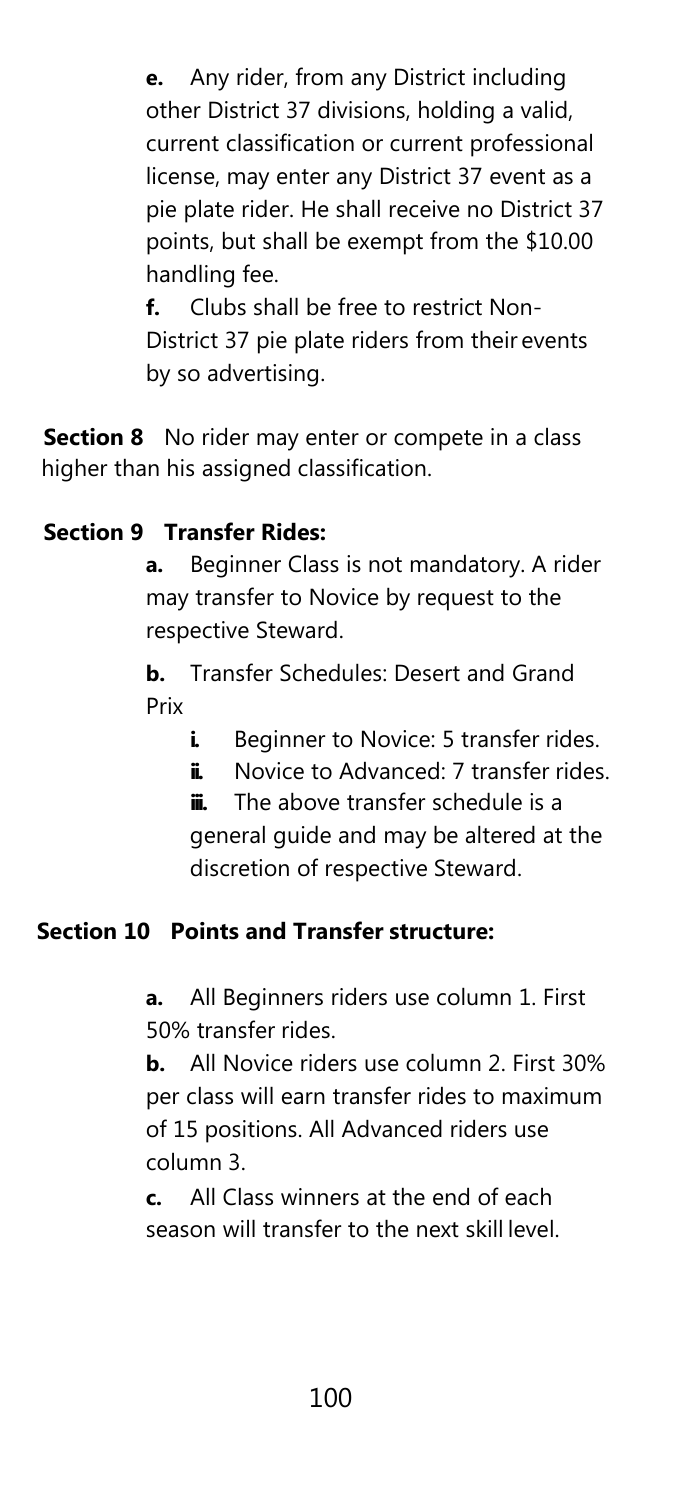**e.** Any rider, from any District including other District 37 divisions, holding a valid, current classification or current professional license, may enter any District 37 event as a pie plate rider. He shall receive no District 37 points, but shall be exempt from the \$10.00 handling fee.

**f.** Clubs shall be free to restrict Non-District 37 pie plate riders from their events by so advertising.

**Section 8** No rider may enter or compete in a class higher than his assigned classification.

#### **Section 9 Transfer Rides:**

**a.** Beginner Class is not mandatory. A rider may transfer to Novice by request to the respective Steward.

**b.** Transfer Schedules: Desert and Grand Prix

- **i.** Beginner to Novice: 5 transfer rides.
- **ii.** Novice to Advanced: 7 transfer rides.

**iii.** The above transfer schedule is a general guide and may be altered at the discretion of respective Steward.

#### **Section 10 Points and Transfer structure:**

**a.** All Beginners riders use column 1. First 50% transfer rides.

**b.** All Novice riders use column 2. First 30% per class will earn transfer rides to maximum of 15 positions. All Advanced riders use column 3.

**c.** All Class winners at the end of each season will transfer to the next skill level.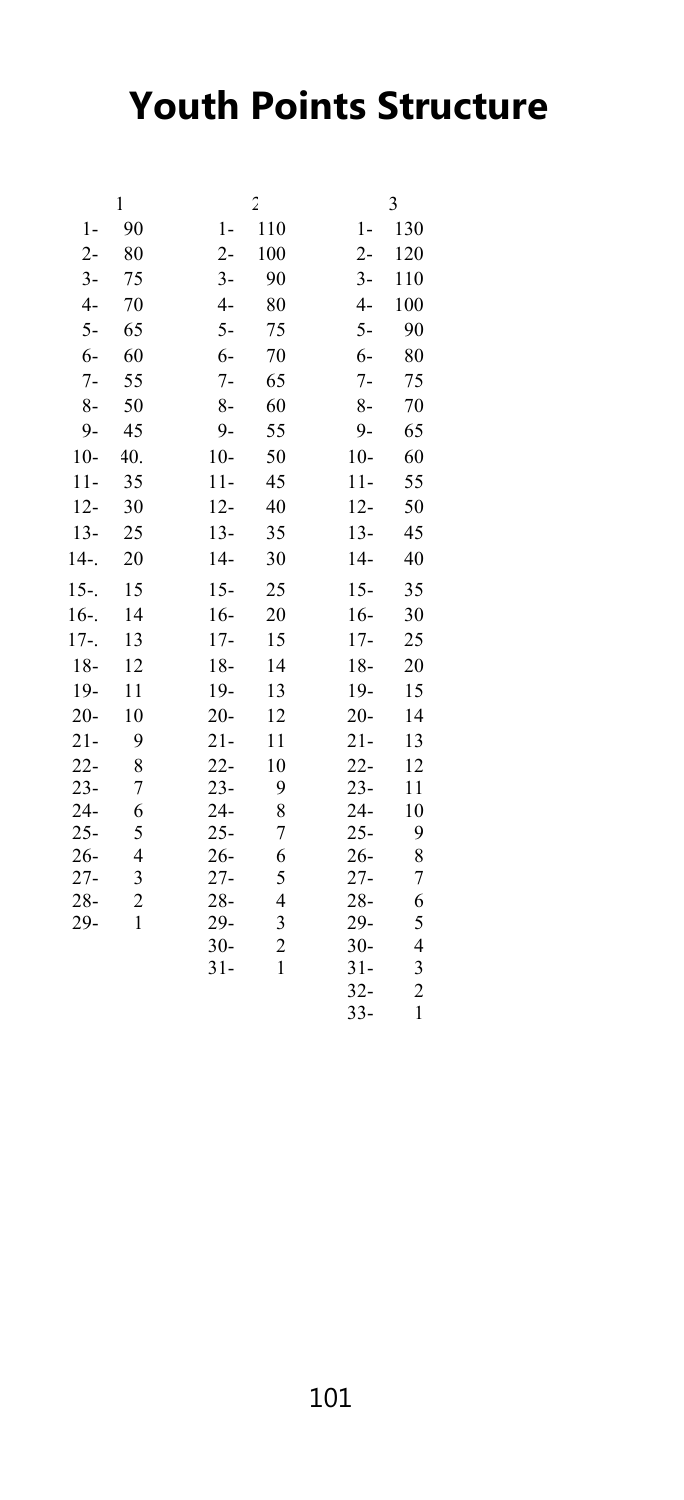# **Youth Points Structure**

|        | 1              |        | $\overline{2}$ |        | 3              |
|--------|----------------|--------|----------------|--------|----------------|
| $1-$   | 90             | 1-     | 110            | 1-     | 130            |
| $2 -$  | 80             | $2 -$  | 100            | $2 -$  | 120            |
| $3-$   | 75             | $3-$   | 90             | $3-$   | 110            |
| $4-$   | 70             | $4-$   | 80             | $4-$   | 100            |
| 5-     | 65             | 5-     | 75             | 5-     | 90             |
| $6-$   | 60             | $6-$   | 70             | $6-$   | 80             |
| $7-$   | 55             | $7-$   | 65             | $7-$   | 75             |
| $8-$   | 50             | 8-     | 60             | 8-     | 70             |
| $9 -$  | 45             | $9 -$  | 55             | $9 -$  | 65             |
| $10-$  | 40.            | $10-$  | 50             | $10-$  | 60             |
| $11-$  | 35             | $11-$  | 45             | $11-$  | 55             |
| $12 -$ | 30             | $12 -$ | 40             | $12 -$ | 50             |
| $13 -$ | 25             | $13 -$ | 35             | $13 -$ | 45             |
| $14 -$ | 20             | $14-$  | 30             | $14-$  | 40             |
| $15 -$ | 15             | $15 -$ | 25             | $15 -$ | 35             |
| $16 -$ | 14             | $16-$  | 20             | $16-$  | 30             |
| $17 -$ | 13             | $17-$  | 15             | $17-$  | 25             |
| $18-$  | 12             | $18-$  | 14             | $18-$  | 20             |
| $19-$  | 11             | $19-$  | 13             | 19-    | 15             |
| $20 -$ | 10             | $20 -$ | 12             | $20 -$ | 14             |
| $21 -$ | 9              | $21 -$ | 11             | $21 -$ | 13             |
| $22 -$ | 8              | $22 -$ | 10             | $22 -$ | 12             |
| $23 -$ | 7              | $23 -$ | 9              | $23 -$ | 11             |
| $24 -$ | 6              | $24 -$ | 8              | $24 -$ | 10             |
| $25 -$ | 5              | $25 -$ | 7              | $25 -$ | 9              |
| $26 -$ | 4              | $26 -$ | 6              | $26 -$ | 8              |
| $27 -$ | 3              | $27 -$ | 5              | $27 -$ | 7              |
| $28 -$ | $\overline{c}$ | $28 -$ | 4              | $28 -$ | 6              |
| 29-    | 1              | 29-    | 3              | 29-    | 5              |
|        |                | $30 -$ | $\overline{c}$ | $30 -$ | 4              |
|        |                | $31 -$ | $\mathbf{1}$   | $31 -$ | 3              |
|        |                |        |                | $32 -$ | $\overline{c}$ |
|        |                |        |                | $33-$  | $\mathbf{1}$   |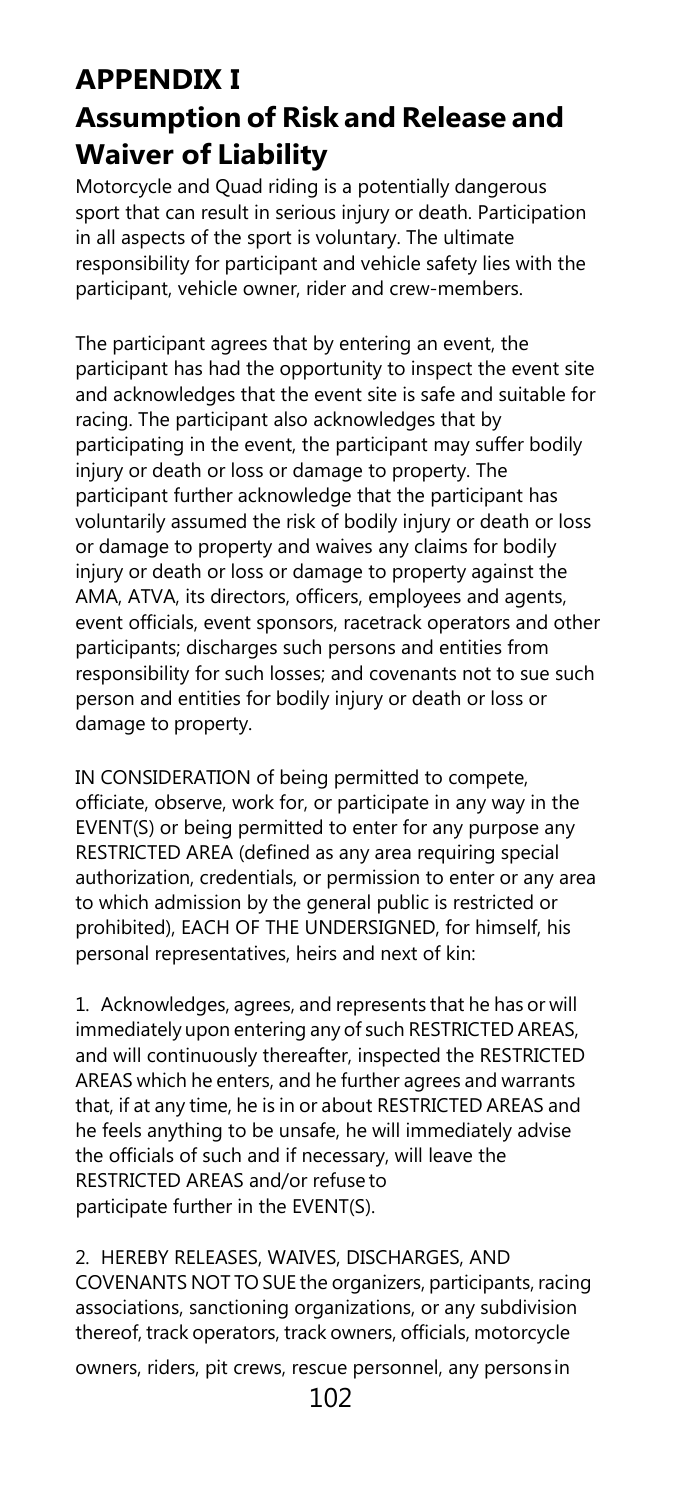### **APPENDIX I Assumption of Risk and Release and Waiver of Liability**

Motorcycle and Quad riding is a potentially dangerous sport that can result in serious injury or death. Participation in all aspects of the sport is voluntary. The ultimate responsibility for participant and vehicle safety lies with the participant, vehicle owner, rider and crew-members.

The participant agrees that by entering an event, the participant has had the opportunity to inspect the event site and acknowledges that the event site is safe and suitable for racing. The participant also acknowledges that by participating in the event, the participant may suffer bodily injury or death or loss or damage to property. The participant further acknowledge that the participant has voluntarily assumed the risk of bodily injury or death or loss or damage to property and waives any claims for bodily injury or death or loss or damage to property against the AMA, ATVA, its directors, officers, employees and agents, event officials, event sponsors, racetrack operators and other participants; discharges such persons and entities from responsibility for such losses; and covenants not to sue such person and entities for bodily injury or death or loss or damage to property.

IN CONSIDERATION of being permitted to compete, officiate, observe, work for, or participate in any way in the EVENT(S) or being permitted to enter for any purpose any RESTRICTED AREA (defined as any area requiring special authorization, credentials, or permission to enter or any area to which admission by the general public is restricted or prohibited), EACH OF THE UNDERSIGNED, for himself, his personal representatives, heirs and next of kin:

1. Acknowledges, agrees, and represents that he has or will immediately upon entering any of such RESTRICTED AREAS, and will continuously thereafter, inspected the RESTRICTED AREAS which he enters, and he further agrees and warrants that, if at any time, he is in or about RESTRICTED AREAS and he feels anything to be unsafe, he will immediately advise the officials of such and if necessary, will leave the RESTRICTED AREAS and/or refuse to participate further in the EVENT(S).

2. HEREBY RELEASES, WAIVES, DISCHARGES, AND COVENANTS NOT TO SUE the organizers, participants, racing associations, sanctioning organizations, or any subdivision thereof, track operators, track owners, officials, motorcycle

owners, riders, pit crews, rescue personnel, any persons in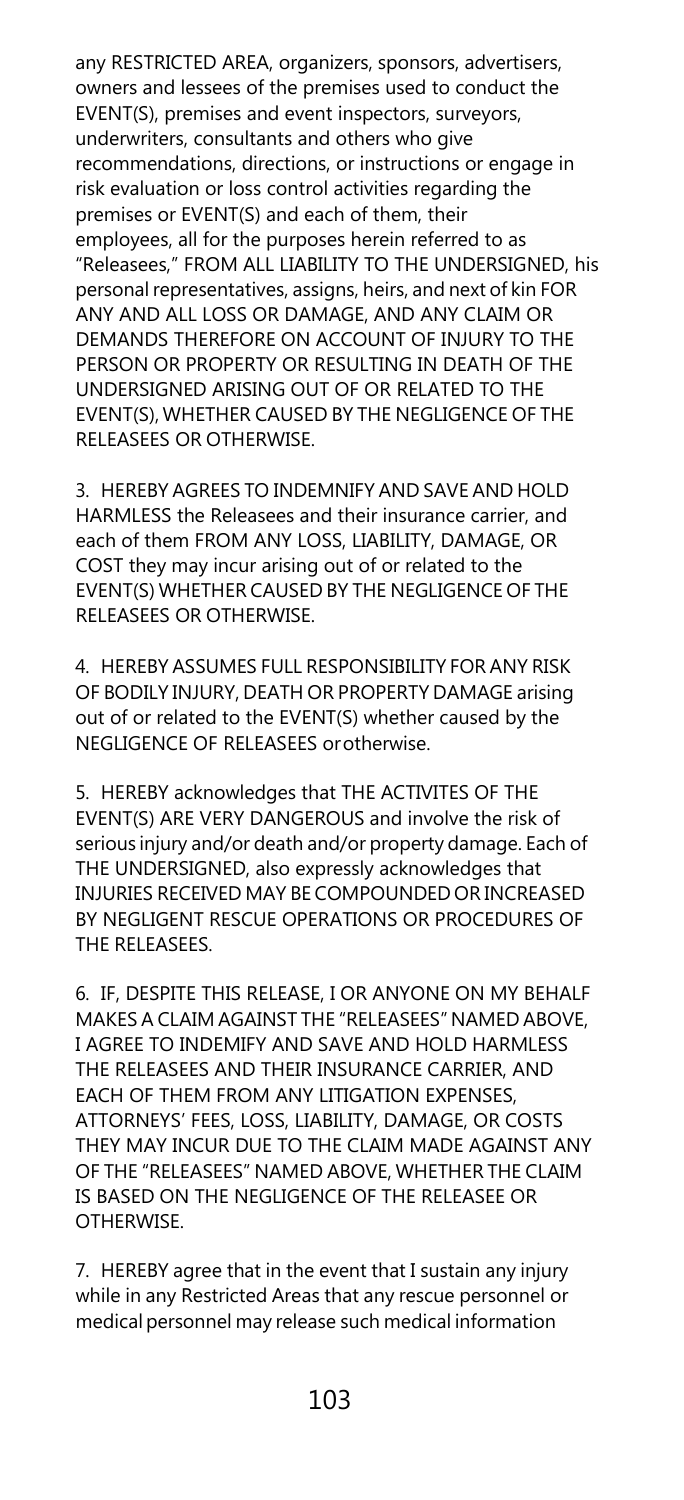any RESTRICTED AREA, organizers, sponsors, advertisers, owners and lessees of the premises used to conduct the EVENT(S), premises and event inspectors, surveyors, underwriters, consultants and others who give recommendations, directions, or instructions or engage in risk evaluation or loss control activities regarding the premises or EVENT(S) and each of them, their employees, all for the purposes herein referred to as "Releasees," FROM ALL LIABILITY TO THE UNDERSIGNED, his personal representatives, assigns, heirs, and next of kin FOR ANY AND ALL LOSS OR DAMAGE, AND ANY CLAIM OR DEMANDS THEREFORE ON ACCOUNT OF INJURY TO THE PERSON OR PROPERTY OR RESULTING IN DEATH OF THE UNDERSIGNED ARISING OUT OF OR RELATED TO THE EVENT(S), WHETHER CAUSED BY THE NEGLIGENCE OF THE RELEASEES OR OTHERWISE.

3. HEREBY AGREES TO INDEMNIFY AND SAVE AND HOLD HARMLESS the Releasees and their insurance carrier, and each of them FROM ANY LOSS, LIABILITY, DAMAGE, OR COST they may incur arising out of or related to the EVENT(S) WHETHER CAUSED BY THE NEGLIGENCE OF THE RELEASEES OR OTHERWISE.

4. HEREBY ASSUMES FULL RESPONSIBILITY FOR ANY RISK OF BODILY INJURY, DEATH OR PROPERTY DAMAGE arising out of or related to the EVENT(S) whether caused by the NEGLIGENCE OF RELEASEES orotherwise.

5. HEREBY acknowledges that THE ACTIVITES OF THE EVENT(S) ARE VERY DANGEROUS and involve the risk of serious injury and/or death and/or property damage. Each of THE UNDERSIGNED, also expressly acknowledges that INJURIES RECEIVED MAY BE COMPOUNDED OR INCREASED BY NEGLIGENT RESCUE OPERATIONS OR PROCEDURES OF THE RELEASEES.

6. IF, DESPITE THIS RELEASE, I OR ANYONE ON MY BEHALF MAKES A CLAIM AGAINST THE "RELEASEES" NAMED ABOVE, I AGREE TO INDEMIFY AND SAVE AND HOLD HARMLESS THE RELEASEES AND THEIR INSURANCE CARRIER, AND EACH OF THEM FROM ANY LITIGATION EXPENSES, ATTORNEYS' FEES, LOSS, LIABILITY, DAMAGE, OR COSTS THEY MAY INCUR DUE TO THE CLAIM MADE AGAINST ANY OF THE "RELEASEES" NAMED ABOVE, WHETHER THE CLAIM IS BASED ON THE NEGLIGENCE OF THE RELEASEE OR OTHERWISE.

7. HEREBY agree that in the event that I sustain any injury while in any Restricted Areas that any rescue personnel or medical personnel may release such medical information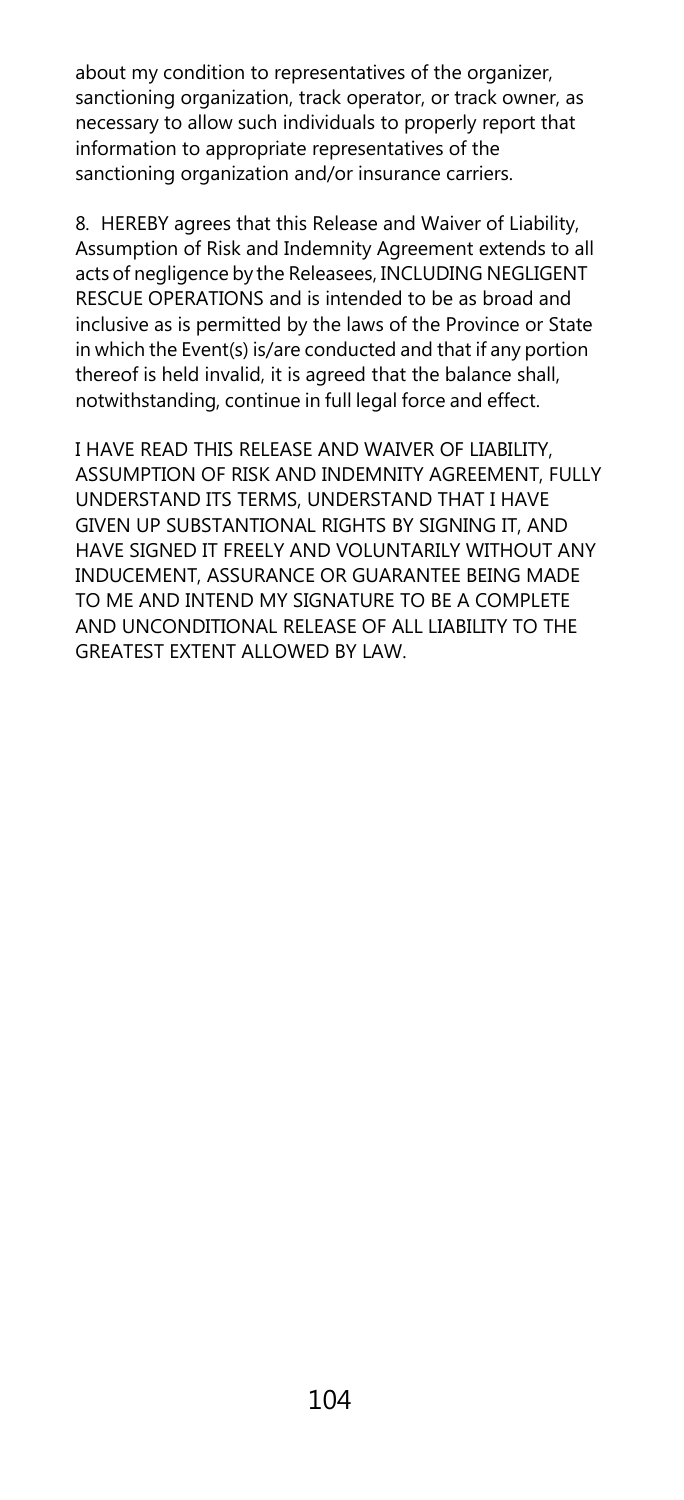about my condition to representatives of the organizer, sanctioning organization, track operator, or track owner, as necessary to allow such individuals to properly report that information to appropriate representatives of the sanctioning organization and/or insurance carriers.

8. HEREBY agrees that this Release and Waiver of Liability, Assumption of Risk and Indemnity Agreement extends to all acts of negligence by the Releasees, INCLUDING NEGLIGENT RESCUE OPERATIONS and is intended to be as broad and inclusive as is permitted by the laws of the Province or State in which the Event(s) is/are conducted and that if any portion thereof is held invalid, it is agreed that the balance shall, notwithstanding, continue in full legal force and effect.

I HAVE READ THIS RELEASE AND WAIVER OF LIABILITY, ASSUMPTION OF RISK AND INDEMNITY AGREEMENT, FULLY UNDERSTAND ITS TERMS, UNDERSTAND THAT I HAVE GIVEN UP SUBSTANTIONAL RIGHTS BY SIGNING IT, AND HAVE SIGNED IT FREELY AND VOLUNTARILY WITHOUT ANY INDUCEMENT, ASSURANCE OR GUARANTEE BEING MADE TO ME AND INTEND MY SIGNATURE TO BE A COMPLETE AND UNCONDITIONAL RELEASE OF ALL LIABILITY TO THE GREATEST EXTENT ALLOWED BY LAW.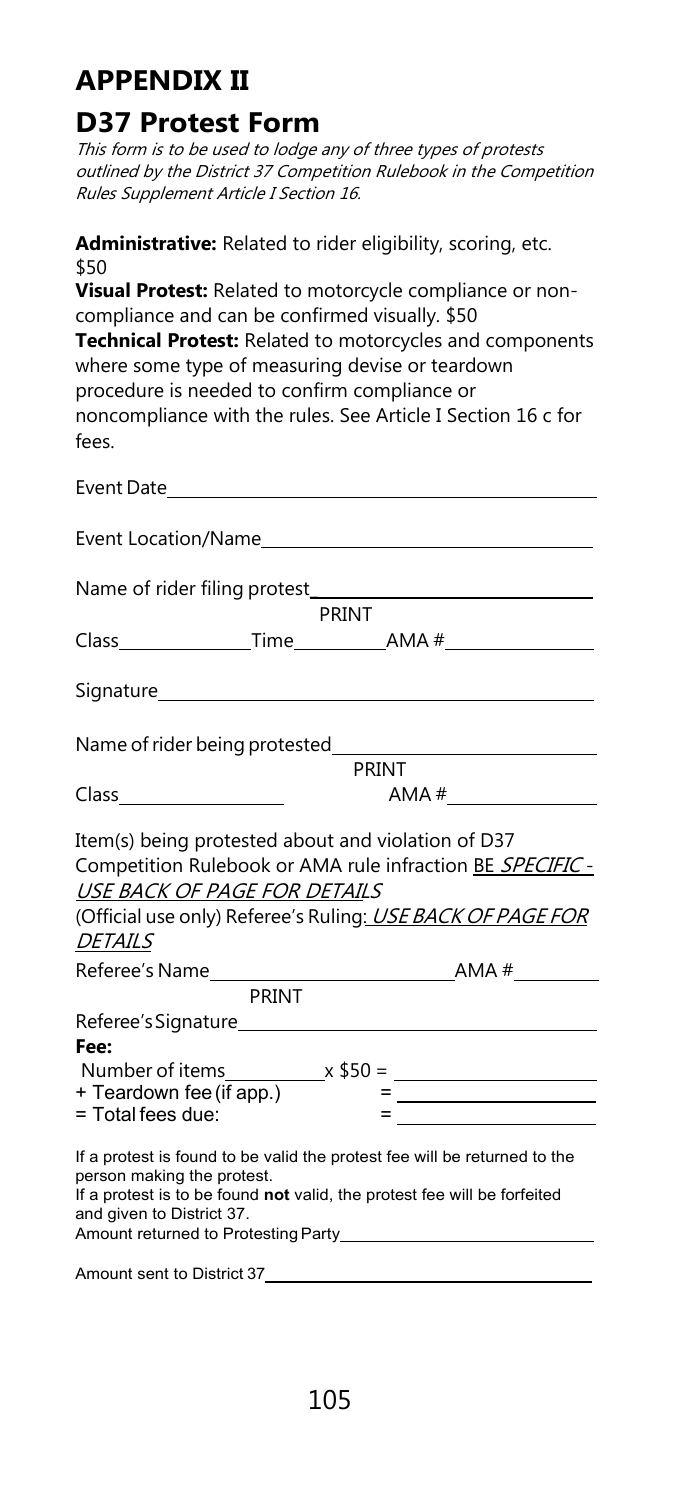### **APPENDIX II**

### **D37 Protest Form**

This form is to be used to lodge any of three types of protests outlined by the District 37 Competition Rulebook in the Competition Rules Supplement Article I Section 16.

**Administrative:** Related to rider eligibility, scoring, etc. \$50 **Visual Protest:** Related to motorcycle compliance or noncompliance and can be confirmed visually. \$50 **Technical Protest:** Related to motorcycles and components where some type of measuring devise or teardown

procedure is needed to confirm compliance or noncompliance with the rules. See Article I Section 16 c for fees.

| Event Location/Name                                                                                                                                                                                              |       |                                                                                                                         |  |  |
|------------------------------------------------------------------------------------------------------------------------------------------------------------------------------------------------------------------|-------|-------------------------------------------------------------------------------------------------------------------------|--|--|
| Name of rider filing protest_                                                                                                                                                                                    |       |                                                                                                                         |  |  |
|                                                                                                                                                                                                                  | PRINT |                                                                                                                         |  |  |
|                                                                                                                                                                                                                  |       |                                                                                                                         |  |  |
|                                                                                                                                                                                                                  |       |                                                                                                                         |  |  |
|                                                                                                                                                                                                                  |       |                                                                                                                         |  |  |
|                                                                                                                                                                                                                  | PRINT |                                                                                                                         |  |  |
|                                                                                                                                                                                                                  |       | AMA #                                                                                                                   |  |  |
| Item(s) being protested about and violation of D37<br>USE BACK OF PAGE FOR DETAILS<br><b>DETAILS</b>                                                                                                             |       | Competition Rulebook or AMA rule infraction BE SPECIFIC -<br>(Official use only) Referee's Ruling: USE BACK OF PAGE FOR |  |  |
| PRINT                                                                                                                                                                                                            |       |                                                                                                                         |  |  |
| Referee's Signature<br>Fee:                                                                                                                                                                                      |       |                                                                                                                         |  |  |
| + Teardown fee (if app.)                                                                                                                                                                                         |       |                                                                                                                         |  |  |
| $=$ Total fees due:                                                                                                                                                                                              |       |                                                                                                                         |  |  |
| If a protest is found to be valid the protest fee will be returned to the<br>person making the protest.<br>If a protest is to be found not valid, the protest fee will be forfeited<br>and given to District 37. |       |                                                                                                                         |  |  |

Amount sent to District 37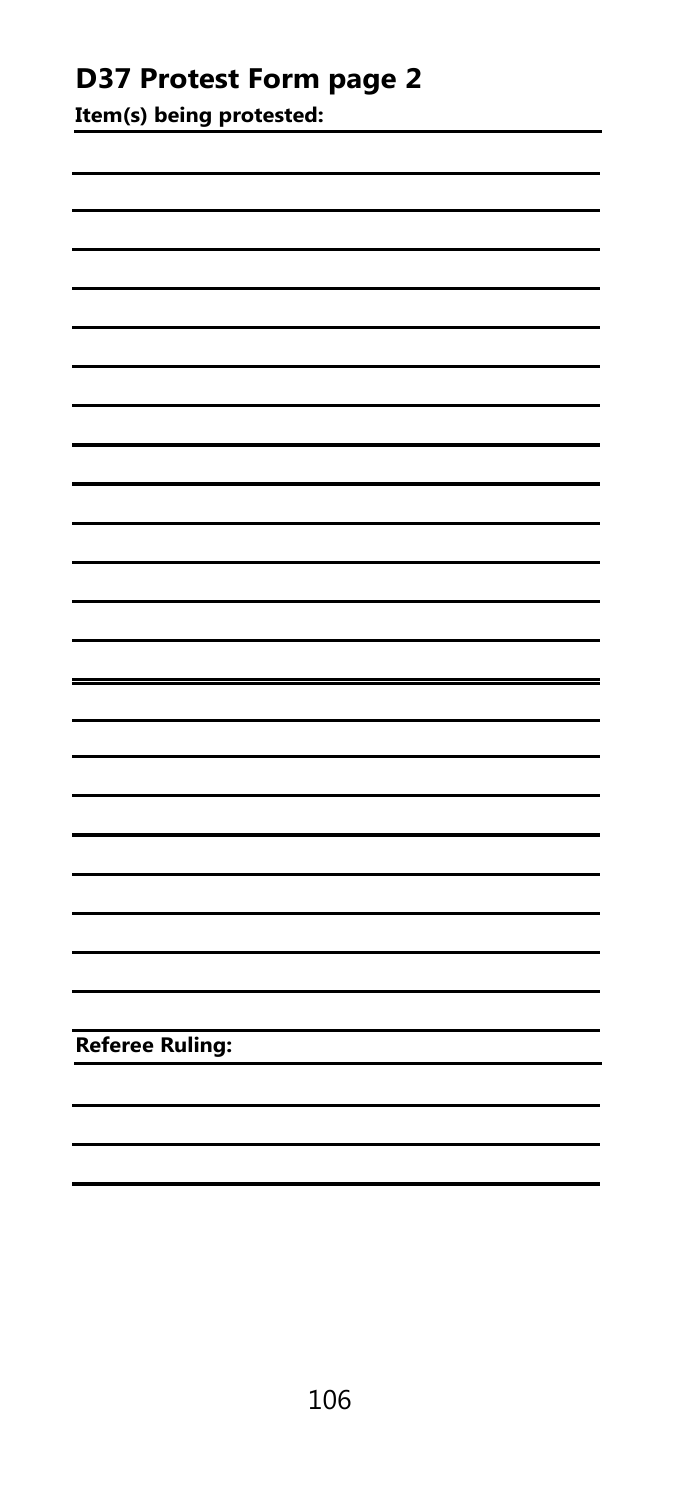### **D37 Protest Form page 2**

**Item(s) being protested:**

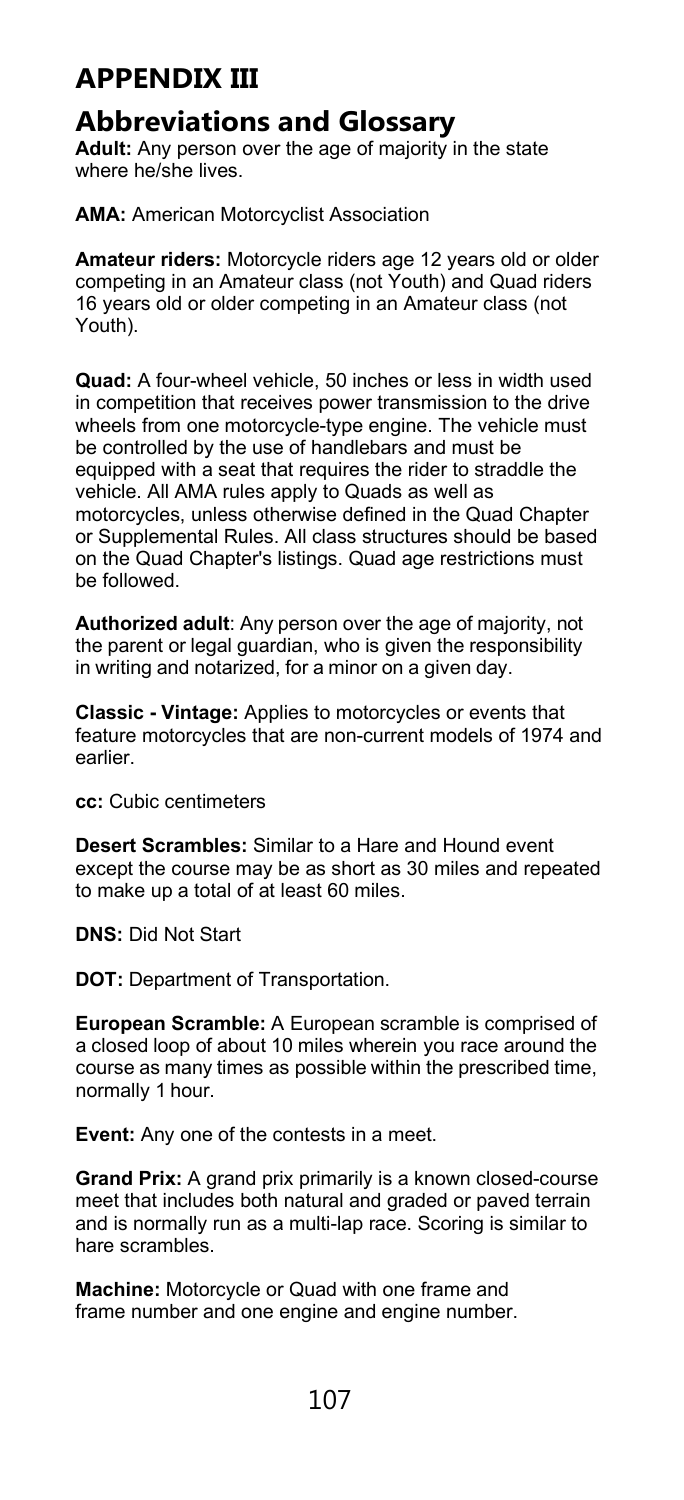### **APPENDIX III**

#### **Abbreviations and Glossary**

**Adult:** Any person over the age of majority in the state where he/she lives.

**AMA:** American Motorcyclist Association

**Amateur riders:** Motorcycle riders age 12 years old or older competing in an Amateur class (not Youth) and Quad riders 16 years old or older competing in an Amateur class (not Youth).

**Quad:** A four-wheel vehicle, 50 inches or less in width used in competition that receives power transmission to the drive wheels from one motorcycle-type engine. The vehicle must be controlled by the use of handlebars and must be equipped with a seat that requires the rider to straddle the vehicle. All AMA rules apply to Quads as well as motorcycles, unless otherwise defined in the Quad Chapter or Supplemental Rules. All class structures should be based on the Quad Chapter's listings. Quad age restrictions must be followed.

**Authorized adult**: Any person over the age of majority, not the parent or legal guardian, who is given the responsibility in writing and notarized, for a minor on a given day.

**Classic - Vintage:** Applies to motorcycles or events that feature motorcycles that are non-current models of 1974 and earlier.

**cc:** Cubic centimeters

**Desert Scrambles:** Similar to a Hare and Hound event except the course may be as short as 30 miles and repeated to make up a total of at least 60 miles.

**DNS:** Did Not Start

**DOT:** Department of Transportation.

**European Scramble:** A European scramble is comprised of a closed loop of about 10 miles wherein you race around the course as many times as possible within the prescribed time, normally 1 hour.

**Event:** Any one of the contests in a meet.

**Grand Prix:** A grand prix primarily is a known closed-course meet that includes both natural and graded or paved terrain and is normally run as a multi-lap race. Scoring is similar to hare scrambles.

**Machine:** Motorcycle or Quad with one frame and frame number and one engine and engine number.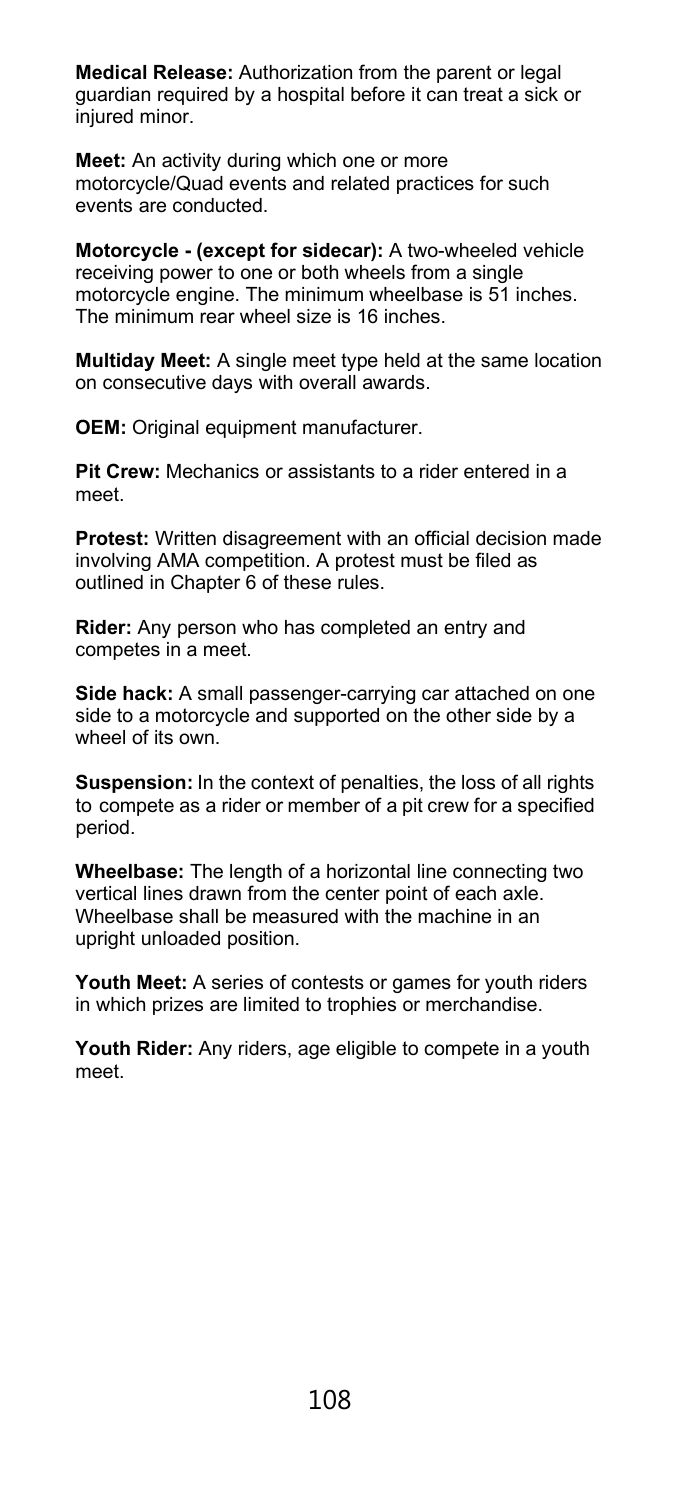**Medical Release:** Authorization from the parent or legal guardian required by a hospital before it can treat a sick or injured minor.

**Meet:** An activity during which one or more motorcycle/Quad events and related practices for such events are conducted.

**Motorcycle - (except for sidecar):** A two-wheeled vehicle receiving power to one or both wheels from a single motorcycle engine. The minimum wheelbase is 51 inches. The minimum rear wheel size is 16 inches.

**Multiday Meet:** A single meet type held at the same location on consecutive days with overall awards.

**OEM:** Original equipment manufacturer.

**Pit Crew:** Mechanics or assistants to a rider entered in a meet.

**Protest:** Written disagreement with an official decision made involving AMA competition. A protest must be filed as outlined in Chapter 6 of these rules.

**Rider:** Any person who has completed an entry and competes in a meet.

**Side hack:** A small passenger-carrying car attached on one side to a motorcycle and supported on the other side by a wheel of its own.

**Suspension:** In the context of penalties, the loss of all rights to compete as a rider or member of a pit crew for a specified period.

**Wheelbase:** The length of a horizontal line connecting two vertical lines drawn from the center point of each axle. Wheelbase shall be measured with the machine in an upright unloaded position.

**Youth Meet:** A series of contests or games for youth riders in which prizes are limited to trophies or merchandise.

**Youth Rider:** Any riders, age eligible to compete in a youth meet.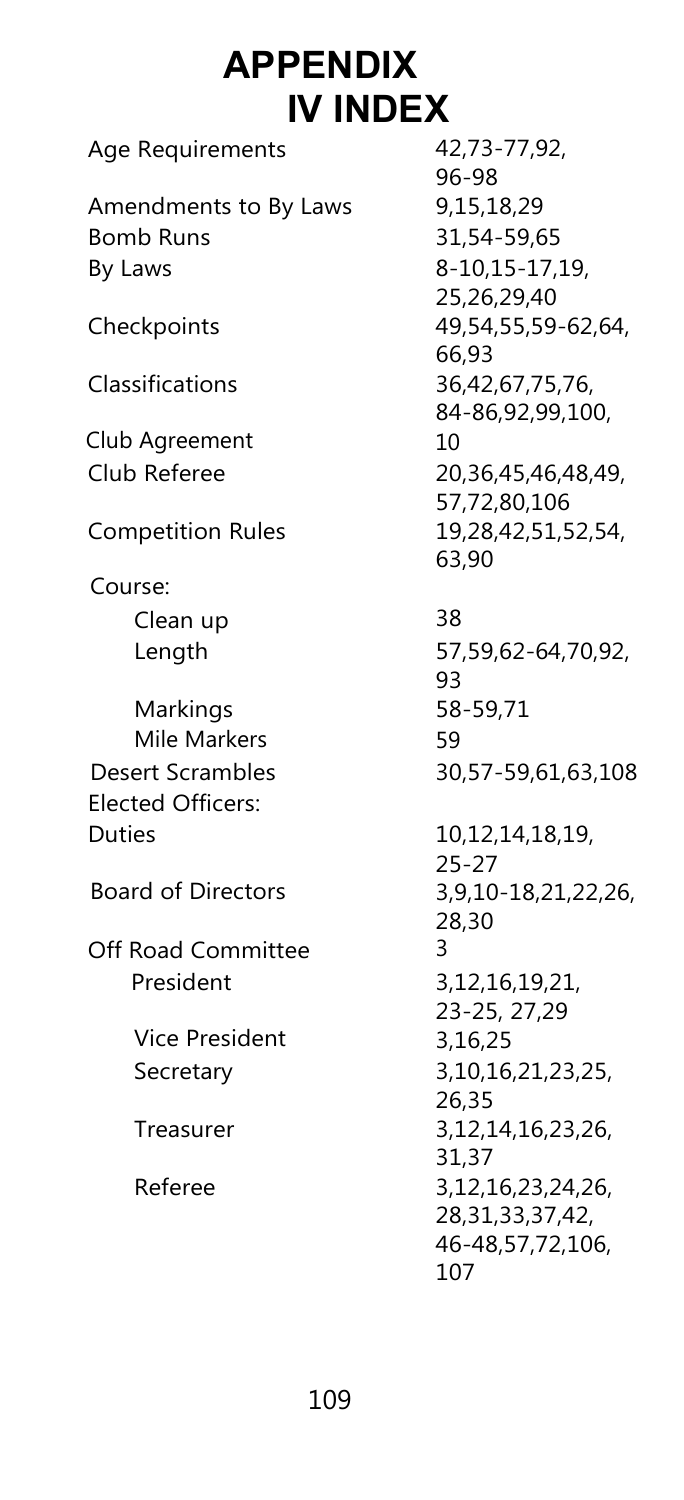## **APPENDIX IV INDEX**

| Age Requirements          | 42,73-77,92,           |
|---------------------------|------------------------|
|                           | 96-98                  |
| Amendments to By Laws     | 9,15,18,29             |
| <b>Bomb Runs</b>          | 31,54-59,65            |
| By Laws                   | 8-10,15-17,19,         |
|                           | 25,26,29,40            |
| Checkpoints               | 49,54,55,59-62,64,     |
|                           | 66,93                  |
| Classifications           | 36,42,67,75,76,        |
|                           | 84-86,92,99,100,       |
| Club Agreement            | 10                     |
| Club Referee              | 20,36,45,46,48,49,     |
|                           | 57,72,80,106           |
| <b>Competition Rules</b>  | 19,28,42,51,52,54,     |
|                           | 63,90                  |
| Course:                   |                        |
| Clean up                  | 38                     |
| Length                    | 57,59,62-64,70,92,     |
|                           | 93                     |
| Markings                  | 58-59,71               |
| Mile Markers              | 59                     |
| Desert Scrambles          | 30,57-59,61,63,108     |
| <b>Elected Officers:</b>  |                        |
| <b>Duties</b>             | 10,12,14,18,19,        |
|                           | $25 - 27$              |
| <b>Board of Directors</b> | 3,9,10-18,21,22,26,    |
|                           | 28,30                  |
| Off Road Committee        | 3                      |
| President                 | 3, 12, 16, 19, 21,     |
|                           | 23-25, 27,29           |
| <b>Vice President</b>     | 3,16,25                |
| Secretary                 | 3, 10, 16, 21, 23, 25, |
|                           | 26,35                  |
| Treasurer                 | 3, 12, 14, 16, 23, 26, |
|                           | 31,37                  |
| Referee                   | 3, 12, 16, 23, 24, 26, |
|                           | 28, 31, 33, 37, 42,    |
|                           | 46-48,57,72,106,       |
|                           | 107                    |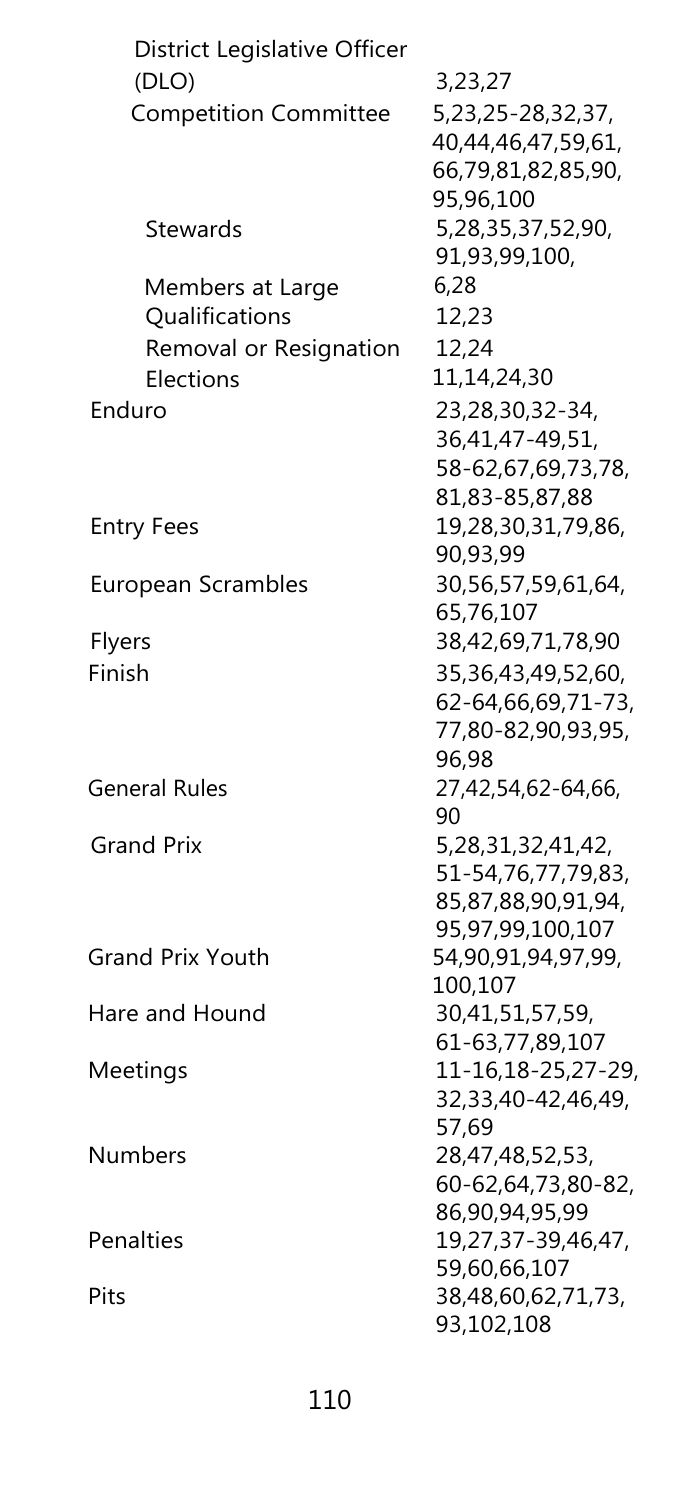| District Legislative Officer |                    |
|------------------------------|--------------------|
| (DLO)                        | 3,23,27            |
| <b>Competition Committee</b> | 5,23,25            |
|                              | 40,44,4            |
|                              | 66,79,8            |
|                              | 95,96,1            |
| Stewards                     | 5,28,35            |
|                              | 91,93,9            |
| Members at Large             | 6,28               |
| Qualifications               | 12,23              |
| Removal or Resignation       | 12,24              |
| Elections                    | 11,14,2            |
| Enduro                       |                    |
|                              | 23,28,3<br>36,41,4 |
|                              |                    |
|                              | $58 - 62,6$        |
|                              | $81,83 - 8$        |
| <b>Entry Fees</b>            | 19,28,3            |
|                              | 90,93,9            |
| European Scrambles           | 30,56,5            |
|                              | 65,76,1            |
| Flyers                       | 38,42,6            |
| Finish                       | 35,36,4            |
|                              | $62 - 64, 6$       |
|                              | $77,80 - 8$        |
|                              | 96,98              |
| <b>General Rules</b>         | 27,42,5            |
|                              | 90                 |
| <b>Grand Prix</b>            | 5,28,31            |
|                              | $51 - 54,7$        |
|                              | 85,87,8            |
|                              | 95,97,9            |
| <b>Grand Prix Youth</b>      | 54,90,9            |
|                              | 100,107            |
| Hare and Hound               | 30,41,5            |
|                              | $61 - 63,7$        |
| Meetings                     | $11 - 16,1$        |
|                              | 32,33,4            |
|                              | 57,69              |
| Numbers                      | 28,47,4            |
|                              | $60 - 62, 6$       |
|                              | 86,90,9            |
| Penalties                    | 19,27,3            |
|                              | 59,60,6            |
| Pits                         | 38,48,6            |
|                              | 93,102,            |

5,23,25-28,32,37, 40,44,46,47,59,61, 66,79,81,82,85,90, 95,96,100 5,28,35,37,52,90, 91,93,99,100,  $14,24,30$ 28,30,32-34, 36,41,47-49,51, 58-62,67,69,73,78, 83-85,87,88 28,30,31,79,86, 93,99 56,57,59,61,64, 76,107 Flyers 38,42,69,71,78,90 Finish 35,36,43,49,52,60, 62-64,66,69,71-73, 77,80-82,90,93,95, 98 42,54,62-64,66, 8,31,32,41,42, 51-54,76,77,79,83, 85,87,88,90,91,94, 95,97,99,100,107  $90, 91, 94, 97, 99,$ .107 41,51,57,59, 63,77,89,107 16,18-25,27-29, 32,33,40-42,46,49, 69 47,48,52,53, 60-62,64,73,80-82, 86,90,94,95,99 Penalties 19,27,37-39,46,47, 59,60,66,107 Pits 38,48,60,62,71,73, 93,102,108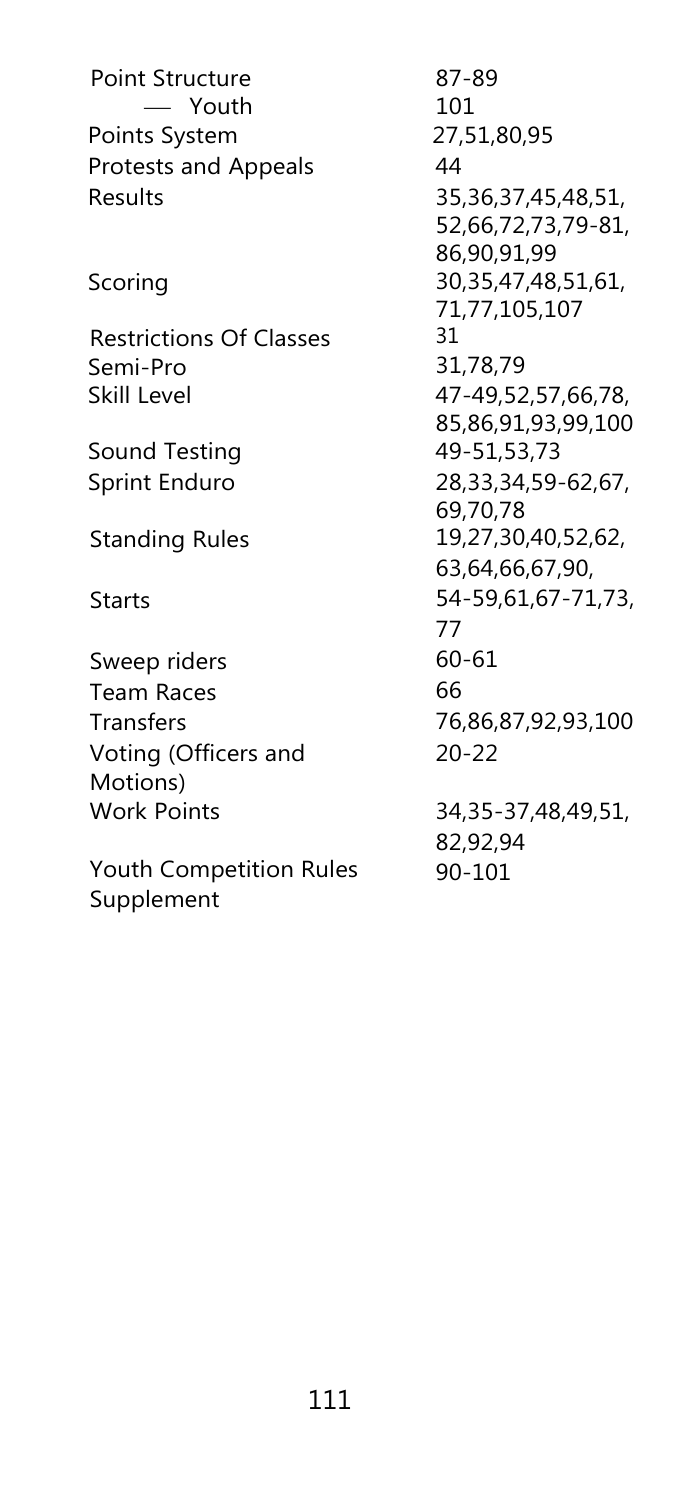Point Structure Youth Points System 27,51,80,95 Protests and Appeals 44 Results Scoring Restrictions Of Classes Semi-Pro<br>Skill Level Sound Testing 49-51,53,73 Sprint Enduro 28,33,34,59-62,67, Standing Rules 19,27,30,40,52,62, Starts 54-59,61,67-71,73, Sweep riders 60-61 Team Races 66 Transfers 76,86,87,92,93,100 Voting (Officers and Motions) Work Points

Youth Competition Rules Supplement

87-89 101 35,36,37,45,48,51, 52,66,72,73,79-81, 86,90,91,99 30,35,47,48,51,61, 71,77,105,107 31 31,78,79 47-49,52,57,66,78, 85,86,91,93,99,100 69,70,78 63,64,66,67,90, 77 20-22 34,35-37,48,49,51, 82,92,94

90-101

111